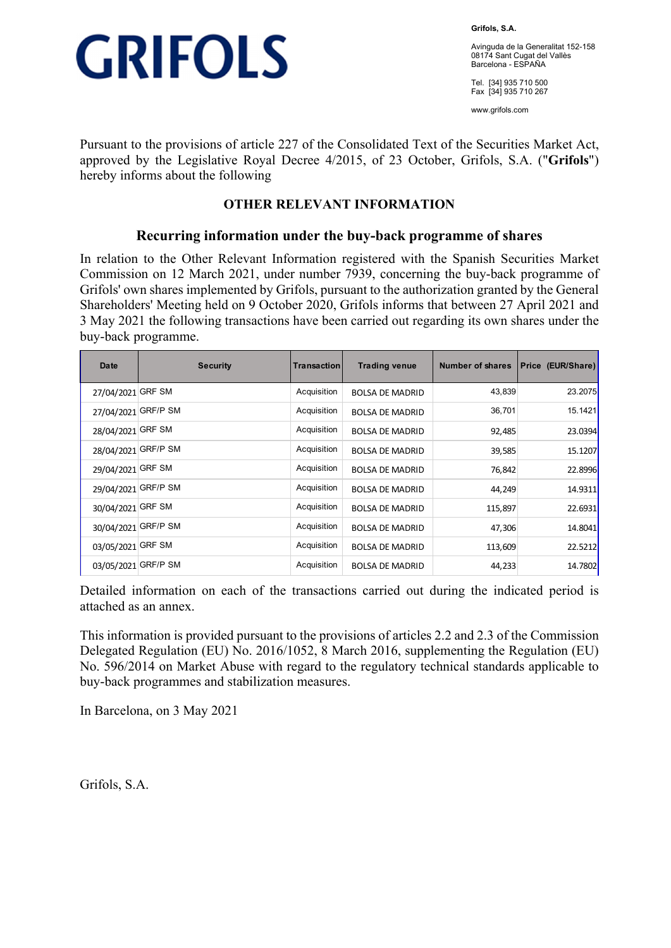

**Grifols, S.A.** 

Avinguda de la Generalitat 152-158 08174 Sant Cugat del Vallès Barcelona - ESPAÑA

Tel. [34] 935 710 500 Fax [34] 935 710 267

www.grifols.com

Pursuant to the provisions of article 227 of the Consolidated Text of the Securities Market Act, approved by the Legislative Royal Decree 4/2015, of 23 October, Grifols, S.A. ("**Grifols**") hereby informs about the following

## **OTHER RELEVANT INFORMATION**

## **Recurring information under the buy-back programme of shares**

In relation to the Other Relevant Information registered with the Spanish Securities Market Commission on 12 March 2021, under number 7939, concerning the buy-back programme of Grifols' own shares implemented by Grifols, pursuant to the authorization granted by the General Shareholders' Meeting held on 9 October 2020, Grifols informs that between 27 April 2021 and 3 May 2021 the following transactions have been carried out regarding its own shares under the buy-back programme.

| Date                | <b>Security</b> | Transaction | <b>Trading venue</b>   | Number of shares | Price (EUR/Share) |
|---------------------|-----------------|-------------|------------------------|------------------|-------------------|
| 27/04/2021          | <b>GRF SM</b>   | Acquisition | <b>BOLSA DE MADRID</b> | 43,839           | 23.2075           |
| 27/04/2021          | <b>GRF/P SM</b> | Acquisition | <b>BOLSA DE MADRID</b> | 36,701           | 15.1421           |
| 28/04/2021          | <b>GRF SM</b>   | Acquisition | <b>BOLSA DE MADRID</b> | 92,485           | 23.0394           |
| 28/04/2021 GRF/P SM |                 | Acquisition | <b>BOLSA DE MADRID</b> | 39,585           | 15.1207           |
| 29/04/2021          | <b>GRF SM</b>   | Acquisition | <b>BOLSA DE MADRID</b> | 76,842           | 22.8996           |
| 29/04/2021          | <b>GRF/P SM</b> | Acquisition | <b>BOLSA DE MADRID</b> | 44,249           | 14.9311           |
| 30/04/2021 GRF SM   |                 | Acquisition | <b>BOLSA DE MADRID</b> | 115,897          | 22.6931           |
| 30/04/2021          | <b>GRF/P SM</b> | Acquisition | <b>BOLSA DE MADRID</b> | 47,306           | 14.8041           |
| 03/05/2021          | <b>GRF SM</b>   | Acquisition | <b>BOLSA DE MADRID</b> | 113,609          | 22.5212           |
| 03/05/2021          | <b>GRF/P SM</b> | Acquisition | <b>BOLSA DE MADRID</b> | 44,233           | 14.7802           |

Detailed information on each of the transactions carried out during the indicated period is attached as an annex.

This information is provided pursuant to the provisions of articles 2.2 and 2.3 of the Commission Delegated Regulation (EU) No. 2016/1052, 8 March 2016, supplementing the Regulation (EU) No. 596/2014 on Market Abuse with regard to the regulatory technical standards applicable to buy-back programmes and stabilization measures.

In Barcelona, on 3 May 2021

Grifols, S.A.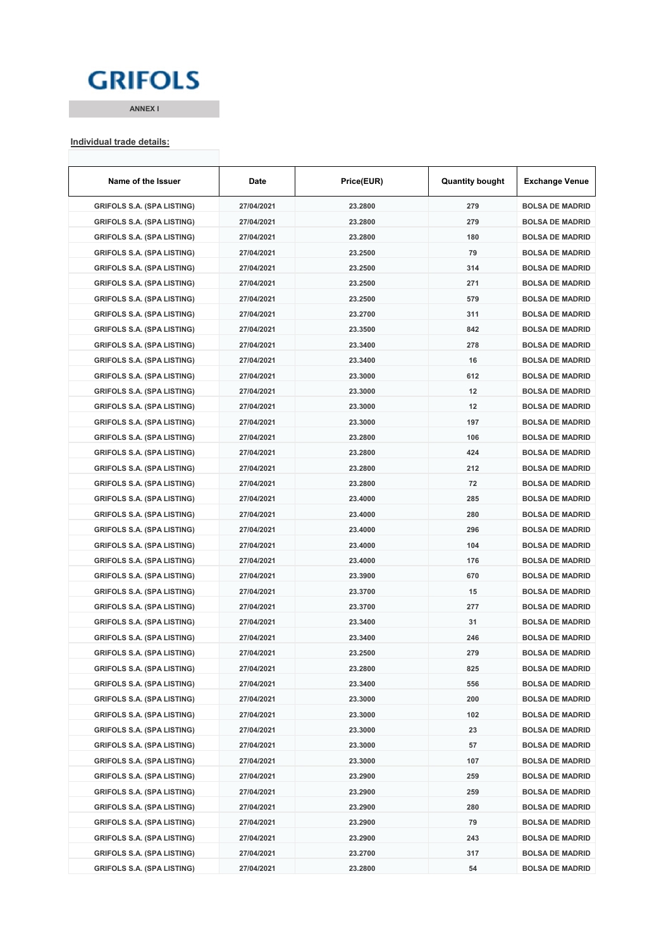## **GRIFOLS**

**ANNEX I**

#### **Individual trade details:**

| Name of the Issuer                | Date       | Price(EUR) | <b>Quantity bought</b> | <b>Exchange Venue</b>  |
|-----------------------------------|------------|------------|------------------------|------------------------|
| <b>GRIFOLS S.A. (SPA LISTING)</b> | 27/04/2021 | 23.2800    | 279                    | <b>BOLSA DE MADRID</b> |
| <b>GRIFOLS S.A. (SPA LISTING)</b> | 27/04/2021 | 23.2800    | 279                    | <b>BOLSA DE MADRID</b> |
| <b>GRIFOLS S.A. (SPA LISTING)</b> | 27/04/2021 | 23.2800    | 180                    | <b>BOLSA DE MADRID</b> |
| <b>GRIFOLS S.A. (SPA LISTING)</b> | 27/04/2021 | 23.2500    | 79                     | <b>BOLSA DE MADRID</b> |
| <b>GRIFOLS S.A. (SPA LISTING)</b> | 27/04/2021 | 23.2500    | 314                    | <b>BOLSA DE MADRID</b> |
| <b>GRIFOLS S.A. (SPA LISTING)</b> | 27/04/2021 | 23.2500    | 271                    | <b>BOLSA DE MADRID</b> |
| <b>GRIFOLS S.A. (SPA LISTING)</b> | 27/04/2021 | 23.2500    | 579                    | <b>BOLSA DE MADRID</b> |
| <b>GRIFOLS S.A. (SPA LISTING)</b> | 27/04/2021 | 23.2700    | 311                    | <b>BOLSA DE MADRID</b> |
| <b>GRIFOLS S.A. (SPA LISTING)</b> | 27/04/2021 | 23.3500    | 842                    | <b>BOLSA DE MADRID</b> |
| <b>GRIFOLS S.A. (SPA LISTING)</b> | 27/04/2021 | 23.3400    | 278                    | <b>BOLSA DE MADRID</b> |
| <b>GRIFOLS S.A. (SPA LISTING)</b> | 27/04/2021 | 23.3400    | 16                     | <b>BOLSA DE MADRID</b> |
| <b>GRIFOLS S.A. (SPA LISTING)</b> | 27/04/2021 | 23.3000    | 612                    | <b>BOLSA DE MADRID</b> |
| <b>GRIFOLS S.A. (SPA LISTING)</b> | 27/04/2021 | 23.3000    | 12                     | <b>BOLSA DE MADRID</b> |
| <b>GRIFOLS S.A. (SPA LISTING)</b> | 27/04/2021 | 23.3000    | 12                     | <b>BOLSA DE MADRID</b> |
| <b>GRIFOLS S.A. (SPA LISTING)</b> | 27/04/2021 | 23.3000    | 197                    | <b>BOLSA DE MADRID</b> |
| <b>GRIFOLS S.A. (SPA LISTING)</b> | 27/04/2021 | 23.2800    | 106                    | <b>BOLSA DE MADRID</b> |
| <b>GRIFOLS S.A. (SPA LISTING)</b> | 27/04/2021 | 23.2800    | 424                    | <b>BOLSA DE MADRID</b> |
| <b>GRIFOLS S.A. (SPA LISTING)</b> | 27/04/2021 | 23.2800    | 212                    | <b>BOLSA DE MADRID</b> |
| <b>GRIFOLS S.A. (SPA LISTING)</b> | 27/04/2021 | 23.2800    | 72                     | <b>BOLSA DE MADRID</b> |
| <b>GRIFOLS S.A. (SPA LISTING)</b> | 27/04/2021 | 23.4000    | 285                    | <b>BOLSA DE MADRID</b> |
| <b>GRIFOLS S.A. (SPA LISTING)</b> | 27/04/2021 | 23.4000    | 280                    | <b>BOLSA DE MADRID</b> |
| <b>GRIFOLS S.A. (SPA LISTING)</b> | 27/04/2021 | 23.4000    | 296                    | <b>BOLSA DE MADRID</b> |
| <b>GRIFOLS S.A. (SPA LISTING)</b> | 27/04/2021 | 23.4000    | 104                    | <b>BOLSA DE MADRID</b> |
| <b>GRIFOLS S.A. (SPA LISTING)</b> | 27/04/2021 | 23.4000    | 176                    | <b>BOLSA DE MADRID</b> |
| <b>GRIFOLS S.A. (SPA LISTING)</b> | 27/04/2021 | 23.3900    | 670                    | <b>BOLSA DE MADRID</b> |
| <b>GRIFOLS S.A. (SPA LISTING)</b> | 27/04/2021 | 23.3700    | 15                     | <b>BOLSA DE MADRID</b> |
| <b>GRIFOLS S.A. (SPA LISTING)</b> | 27/04/2021 | 23.3700    | 277                    | <b>BOLSA DE MADRID</b> |
| <b>GRIFOLS S.A. (SPA LISTING)</b> | 27/04/2021 | 23.3400    | 31                     | <b>BOLSA DE MADRID</b> |
| <b>GRIFOLS S.A. (SPA LISTING)</b> | 27/04/2021 | 23.3400    | 246                    | <b>BOLSA DE MADRID</b> |
| <b>GRIFOLS S.A. (SPA LISTING)</b> | 27/04/2021 | 23.2500    | 279                    | <b>BOLSA DE MADRID</b> |
| <b>GRIFOLS S.A. (SPA LISTING)</b> | 27/04/2021 | 23.2800    | 825                    | <b>BOLSA DE MADRID</b> |
| <b>GRIFOLS S.A. (SPA LISTING)</b> | 27/04/2021 | 23.3400    | 556                    | <b>BOLSA DE MADRID</b> |
| <b>GRIFOLS S.A. (SPA LISTING)</b> | 27/04/2021 | 23.3000    | 200                    | <b>BOLSA DE MADRID</b> |
| <b>GRIFOLS S.A. (SPA LISTING)</b> | 27/04/2021 | 23.3000    | 102                    | <b>BOLSA DE MADRID</b> |
| <b>GRIFOLS S.A. (SPA LISTING)</b> | 27/04/2021 | 23.3000    | 23                     | <b>BOLSA DE MADRID</b> |
| <b>GRIFOLS S.A. (SPA LISTING)</b> | 27/04/2021 | 23.3000    | 57                     | <b>BOLSA DE MADRID</b> |
| <b>GRIFOLS S.A. (SPA LISTING)</b> | 27/04/2021 | 23.3000    | 107                    | <b>BOLSA DE MADRID</b> |
| <b>GRIFOLS S.A. (SPA LISTING)</b> | 27/04/2021 | 23.2900    | 259                    | <b>BOLSA DE MADRID</b> |
| <b>GRIFOLS S.A. (SPA LISTING)</b> | 27/04/2021 | 23.2900    | 259                    | <b>BOLSA DE MADRID</b> |
| <b>GRIFOLS S.A. (SPA LISTING)</b> | 27/04/2021 | 23.2900    | 280                    | <b>BOLSA DE MADRID</b> |
| <b>GRIFOLS S.A. (SPA LISTING)</b> | 27/04/2021 | 23.2900    | 79                     | <b>BOLSA DE MADRID</b> |
| <b>GRIFOLS S.A. (SPA LISTING)</b> | 27/04/2021 | 23.2900    | 243                    | <b>BOLSA DE MADRID</b> |
| <b>GRIFOLS S.A. (SPA LISTING)</b> | 27/04/2021 | 23.2700    | 317                    | <b>BOLSA DE MADRID</b> |
| <b>GRIFOLS S.A. (SPA LISTING)</b> | 27/04/2021 | 23.2800    | 54                     | <b>BOLSA DE MADRID</b> |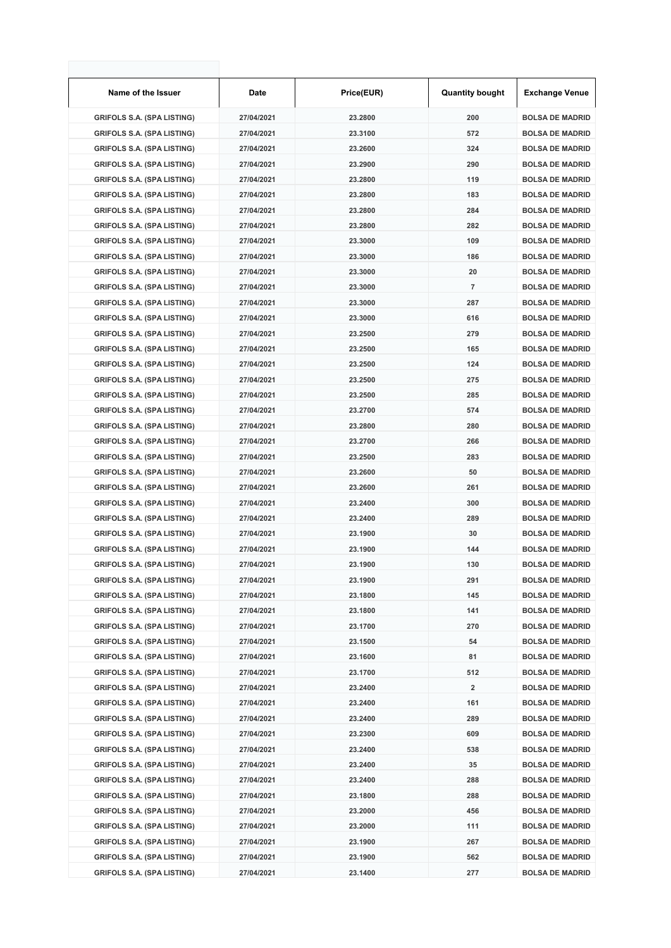| Name of the Issuer                | Date       | Price(EUR) | <b>Quantity bought</b>  | <b>Exchange Venue</b>  |
|-----------------------------------|------------|------------|-------------------------|------------------------|
| <b>GRIFOLS S.A. (SPA LISTING)</b> | 27/04/2021 | 23.2800    | 200                     | <b>BOLSA DE MADRID</b> |
| <b>GRIFOLS S.A. (SPA LISTING)</b> | 27/04/2021 | 23.3100    | 572                     | <b>BOLSA DE MADRID</b> |
| <b>GRIFOLS S.A. (SPA LISTING)</b> | 27/04/2021 | 23.2600    | 324                     | <b>BOLSA DE MADRID</b> |
| <b>GRIFOLS S.A. (SPA LISTING)</b> | 27/04/2021 | 23.2900    | 290                     | <b>BOLSA DE MADRID</b> |
| <b>GRIFOLS S.A. (SPA LISTING)</b> | 27/04/2021 | 23.2800    | 119                     | <b>BOLSA DE MADRID</b> |
| <b>GRIFOLS S.A. (SPA LISTING)</b> | 27/04/2021 | 23.2800    | 183                     | <b>BOLSA DE MADRID</b> |
| <b>GRIFOLS S.A. (SPA LISTING)</b> | 27/04/2021 | 23.2800    | 284                     | <b>BOLSA DE MADRID</b> |
| <b>GRIFOLS S.A. (SPA LISTING)</b> | 27/04/2021 | 23.2800    | 282                     | <b>BOLSA DE MADRID</b> |
| <b>GRIFOLS S.A. (SPA LISTING)</b> | 27/04/2021 | 23.3000    | 109                     | <b>BOLSA DE MADRID</b> |
| <b>GRIFOLS S.A. (SPA LISTING)</b> | 27/04/2021 | 23.3000    | 186                     | <b>BOLSA DE MADRID</b> |
| <b>GRIFOLS S.A. (SPA LISTING)</b> | 27/04/2021 | 23.3000    | 20                      | <b>BOLSA DE MADRID</b> |
| <b>GRIFOLS S.A. (SPA LISTING)</b> | 27/04/2021 | 23.3000    | 7                       | <b>BOLSA DE MADRID</b> |
| <b>GRIFOLS S.A. (SPA LISTING)</b> | 27/04/2021 | 23.3000    | 287                     | <b>BOLSA DE MADRID</b> |
| <b>GRIFOLS S.A. (SPA LISTING)</b> | 27/04/2021 | 23.3000    | 616                     | <b>BOLSA DE MADRID</b> |
| <b>GRIFOLS S.A. (SPA LISTING)</b> | 27/04/2021 | 23.2500    | 279                     | <b>BOLSA DE MADRID</b> |
| <b>GRIFOLS S.A. (SPA LISTING)</b> | 27/04/2021 | 23.2500    | 165                     | <b>BOLSA DE MADRID</b> |
| <b>GRIFOLS S.A. (SPA LISTING)</b> | 27/04/2021 | 23.2500    | 124                     | <b>BOLSA DE MADRID</b> |
| <b>GRIFOLS S.A. (SPA LISTING)</b> | 27/04/2021 | 23.2500    | 275                     | <b>BOLSA DE MADRID</b> |
| <b>GRIFOLS S.A. (SPA LISTING)</b> | 27/04/2021 | 23.2500    | 285                     | <b>BOLSA DE MADRID</b> |
| <b>GRIFOLS S.A. (SPA LISTING)</b> | 27/04/2021 | 23.2700    | 574                     | <b>BOLSA DE MADRID</b> |
| <b>GRIFOLS S.A. (SPA LISTING)</b> | 27/04/2021 | 23.2800    | 280                     | <b>BOLSA DE MADRID</b> |
| <b>GRIFOLS S.A. (SPA LISTING)</b> | 27/04/2021 | 23.2700    | 266                     | <b>BOLSA DE MADRID</b> |
| <b>GRIFOLS S.A. (SPA LISTING)</b> | 27/04/2021 | 23.2500    | 283                     | <b>BOLSA DE MADRID</b> |
| <b>GRIFOLS S.A. (SPA LISTING)</b> | 27/04/2021 | 23.2600    | 50                      | <b>BOLSA DE MADRID</b> |
| <b>GRIFOLS S.A. (SPA LISTING)</b> | 27/04/2021 | 23.2600    | 261                     | <b>BOLSA DE MADRID</b> |
| <b>GRIFOLS S.A. (SPA LISTING)</b> | 27/04/2021 | 23.2400    | 300                     | <b>BOLSA DE MADRID</b> |
| <b>GRIFOLS S.A. (SPA LISTING)</b> | 27/04/2021 | 23.2400    | 289                     | <b>BOLSA DE MADRID</b> |
| <b>GRIFOLS S.A. (SPA LISTING)</b> | 27/04/2021 | 23.1900    | 30                      | <b>BOLSA DE MADRID</b> |
| <b>GRIFOLS S.A. (SPA LISTING)</b> | 27/04/2021 | 23.1900    | 144                     | <b>BOLSA DE MADRID</b> |
| <b>GRIFOLS S.A. (SPA LISTING)</b> | 27/04/2021 | 23.1900    | 130                     | <b>BOLSA DE MADRID</b> |
| <b>GRIFOLS S.A. (SPA LISTING)</b> | 27/04/2021 | 23.1900    | 291                     | <b>BOLSA DE MADRID</b> |
| <b>GRIFOLS S.A. (SPA LISTING)</b> | 27/04/2021 | 23.1800    | 145                     | <b>BOLSA DE MADRID</b> |
| <b>GRIFOLS S.A. (SPA LISTING)</b> | 27/04/2021 | 23.1800    | 141                     | <b>BOLSA DE MADRID</b> |
| <b>GRIFOLS S.A. (SPA LISTING)</b> | 27/04/2021 | 23.1700    | 270                     | <b>BOLSA DE MADRID</b> |
| <b>GRIFOLS S.A. (SPA LISTING)</b> | 27/04/2021 | 23.1500    | 54                      | <b>BOLSA DE MADRID</b> |
| <b>GRIFOLS S.A. (SPA LISTING)</b> | 27/04/2021 | 23.1600    | 81                      | <b>BOLSA DE MADRID</b> |
| <b>GRIFOLS S.A. (SPA LISTING)</b> | 27/04/2021 | 23.1700    | 512                     | <b>BOLSA DE MADRID</b> |
| <b>GRIFOLS S.A. (SPA LISTING)</b> | 27/04/2021 | 23.2400    | $\overline{\mathbf{2}}$ | <b>BOLSA DE MADRID</b> |
| <b>GRIFOLS S.A. (SPA LISTING)</b> | 27/04/2021 | 23.2400    | 161                     | <b>BOLSA DE MADRID</b> |
| <b>GRIFOLS S.A. (SPA LISTING)</b> | 27/04/2021 | 23.2400    | 289                     | <b>BOLSA DE MADRID</b> |
| <b>GRIFOLS S.A. (SPA LISTING)</b> | 27/04/2021 | 23.2300    | 609                     | <b>BOLSA DE MADRID</b> |
| <b>GRIFOLS S.A. (SPA LISTING)</b> | 27/04/2021 | 23.2400    | 538                     | <b>BOLSA DE MADRID</b> |
| <b>GRIFOLS S.A. (SPA LISTING)</b> | 27/04/2021 | 23.2400    | 35                      | <b>BOLSA DE MADRID</b> |
| <b>GRIFOLS S.A. (SPA LISTING)</b> | 27/04/2021 | 23.2400    | 288                     | <b>BOLSA DE MADRID</b> |
| <b>GRIFOLS S.A. (SPA LISTING)</b> | 27/04/2021 | 23.1800    | 288                     | <b>BOLSA DE MADRID</b> |
| <b>GRIFOLS S.A. (SPA LISTING)</b> | 27/04/2021 | 23.2000    | 456                     | <b>BOLSA DE MADRID</b> |
| <b>GRIFOLS S.A. (SPA LISTING)</b> | 27/04/2021 | 23.2000    | 111                     | <b>BOLSA DE MADRID</b> |
| <b>GRIFOLS S.A. (SPA LISTING)</b> | 27/04/2021 | 23.1900    | 267                     | <b>BOLSA DE MADRID</b> |
| <b>GRIFOLS S.A. (SPA LISTING)</b> | 27/04/2021 | 23.1900    | 562                     | <b>BOLSA DE MADRID</b> |
| <b>GRIFOLS S.A. (SPA LISTING)</b> | 27/04/2021 | 23.1400    | 277                     | <b>BOLSA DE MADRID</b> |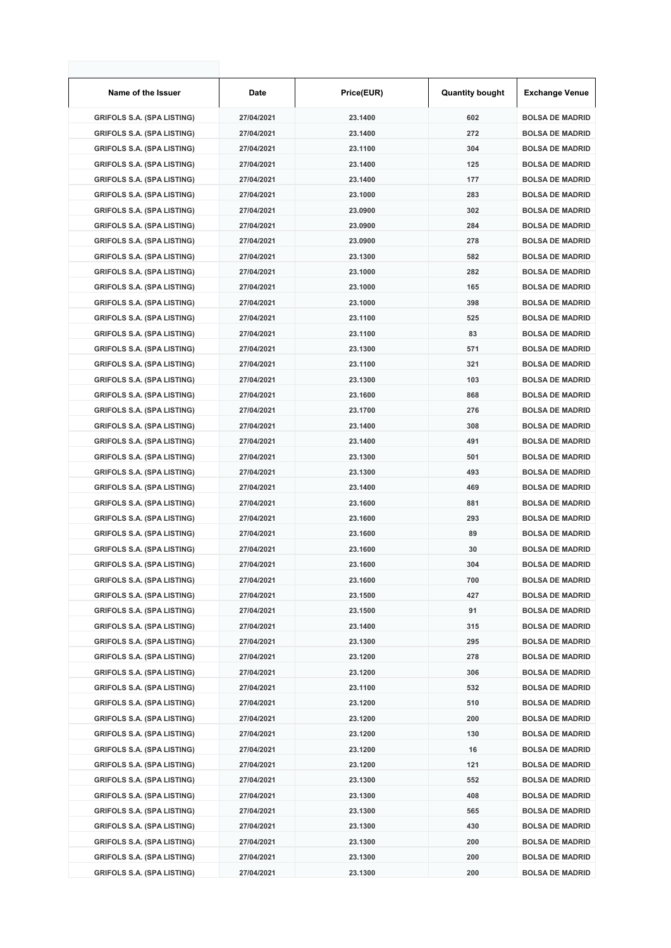| Name of the Issuer                | Date       | Price(EUR) | <b>Quantity bought</b> | <b>Exchange Venue</b>  |
|-----------------------------------|------------|------------|------------------------|------------------------|
| <b>GRIFOLS S.A. (SPA LISTING)</b> | 27/04/2021 | 23.1400    | 602                    | <b>BOLSA DE MADRID</b> |
| <b>GRIFOLS S.A. (SPA LISTING)</b> | 27/04/2021 | 23.1400    | 272                    | <b>BOLSA DE MADRID</b> |
| <b>GRIFOLS S.A. (SPA LISTING)</b> | 27/04/2021 | 23.1100    | 304                    | <b>BOLSA DE MADRID</b> |
| <b>GRIFOLS S.A. (SPA LISTING)</b> | 27/04/2021 | 23.1400    | 125                    | <b>BOLSA DE MADRID</b> |
| <b>GRIFOLS S.A. (SPA LISTING)</b> | 27/04/2021 | 23.1400    | 177                    | <b>BOLSA DE MADRID</b> |
| <b>GRIFOLS S.A. (SPA LISTING)</b> | 27/04/2021 | 23.1000    | 283                    | <b>BOLSA DE MADRID</b> |
| <b>GRIFOLS S.A. (SPA LISTING)</b> | 27/04/2021 | 23.0900    | 302                    | <b>BOLSA DE MADRID</b> |
| <b>GRIFOLS S.A. (SPA LISTING)</b> | 27/04/2021 | 23.0900    | 284                    | <b>BOLSA DE MADRID</b> |
| <b>GRIFOLS S.A. (SPA LISTING)</b> | 27/04/2021 | 23.0900    | 278                    | <b>BOLSA DE MADRID</b> |
| <b>GRIFOLS S.A. (SPA LISTING)</b> | 27/04/2021 | 23.1300    | 582                    | <b>BOLSA DE MADRID</b> |
| <b>GRIFOLS S.A. (SPA LISTING)</b> | 27/04/2021 | 23.1000    | 282                    | <b>BOLSA DE MADRID</b> |
| <b>GRIFOLS S.A. (SPA LISTING)</b> | 27/04/2021 | 23.1000    | 165                    | <b>BOLSA DE MADRID</b> |
| <b>GRIFOLS S.A. (SPA LISTING)</b> | 27/04/2021 | 23.1000    | 398                    | <b>BOLSA DE MADRID</b> |
| <b>GRIFOLS S.A. (SPA LISTING)</b> | 27/04/2021 | 23.1100    | 525                    | <b>BOLSA DE MADRID</b> |
| <b>GRIFOLS S.A. (SPA LISTING)</b> | 27/04/2021 | 23.1100    | 83                     | <b>BOLSA DE MADRID</b> |
| <b>GRIFOLS S.A. (SPA LISTING)</b> | 27/04/2021 | 23.1300    | 571                    | <b>BOLSA DE MADRID</b> |
| <b>GRIFOLS S.A. (SPA LISTING)</b> | 27/04/2021 | 23.1100    | 321                    | <b>BOLSA DE MADRID</b> |
| <b>GRIFOLS S.A. (SPA LISTING)</b> | 27/04/2021 | 23.1300    | 103                    | <b>BOLSA DE MADRID</b> |
| <b>GRIFOLS S.A. (SPA LISTING)</b> | 27/04/2021 | 23.1600    | 868                    | <b>BOLSA DE MADRID</b> |
| <b>GRIFOLS S.A. (SPA LISTING)</b> | 27/04/2021 | 23.1700    | 276                    | <b>BOLSA DE MADRID</b> |
| <b>GRIFOLS S.A. (SPA LISTING)</b> | 27/04/2021 | 23.1400    | 308                    | <b>BOLSA DE MADRID</b> |
| <b>GRIFOLS S.A. (SPA LISTING)</b> | 27/04/2021 | 23.1400    | 491                    | <b>BOLSA DE MADRID</b> |
| <b>GRIFOLS S.A. (SPA LISTING)</b> | 27/04/2021 | 23.1300    | 501                    | <b>BOLSA DE MADRID</b> |
| <b>GRIFOLS S.A. (SPA LISTING)</b> | 27/04/2021 | 23.1300    | 493                    | <b>BOLSA DE MADRID</b> |
| <b>GRIFOLS S.A. (SPA LISTING)</b> | 27/04/2021 | 23.1400    | 469                    | <b>BOLSA DE MADRID</b> |
| <b>GRIFOLS S.A. (SPA LISTING)</b> | 27/04/2021 | 23.1600    | 881                    | <b>BOLSA DE MADRID</b> |
| <b>GRIFOLS S.A. (SPA LISTING)</b> | 27/04/2021 | 23.1600    | 293                    | <b>BOLSA DE MADRID</b> |
| <b>GRIFOLS S.A. (SPA LISTING)</b> | 27/04/2021 | 23.1600    | 89                     | <b>BOLSA DE MADRID</b> |
| <b>GRIFOLS S.A. (SPA LISTING)</b> | 27/04/2021 | 23.1600    | 30                     | <b>BOLSA DE MADRID</b> |
| <b>GRIFOLS S.A. (SPA LISTING)</b> | 27/04/2021 | 23.1600    | 304                    | <b>BOLSA DE MADRID</b> |
| <b>GRIFOLS S.A. (SPA LISTING)</b> | 27/04/2021 | 23.1600    | 700                    | <b>BOLSA DE MADRID</b> |
| <b>GRIFOLS S.A. (SPA LISTING)</b> | 27/04/2021 | 23.1500    | 427                    | <b>BOLSA DE MADRID</b> |
| <b>GRIFOLS S.A. (SPA LISTING)</b> | 27/04/2021 | 23.1500    | 91                     | <b>BOLSA DE MADRID</b> |
| <b>GRIFOLS S.A. (SPA LISTING)</b> | 27/04/2021 | 23.1400    | 315                    | <b>BOLSA DE MADRID</b> |
| <b>GRIFOLS S.A. (SPA LISTING)</b> | 27/04/2021 | 23.1300    | 295                    | <b>BOLSA DE MADRID</b> |
| <b>GRIFOLS S.A. (SPA LISTING)</b> | 27/04/2021 | 23.1200    | 278                    | <b>BOLSA DE MADRID</b> |
| <b>GRIFOLS S.A. (SPA LISTING)</b> | 27/04/2021 | 23.1200    | 306                    | <b>BOLSA DE MADRID</b> |
| <b>GRIFOLS S.A. (SPA LISTING)</b> | 27/04/2021 | 23.1100    | 532                    | <b>BOLSA DE MADRID</b> |
| <b>GRIFOLS S.A. (SPA LISTING)</b> | 27/04/2021 | 23.1200    | 510                    | <b>BOLSA DE MADRID</b> |
| <b>GRIFOLS S.A. (SPA LISTING)</b> | 27/04/2021 | 23.1200    | 200                    | <b>BOLSA DE MADRID</b> |
| <b>GRIFOLS S.A. (SPA LISTING)</b> | 27/04/2021 | 23.1200    | 130                    | <b>BOLSA DE MADRID</b> |
| <b>GRIFOLS S.A. (SPA LISTING)</b> | 27/04/2021 | 23.1200    | 16                     | <b>BOLSA DE MADRID</b> |
| <b>GRIFOLS S.A. (SPA LISTING)</b> | 27/04/2021 | 23.1200    | 121                    | <b>BOLSA DE MADRID</b> |
| <b>GRIFOLS S.A. (SPA LISTING)</b> | 27/04/2021 | 23.1300    | 552                    | <b>BOLSA DE MADRID</b> |
| <b>GRIFOLS S.A. (SPA LISTING)</b> | 27/04/2021 | 23.1300    | 408                    | <b>BOLSA DE MADRID</b> |
| <b>GRIFOLS S.A. (SPA LISTING)</b> | 27/04/2021 | 23.1300    | 565                    | <b>BOLSA DE MADRID</b> |
| <b>GRIFOLS S.A. (SPA LISTING)</b> | 27/04/2021 | 23.1300    | 430                    | <b>BOLSA DE MADRID</b> |
| <b>GRIFOLS S.A. (SPA LISTING)</b> | 27/04/2021 | 23.1300    | 200                    | <b>BOLSA DE MADRID</b> |
| <b>GRIFOLS S.A. (SPA LISTING)</b> | 27/04/2021 | 23.1300    | 200                    | <b>BOLSA DE MADRID</b> |
| <b>GRIFOLS S.A. (SPA LISTING)</b> | 27/04/2021 | 23.1300    | 200                    | <b>BOLSA DE MADRID</b> |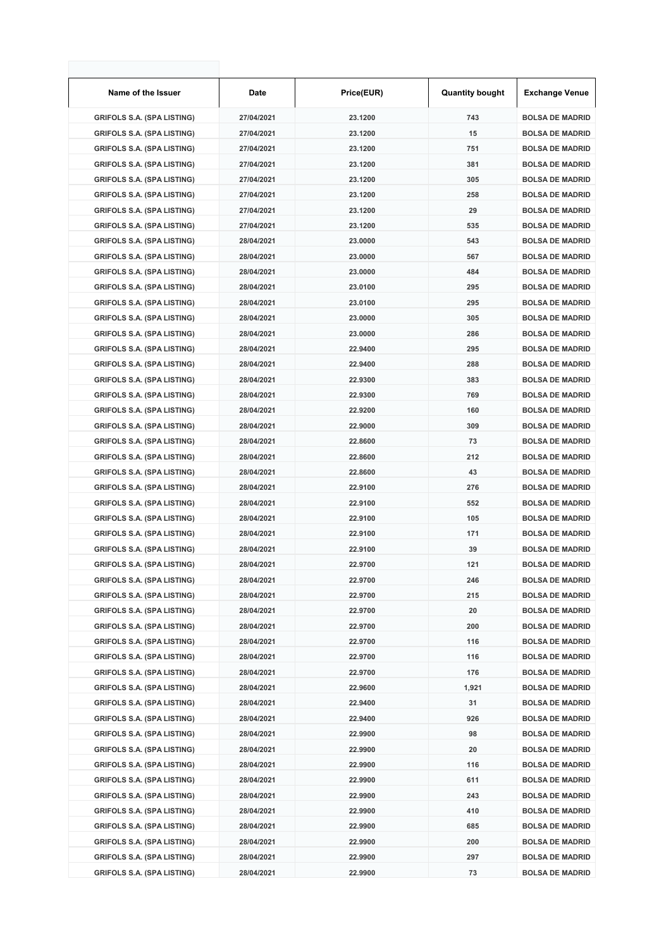| Name of the Issuer                | Date       | Price(EUR) | <b>Quantity bought</b> | <b>Exchange Venue</b>  |
|-----------------------------------|------------|------------|------------------------|------------------------|
| <b>GRIFOLS S.A. (SPA LISTING)</b> | 27/04/2021 | 23.1200    | 743                    | <b>BOLSA DE MADRID</b> |
| <b>GRIFOLS S.A. (SPA LISTING)</b> | 27/04/2021 | 23.1200    | 15                     | <b>BOLSA DE MADRID</b> |
| <b>GRIFOLS S.A. (SPA LISTING)</b> | 27/04/2021 | 23.1200    | 751                    | <b>BOLSA DE MADRID</b> |
| <b>GRIFOLS S.A. (SPA LISTING)</b> | 27/04/2021 | 23.1200    | 381                    | <b>BOLSA DE MADRID</b> |
| <b>GRIFOLS S.A. (SPA LISTING)</b> | 27/04/2021 | 23.1200    | 305                    | <b>BOLSA DE MADRID</b> |
| <b>GRIFOLS S.A. (SPA LISTING)</b> | 27/04/2021 | 23.1200    | 258                    | <b>BOLSA DE MADRID</b> |
| <b>GRIFOLS S.A. (SPA LISTING)</b> | 27/04/2021 | 23.1200    | 29                     | <b>BOLSA DE MADRID</b> |
| <b>GRIFOLS S.A. (SPA LISTING)</b> | 27/04/2021 | 23.1200    | 535                    | <b>BOLSA DE MADRID</b> |
| <b>GRIFOLS S.A. (SPA LISTING)</b> | 28/04/2021 | 23.0000    | 543                    | <b>BOLSA DE MADRID</b> |
| <b>GRIFOLS S.A. (SPA LISTING)</b> | 28/04/2021 | 23.0000    | 567                    | <b>BOLSA DE MADRID</b> |
| <b>GRIFOLS S.A. (SPA LISTING)</b> | 28/04/2021 | 23.0000    | 484                    | <b>BOLSA DE MADRID</b> |
| <b>GRIFOLS S.A. (SPA LISTING)</b> | 28/04/2021 | 23.0100    | 295                    | <b>BOLSA DE MADRID</b> |
| <b>GRIFOLS S.A. (SPA LISTING)</b> | 28/04/2021 | 23.0100    | 295                    | <b>BOLSA DE MADRID</b> |
| <b>GRIFOLS S.A. (SPA LISTING)</b> | 28/04/2021 | 23.0000    | 305                    | <b>BOLSA DE MADRID</b> |
| <b>GRIFOLS S.A. (SPA LISTING)</b> | 28/04/2021 | 23.0000    | 286                    | <b>BOLSA DE MADRID</b> |
| <b>GRIFOLS S.A. (SPA LISTING)</b> | 28/04/2021 | 22.9400    | 295                    | <b>BOLSA DE MADRID</b> |
| <b>GRIFOLS S.A. (SPA LISTING)</b> | 28/04/2021 | 22.9400    | 288                    | <b>BOLSA DE MADRID</b> |
| <b>GRIFOLS S.A. (SPA LISTING)</b> | 28/04/2021 | 22.9300    | 383                    | <b>BOLSA DE MADRID</b> |
| <b>GRIFOLS S.A. (SPA LISTING)</b> | 28/04/2021 | 22.9300    | 769                    | <b>BOLSA DE MADRID</b> |
| <b>GRIFOLS S.A. (SPA LISTING)</b> | 28/04/2021 | 22.9200    | 160                    | <b>BOLSA DE MADRID</b> |
| <b>GRIFOLS S.A. (SPA LISTING)</b> | 28/04/2021 | 22.9000    | 309                    | <b>BOLSA DE MADRID</b> |
| <b>GRIFOLS S.A. (SPA LISTING)</b> | 28/04/2021 | 22.8600    | 73                     | <b>BOLSA DE MADRID</b> |
| <b>GRIFOLS S.A. (SPA LISTING)</b> | 28/04/2021 | 22.8600    | 212                    | <b>BOLSA DE MADRID</b> |
| <b>GRIFOLS S.A. (SPA LISTING)</b> | 28/04/2021 | 22.8600    | 43                     | <b>BOLSA DE MADRID</b> |
| <b>GRIFOLS S.A. (SPA LISTING)</b> | 28/04/2021 | 22.9100    | 276                    | <b>BOLSA DE MADRID</b> |
| <b>GRIFOLS S.A. (SPA LISTING)</b> | 28/04/2021 | 22.9100    | 552                    | <b>BOLSA DE MADRID</b> |
| <b>GRIFOLS S.A. (SPA LISTING)</b> | 28/04/2021 | 22.9100    | 105                    | <b>BOLSA DE MADRID</b> |
| <b>GRIFOLS S.A. (SPA LISTING)</b> | 28/04/2021 | 22.9100    | 171                    | <b>BOLSA DE MADRID</b> |
| <b>GRIFOLS S.A. (SPA LISTING)</b> | 28/04/2021 | 22.9100    | 39                     | <b>BOLSA DE MADRID</b> |
| <b>GRIFOLS S.A. (SPA LISTING)</b> | 28/04/2021 | 22.9700    | 121                    | <b>BOLSA DE MADRID</b> |
| <b>GRIFOLS S.A. (SPA LISTING)</b> | 28/04/2021 | 22.9700    | 246                    | <b>BOLSA DE MADRID</b> |
| <b>GRIFOLS S.A. (SPA LISTING)</b> | 28/04/2021 | 22.9700    | 215                    | <b>BOLSA DE MADRID</b> |
| <b>GRIFOLS S.A. (SPA LISTING)</b> | 28/04/2021 | 22.9700    | 20                     | <b>BOLSA DE MADRID</b> |
| <b>GRIFOLS S.A. (SPA LISTING)</b> | 28/04/2021 | 22.9700    | 200                    | <b>BOLSA DE MADRID</b> |
| <b>GRIFOLS S.A. (SPA LISTING)</b> | 28/04/2021 | 22.9700    | 116                    | <b>BOLSA DE MADRID</b> |
| <b>GRIFOLS S.A. (SPA LISTING)</b> | 28/04/2021 | 22.9700    | 116                    | <b>BOLSA DE MADRID</b> |
| <b>GRIFOLS S.A. (SPA LISTING)</b> | 28/04/2021 | 22.9700    | 176                    | <b>BOLSA DE MADRID</b> |
| <b>GRIFOLS S.A. (SPA LISTING)</b> | 28/04/2021 | 22.9600    | 1,921                  | <b>BOLSA DE MADRID</b> |
| <b>GRIFOLS S.A. (SPA LISTING)</b> | 28/04/2021 | 22.9400    | 31                     | <b>BOLSA DE MADRID</b> |
| <b>GRIFOLS S.A. (SPA LISTING)</b> | 28/04/2021 | 22.9400    | 926                    | <b>BOLSA DE MADRID</b> |
| <b>GRIFOLS S.A. (SPA LISTING)</b> | 28/04/2021 | 22.9900    | 98                     | <b>BOLSA DE MADRID</b> |
| <b>GRIFOLS S.A. (SPA LISTING)</b> | 28/04/2021 | 22.9900    | 20                     | <b>BOLSA DE MADRID</b> |
| <b>GRIFOLS S.A. (SPA LISTING)</b> | 28/04/2021 | 22.9900    | 116                    | <b>BOLSA DE MADRID</b> |
| <b>GRIFOLS S.A. (SPA LISTING)</b> | 28/04/2021 | 22.9900    | 611                    | <b>BOLSA DE MADRID</b> |
| <b>GRIFOLS S.A. (SPA LISTING)</b> | 28/04/2021 | 22.9900    | 243                    | <b>BOLSA DE MADRID</b> |
| <b>GRIFOLS S.A. (SPA LISTING)</b> | 28/04/2021 | 22.9900    | 410                    | <b>BOLSA DE MADRID</b> |
| <b>GRIFOLS S.A. (SPA LISTING)</b> | 28/04/2021 | 22.9900    | 685                    | <b>BOLSA DE MADRID</b> |
| <b>GRIFOLS S.A. (SPA LISTING)</b> | 28/04/2021 | 22.9900    | 200                    | <b>BOLSA DE MADRID</b> |
| <b>GRIFOLS S.A. (SPA LISTING)</b> | 28/04/2021 | 22.9900    | 297                    | <b>BOLSA DE MADRID</b> |
| <b>GRIFOLS S.A. (SPA LISTING)</b> | 28/04/2021 | 22.9900    | 73                     | <b>BOLSA DE MADRID</b> |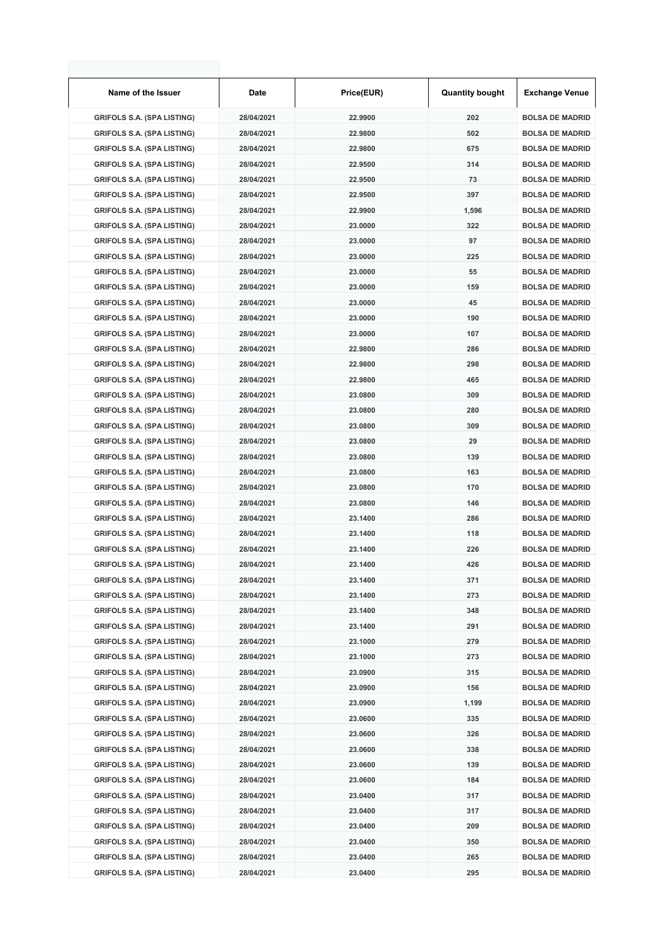| Name of the Issuer                | Date       | Price(EUR) | <b>Quantity bought</b> | <b>Exchange Venue</b>  |
|-----------------------------------|------------|------------|------------------------|------------------------|
| <b>GRIFOLS S.A. (SPA LISTING)</b> | 28/04/2021 | 22.9900    | 202                    | <b>BOLSA DE MADRID</b> |
| <b>GRIFOLS S.A. (SPA LISTING)</b> | 28/04/2021 | 22.9800    | 502                    | <b>BOLSA DE MADRID</b> |
| <b>GRIFOLS S.A. (SPA LISTING)</b> | 28/04/2021 | 22.9800    | 675                    | <b>BOLSA DE MADRID</b> |
| <b>GRIFOLS S.A. (SPA LISTING)</b> | 28/04/2021 | 22.9500    | 314                    | <b>BOLSA DE MADRID</b> |
| <b>GRIFOLS S.A. (SPA LISTING)</b> | 28/04/2021 | 22.9500    | 73                     | <b>BOLSA DE MADRID</b> |
| <b>GRIFOLS S.A. (SPA LISTING)</b> | 28/04/2021 | 22.9500    | 397                    | <b>BOLSA DE MADRID</b> |
| <b>GRIFOLS S.A. (SPA LISTING)</b> | 28/04/2021 | 22.9900    | 1,596                  | <b>BOLSA DE MADRID</b> |
| <b>GRIFOLS S.A. (SPA LISTING)</b> | 28/04/2021 | 23.0000    | 322                    | <b>BOLSA DE MADRID</b> |
| <b>GRIFOLS S.A. (SPA LISTING)</b> | 28/04/2021 | 23.0000    | 97                     | <b>BOLSA DE MADRID</b> |
| <b>GRIFOLS S.A. (SPA LISTING)</b> | 28/04/2021 | 23.0000    | 225                    | <b>BOLSA DE MADRID</b> |
| <b>GRIFOLS S.A. (SPA LISTING)</b> | 28/04/2021 | 23.0000    | 55                     | <b>BOLSA DE MADRID</b> |
| <b>GRIFOLS S.A. (SPA LISTING)</b> | 28/04/2021 | 23.0000    | 159                    | <b>BOLSA DE MADRID</b> |
| <b>GRIFOLS S.A. (SPA LISTING)</b> | 28/04/2021 | 23.0000    | 45                     | <b>BOLSA DE MADRID</b> |
| <b>GRIFOLS S.A. (SPA LISTING)</b> | 28/04/2021 | 23.0000    | 190                    | <b>BOLSA DE MADRID</b> |
| <b>GRIFOLS S.A. (SPA LISTING)</b> | 28/04/2021 | 23.0000    | 107                    | <b>BOLSA DE MADRID</b> |
| <b>GRIFOLS S.A. (SPA LISTING)</b> | 28/04/2021 | 22.9800    | 286                    | <b>BOLSA DE MADRID</b> |
| <b>GRIFOLS S.A. (SPA LISTING)</b> | 28/04/2021 | 22.9800    | 298                    | <b>BOLSA DE MADRID</b> |
| <b>GRIFOLS S.A. (SPA LISTING)</b> | 28/04/2021 | 22.9800    | 465                    | <b>BOLSA DE MADRID</b> |
| <b>GRIFOLS S.A. (SPA LISTING)</b> | 28/04/2021 | 23.0800    | 309                    | <b>BOLSA DE MADRID</b> |
| <b>GRIFOLS S.A. (SPA LISTING)</b> | 28/04/2021 | 23.0800    | 280                    | <b>BOLSA DE MADRID</b> |
| <b>GRIFOLS S.A. (SPA LISTING)</b> | 28/04/2021 | 23.0800    | 309                    | <b>BOLSA DE MADRID</b> |
| <b>GRIFOLS S.A. (SPA LISTING)</b> | 28/04/2021 | 23.0800    | 29                     | <b>BOLSA DE MADRID</b> |
| <b>GRIFOLS S.A. (SPA LISTING)</b> | 28/04/2021 | 23.0800    | 139                    | <b>BOLSA DE MADRID</b> |
| <b>GRIFOLS S.A. (SPA LISTING)</b> | 28/04/2021 | 23.0800    | 163                    | <b>BOLSA DE MADRID</b> |
| <b>GRIFOLS S.A. (SPA LISTING)</b> | 28/04/2021 | 23.0800    | 170                    | <b>BOLSA DE MADRID</b> |
| <b>GRIFOLS S.A. (SPA LISTING)</b> | 28/04/2021 | 23.0800    | 146                    | <b>BOLSA DE MADRID</b> |
| <b>GRIFOLS S.A. (SPA LISTING)</b> | 28/04/2021 | 23.1400    | 286                    | <b>BOLSA DE MADRID</b> |
| <b>GRIFOLS S.A. (SPA LISTING)</b> | 28/04/2021 | 23.1400    | 118                    | <b>BOLSA DE MADRID</b> |
| <b>GRIFOLS S.A. (SPA LISTING)</b> | 28/04/2021 | 23.1400    | 226                    | <b>BOLSA DE MADRID</b> |
| <b>GRIFOLS S.A. (SPA LISTING)</b> | 28/04/2021 | 23.1400    | 426                    | <b>BOLSA DE MADRID</b> |
| <b>GRIFOLS S.A. (SPA LISTING)</b> | 28/04/2021 | 23.1400    | 371                    | <b>BOLSA DE MADRID</b> |
| <b>GRIFOLS S.A. (SPA LISTING)</b> | 28/04/2021 | 23.1400    | 273                    | <b>BOLSA DE MADRID</b> |
| <b>GRIFOLS S.A. (SPA LISTING)</b> | 28/04/2021 | 23.1400    | 348                    | <b>BOLSA DE MADRID</b> |
| <b>GRIFOLS S.A. (SPA LISTING)</b> | 28/04/2021 | 23.1400    | 291                    | <b>BOLSA DE MADRID</b> |
| <b>GRIFOLS S.A. (SPA LISTING)</b> | 28/04/2021 | 23.1000    | 279                    | <b>BOLSA DE MADRID</b> |
| <b>GRIFOLS S.A. (SPA LISTING)</b> | 28/04/2021 | 23.1000    | 273                    | <b>BOLSA DE MADRID</b> |
| <b>GRIFOLS S.A. (SPA LISTING)</b> | 28/04/2021 | 23.0900    | 315                    | <b>BOLSA DE MADRID</b> |
| <b>GRIFOLS S.A. (SPA LISTING)</b> | 28/04/2021 | 23.0900    | 156                    | <b>BOLSA DE MADRID</b> |
| <b>GRIFOLS S.A. (SPA LISTING)</b> | 28/04/2021 | 23.0900    | 1,199                  | <b>BOLSA DE MADRID</b> |
| <b>GRIFOLS S.A. (SPA LISTING)</b> | 28/04/2021 | 23.0600    | 335                    | <b>BOLSA DE MADRID</b> |
| <b>GRIFOLS S.A. (SPA LISTING)</b> | 28/04/2021 | 23.0600    | 326                    | <b>BOLSA DE MADRID</b> |
| <b>GRIFOLS S.A. (SPA LISTING)</b> | 28/04/2021 | 23.0600    | 338                    | <b>BOLSA DE MADRID</b> |
| <b>GRIFOLS S.A. (SPA LISTING)</b> | 28/04/2021 | 23.0600    | 139                    | <b>BOLSA DE MADRID</b> |
| <b>GRIFOLS S.A. (SPA LISTING)</b> | 28/04/2021 | 23.0600    | 184                    | <b>BOLSA DE MADRID</b> |
| <b>GRIFOLS S.A. (SPA LISTING)</b> | 28/04/2021 | 23.0400    | 317                    | <b>BOLSA DE MADRID</b> |
| <b>GRIFOLS S.A. (SPA LISTING)</b> | 28/04/2021 | 23.0400    | 317                    | <b>BOLSA DE MADRID</b> |
| <b>GRIFOLS S.A. (SPA LISTING)</b> | 28/04/2021 | 23.0400    | 209                    | <b>BOLSA DE MADRID</b> |
| <b>GRIFOLS S.A. (SPA LISTING)</b> | 28/04/2021 | 23.0400    | 350                    | <b>BOLSA DE MADRID</b> |
| <b>GRIFOLS S.A. (SPA LISTING)</b> | 28/04/2021 | 23.0400    | 265                    | <b>BOLSA DE MADRID</b> |
| <b>GRIFOLS S.A. (SPA LISTING)</b> | 28/04/2021 | 23.0400    | 295                    | <b>BOLSA DE MADRID</b> |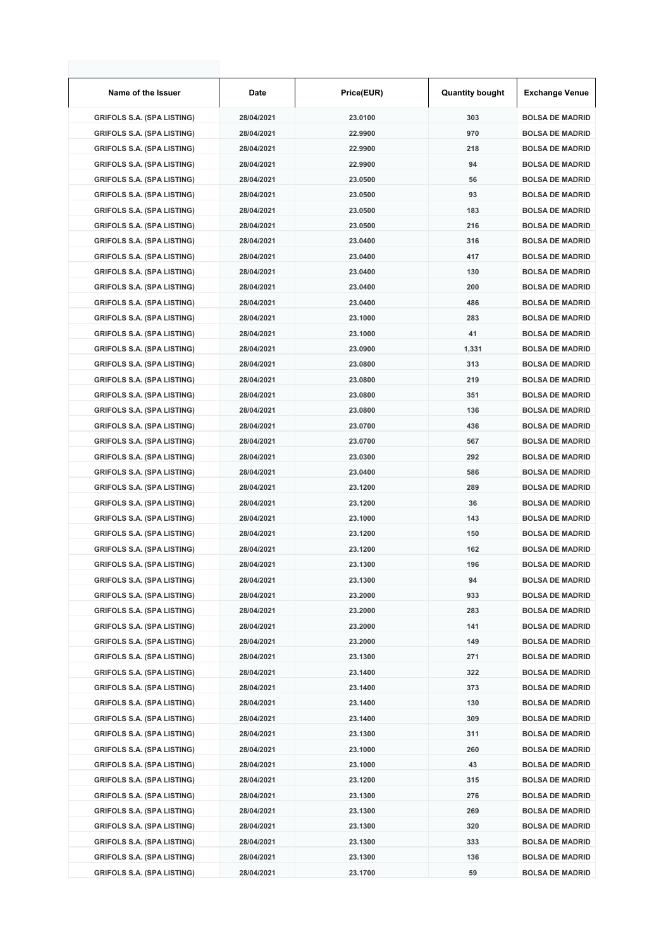| Name of the Issuer                | Date       | Price(EUR) | <b>Quantity bought</b> | <b>Exchange Venue</b>  |
|-----------------------------------|------------|------------|------------------------|------------------------|
| <b>GRIFOLS S.A. (SPA LISTING)</b> | 28/04/2021 | 23.0100    | 303                    | <b>BOLSA DE MADRID</b> |
| <b>GRIFOLS S.A. (SPA LISTING)</b> | 28/04/2021 | 22.9900    | 970                    | <b>BOLSA DE MADRID</b> |
| <b>GRIFOLS S.A. (SPA LISTING)</b> | 28/04/2021 | 22.9900    | 218                    | <b>BOLSA DE MADRID</b> |
| <b>GRIFOLS S.A. (SPA LISTING)</b> | 28/04/2021 | 22.9900    | 94                     | <b>BOLSA DE MADRID</b> |
| <b>GRIFOLS S.A. (SPA LISTING)</b> | 28/04/2021 | 23.0500    | 56                     | <b>BOLSA DE MADRID</b> |
| <b>GRIFOLS S.A. (SPA LISTING)</b> | 28/04/2021 | 23.0500    | 93                     | <b>BOLSA DE MADRID</b> |
| <b>GRIFOLS S.A. (SPA LISTING)</b> | 28/04/2021 | 23.0500    | 183                    | <b>BOLSA DE MADRID</b> |
| <b>GRIFOLS S.A. (SPA LISTING)</b> | 28/04/2021 | 23.0500    | 216                    | <b>BOLSA DE MADRID</b> |
| <b>GRIFOLS S.A. (SPA LISTING)</b> | 28/04/2021 | 23.0400    | 316                    | <b>BOLSA DE MADRID</b> |
| <b>GRIFOLS S.A. (SPA LISTING)</b> | 28/04/2021 | 23.0400    | 417                    | <b>BOLSA DE MADRID</b> |
| <b>GRIFOLS S.A. (SPA LISTING)</b> | 28/04/2021 | 23.0400    | 130                    | <b>BOLSA DE MADRID</b> |
| <b>GRIFOLS S.A. (SPA LISTING)</b> | 28/04/2021 | 23.0400    | 200                    | <b>BOLSA DE MADRID</b> |
| <b>GRIFOLS S.A. (SPA LISTING)</b> | 28/04/2021 | 23.0400    | 486                    | <b>BOLSA DE MADRID</b> |
| <b>GRIFOLS S.A. (SPA LISTING)</b> | 28/04/2021 | 23.1000    | 283                    | <b>BOLSA DE MADRID</b> |
| <b>GRIFOLS S.A. (SPA LISTING)</b> | 28/04/2021 | 23.1000    | 41                     | <b>BOLSA DE MADRID</b> |
| <b>GRIFOLS S.A. (SPA LISTING)</b> | 28/04/2021 | 23.0900    | 1,331                  | <b>BOLSA DE MADRID</b> |
| <b>GRIFOLS S.A. (SPA LISTING)</b> | 28/04/2021 | 23.0800    | 313                    | <b>BOLSA DE MADRID</b> |
| <b>GRIFOLS S.A. (SPA LISTING)</b> | 28/04/2021 | 23.0800    | 219                    | <b>BOLSA DE MADRID</b> |
| <b>GRIFOLS S.A. (SPA LISTING)</b> | 28/04/2021 | 23.0800    | 351                    | <b>BOLSA DE MADRID</b> |
| <b>GRIFOLS S.A. (SPA LISTING)</b> | 28/04/2021 | 23.0800    | 136                    | <b>BOLSA DE MADRID</b> |
| <b>GRIFOLS S.A. (SPA LISTING)</b> | 28/04/2021 | 23.0700    | 436                    | <b>BOLSA DE MADRID</b> |
| <b>GRIFOLS S.A. (SPA LISTING)</b> | 28/04/2021 | 23.0700    | 567                    | <b>BOLSA DE MADRID</b> |
| <b>GRIFOLS S.A. (SPA LISTING)</b> | 28/04/2021 | 23.0300    | 292                    | <b>BOLSA DE MADRID</b> |
| <b>GRIFOLS S.A. (SPA LISTING)</b> | 28/04/2021 | 23.0400    | 586                    | <b>BOLSA DE MADRID</b> |
| <b>GRIFOLS S.A. (SPA LISTING)</b> | 28/04/2021 | 23.1200    | 289                    | <b>BOLSA DE MADRID</b> |
| <b>GRIFOLS S.A. (SPA LISTING)</b> | 28/04/2021 | 23.1200    | 36                     | <b>BOLSA DE MADRID</b> |
| <b>GRIFOLS S.A. (SPA LISTING)</b> | 28/04/2021 | 23.1000    | 143                    | <b>BOLSA DE MADRID</b> |
| <b>GRIFOLS S.A. (SPA LISTING)</b> | 28/04/2021 | 23.1200    | 150                    | <b>BOLSA DE MADRID</b> |
| <b>GRIFOLS S.A. (SPA LISTING)</b> | 28/04/2021 | 23.1200    | 162                    | <b>BOLSA DE MADRID</b> |
| <b>GRIFOLS S.A. (SPA LISTING)</b> | 28/04/2021 | 23.1300    | 196                    | <b>BOLSA DE MADRID</b> |
| <b>GRIFOLS S.A. (SPA LISTING)</b> | 28/04/2021 | 23.1300    | 94                     | <b>BOLSA DE MADRID</b> |
| <b>GRIFOLS S.A. (SPA LISTING)</b> | 28/04/2021 | 23.2000    | 933                    | <b>BOLSA DE MADRID</b> |
| <b>GRIFOLS S.A. (SPA LISTING)</b> | 28/04/2021 | 23.2000    | 283                    | <b>BOLSA DE MADRID</b> |
| <b>GRIFOLS S.A. (SPA LISTING)</b> | 28/04/2021 | 23.2000    | 141                    | <b>BOLSA DE MADRID</b> |
| <b>GRIFOLS S.A. (SPA LISTING)</b> | 28/04/2021 | 23.2000    | 149                    | <b>BOLSA DE MADRID</b> |
| <b>GRIFOLS S.A. (SPA LISTING)</b> | 28/04/2021 | 23.1300    | 271                    | <b>BOLSA DE MADRID</b> |
| <b>GRIFOLS S.A. (SPA LISTING)</b> | 28/04/2021 | 23.1400    | 322                    | <b>BOLSA DE MADRID</b> |
| <b>GRIFOLS S.A. (SPA LISTING)</b> | 28/04/2021 | 23.1400    | 373                    | <b>BOLSA DE MADRID</b> |
| <b>GRIFOLS S.A. (SPA LISTING)</b> | 28/04/2021 | 23.1400    | 130                    | <b>BOLSA DE MADRID</b> |
| <b>GRIFOLS S.A. (SPA LISTING)</b> | 28/04/2021 | 23.1400    | 309                    | <b>BOLSA DE MADRID</b> |
| <b>GRIFOLS S.A. (SPA LISTING)</b> | 28/04/2021 | 23.1300    | 311                    | <b>BOLSA DE MADRID</b> |
| <b>GRIFOLS S.A. (SPA LISTING)</b> | 28/04/2021 | 23.1000    | 260                    | <b>BOLSA DE MADRID</b> |
| <b>GRIFOLS S.A. (SPA LISTING)</b> | 28/04/2021 | 23.1000    | 43                     | <b>BOLSA DE MADRID</b> |
| <b>GRIFOLS S.A. (SPA LISTING)</b> | 28/04/2021 | 23.1200    | 315                    | <b>BOLSA DE MADRID</b> |
| <b>GRIFOLS S.A. (SPA LISTING)</b> | 28/04/2021 | 23.1300    | 276                    | <b>BOLSA DE MADRID</b> |
| <b>GRIFOLS S.A. (SPA LISTING)</b> | 28/04/2021 | 23.1300    | 269                    | <b>BOLSA DE MADRID</b> |
| <b>GRIFOLS S.A. (SPA LISTING)</b> | 28/04/2021 | 23.1300    | 320                    | <b>BOLSA DE MADRID</b> |
| <b>GRIFOLS S.A. (SPA LISTING)</b> | 28/04/2021 | 23.1300    | 333                    | <b>BOLSA DE MADRID</b> |
| <b>GRIFOLS S.A. (SPA LISTING)</b> | 28/04/2021 | 23.1300    | 136                    | <b>BOLSA DE MADRID</b> |
| <b>GRIFOLS S.A. (SPA LISTING)</b> | 28/04/2021 | 23.1700    | 59                     | <b>BOLSA DE MADRID</b> |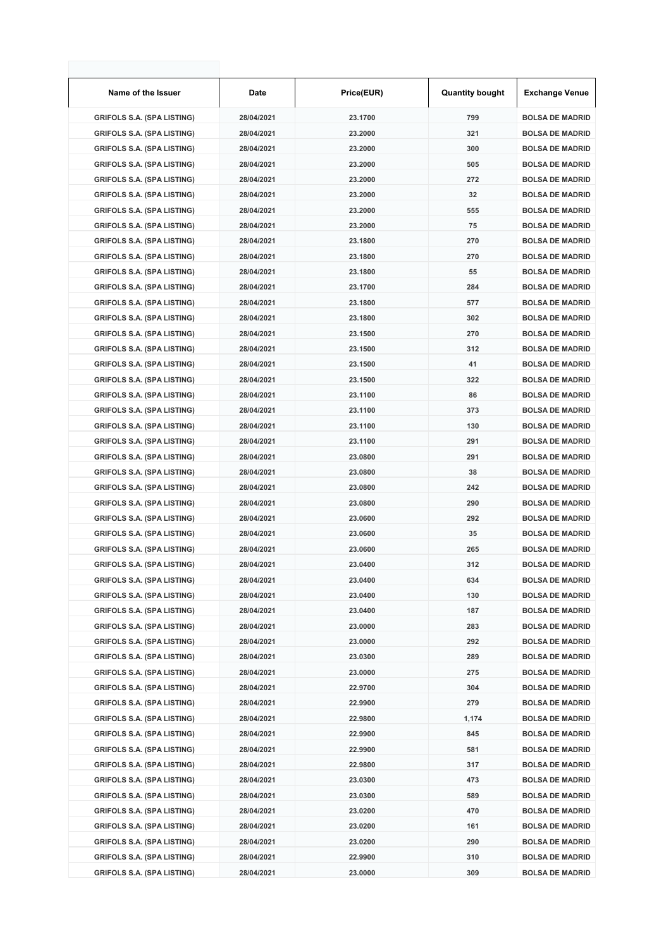| Name of the Issuer                | <b>Date</b> | Price(EUR) | <b>Quantity bought</b> | <b>Exchange Venue</b>  |
|-----------------------------------|-------------|------------|------------------------|------------------------|
| <b>GRIFOLS S.A. (SPA LISTING)</b> | 28/04/2021  | 23.1700    | 799                    | <b>BOLSA DE MADRID</b> |
| <b>GRIFOLS S.A. (SPA LISTING)</b> | 28/04/2021  | 23.2000    | 321                    | <b>BOLSA DE MADRID</b> |
| <b>GRIFOLS S.A. (SPA LISTING)</b> | 28/04/2021  | 23.2000    | 300                    | <b>BOLSA DE MADRID</b> |
| <b>GRIFOLS S.A. (SPA LISTING)</b> | 28/04/2021  | 23.2000    | 505                    | <b>BOLSA DE MADRID</b> |
| <b>GRIFOLS S.A. (SPA LISTING)</b> | 28/04/2021  | 23.2000    | 272                    | <b>BOLSA DE MADRID</b> |
| <b>GRIFOLS S.A. (SPA LISTING)</b> | 28/04/2021  | 23.2000    | 32                     | <b>BOLSA DE MADRID</b> |
| <b>GRIFOLS S.A. (SPA LISTING)</b> | 28/04/2021  | 23.2000    | 555                    | <b>BOLSA DE MADRID</b> |
| <b>GRIFOLS S.A. (SPA LISTING)</b> | 28/04/2021  | 23.2000    | 75                     | <b>BOLSA DE MADRID</b> |
| <b>GRIFOLS S.A. (SPA LISTING)</b> | 28/04/2021  | 23.1800    | 270                    | <b>BOLSA DE MADRID</b> |
| <b>GRIFOLS S.A. (SPA LISTING)</b> | 28/04/2021  | 23.1800    | 270                    | <b>BOLSA DE MADRID</b> |
| <b>GRIFOLS S.A. (SPA LISTING)</b> | 28/04/2021  | 23.1800    | 55                     | <b>BOLSA DE MADRID</b> |
| <b>GRIFOLS S.A. (SPA LISTING)</b> | 28/04/2021  | 23.1700    | 284                    | <b>BOLSA DE MADRID</b> |
| <b>GRIFOLS S.A. (SPA LISTING)</b> | 28/04/2021  | 23.1800    | 577                    | <b>BOLSA DE MADRID</b> |
| <b>GRIFOLS S.A. (SPA LISTING)</b> | 28/04/2021  | 23.1800    | 302                    | <b>BOLSA DE MADRID</b> |
| <b>GRIFOLS S.A. (SPA LISTING)</b> | 28/04/2021  | 23.1500    | 270                    | <b>BOLSA DE MADRID</b> |
| <b>GRIFOLS S.A. (SPA LISTING)</b> | 28/04/2021  | 23.1500    | 312                    | <b>BOLSA DE MADRID</b> |
| <b>GRIFOLS S.A. (SPA LISTING)</b> | 28/04/2021  | 23.1500    | 41                     | <b>BOLSA DE MADRID</b> |
| <b>GRIFOLS S.A. (SPA LISTING)</b> | 28/04/2021  | 23.1500    | 322                    | <b>BOLSA DE MADRID</b> |
| <b>GRIFOLS S.A. (SPA LISTING)</b> | 28/04/2021  | 23.1100    | 86                     | <b>BOLSA DE MADRID</b> |
| <b>GRIFOLS S.A. (SPA LISTING)</b> | 28/04/2021  | 23.1100    | 373                    | <b>BOLSA DE MADRID</b> |
| <b>GRIFOLS S.A. (SPA LISTING)</b> | 28/04/2021  | 23.1100    | 130                    | <b>BOLSA DE MADRID</b> |
| <b>GRIFOLS S.A. (SPA LISTING)</b> | 28/04/2021  | 23.1100    | 291                    | <b>BOLSA DE MADRID</b> |
| <b>GRIFOLS S.A. (SPA LISTING)</b> | 28/04/2021  | 23.0800    | 291                    | <b>BOLSA DE MADRID</b> |
| <b>GRIFOLS S.A. (SPA LISTING)</b> | 28/04/2021  | 23.0800    | 38                     | <b>BOLSA DE MADRID</b> |
| <b>GRIFOLS S.A. (SPA LISTING)</b> | 28/04/2021  | 23.0800    | 242                    | <b>BOLSA DE MADRID</b> |
| <b>GRIFOLS S.A. (SPA LISTING)</b> | 28/04/2021  | 23.0800    | 290                    | <b>BOLSA DE MADRID</b> |
| <b>GRIFOLS S.A. (SPA LISTING)</b> | 28/04/2021  | 23.0600    | 292                    | <b>BOLSA DE MADRID</b> |
| <b>GRIFOLS S.A. (SPA LISTING)</b> | 28/04/2021  | 23.0600    | 35                     | <b>BOLSA DE MADRID</b> |
| <b>GRIFOLS S.A. (SPA LISTING)</b> | 28/04/2021  | 23.0600    | 265                    | <b>BOLSA DE MADRID</b> |
| <b>GRIFOLS S.A. (SPA LISTING)</b> | 28/04/2021  | 23.0400    | 312                    | <b>BOLSA DE MADRID</b> |
| <b>GRIFOLS S.A. (SPA LISTING)</b> | 28/04/2021  | 23.0400    | 634                    | <b>BOLSA DE MADRID</b> |
| <b>GRIFOLS S.A. (SPA LISTING)</b> | 28/04/2021  | 23.0400    | 130                    | <b>BOLSA DE MADRID</b> |
| <b>GRIFOLS S.A. (SPA LISTING)</b> | 28/04/2021  | 23.0400    | 187                    | <b>BOLSA DE MADRID</b> |
| <b>GRIFOLS S.A. (SPA LISTING)</b> | 28/04/2021  | 23.0000    | 283                    | <b>BOLSA DE MADRID</b> |
| <b>GRIFOLS S.A. (SPA LISTING)</b> | 28/04/2021  | 23.0000    | 292                    | <b>BOLSA DE MADRID</b> |
| <b>GRIFOLS S.A. (SPA LISTING)</b> | 28/04/2021  | 23.0300    | 289                    | <b>BOLSA DE MADRID</b> |
| <b>GRIFOLS S.A. (SPA LISTING)</b> | 28/04/2021  | 23.0000    | 275                    | <b>BOLSA DE MADRID</b> |
| <b>GRIFOLS S.A. (SPA LISTING)</b> | 28/04/2021  | 22.9700    | 304                    | <b>BOLSA DE MADRID</b> |
| <b>GRIFOLS S.A. (SPA LISTING)</b> | 28/04/2021  | 22.9900    | 279                    | <b>BOLSA DE MADRID</b> |
| <b>GRIFOLS S.A. (SPA LISTING)</b> | 28/04/2021  | 22.9800    | 1,174                  | <b>BOLSA DE MADRID</b> |
| <b>GRIFOLS S.A. (SPA LISTING)</b> | 28/04/2021  | 22.9900    | 845                    | <b>BOLSA DE MADRID</b> |
| <b>GRIFOLS S.A. (SPA LISTING)</b> | 28/04/2021  | 22.9900    | 581                    | <b>BOLSA DE MADRID</b> |
| <b>GRIFOLS S.A. (SPA LISTING)</b> | 28/04/2021  | 22.9800    | 317                    | <b>BOLSA DE MADRID</b> |
| <b>GRIFOLS S.A. (SPA LISTING)</b> | 28/04/2021  | 23.0300    | 473                    | <b>BOLSA DE MADRID</b> |
| <b>GRIFOLS S.A. (SPA LISTING)</b> | 28/04/2021  | 23.0300    | 589                    | <b>BOLSA DE MADRID</b> |
| <b>GRIFOLS S.A. (SPA LISTING)</b> | 28/04/2021  | 23.0200    | 470                    | <b>BOLSA DE MADRID</b> |
| <b>GRIFOLS S.A. (SPA LISTING)</b> | 28/04/2021  | 23.0200    | 161                    | <b>BOLSA DE MADRID</b> |
| <b>GRIFOLS S.A. (SPA LISTING)</b> | 28/04/2021  | 23.0200    | 290                    | <b>BOLSA DE MADRID</b> |
| <b>GRIFOLS S.A. (SPA LISTING)</b> | 28/04/2021  | 22.9900    | 310                    | <b>BOLSA DE MADRID</b> |
| <b>GRIFOLS S.A. (SPA LISTING)</b> | 28/04/2021  | 23.0000    | 309                    | <b>BOLSA DE MADRID</b> |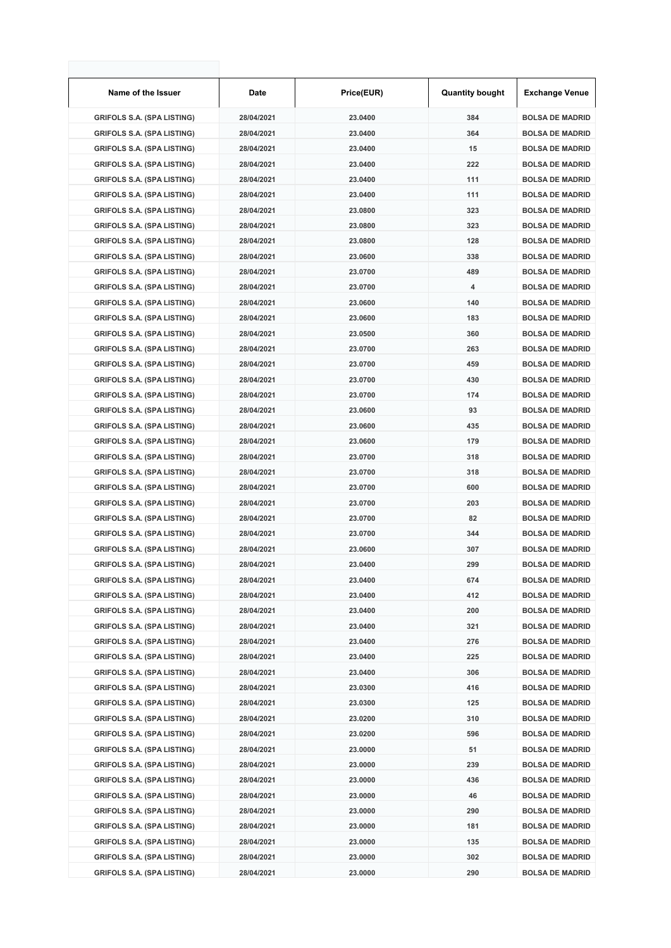| Name of the Issuer                | Date       | Price(EUR) | <b>Quantity bought</b> | <b>Exchange Venue</b>  |
|-----------------------------------|------------|------------|------------------------|------------------------|
| <b>GRIFOLS S.A. (SPA LISTING)</b> | 28/04/2021 | 23.0400    | 384                    | <b>BOLSA DE MADRID</b> |
| <b>GRIFOLS S.A. (SPA LISTING)</b> | 28/04/2021 | 23.0400    | 364                    | <b>BOLSA DE MADRID</b> |
| <b>GRIFOLS S.A. (SPA LISTING)</b> | 28/04/2021 | 23.0400    | 15                     | <b>BOLSA DE MADRID</b> |
| <b>GRIFOLS S.A. (SPA LISTING)</b> | 28/04/2021 | 23.0400    | 222                    | <b>BOLSA DE MADRID</b> |
| <b>GRIFOLS S.A. (SPA LISTING)</b> | 28/04/2021 | 23.0400    | 111                    | <b>BOLSA DE MADRID</b> |
| <b>GRIFOLS S.A. (SPA LISTING)</b> | 28/04/2021 | 23.0400    | 111                    | <b>BOLSA DE MADRID</b> |
| <b>GRIFOLS S.A. (SPA LISTING)</b> | 28/04/2021 | 23.0800    | 323                    | <b>BOLSA DE MADRID</b> |
| <b>GRIFOLS S.A. (SPA LISTING)</b> | 28/04/2021 | 23.0800    | 323                    | <b>BOLSA DE MADRID</b> |
| <b>GRIFOLS S.A. (SPA LISTING)</b> | 28/04/2021 | 23.0800    | 128                    | <b>BOLSA DE MADRID</b> |
| <b>GRIFOLS S.A. (SPA LISTING)</b> | 28/04/2021 | 23.0600    | 338                    | <b>BOLSA DE MADRID</b> |
| <b>GRIFOLS S.A. (SPA LISTING)</b> | 28/04/2021 | 23.0700    | 489                    | <b>BOLSA DE MADRID</b> |
| <b>GRIFOLS S.A. (SPA LISTING)</b> | 28/04/2021 | 23.0700    | 4                      | <b>BOLSA DE MADRID</b> |
| <b>GRIFOLS S.A. (SPA LISTING)</b> | 28/04/2021 | 23.0600    | 140                    | <b>BOLSA DE MADRID</b> |
| <b>GRIFOLS S.A. (SPA LISTING)</b> | 28/04/2021 | 23.0600    | 183                    | <b>BOLSA DE MADRID</b> |
| <b>GRIFOLS S.A. (SPA LISTING)</b> | 28/04/2021 | 23.0500    | 360                    | <b>BOLSA DE MADRID</b> |
| <b>GRIFOLS S.A. (SPA LISTING)</b> | 28/04/2021 | 23.0700    | 263                    | <b>BOLSA DE MADRID</b> |
| <b>GRIFOLS S.A. (SPA LISTING)</b> | 28/04/2021 | 23.0700    | 459                    | <b>BOLSA DE MADRID</b> |
| <b>GRIFOLS S.A. (SPA LISTING)</b> | 28/04/2021 | 23.0700    | 430                    | <b>BOLSA DE MADRID</b> |
| <b>GRIFOLS S.A. (SPA LISTING)</b> | 28/04/2021 | 23.0700    | 174                    | <b>BOLSA DE MADRID</b> |
| <b>GRIFOLS S.A. (SPA LISTING)</b> | 28/04/2021 | 23.0600    | 93                     | <b>BOLSA DE MADRID</b> |
| <b>GRIFOLS S.A. (SPA LISTING)</b> | 28/04/2021 | 23.0600    | 435                    | <b>BOLSA DE MADRID</b> |
| <b>GRIFOLS S.A. (SPA LISTING)</b> | 28/04/2021 | 23.0600    | 179                    | <b>BOLSA DE MADRID</b> |
| <b>GRIFOLS S.A. (SPA LISTING)</b> | 28/04/2021 | 23.0700    | 318                    | <b>BOLSA DE MADRID</b> |
| <b>GRIFOLS S.A. (SPA LISTING)</b> | 28/04/2021 | 23.0700    | 318                    | <b>BOLSA DE MADRID</b> |
| <b>GRIFOLS S.A. (SPA LISTING)</b> | 28/04/2021 | 23.0700    | 600                    | <b>BOLSA DE MADRID</b> |
| <b>GRIFOLS S.A. (SPA LISTING)</b> | 28/04/2021 | 23.0700    | 203                    | <b>BOLSA DE MADRID</b> |
| <b>GRIFOLS S.A. (SPA LISTING)</b> | 28/04/2021 | 23.0700    | 82                     | <b>BOLSA DE MADRID</b> |
| <b>GRIFOLS S.A. (SPA LISTING)</b> | 28/04/2021 | 23.0700    | 344                    | <b>BOLSA DE MADRID</b> |
| <b>GRIFOLS S.A. (SPA LISTING)</b> | 28/04/2021 | 23.0600    | 307                    | <b>BOLSA DE MADRID</b> |
| <b>GRIFOLS S.A. (SPA LISTING)</b> | 28/04/2021 | 23.0400    | 299                    | <b>BOLSA DE MADRID</b> |
| <b>GRIFOLS S.A. (SPA LISTING)</b> | 28/04/2021 | 23.0400    | 674                    | <b>BOLSA DE MADRID</b> |
| <b>GRIFOLS S.A. (SPA LISTING)</b> | 28/04/2021 | 23.0400    | 412                    | <b>BOLSA DE MADRID</b> |
| <b>GRIFOLS S.A. (SPA LISTING)</b> | 28/04/2021 | 23.0400    | 200                    | <b>BOLSA DE MADRID</b> |
| <b>GRIFOLS S.A. (SPA LISTING)</b> | 28/04/2021 | 23.0400    | 321                    | <b>BOLSA DE MADRID</b> |
| <b>GRIFOLS S.A. (SPA LISTING)</b> | 28/04/2021 | 23.0400    | 276                    | <b>BOLSA DE MADRID</b> |
| <b>GRIFOLS S.A. (SPA LISTING)</b> | 28/04/2021 | 23.0400    | 225                    | <b>BOLSA DE MADRID</b> |
| <b>GRIFOLS S.A. (SPA LISTING)</b> | 28/04/2021 | 23.0400    | 306                    | <b>BOLSA DE MADRID</b> |
| <b>GRIFOLS S.A. (SPA LISTING)</b> | 28/04/2021 | 23.0300    | 416                    | <b>BOLSA DE MADRID</b> |
| <b>GRIFOLS S.A. (SPA LISTING)</b> | 28/04/2021 | 23.0300    | 125                    | <b>BOLSA DE MADRID</b> |
| <b>GRIFOLS S.A. (SPA LISTING)</b> | 28/04/2021 | 23.0200    | 310                    | <b>BOLSA DE MADRID</b> |
| <b>GRIFOLS S.A. (SPA LISTING)</b> | 28/04/2021 | 23.0200    | 596                    | <b>BOLSA DE MADRID</b> |
| <b>GRIFOLS S.A. (SPA LISTING)</b> | 28/04/2021 | 23.0000    | 51                     | <b>BOLSA DE MADRID</b> |
| <b>GRIFOLS S.A. (SPA LISTING)</b> | 28/04/2021 | 23.0000    | 239                    | <b>BOLSA DE MADRID</b> |
| <b>GRIFOLS S.A. (SPA LISTING)</b> | 28/04/2021 | 23.0000    | 436                    | <b>BOLSA DE MADRID</b> |
| <b>GRIFOLS S.A. (SPA LISTING)</b> | 28/04/2021 | 23.0000    | 46                     | <b>BOLSA DE MADRID</b> |
| <b>GRIFOLS S.A. (SPA LISTING)</b> | 28/04/2021 | 23.0000    | 290                    | <b>BOLSA DE MADRID</b> |
| <b>GRIFOLS S.A. (SPA LISTING)</b> | 28/04/2021 | 23.0000    | 181                    | <b>BOLSA DE MADRID</b> |
| <b>GRIFOLS S.A. (SPA LISTING)</b> | 28/04/2021 | 23.0000    | 135                    | <b>BOLSA DE MADRID</b> |
| <b>GRIFOLS S.A. (SPA LISTING)</b> | 28/04/2021 | 23.0000    | 302                    | <b>BOLSA DE MADRID</b> |
| <b>GRIFOLS S.A. (SPA LISTING)</b> | 28/04/2021 | 23.0000    | 290                    | <b>BOLSA DE MADRID</b> |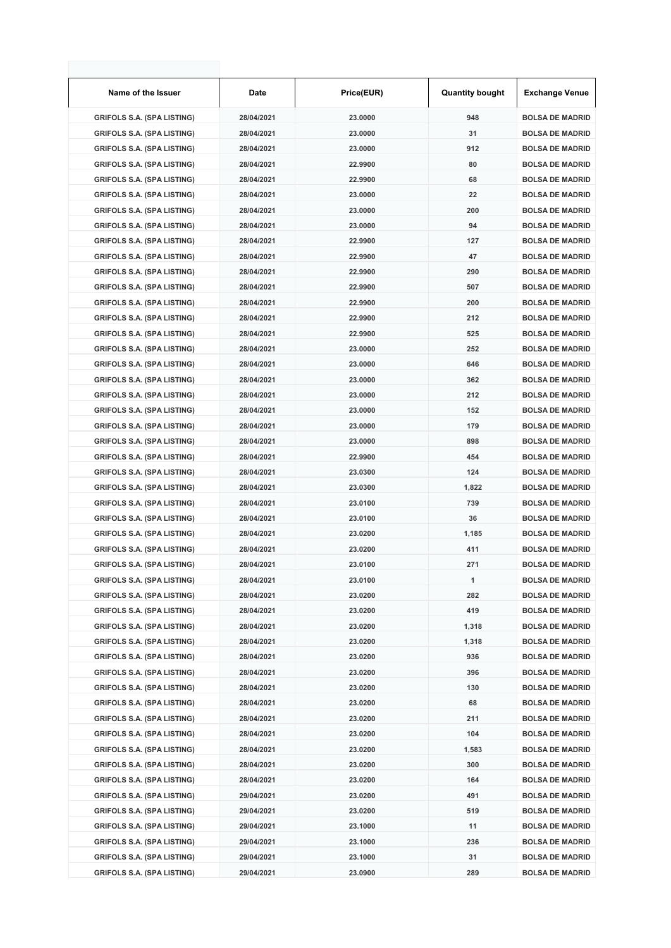| Name of the Issuer                | Date       | Price(EUR) | <b>Quantity bought</b> | <b>Exchange Venue</b>  |
|-----------------------------------|------------|------------|------------------------|------------------------|
| <b>GRIFOLS S.A. (SPA LISTING)</b> | 28/04/2021 | 23.0000    | 948                    | <b>BOLSA DE MADRID</b> |
| <b>GRIFOLS S.A. (SPA LISTING)</b> | 28/04/2021 | 23.0000    | 31                     | <b>BOLSA DE MADRID</b> |
| <b>GRIFOLS S.A. (SPA LISTING)</b> | 28/04/2021 | 23.0000    | 912                    | <b>BOLSA DE MADRID</b> |
| <b>GRIFOLS S.A. (SPA LISTING)</b> | 28/04/2021 | 22.9900    | 80                     | <b>BOLSA DE MADRID</b> |
| <b>GRIFOLS S.A. (SPA LISTING)</b> | 28/04/2021 | 22.9900    | 68                     | <b>BOLSA DE MADRID</b> |
| <b>GRIFOLS S.A. (SPA LISTING)</b> | 28/04/2021 | 23.0000    | 22                     | <b>BOLSA DE MADRID</b> |
| <b>GRIFOLS S.A. (SPA LISTING)</b> | 28/04/2021 | 23.0000    | 200                    | <b>BOLSA DE MADRID</b> |
| <b>GRIFOLS S.A. (SPA LISTING)</b> | 28/04/2021 | 23.0000    | 94                     | <b>BOLSA DE MADRID</b> |
| <b>GRIFOLS S.A. (SPA LISTING)</b> | 28/04/2021 | 22.9900    | 127                    | <b>BOLSA DE MADRID</b> |
| <b>GRIFOLS S.A. (SPA LISTING)</b> | 28/04/2021 | 22.9900    | 47                     | <b>BOLSA DE MADRID</b> |
| <b>GRIFOLS S.A. (SPA LISTING)</b> | 28/04/2021 | 22.9900    | 290                    | <b>BOLSA DE MADRID</b> |
| <b>GRIFOLS S.A. (SPA LISTING)</b> | 28/04/2021 | 22.9900    | 507                    | <b>BOLSA DE MADRID</b> |
| <b>GRIFOLS S.A. (SPA LISTING)</b> | 28/04/2021 | 22.9900    | 200                    | <b>BOLSA DE MADRID</b> |
| <b>GRIFOLS S.A. (SPA LISTING)</b> | 28/04/2021 | 22.9900    | 212                    | <b>BOLSA DE MADRID</b> |
| <b>GRIFOLS S.A. (SPA LISTING)</b> | 28/04/2021 | 22.9900    | 525                    | <b>BOLSA DE MADRID</b> |
| <b>GRIFOLS S.A. (SPA LISTING)</b> | 28/04/2021 | 23.0000    | 252                    | <b>BOLSA DE MADRID</b> |
| <b>GRIFOLS S.A. (SPA LISTING)</b> | 28/04/2021 | 23.0000    | 646                    | <b>BOLSA DE MADRID</b> |
| <b>GRIFOLS S.A. (SPA LISTING)</b> | 28/04/2021 | 23.0000    | 362                    | <b>BOLSA DE MADRID</b> |
| <b>GRIFOLS S.A. (SPA LISTING)</b> | 28/04/2021 | 23.0000    | 212                    | <b>BOLSA DE MADRID</b> |
| <b>GRIFOLS S.A. (SPA LISTING)</b> | 28/04/2021 | 23.0000    | 152                    | <b>BOLSA DE MADRID</b> |
| <b>GRIFOLS S.A. (SPA LISTING)</b> | 28/04/2021 | 23.0000    | 179                    | <b>BOLSA DE MADRID</b> |
| <b>GRIFOLS S.A. (SPA LISTING)</b> | 28/04/2021 | 23.0000    | 898                    | <b>BOLSA DE MADRID</b> |
| <b>GRIFOLS S.A. (SPA LISTING)</b> | 28/04/2021 | 22.9900    | 454                    | <b>BOLSA DE MADRID</b> |
| <b>GRIFOLS S.A. (SPA LISTING)</b> | 28/04/2021 | 23.0300    | 124                    | <b>BOLSA DE MADRID</b> |
| <b>GRIFOLS S.A. (SPA LISTING)</b> | 28/04/2021 | 23.0300    | 1,822                  | <b>BOLSA DE MADRID</b> |
| <b>GRIFOLS S.A. (SPA LISTING)</b> | 28/04/2021 | 23.0100    | 739                    | <b>BOLSA DE MADRID</b> |
| <b>GRIFOLS S.A. (SPA LISTING)</b> | 28/04/2021 | 23.0100    | 36                     | <b>BOLSA DE MADRID</b> |
| <b>GRIFOLS S.A. (SPA LISTING)</b> | 28/04/2021 | 23.0200    | 1,185                  | <b>BOLSA DE MADRID</b> |
| <b>GRIFOLS S.A. (SPA LISTING)</b> | 28/04/2021 | 23.0200    | 411                    | <b>BOLSA DE MADRID</b> |
| <b>GRIFOLS S.A. (SPA LISTING)</b> | 28/04/2021 | 23.0100    | 271                    | <b>BOLSA DE MADRID</b> |
| <b>GRIFOLS S.A. (SPA LISTING)</b> | 28/04/2021 | 23.0100    | 1                      | <b>BOLSA DE MADRID</b> |
| <b>GRIFOLS S.A. (SPA LISTING)</b> | 28/04/2021 | 23.0200    | 282                    | <b>BOLSA DE MADRID</b> |
| <b>GRIFOLS S.A. (SPA LISTING)</b> | 28/04/2021 | 23.0200    | 419                    | <b>BOLSA DE MADRID</b> |
| <b>GRIFOLS S.A. (SPA LISTING)</b> | 28/04/2021 | 23.0200    | 1,318                  | <b>BOLSA DE MADRID</b> |
| <b>GRIFOLS S.A. (SPA LISTING)</b> | 28/04/2021 | 23.0200    | 1,318                  | <b>BOLSA DE MADRID</b> |
| <b>GRIFOLS S.A. (SPA LISTING)</b> | 28/04/2021 | 23.0200    | 936                    | <b>BOLSA DE MADRID</b> |
| <b>GRIFOLS S.A. (SPA LISTING)</b> | 28/04/2021 | 23.0200    | 396                    | <b>BOLSA DE MADRID</b> |
| <b>GRIFOLS S.A. (SPA LISTING)</b> | 28/04/2021 | 23.0200    | 130                    | <b>BOLSA DE MADRID</b> |
| <b>GRIFOLS S.A. (SPA LISTING)</b> | 28/04/2021 | 23.0200    | 68                     | <b>BOLSA DE MADRID</b> |
| <b>GRIFOLS S.A. (SPA LISTING)</b> | 28/04/2021 | 23.0200    | 211                    | <b>BOLSA DE MADRID</b> |
| <b>GRIFOLS S.A. (SPA LISTING)</b> | 28/04/2021 | 23.0200    | 104                    | <b>BOLSA DE MADRID</b> |
| <b>GRIFOLS S.A. (SPA LISTING)</b> | 28/04/2021 | 23.0200    | 1,583                  | <b>BOLSA DE MADRID</b> |
| <b>GRIFOLS S.A. (SPA LISTING)</b> | 28/04/2021 | 23.0200    | 300                    | <b>BOLSA DE MADRID</b> |
| <b>GRIFOLS S.A. (SPA LISTING)</b> | 28/04/2021 | 23.0200    | 164                    | <b>BOLSA DE MADRID</b> |
| <b>GRIFOLS S.A. (SPA LISTING)</b> | 29/04/2021 | 23.0200    | 491                    | <b>BOLSA DE MADRID</b> |
| <b>GRIFOLS S.A. (SPA LISTING)</b> | 29/04/2021 | 23.0200    | 519                    | <b>BOLSA DE MADRID</b> |
| <b>GRIFOLS S.A. (SPA LISTING)</b> | 29/04/2021 | 23.1000    | 11                     | <b>BOLSA DE MADRID</b> |
| <b>GRIFOLS S.A. (SPA LISTING)</b> | 29/04/2021 | 23.1000    | 236                    | <b>BOLSA DE MADRID</b> |
| <b>GRIFOLS S.A. (SPA LISTING)</b> | 29/04/2021 | 23.1000    | 31                     | <b>BOLSA DE MADRID</b> |
| <b>GRIFOLS S.A. (SPA LISTING)</b> | 29/04/2021 | 23.0900    | 289                    | <b>BOLSA DE MADRID</b> |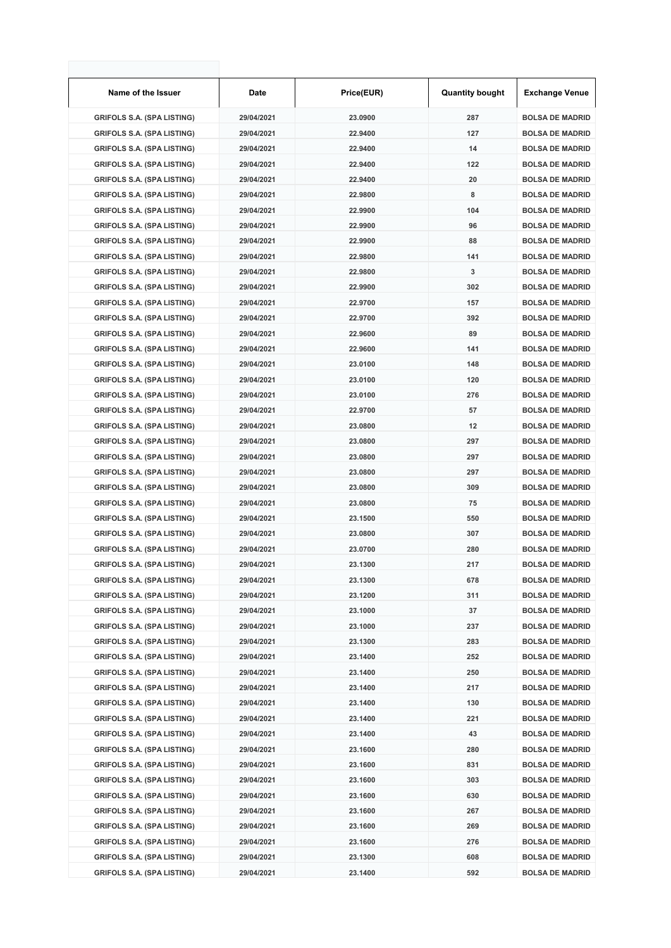| Name of the Issuer                | Date       | Price(EUR) | <b>Quantity bought</b> | <b>Exchange Venue</b>  |
|-----------------------------------|------------|------------|------------------------|------------------------|
| <b>GRIFOLS S.A. (SPA LISTING)</b> | 29/04/2021 | 23.0900    | 287                    | <b>BOLSA DE MADRID</b> |
| <b>GRIFOLS S.A. (SPA LISTING)</b> | 29/04/2021 | 22.9400    | 127                    | <b>BOLSA DE MADRID</b> |
| <b>GRIFOLS S.A. (SPA LISTING)</b> | 29/04/2021 | 22.9400    | 14                     | <b>BOLSA DE MADRID</b> |
| <b>GRIFOLS S.A. (SPA LISTING)</b> | 29/04/2021 | 22.9400    | 122                    | <b>BOLSA DE MADRID</b> |
| <b>GRIFOLS S.A. (SPA LISTING)</b> | 29/04/2021 | 22.9400    | 20                     | <b>BOLSA DE MADRID</b> |
| <b>GRIFOLS S.A. (SPA LISTING)</b> | 29/04/2021 | 22.9800    | 8                      | <b>BOLSA DE MADRID</b> |
| <b>GRIFOLS S.A. (SPA LISTING)</b> | 29/04/2021 | 22.9900    | 104                    | <b>BOLSA DE MADRID</b> |
| <b>GRIFOLS S.A. (SPA LISTING)</b> | 29/04/2021 | 22.9900    | 96                     | <b>BOLSA DE MADRID</b> |
| <b>GRIFOLS S.A. (SPA LISTING)</b> | 29/04/2021 | 22.9900    | 88                     | <b>BOLSA DE MADRID</b> |
| <b>GRIFOLS S.A. (SPA LISTING)</b> | 29/04/2021 | 22.9800    | 141                    | <b>BOLSA DE MADRID</b> |
| <b>GRIFOLS S.A. (SPA LISTING)</b> | 29/04/2021 | 22.9800    | 3                      | <b>BOLSA DE MADRID</b> |
| <b>GRIFOLS S.A. (SPA LISTING)</b> | 29/04/2021 | 22.9900    | 302                    | <b>BOLSA DE MADRID</b> |
| <b>GRIFOLS S.A. (SPA LISTING)</b> | 29/04/2021 | 22.9700    | 157                    | <b>BOLSA DE MADRID</b> |
| <b>GRIFOLS S.A. (SPA LISTING)</b> | 29/04/2021 | 22.9700    | 392                    | <b>BOLSA DE MADRID</b> |
| <b>GRIFOLS S.A. (SPA LISTING)</b> | 29/04/2021 | 22.9600    | 89                     | <b>BOLSA DE MADRID</b> |
| <b>GRIFOLS S.A. (SPA LISTING)</b> | 29/04/2021 | 22.9600    | 141                    | <b>BOLSA DE MADRID</b> |
| <b>GRIFOLS S.A. (SPA LISTING)</b> | 29/04/2021 | 23.0100    | 148                    | <b>BOLSA DE MADRID</b> |
| <b>GRIFOLS S.A. (SPA LISTING)</b> | 29/04/2021 | 23.0100    | 120                    | <b>BOLSA DE MADRID</b> |
| <b>GRIFOLS S.A. (SPA LISTING)</b> | 29/04/2021 | 23.0100    | 276                    | <b>BOLSA DE MADRID</b> |
| <b>GRIFOLS S.A. (SPA LISTING)</b> | 29/04/2021 | 22.9700    | 57                     | <b>BOLSA DE MADRID</b> |
| <b>GRIFOLS S.A. (SPA LISTING)</b> | 29/04/2021 | 23.0800    | 12                     | <b>BOLSA DE MADRID</b> |
| <b>GRIFOLS S.A. (SPA LISTING)</b> | 29/04/2021 | 23.0800    | 297                    | <b>BOLSA DE MADRID</b> |
| <b>GRIFOLS S.A. (SPA LISTING)</b> | 29/04/2021 | 23.0800    | 297                    | <b>BOLSA DE MADRID</b> |
| <b>GRIFOLS S.A. (SPA LISTING)</b> | 29/04/2021 | 23.0800    | 297                    | <b>BOLSA DE MADRID</b> |
| <b>GRIFOLS S.A. (SPA LISTING)</b> | 29/04/2021 | 23.0800    | 309                    | <b>BOLSA DE MADRID</b> |
| <b>GRIFOLS S.A. (SPA LISTING)</b> | 29/04/2021 | 23.0800    | 75                     | <b>BOLSA DE MADRID</b> |
| <b>GRIFOLS S.A. (SPA LISTING)</b> | 29/04/2021 | 23.1500    | 550                    | <b>BOLSA DE MADRID</b> |
| <b>GRIFOLS S.A. (SPA LISTING)</b> | 29/04/2021 | 23.0800    | 307                    | <b>BOLSA DE MADRID</b> |
| <b>GRIFOLS S.A. (SPA LISTING)</b> | 29/04/2021 | 23.0700    | 280                    | <b>BOLSA DE MADRID</b> |
| <b>GRIFOLS S.A. (SPA LISTING)</b> | 29/04/2021 | 23.1300    | 217                    | <b>BOLSA DE MADRID</b> |
| <b>GRIFOLS S.A. (SPA LISTING)</b> | 29/04/2021 | 23.1300    | 678                    | <b>BOLSA DE MADRID</b> |
| <b>GRIFOLS S.A. (SPA LISTING)</b> | 29/04/2021 | 23.1200    | 311                    | <b>BOLSA DE MADRID</b> |
| <b>GRIFOLS S.A. (SPA LISTING)</b> | 29/04/2021 | 23.1000    | 37                     | <b>BOLSA DE MADRID</b> |
| <b>GRIFOLS S.A. (SPA LISTING)</b> | 29/04/2021 | 23.1000    | 237                    | <b>BOLSA DE MADRID</b> |
| <b>GRIFOLS S.A. (SPA LISTING)</b> | 29/04/2021 | 23.1300    | 283                    | <b>BOLSA DE MADRID</b> |
| <b>GRIFOLS S.A. (SPA LISTING)</b> | 29/04/2021 | 23.1400    | 252                    | <b>BOLSA DE MADRID</b> |
| <b>GRIFOLS S.A. (SPA LISTING)</b> | 29/04/2021 | 23.1400    | 250                    | <b>BOLSA DE MADRID</b> |
| <b>GRIFOLS S.A. (SPA LISTING)</b> | 29/04/2021 | 23.1400    | 217                    | <b>BOLSA DE MADRID</b> |
| <b>GRIFOLS S.A. (SPA LISTING)</b> | 29/04/2021 | 23.1400    | 130                    | <b>BOLSA DE MADRID</b> |
| <b>GRIFOLS S.A. (SPA LISTING)</b> | 29/04/2021 | 23.1400    | 221                    | <b>BOLSA DE MADRID</b> |
| <b>GRIFOLS S.A. (SPA LISTING)</b> | 29/04/2021 | 23.1400    | 43                     | <b>BOLSA DE MADRID</b> |
| <b>GRIFOLS S.A. (SPA LISTING)</b> | 29/04/2021 | 23.1600    | 280                    | <b>BOLSA DE MADRID</b> |
| <b>GRIFOLS S.A. (SPA LISTING)</b> | 29/04/2021 | 23.1600    | 831                    | <b>BOLSA DE MADRID</b> |
| <b>GRIFOLS S.A. (SPA LISTING)</b> | 29/04/2021 | 23.1600    | 303                    | <b>BOLSA DE MADRID</b> |
| <b>GRIFOLS S.A. (SPA LISTING)</b> | 29/04/2021 | 23.1600    | 630                    | <b>BOLSA DE MADRID</b> |
| <b>GRIFOLS S.A. (SPA LISTING)</b> | 29/04/2021 | 23.1600    | 267                    | <b>BOLSA DE MADRID</b> |
| <b>GRIFOLS S.A. (SPA LISTING)</b> | 29/04/2021 | 23.1600    | 269                    | <b>BOLSA DE MADRID</b> |
| <b>GRIFOLS S.A. (SPA LISTING)</b> | 29/04/2021 | 23.1600    | 276                    | <b>BOLSA DE MADRID</b> |
| <b>GRIFOLS S.A. (SPA LISTING)</b> | 29/04/2021 | 23.1300    | 608                    | <b>BOLSA DE MADRID</b> |
| <b>GRIFOLS S.A. (SPA LISTING)</b> | 29/04/2021 | 23.1400    | 592                    | <b>BOLSA DE MADRID</b> |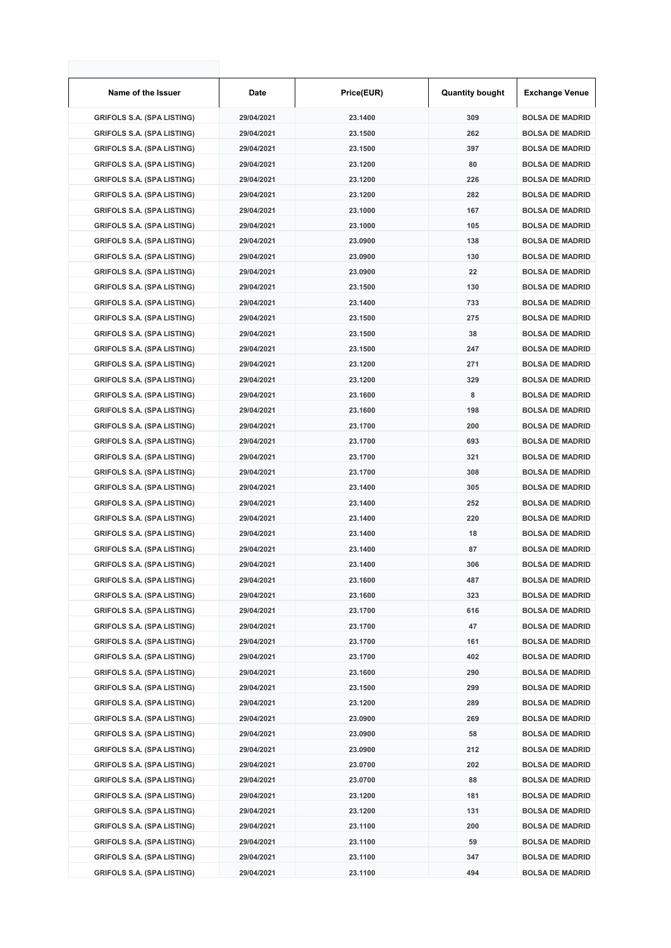| Name of the Issuer                | Date       | Price(EUR) | <b>Quantity bought</b> | <b>Exchange Venue</b>  |
|-----------------------------------|------------|------------|------------------------|------------------------|
| <b>GRIFOLS S.A. (SPA LISTING)</b> | 29/04/2021 | 23.1400    | 309                    | <b>BOLSA DE MADRID</b> |
| <b>GRIFOLS S.A. (SPA LISTING)</b> | 29/04/2021 | 23.1500    | 262                    | <b>BOLSA DE MADRID</b> |
| <b>GRIFOLS S.A. (SPA LISTING)</b> | 29/04/2021 | 23.1500    | 397                    | <b>BOLSA DE MADRID</b> |
| <b>GRIFOLS S.A. (SPA LISTING)</b> | 29/04/2021 | 23.1200    | 80                     | <b>BOLSA DE MADRID</b> |
| <b>GRIFOLS S.A. (SPA LISTING)</b> | 29/04/2021 | 23.1200    | 226                    | <b>BOLSA DE MADRID</b> |
| <b>GRIFOLS S.A. (SPA LISTING)</b> | 29/04/2021 | 23.1200    | 282                    | <b>BOLSA DE MADRID</b> |
| <b>GRIFOLS S.A. (SPA LISTING)</b> | 29/04/2021 | 23.1000    | 167                    | <b>BOLSA DE MADRID</b> |
| <b>GRIFOLS S.A. (SPA LISTING)</b> | 29/04/2021 | 23.1000    | 105                    | <b>BOLSA DE MADRID</b> |
| <b>GRIFOLS S.A. (SPA LISTING)</b> | 29/04/2021 | 23.0900    | 138                    | <b>BOLSA DE MADRID</b> |
| <b>GRIFOLS S.A. (SPA LISTING)</b> | 29/04/2021 | 23.0900    | 130                    | <b>BOLSA DE MADRID</b> |
| <b>GRIFOLS S.A. (SPA LISTING)</b> | 29/04/2021 | 23.0900    | 22                     | <b>BOLSA DE MADRID</b> |
| <b>GRIFOLS S.A. (SPA LISTING)</b> | 29/04/2021 | 23.1500    | 130                    | <b>BOLSA DE MADRID</b> |
| <b>GRIFOLS S.A. (SPA LISTING)</b> | 29/04/2021 | 23.1400    | 733                    | <b>BOLSA DE MADRID</b> |
| <b>GRIFOLS S.A. (SPA LISTING)</b> | 29/04/2021 | 23.1500    | 275                    | <b>BOLSA DE MADRID</b> |
| <b>GRIFOLS S.A. (SPA LISTING)</b> | 29/04/2021 | 23.1500    | 38                     | <b>BOLSA DE MADRID</b> |
| <b>GRIFOLS S.A. (SPA LISTING)</b> | 29/04/2021 | 23.1500    | 247                    | <b>BOLSA DE MADRID</b> |
| <b>GRIFOLS S.A. (SPA LISTING)</b> | 29/04/2021 | 23.1200    | 271                    | <b>BOLSA DE MADRID</b> |
| <b>GRIFOLS S.A. (SPA LISTING)</b> | 29/04/2021 | 23.1200    | 329                    | <b>BOLSA DE MADRID</b> |
| <b>GRIFOLS S.A. (SPA LISTING)</b> | 29/04/2021 | 23.1600    | 8                      | <b>BOLSA DE MADRID</b> |
| <b>GRIFOLS S.A. (SPA LISTING)</b> | 29/04/2021 | 23.1600    | 198                    | <b>BOLSA DE MADRID</b> |
| <b>GRIFOLS S.A. (SPA LISTING)</b> | 29/04/2021 | 23.1700    | 200                    | <b>BOLSA DE MADRID</b> |
| <b>GRIFOLS S.A. (SPA LISTING)</b> | 29/04/2021 | 23.1700    | 693                    | <b>BOLSA DE MADRID</b> |
| <b>GRIFOLS S.A. (SPA LISTING)</b> | 29/04/2021 | 23.1700    | 321                    | <b>BOLSA DE MADRID</b> |
| <b>GRIFOLS S.A. (SPA LISTING)</b> | 29/04/2021 | 23.1700    | 308                    | <b>BOLSA DE MADRID</b> |
| <b>GRIFOLS S.A. (SPA LISTING)</b> | 29/04/2021 | 23.1400    | 305                    | <b>BOLSA DE MADRID</b> |
| <b>GRIFOLS S.A. (SPA LISTING)</b> | 29/04/2021 | 23.1400    | 252                    | <b>BOLSA DE MADRID</b> |
| <b>GRIFOLS S.A. (SPA LISTING)</b> | 29/04/2021 | 23.1400    | 220                    | <b>BOLSA DE MADRID</b> |
| <b>GRIFOLS S.A. (SPA LISTING)</b> | 29/04/2021 | 23.1400    | 18                     | <b>BOLSA DE MADRID</b> |
| <b>GRIFOLS S.A. (SPA LISTING)</b> | 29/04/2021 | 23.1400    | 87                     | <b>BOLSA DE MADRID</b> |
| <b>GRIFOLS S.A. (SPA LISTING)</b> | 29/04/2021 | 23.1400    | 306                    | <b>BOLSA DE MADRID</b> |
| <b>GRIFOLS S.A. (SPA LISTING)</b> | 29/04/2021 | 23.1600    | 487                    | <b>BOLSA DE MADRID</b> |
| <b>GRIFOLS S.A. (SPA LISTING)</b> | 29/04/2021 | 23.1600    | 323                    | <b>BOLSA DE MADRID</b> |
| <b>GRIFOLS S.A. (SPA LISTING)</b> | 29/04/2021 | 23.1700    | 616                    | <b>BOLSA DE MADRID</b> |
| <b>GRIFOLS S.A. (SPA LISTING)</b> | 29/04/2021 | 23.1700    | 47                     | <b>BOLSA DE MADRID</b> |
| <b>GRIFOLS S.A. (SPA LISTING)</b> | 29/04/2021 | 23.1700    | 161                    | <b>BOLSA DE MADRID</b> |
| <b>GRIFOLS S.A. (SPA LISTING)</b> | 29/04/2021 | 23.1700    | 402                    | <b>BOLSA DE MADRID</b> |
| <b>GRIFOLS S.A. (SPA LISTING)</b> | 29/04/2021 | 23.1600    | 290                    | <b>BOLSA DE MADRID</b> |
| <b>GRIFOLS S.A. (SPA LISTING)</b> | 29/04/2021 | 23.1500    | 299                    | <b>BOLSA DE MADRID</b> |
| <b>GRIFOLS S.A. (SPA LISTING)</b> | 29/04/2021 | 23.1200    | 289                    | <b>BOLSA DE MADRID</b> |
| <b>GRIFOLS S.A. (SPA LISTING)</b> | 29/04/2021 | 23.0900    | 269                    | <b>BOLSA DE MADRID</b> |
| <b>GRIFOLS S.A. (SPA LISTING)</b> | 29/04/2021 | 23.0900    | 58                     | <b>BOLSA DE MADRID</b> |
| <b>GRIFOLS S.A. (SPA LISTING)</b> | 29/04/2021 | 23.0900    | 212                    | <b>BOLSA DE MADRID</b> |
| <b>GRIFOLS S.A. (SPA LISTING)</b> | 29/04/2021 | 23.0700    | 202                    | <b>BOLSA DE MADRID</b> |
| <b>GRIFOLS S.A. (SPA LISTING)</b> | 29/04/2021 | 23.0700    | 88                     | <b>BOLSA DE MADRID</b> |
| <b>GRIFOLS S.A. (SPA LISTING)</b> | 29/04/2021 | 23.1200    | 181                    | <b>BOLSA DE MADRID</b> |
| <b>GRIFOLS S.A. (SPA LISTING)</b> | 29/04/2021 | 23.1200    | 131                    | <b>BOLSA DE MADRID</b> |
| <b>GRIFOLS S.A. (SPA LISTING)</b> | 29/04/2021 | 23.1100    | 200                    | <b>BOLSA DE MADRID</b> |
| <b>GRIFOLS S.A. (SPA LISTING)</b> | 29/04/2021 | 23.1100    | 59                     | <b>BOLSA DE MADRID</b> |
| <b>GRIFOLS S.A. (SPA LISTING)</b> | 29/04/2021 | 23.1100    | 347                    | <b>BOLSA DE MADRID</b> |
| <b>GRIFOLS S.A. (SPA LISTING)</b> | 29/04/2021 | 23.1100    | 494                    | <b>BOLSA DE MADRID</b> |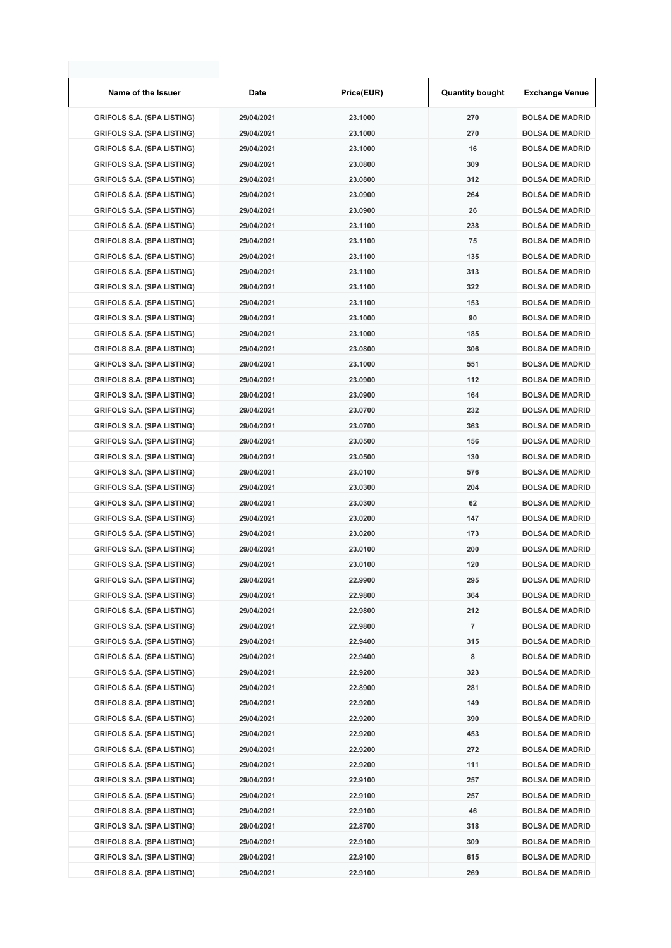| Name of the Issuer                | Date       | Price(EUR) | <b>Quantity bought</b> | <b>Exchange Venue</b>  |
|-----------------------------------|------------|------------|------------------------|------------------------|
| <b>GRIFOLS S.A. (SPA LISTING)</b> | 29/04/2021 | 23.1000    | 270                    | <b>BOLSA DE MADRID</b> |
| <b>GRIFOLS S.A. (SPA LISTING)</b> | 29/04/2021 | 23.1000    | 270                    | <b>BOLSA DE MADRID</b> |
| <b>GRIFOLS S.A. (SPA LISTING)</b> | 29/04/2021 | 23.1000    | 16                     | <b>BOLSA DE MADRID</b> |
| <b>GRIFOLS S.A. (SPA LISTING)</b> | 29/04/2021 | 23.0800    | 309                    | <b>BOLSA DE MADRID</b> |
| <b>GRIFOLS S.A. (SPA LISTING)</b> | 29/04/2021 | 23.0800    | 312                    | <b>BOLSA DE MADRID</b> |
| <b>GRIFOLS S.A. (SPA LISTING)</b> | 29/04/2021 | 23.0900    | 264                    | <b>BOLSA DE MADRID</b> |
| <b>GRIFOLS S.A. (SPA LISTING)</b> | 29/04/2021 | 23.0900    | 26                     | <b>BOLSA DE MADRID</b> |
| <b>GRIFOLS S.A. (SPA LISTING)</b> | 29/04/2021 | 23.1100    | 238                    | <b>BOLSA DE MADRID</b> |
| <b>GRIFOLS S.A. (SPA LISTING)</b> | 29/04/2021 | 23.1100    | 75                     | <b>BOLSA DE MADRID</b> |
| <b>GRIFOLS S.A. (SPA LISTING)</b> | 29/04/2021 | 23.1100    | 135                    | <b>BOLSA DE MADRID</b> |
| <b>GRIFOLS S.A. (SPA LISTING)</b> | 29/04/2021 | 23.1100    | 313                    | <b>BOLSA DE MADRID</b> |
| <b>GRIFOLS S.A. (SPA LISTING)</b> | 29/04/2021 | 23.1100    | 322                    | <b>BOLSA DE MADRID</b> |
| <b>GRIFOLS S.A. (SPA LISTING)</b> | 29/04/2021 | 23.1100    | 153                    | <b>BOLSA DE MADRID</b> |
| <b>GRIFOLS S.A. (SPA LISTING)</b> | 29/04/2021 | 23.1000    | 90                     | <b>BOLSA DE MADRID</b> |
| <b>GRIFOLS S.A. (SPA LISTING)</b> | 29/04/2021 | 23.1000    | 185                    | <b>BOLSA DE MADRID</b> |
| <b>GRIFOLS S.A. (SPA LISTING)</b> | 29/04/2021 | 23.0800    | 306                    | <b>BOLSA DE MADRID</b> |
| <b>GRIFOLS S.A. (SPA LISTING)</b> | 29/04/2021 | 23.1000    | 551                    | <b>BOLSA DE MADRID</b> |
| <b>GRIFOLS S.A. (SPA LISTING)</b> | 29/04/2021 | 23.0900    | 112                    | <b>BOLSA DE MADRID</b> |
| <b>GRIFOLS S.A. (SPA LISTING)</b> | 29/04/2021 | 23.0900    | 164                    | <b>BOLSA DE MADRID</b> |
| <b>GRIFOLS S.A. (SPA LISTING)</b> | 29/04/2021 | 23.0700    | 232                    | <b>BOLSA DE MADRID</b> |
| <b>GRIFOLS S.A. (SPA LISTING)</b> | 29/04/2021 | 23.0700    | 363                    | <b>BOLSA DE MADRID</b> |
| <b>GRIFOLS S.A. (SPA LISTING)</b> | 29/04/2021 | 23.0500    | 156                    | <b>BOLSA DE MADRID</b> |
| <b>GRIFOLS S.A. (SPA LISTING)</b> | 29/04/2021 | 23.0500    | 130                    | <b>BOLSA DE MADRID</b> |
| <b>GRIFOLS S.A. (SPA LISTING)</b> | 29/04/2021 | 23.0100    | 576                    | <b>BOLSA DE MADRID</b> |
| <b>GRIFOLS S.A. (SPA LISTING)</b> | 29/04/2021 | 23.0300    | 204                    | <b>BOLSA DE MADRID</b> |
| <b>GRIFOLS S.A. (SPA LISTING)</b> | 29/04/2021 | 23.0300    | 62                     | <b>BOLSA DE MADRID</b> |
| <b>GRIFOLS S.A. (SPA LISTING)</b> | 29/04/2021 | 23.0200    | 147                    | <b>BOLSA DE MADRID</b> |
| <b>GRIFOLS S.A. (SPA LISTING)</b> | 29/04/2021 | 23.0200    | 173                    | <b>BOLSA DE MADRID</b> |
| <b>GRIFOLS S.A. (SPA LISTING)</b> | 29/04/2021 | 23.0100    | 200                    | <b>BOLSA DE MADRID</b> |
| <b>GRIFOLS S.A. (SPA LISTING)</b> | 29/04/2021 | 23.0100    | 120                    | <b>BOLSA DE MADRID</b> |
| <b>GRIFOLS S.A. (SPA LISTING)</b> | 29/04/2021 | 22.9900    | 295                    | <b>BOLSA DE MADRID</b> |
| <b>GRIFOLS S.A. (SPA LISTING)</b> | 29/04/2021 | 22.9800    | 364                    | <b>BOLSA DE MADRID</b> |
| <b>GRIFOLS S.A. (SPA LISTING)</b> | 29/04/2021 | 22.9800    | 212                    | <b>BOLSA DE MADRID</b> |
| <b>GRIFOLS S.A. (SPA LISTING)</b> | 29/04/2021 | 22.9800    | 7                      | <b>BOLSA DE MADRID</b> |
| <b>GRIFOLS S.A. (SPA LISTING)</b> | 29/04/2021 | 22.9400    | 315                    | <b>BOLSA DE MADRID</b> |
| <b>GRIFOLS S.A. (SPA LISTING)</b> | 29/04/2021 | 22.9400    | 8                      | <b>BOLSA DE MADRID</b> |
| <b>GRIFOLS S.A. (SPA LISTING)</b> | 29/04/2021 | 22.9200    | 323                    | <b>BOLSA DE MADRID</b> |
| <b>GRIFOLS S.A. (SPA LISTING)</b> | 29/04/2021 | 22.8900    | 281                    | <b>BOLSA DE MADRID</b> |
| <b>GRIFOLS S.A. (SPA LISTING)</b> | 29/04/2021 | 22.9200    | 149                    | <b>BOLSA DE MADRID</b> |
| <b>GRIFOLS S.A. (SPA LISTING)</b> | 29/04/2021 | 22.9200    | 390                    | <b>BOLSA DE MADRID</b> |
| <b>GRIFOLS S.A. (SPA LISTING)</b> | 29/04/2021 | 22.9200    | 453                    | <b>BOLSA DE MADRID</b> |
| <b>GRIFOLS S.A. (SPA LISTING)</b> | 29/04/2021 | 22.9200    | 272                    | <b>BOLSA DE MADRID</b> |
| <b>GRIFOLS S.A. (SPA LISTING)</b> | 29/04/2021 | 22.9200    | 111                    | <b>BOLSA DE MADRID</b> |
| <b>GRIFOLS S.A. (SPA LISTING)</b> | 29/04/2021 | 22.9100    | 257                    | <b>BOLSA DE MADRID</b> |
| <b>GRIFOLS S.A. (SPA LISTING)</b> | 29/04/2021 | 22.9100    | 257                    | <b>BOLSA DE MADRID</b> |
| <b>GRIFOLS S.A. (SPA LISTING)</b> | 29/04/2021 | 22.9100    | 46                     | <b>BOLSA DE MADRID</b> |
| <b>GRIFOLS S.A. (SPA LISTING)</b> | 29/04/2021 | 22.8700    | 318                    | <b>BOLSA DE MADRID</b> |
| <b>GRIFOLS S.A. (SPA LISTING)</b> | 29/04/2021 | 22.9100    | 309                    | <b>BOLSA DE MADRID</b> |
| <b>GRIFOLS S.A. (SPA LISTING)</b> | 29/04/2021 | 22.9100    | 615                    | <b>BOLSA DE MADRID</b> |
| <b>GRIFOLS S.A. (SPA LISTING)</b> | 29/04/2021 | 22.9100    | 269                    | <b>BOLSA DE MADRID</b> |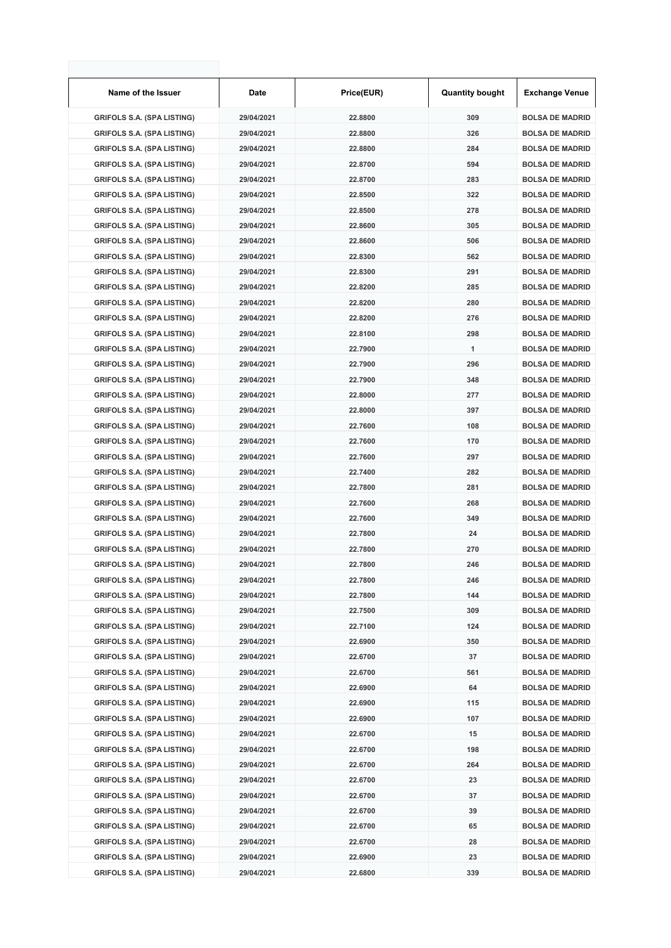| Name of the Issuer                | Date       | Price(EUR) | <b>Quantity bought</b> | <b>Exchange Venue</b>  |
|-----------------------------------|------------|------------|------------------------|------------------------|
| <b>GRIFOLS S.A. (SPA LISTING)</b> | 29/04/2021 | 22.8800    | 309                    | <b>BOLSA DE MADRID</b> |
| <b>GRIFOLS S.A. (SPA LISTING)</b> | 29/04/2021 | 22.8800    | 326                    | <b>BOLSA DE MADRID</b> |
| <b>GRIFOLS S.A. (SPA LISTING)</b> | 29/04/2021 | 22.8800    | 284                    | <b>BOLSA DE MADRID</b> |
| <b>GRIFOLS S.A. (SPA LISTING)</b> | 29/04/2021 | 22.8700    | 594                    | <b>BOLSA DE MADRID</b> |
| <b>GRIFOLS S.A. (SPA LISTING)</b> | 29/04/2021 | 22.8700    | 283                    | <b>BOLSA DE MADRID</b> |
| <b>GRIFOLS S.A. (SPA LISTING)</b> | 29/04/2021 | 22.8500    | 322                    | <b>BOLSA DE MADRID</b> |
| <b>GRIFOLS S.A. (SPA LISTING)</b> | 29/04/2021 | 22.8500    | 278                    | <b>BOLSA DE MADRID</b> |
| <b>GRIFOLS S.A. (SPA LISTING)</b> | 29/04/2021 | 22.8600    | 305                    | <b>BOLSA DE MADRID</b> |
| <b>GRIFOLS S.A. (SPA LISTING)</b> | 29/04/2021 | 22.8600    | 506                    | <b>BOLSA DE MADRID</b> |
| <b>GRIFOLS S.A. (SPA LISTING)</b> | 29/04/2021 | 22.8300    | 562                    | <b>BOLSA DE MADRID</b> |
| <b>GRIFOLS S.A. (SPA LISTING)</b> | 29/04/2021 | 22.8300    | 291                    | <b>BOLSA DE MADRID</b> |
| <b>GRIFOLS S.A. (SPA LISTING)</b> | 29/04/2021 | 22.8200    | 285                    | <b>BOLSA DE MADRID</b> |
| <b>GRIFOLS S.A. (SPA LISTING)</b> | 29/04/2021 | 22.8200    | 280                    | <b>BOLSA DE MADRID</b> |
| <b>GRIFOLS S.A. (SPA LISTING)</b> | 29/04/2021 | 22.8200    | 276                    | <b>BOLSA DE MADRID</b> |
| <b>GRIFOLS S.A. (SPA LISTING)</b> | 29/04/2021 | 22.8100    | 298                    | <b>BOLSA DE MADRID</b> |
| <b>GRIFOLS S.A. (SPA LISTING)</b> | 29/04/2021 | 22.7900    | $\mathbf{1}$           | <b>BOLSA DE MADRID</b> |
| <b>GRIFOLS S.A. (SPA LISTING)</b> | 29/04/2021 | 22.7900    | 296                    | <b>BOLSA DE MADRID</b> |
| <b>GRIFOLS S.A. (SPA LISTING)</b> | 29/04/2021 | 22.7900    | 348                    | <b>BOLSA DE MADRID</b> |
| <b>GRIFOLS S.A. (SPA LISTING)</b> | 29/04/2021 | 22.8000    | 277                    | <b>BOLSA DE MADRID</b> |
| <b>GRIFOLS S.A. (SPA LISTING)</b> | 29/04/2021 | 22.8000    | 397                    | <b>BOLSA DE MADRID</b> |
| <b>GRIFOLS S.A. (SPA LISTING)</b> | 29/04/2021 | 22.7600    | 108                    | <b>BOLSA DE MADRID</b> |
| <b>GRIFOLS S.A. (SPA LISTING)</b> | 29/04/2021 | 22.7600    | 170                    | <b>BOLSA DE MADRID</b> |
| <b>GRIFOLS S.A. (SPA LISTING)</b> | 29/04/2021 | 22.7600    | 297                    | <b>BOLSA DE MADRID</b> |
| <b>GRIFOLS S.A. (SPA LISTING)</b> | 29/04/2021 | 22.7400    | 282                    | <b>BOLSA DE MADRID</b> |
| <b>GRIFOLS S.A. (SPA LISTING)</b> | 29/04/2021 | 22.7800    | 281                    | <b>BOLSA DE MADRID</b> |
| <b>GRIFOLS S.A. (SPA LISTING)</b> | 29/04/2021 | 22.7600    | 268                    | <b>BOLSA DE MADRID</b> |
| <b>GRIFOLS S.A. (SPA LISTING)</b> | 29/04/2021 | 22.7600    | 349                    | <b>BOLSA DE MADRID</b> |
| <b>GRIFOLS S.A. (SPA LISTING)</b> | 29/04/2021 | 22.7800    | 24                     | <b>BOLSA DE MADRID</b> |
| <b>GRIFOLS S.A. (SPA LISTING)</b> | 29/04/2021 | 22.7800    | 270                    | <b>BOLSA DE MADRID</b> |
| <b>GRIFOLS S.A. (SPA LISTING)</b> | 29/04/2021 | 22.7800    | 246                    | <b>BOLSA DE MADRID</b> |
| <b>GRIFOLS S.A. (SPA LISTING)</b> | 29/04/2021 | 22.7800    | 246                    | <b>BOLSA DE MADRID</b> |
| <b>GRIFOLS S.A. (SPA LISTING)</b> | 29/04/2021 | 22.7800    | 144                    | <b>BOLSA DE MADRID</b> |
| <b>GRIFOLS S.A. (SPA LISTING)</b> | 29/04/2021 | 22.7500    | 309                    | <b>BOLSA DE MADRID</b> |
| <b>GRIFOLS S.A. (SPA LISTING)</b> | 29/04/2021 | 22.7100    | 124                    | <b>BOLSA DE MADRID</b> |
| <b>GRIFOLS S.A. (SPA LISTING)</b> | 29/04/2021 | 22.6900    | 350                    | <b>BOLSA DE MADRID</b> |
| <b>GRIFOLS S.A. (SPA LISTING)</b> | 29/04/2021 | 22.6700    | 37                     | <b>BOLSA DE MADRID</b> |
| <b>GRIFOLS S.A. (SPA LISTING)</b> | 29/04/2021 | 22.6700    | 561                    | <b>BOLSA DE MADRID</b> |
| <b>GRIFOLS S.A. (SPA LISTING)</b> | 29/04/2021 | 22.6900    | 64                     | <b>BOLSA DE MADRID</b> |
| <b>GRIFOLS S.A. (SPA LISTING)</b> | 29/04/2021 | 22.6900    | 115                    | <b>BOLSA DE MADRID</b> |
| <b>GRIFOLS S.A. (SPA LISTING)</b> | 29/04/2021 | 22.6900    | 107                    | <b>BOLSA DE MADRID</b> |
| <b>GRIFOLS S.A. (SPA LISTING)</b> | 29/04/2021 | 22.6700    | 15                     | <b>BOLSA DE MADRID</b> |
| <b>GRIFOLS S.A. (SPA LISTING)</b> | 29/04/2021 | 22.6700    | 198                    | <b>BOLSA DE MADRID</b> |
| <b>GRIFOLS S.A. (SPA LISTING)</b> | 29/04/2021 | 22.6700    | 264                    | <b>BOLSA DE MADRID</b> |
| <b>GRIFOLS S.A. (SPA LISTING)</b> | 29/04/2021 | 22.6700    | 23                     | <b>BOLSA DE MADRID</b> |
| <b>GRIFOLS S.A. (SPA LISTING)</b> | 29/04/2021 | 22.6700    | 37                     | <b>BOLSA DE MADRID</b> |
| <b>GRIFOLS S.A. (SPA LISTING)</b> | 29/04/2021 | 22.6700    | 39                     | <b>BOLSA DE MADRID</b> |
| <b>GRIFOLS S.A. (SPA LISTING)</b> | 29/04/2021 | 22.6700    | 65                     | <b>BOLSA DE MADRID</b> |
| <b>GRIFOLS S.A. (SPA LISTING)</b> | 29/04/2021 | 22.6700    | 28                     | <b>BOLSA DE MADRID</b> |
| <b>GRIFOLS S.A. (SPA LISTING)</b> | 29/04/2021 | 22.6900    | 23                     | <b>BOLSA DE MADRID</b> |
| <b>GRIFOLS S.A. (SPA LISTING)</b> | 29/04/2021 | 22.6800    | 339                    | <b>BOLSA DE MADRID</b> |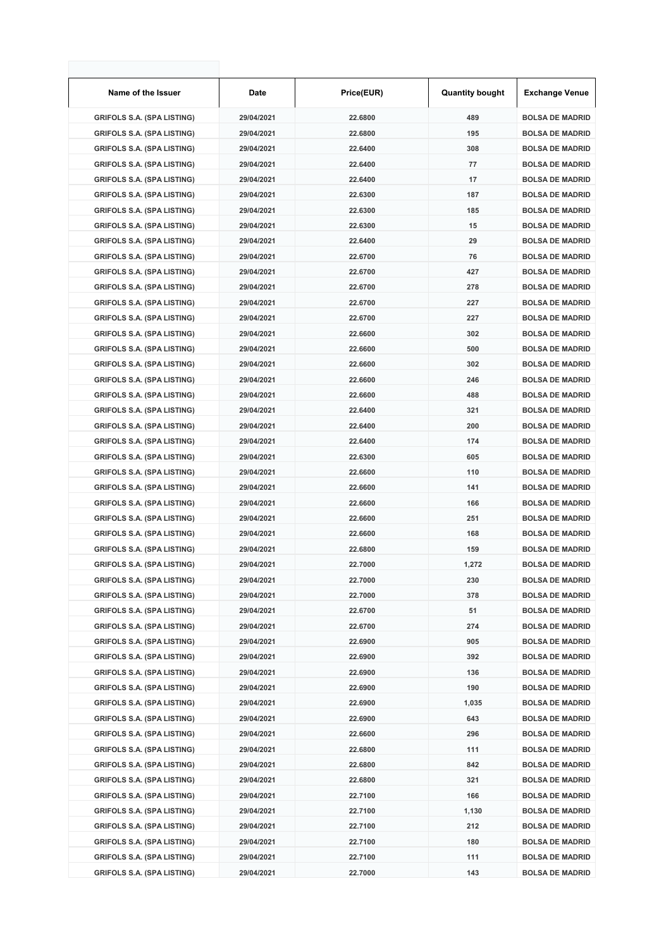| Name of the Issuer                | Date       | Price(EUR) | <b>Quantity bought</b> | <b>Exchange Venue</b>  |
|-----------------------------------|------------|------------|------------------------|------------------------|
| <b>GRIFOLS S.A. (SPA LISTING)</b> | 29/04/2021 | 22.6800    | 489                    | <b>BOLSA DE MADRID</b> |
| <b>GRIFOLS S.A. (SPA LISTING)</b> | 29/04/2021 | 22.6800    | 195                    | <b>BOLSA DE MADRID</b> |
| <b>GRIFOLS S.A. (SPA LISTING)</b> | 29/04/2021 | 22.6400    | 308                    | <b>BOLSA DE MADRID</b> |
| <b>GRIFOLS S.A. (SPA LISTING)</b> | 29/04/2021 | 22.6400    | 77                     | <b>BOLSA DE MADRID</b> |
| <b>GRIFOLS S.A. (SPA LISTING)</b> | 29/04/2021 | 22.6400    | 17                     | <b>BOLSA DE MADRID</b> |
| <b>GRIFOLS S.A. (SPA LISTING)</b> | 29/04/2021 | 22.6300    | 187                    | <b>BOLSA DE MADRID</b> |
| <b>GRIFOLS S.A. (SPA LISTING)</b> | 29/04/2021 | 22.6300    | 185                    | <b>BOLSA DE MADRID</b> |
| <b>GRIFOLS S.A. (SPA LISTING)</b> | 29/04/2021 | 22.6300    | 15                     | <b>BOLSA DE MADRID</b> |
| <b>GRIFOLS S.A. (SPA LISTING)</b> | 29/04/2021 | 22.6400    | 29                     | <b>BOLSA DE MADRID</b> |
| <b>GRIFOLS S.A. (SPA LISTING)</b> | 29/04/2021 | 22.6700    | 76                     | <b>BOLSA DE MADRID</b> |
| <b>GRIFOLS S.A. (SPA LISTING)</b> | 29/04/2021 | 22.6700    | 427                    | <b>BOLSA DE MADRID</b> |
| <b>GRIFOLS S.A. (SPA LISTING)</b> | 29/04/2021 | 22.6700    | 278                    | <b>BOLSA DE MADRID</b> |
| <b>GRIFOLS S.A. (SPA LISTING)</b> | 29/04/2021 | 22.6700    | 227                    | <b>BOLSA DE MADRID</b> |
| <b>GRIFOLS S.A. (SPA LISTING)</b> | 29/04/2021 | 22.6700    | 227                    | <b>BOLSA DE MADRID</b> |
| <b>GRIFOLS S.A. (SPA LISTING)</b> | 29/04/2021 | 22.6600    | 302                    | <b>BOLSA DE MADRID</b> |
| <b>GRIFOLS S.A. (SPA LISTING)</b> | 29/04/2021 | 22.6600    | 500                    | <b>BOLSA DE MADRID</b> |
| <b>GRIFOLS S.A. (SPA LISTING)</b> | 29/04/2021 | 22.6600    | 302                    | <b>BOLSA DE MADRID</b> |
| <b>GRIFOLS S.A. (SPA LISTING)</b> | 29/04/2021 | 22.6600    | 246                    | <b>BOLSA DE MADRID</b> |
| <b>GRIFOLS S.A. (SPA LISTING)</b> | 29/04/2021 | 22.6600    | 488                    | <b>BOLSA DE MADRID</b> |
| <b>GRIFOLS S.A. (SPA LISTING)</b> | 29/04/2021 | 22.6400    | 321                    | <b>BOLSA DE MADRID</b> |
| <b>GRIFOLS S.A. (SPA LISTING)</b> | 29/04/2021 | 22.6400    | 200                    | <b>BOLSA DE MADRID</b> |
| <b>GRIFOLS S.A. (SPA LISTING)</b> | 29/04/2021 | 22.6400    | 174                    | <b>BOLSA DE MADRID</b> |
| <b>GRIFOLS S.A. (SPA LISTING)</b> | 29/04/2021 | 22.6300    | 605                    | <b>BOLSA DE MADRID</b> |
| <b>GRIFOLS S.A. (SPA LISTING)</b> | 29/04/2021 | 22.6600    | 110                    | <b>BOLSA DE MADRID</b> |
| <b>GRIFOLS S.A. (SPA LISTING)</b> | 29/04/2021 | 22.6600    | 141                    | <b>BOLSA DE MADRID</b> |
| <b>GRIFOLS S.A. (SPA LISTING)</b> | 29/04/2021 | 22.6600    | 166                    | <b>BOLSA DE MADRID</b> |
| <b>GRIFOLS S.A. (SPA LISTING)</b> | 29/04/2021 | 22.6600    | 251                    | <b>BOLSA DE MADRID</b> |
| <b>GRIFOLS S.A. (SPA LISTING)</b> | 29/04/2021 | 22.6600    | 168                    | <b>BOLSA DE MADRID</b> |
| <b>GRIFOLS S.A. (SPA LISTING)</b> | 29/04/2021 | 22.6800    | 159                    | <b>BOLSA DE MADRID</b> |
| <b>GRIFOLS S.A. (SPA LISTING)</b> | 29/04/2021 | 22.7000    | 1,272                  | <b>BOLSA DE MADRID</b> |
| <b>GRIFOLS S.A. (SPA LISTING)</b> | 29/04/2021 | 22.7000    | 230                    | <b>BOLSA DE MADRID</b> |
| <b>GRIFOLS S.A. (SPA LISTING)</b> | 29/04/2021 | 22.7000    | 378                    | <b>BOLSA DE MADRID</b> |
| <b>GRIFOLS S.A. (SPA LISTING)</b> | 29/04/2021 | 22.6700    | 51                     | <b>BOLSA DE MADRID</b> |
| <b>GRIFOLS S.A. (SPA LISTING)</b> | 29/04/2021 | 22.6700    | 274                    | <b>BOLSA DE MADRID</b> |
| <b>GRIFOLS S.A. (SPA LISTING)</b> | 29/04/2021 | 22.6900    | 905                    | <b>BOLSA DE MADRID</b> |
| <b>GRIFOLS S.A. (SPA LISTING)</b> | 29/04/2021 | 22.6900    | 392                    | <b>BOLSA DE MADRID</b> |
| <b>GRIFOLS S.A. (SPA LISTING)</b> | 29/04/2021 | 22.6900    | 136                    | <b>BOLSA DE MADRID</b> |
| <b>GRIFOLS S.A. (SPA LISTING)</b> | 29/04/2021 | 22.6900    | 190                    | <b>BOLSA DE MADRID</b> |
| <b>GRIFOLS S.A. (SPA LISTING)</b> | 29/04/2021 | 22.6900    | 1,035                  | <b>BOLSA DE MADRID</b> |
| <b>GRIFOLS S.A. (SPA LISTING)</b> | 29/04/2021 | 22.6900    | 643                    | <b>BOLSA DE MADRID</b> |
| <b>GRIFOLS S.A. (SPA LISTING)</b> | 29/04/2021 | 22.6600    | 296                    | <b>BOLSA DE MADRID</b> |
| <b>GRIFOLS S.A. (SPA LISTING)</b> | 29/04/2021 | 22.6800    | 111                    | <b>BOLSA DE MADRID</b> |
| <b>GRIFOLS S.A. (SPA LISTING)</b> | 29/04/2021 | 22.6800    | 842                    | <b>BOLSA DE MADRID</b> |
| <b>GRIFOLS S.A. (SPA LISTING)</b> | 29/04/2021 | 22.6800    | 321                    | <b>BOLSA DE MADRID</b> |
| <b>GRIFOLS S.A. (SPA LISTING)</b> | 29/04/2021 | 22.7100    | 166                    | <b>BOLSA DE MADRID</b> |
| <b>GRIFOLS S.A. (SPA LISTING)</b> | 29/04/2021 | 22.7100    | 1,130                  | <b>BOLSA DE MADRID</b> |
| <b>GRIFOLS S.A. (SPA LISTING)</b> | 29/04/2021 | 22.7100    | 212                    | <b>BOLSA DE MADRID</b> |
| <b>GRIFOLS S.A. (SPA LISTING)</b> | 29/04/2021 | 22.7100    | 180                    | <b>BOLSA DE MADRID</b> |
| <b>GRIFOLS S.A. (SPA LISTING)</b> | 29/04/2021 | 22.7100    | 111                    | <b>BOLSA DE MADRID</b> |
| <b>GRIFOLS S.A. (SPA LISTING)</b> | 29/04/2021 | 22.7000    | 143                    | <b>BOLSA DE MADRID</b> |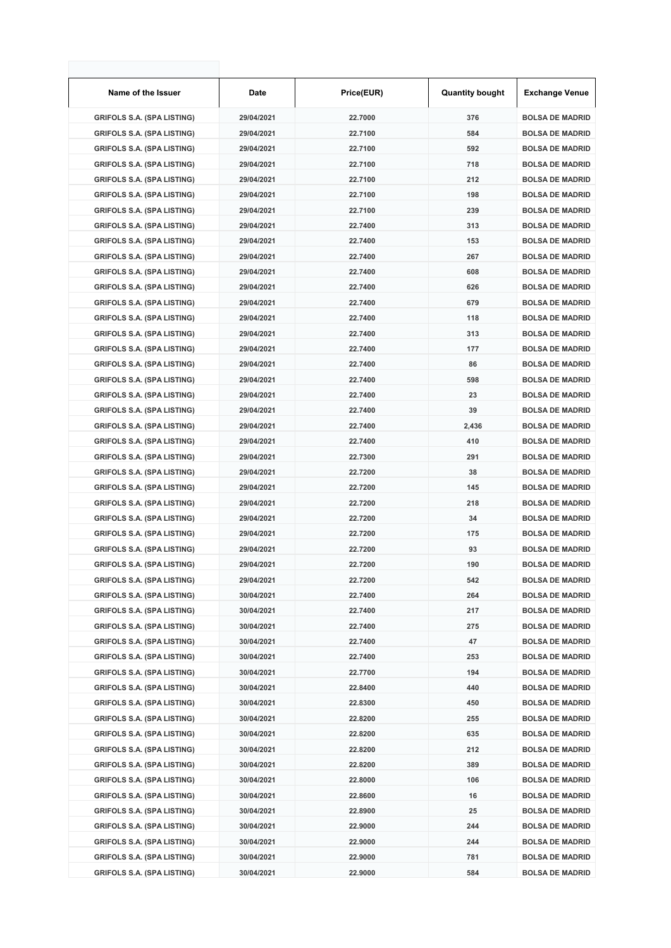| Name of the Issuer                | Date       | Price(EUR) | <b>Quantity bought</b> | <b>Exchange Venue</b>  |
|-----------------------------------|------------|------------|------------------------|------------------------|
| <b>GRIFOLS S.A. (SPA LISTING)</b> | 29/04/2021 | 22.7000    | 376                    | <b>BOLSA DE MADRID</b> |
| <b>GRIFOLS S.A. (SPA LISTING)</b> | 29/04/2021 | 22.7100    | 584                    | <b>BOLSA DE MADRID</b> |
| <b>GRIFOLS S.A. (SPA LISTING)</b> | 29/04/2021 | 22.7100    | 592                    | <b>BOLSA DE MADRID</b> |
| <b>GRIFOLS S.A. (SPA LISTING)</b> | 29/04/2021 | 22.7100    | 718                    | <b>BOLSA DE MADRID</b> |
| <b>GRIFOLS S.A. (SPA LISTING)</b> | 29/04/2021 | 22.7100    | 212                    | <b>BOLSA DE MADRID</b> |
| <b>GRIFOLS S.A. (SPA LISTING)</b> | 29/04/2021 | 22.7100    | 198                    | <b>BOLSA DE MADRID</b> |
| <b>GRIFOLS S.A. (SPA LISTING)</b> | 29/04/2021 | 22.7100    | 239                    | <b>BOLSA DE MADRID</b> |
| <b>GRIFOLS S.A. (SPA LISTING)</b> | 29/04/2021 | 22.7400    | 313                    | <b>BOLSA DE MADRID</b> |
| <b>GRIFOLS S.A. (SPA LISTING)</b> | 29/04/2021 | 22.7400    | 153                    | <b>BOLSA DE MADRID</b> |
| <b>GRIFOLS S.A. (SPA LISTING)</b> | 29/04/2021 | 22.7400    | 267                    | <b>BOLSA DE MADRID</b> |
| <b>GRIFOLS S.A. (SPA LISTING)</b> | 29/04/2021 | 22.7400    | 608                    | <b>BOLSA DE MADRID</b> |
| <b>GRIFOLS S.A. (SPA LISTING)</b> | 29/04/2021 | 22.7400    | 626                    | <b>BOLSA DE MADRID</b> |
| <b>GRIFOLS S.A. (SPA LISTING)</b> | 29/04/2021 | 22.7400    | 679                    | <b>BOLSA DE MADRID</b> |
| <b>GRIFOLS S.A. (SPA LISTING)</b> | 29/04/2021 | 22.7400    | 118                    | <b>BOLSA DE MADRID</b> |
| <b>GRIFOLS S.A. (SPA LISTING)</b> | 29/04/2021 | 22.7400    | 313                    | <b>BOLSA DE MADRID</b> |
| <b>GRIFOLS S.A. (SPA LISTING)</b> | 29/04/2021 | 22.7400    | 177                    | <b>BOLSA DE MADRID</b> |
| <b>GRIFOLS S.A. (SPA LISTING)</b> | 29/04/2021 | 22.7400    | 86                     | <b>BOLSA DE MADRID</b> |
| <b>GRIFOLS S.A. (SPA LISTING)</b> | 29/04/2021 | 22.7400    | 598                    | <b>BOLSA DE MADRID</b> |
| <b>GRIFOLS S.A. (SPA LISTING)</b> | 29/04/2021 | 22.7400    | 23                     | <b>BOLSA DE MADRID</b> |
| <b>GRIFOLS S.A. (SPA LISTING)</b> | 29/04/2021 | 22.7400    | 39                     | <b>BOLSA DE MADRID</b> |
| <b>GRIFOLS S.A. (SPA LISTING)</b> | 29/04/2021 | 22.7400    | 2,436                  | <b>BOLSA DE MADRID</b> |
| <b>GRIFOLS S.A. (SPA LISTING)</b> | 29/04/2021 | 22.7400    | 410                    | <b>BOLSA DE MADRID</b> |
| <b>GRIFOLS S.A. (SPA LISTING)</b> | 29/04/2021 | 22.7300    | 291                    | <b>BOLSA DE MADRID</b> |
| <b>GRIFOLS S.A. (SPA LISTING)</b> | 29/04/2021 | 22.7200    | 38                     | <b>BOLSA DE MADRID</b> |
| <b>GRIFOLS S.A. (SPA LISTING)</b> | 29/04/2021 | 22.7200    | 145                    | <b>BOLSA DE MADRID</b> |
| <b>GRIFOLS S.A. (SPA LISTING)</b> | 29/04/2021 | 22.7200    | 218                    | <b>BOLSA DE MADRID</b> |
| <b>GRIFOLS S.A. (SPA LISTING)</b> | 29/04/2021 | 22.7200    | 34                     | <b>BOLSA DE MADRID</b> |
| <b>GRIFOLS S.A. (SPA LISTING)</b> | 29/04/2021 | 22.7200    | 175                    | <b>BOLSA DE MADRID</b> |
| <b>GRIFOLS S.A. (SPA LISTING)</b> | 29/04/2021 | 22.7200    | 93                     | <b>BOLSA DE MADRID</b> |
| <b>GRIFOLS S.A. (SPA LISTING)</b> | 29/04/2021 | 22.7200    | 190                    | <b>BOLSA DE MADRID</b> |
| <b>GRIFOLS S.A. (SPA LISTING)</b> | 29/04/2021 | 22.7200    | 542                    | <b>BOLSA DE MADRID</b> |
| <b>GRIFOLS S.A. (SPA LISTING)</b> | 30/04/2021 | 22.7400    | 264                    | <b>BOLSA DE MADRID</b> |
| <b>GRIFOLS S.A. (SPA LISTING)</b> | 30/04/2021 | 22.7400    | 217                    | <b>BOLSA DE MADRID</b> |
| <b>GRIFOLS S.A. (SPA LISTING)</b> | 30/04/2021 | 22.7400    | 275                    | <b>BOLSA DE MADRID</b> |
| <b>GRIFOLS S.A. (SPA LISTING)</b> | 30/04/2021 | 22.7400    | 47                     | <b>BOLSA DE MADRID</b> |
| <b>GRIFOLS S.A. (SPA LISTING)</b> | 30/04/2021 | 22.7400    | 253                    | <b>BOLSA DE MADRID</b> |
| <b>GRIFOLS S.A. (SPA LISTING)</b> | 30/04/2021 | 22.7700    | 194                    | <b>BOLSA DE MADRID</b> |
| <b>GRIFOLS S.A. (SPA LISTING)</b> | 30/04/2021 | 22.8400    | 440                    | <b>BOLSA DE MADRID</b> |
| <b>GRIFOLS S.A. (SPA LISTING)</b> | 30/04/2021 | 22.8300    | 450                    | <b>BOLSA DE MADRID</b> |
| <b>GRIFOLS S.A. (SPA LISTING)</b> | 30/04/2021 | 22.8200    | 255                    | <b>BOLSA DE MADRID</b> |
| <b>GRIFOLS S.A. (SPA LISTING)</b> | 30/04/2021 | 22.8200    | 635                    | <b>BOLSA DE MADRID</b> |
| <b>GRIFOLS S.A. (SPA LISTING)</b> | 30/04/2021 | 22.8200    | 212                    | <b>BOLSA DE MADRID</b> |
| <b>GRIFOLS S.A. (SPA LISTING)</b> | 30/04/2021 | 22.8200    | 389                    | <b>BOLSA DE MADRID</b> |
| <b>GRIFOLS S.A. (SPA LISTING)</b> | 30/04/2021 | 22.8000    | 106                    | <b>BOLSA DE MADRID</b> |
| <b>GRIFOLS S.A. (SPA LISTING)</b> | 30/04/2021 | 22.8600    | 16                     | <b>BOLSA DE MADRID</b> |
| <b>GRIFOLS S.A. (SPA LISTING)</b> | 30/04/2021 | 22.8900    | 25                     | <b>BOLSA DE MADRID</b> |
| <b>GRIFOLS S.A. (SPA LISTING)</b> | 30/04/2021 | 22.9000    | 244                    | <b>BOLSA DE MADRID</b> |
| <b>GRIFOLS S.A. (SPA LISTING)</b> | 30/04/2021 | 22.9000    | 244                    | <b>BOLSA DE MADRID</b> |
| <b>GRIFOLS S.A. (SPA LISTING)</b> | 30/04/2021 | 22.9000    | 781                    | <b>BOLSA DE MADRID</b> |
| <b>GRIFOLS S.A. (SPA LISTING)</b> | 30/04/2021 | 22.9000    | 584                    | <b>BOLSA DE MADRID</b> |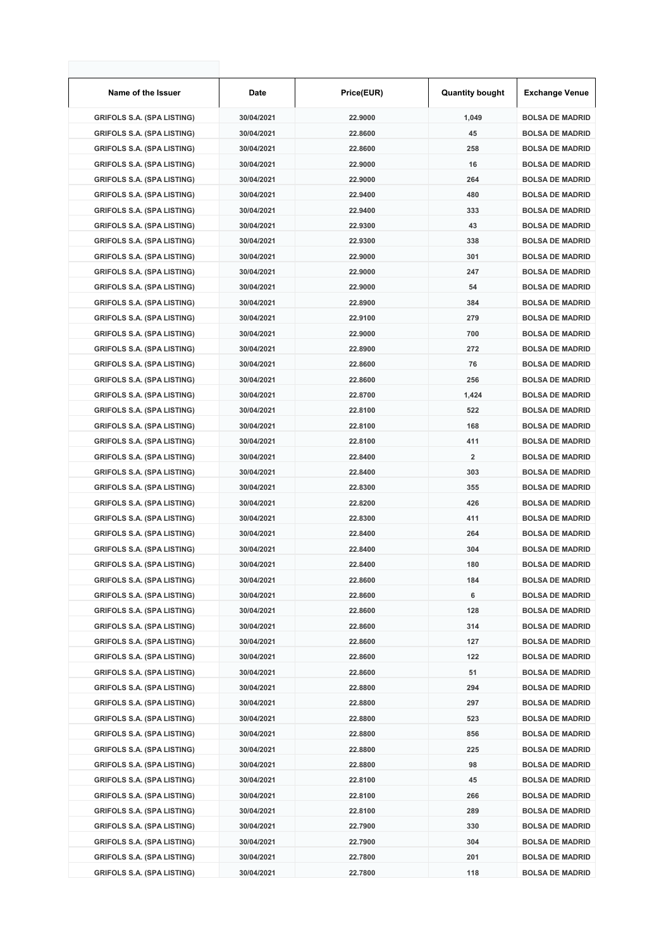| Name of the Issuer                | Date       | Price(EUR) | <b>Quantity bought</b>  | <b>Exchange Venue</b>  |
|-----------------------------------|------------|------------|-------------------------|------------------------|
| <b>GRIFOLS S.A. (SPA LISTING)</b> | 30/04/2021 | 22.9000    | 1,049                   | <b>BOLSA DE MADRID</b> |
| <b>GRIFOLS S.A. (SPA LISTING)</b> | 30/04/2021 | 22.8600    | 45                      | <b>BOLSA DE MADRID</b> |
| <b>GRIFOLS S.A. (SPA LISTING)</b> | 30/04/2021 | 22.8600    | 258                     | <b>BOLSA DE MADRID</b> |
| <b>GRIFOLS S.A. (SPA LISTING)</b> | 30/04/2021 | 22.9000    | 16                      | <b>BOLSA DE MADRID</b> |
| <b>GRIFOLS S.A. (SPA LISTING)</b> | 30/04/2021 | 22.9000    | 264                     | <b>BOLSA DE MADRID</b> |
| <b>GRIFOLS S.A. (SPA LISTING)</b> | 30/04/2021 | 22.9400    | 480                     | <b>BOLSA DE MADRID</b> |
| <b>GRIFOLS S.A. (SPA LISTING)</b> | 30/04/2021 | 22.9400    | 333                     | <b>BOLSA DE MADRID</b> |
| <b>GRIFOLS S.A. (SPA LISTING)</b> | 30/04/2021 | 22.9300    | 43                      | <b>BOLSA DE MADRID</b> |
| <b>GRIFOLS S.A. (SPA LISTING)</b> | 30/04/2021 | 22.9300    | 338                     | <b>BOLSA DE MADRID</b> |
| <b>GRIFOLS S.A. (SPA LISTING)</b> | 30/04/2021 | 22.9000    | 301                     | <b>BOLSA DE MADRID</b> |
| <b>GRIFOLS S.A. (SPA LISTING)</b> | 30/04/2021 | 22.9000    | 247                     | <b>BOLSA DE MADRID</b> |
| <b>GRIFOLS S.A. (SPA LISTING)</b> | 30/04/2021 | 22.9000    | 54                      | <b>BOLSA DE MADRID</b> |
| <b>GRIFOLS S.A. (SPA LISTING)</b> | 30/04/2021 | 22.8900    | 384                     | <b>BOLSA DE MADRID</b> |
| <b>GRIFOLS S.A. (SPA LISTING)</b> | 30/04/2021 | 22.9100    | 279                     | <b>BOLSA DE MADRID</b> |
| <b>GRIFOLS S.A. (SPA LISTING)</b> | 30/04/2021 | 22.9000    | 700                     | <b>BOLSA DE MADRID</b> |
| <b>GRIFOLS S.A. (SPA LISTING)</b> | 30/04/2021 | 22.8900    | 272                     | <b>BOLSA DE MADRID</b> |
| <b>GRIFOLS S.A. (SPA LISTING)</b> | 30/04/2021 | 22.8600    | 76                      | <b>BOLSA DE MADRID</b> |
| <b>GRIFOLS S.A. (SPA LISTING)</b> | 30/04/2021 | 22.8600    | 256                     | <b>BOLSA DE MADRID</b> |
| <b>GRIFOLS S.A. (SPA LISTING)</b> | 30/04/2021 | 22.8700    | 1,424                   | <b>BOLSA DE MADRID</b> |
| <b>GRIFOLS S.A. (SPA LISTING)</b> | 30/04/2021 | 22.8100    | 522                     | <b>BOLSA DE MADRID</b> |
| <b>GRIFOLS S.A. (SPA LISTING)</b> | 30/04/2021 | 22.8100    | 168                     | <b>BOLSA DE MADRID</b> |
| <b>GRIFOLS S.A. (SPA LISTING)</b> | 30/04/2021 | 22.8100    | 411                     | <b>BOLSA DE MADRID</b> |
| <b>GRIFOLS S.A. (SPA LISTING)</b> | 30/04/2021 | 22.8400    | $\overline{\mathbf{2}}$ | <b>BOLSA DE MADRID</b> |
| <b>GRIFOLS S.A. (SPA LISTING)</b> | 30/04/2021 | 22.8400    | 303                     | <b>BOLSA DE MADRID</b> |
| <b>GRIFOLS S.A. (SPA LISTING)</b> | 30/04/2021 | 22.8300    | 355                     | <b>BOLSA DE MADRID</b> |
| <b>GRIFOLS S.A. (SPA LISTING)</b> | 30/04/2021 | 22.8200    | 426                     | <b>BOLSA DE MADRID</b> |
| <b>GRIFOLS S.A. (SPA LISTING)</b> | 30/04/2021 | 22.8300    | 411                     | <b>BOLSA DE MADRID</b> |
| <b>GRIFOLS S.A. (SPA LISTING)</b> | 30/04/2021 | 22.8400    | 264                     | <b>BOLSA DE MADRID</b> |
| <b>GRIFOLS S.A. (SPA LISTING)</b> | 30/04/2021 | 22.8400    | 304                     | <b>BOLSA DE MADRID</b> |
| <b>GRIFOLS S.A. (SPA LISTING)</b> | 30/04/2021 | 22.8400    | 180                     | <b>BOLSA DE MADRID</b> |
| <b>GRIFOLS S.A. (SPA LISTING)</b> | 30/04/2021 | 22.8600    | 184                     | <b>BOLSA DE MADRID</b> |
| <b>GRIFOLS S.A. (SPA LISTING)</b> | 30/04/2021 | 22.8600    | 6                       | <b>BOLSA DE MADRID</b> |
| <b>GRIFOLS S.A. (SPA LISTING)</b> | 30/04/2021 | 22.8600    | 128                     | <b>BOLSA DE MADRID</b> |
| <b>GRIFOLS S.A. (SPA LISTING)</b> | 30/04/2021 | 22.8600    | 314                     | <b>BOLSA DE MADRID</b> |
| <b>GRIFOLS S.A. (SPA LISTING)</b> | 30/04/2021 | 22.8600    | 127                     | <b>BOLSA DE MADRID</b> |
| <b>GRIFOLS S.A. (SPA LISTING)</b> | 30/04/2021 | 22.8600    | 122                     | <b>BOLSA DE MADRID</b> |
| <b>GRIFOLS S.A. (SPA LISTING)</b> | 30/04/2021 | 22.8600    | 51                      | <b>BOLSA DE MADRID</b> |
| <b>GRIFOLS S.A. (SPA LISTING)</b> | 30/04/2021 | 22.8800    | 294                     | <b>BOLSA DE MADRID</b> |
| <b>GRIFOLS S.A. (SPA LISTING)</b> | 30/04/2021 | 22.8800    | 297                     | <b>BOLSA DE MADRID</b> |
| <b>GRIFOLS S.A. (SPA LISTING)</b> | 30/04/2021 | 22.8800    | 523                     | <b>BOLSA DE MADRID</b> |
| <b>GRIFOLS S.A. (SPA LISTING)</b> | 30/04/2021 | 22.8800    | 856                     | <b>BOLSA DE MADRID</b> |
| <b>GRIFOLS S.A. (SPA LISTING)</b> | 30/04/2021 | 22.8800    | 225                     | <b>BOLSA DE MADRID</b> |
| <b>GRIFOLS S.A. (SPA LISTING)</b> | 30/04/2021 | 22.8800    | 98                      | <b>BOLSA DE MADRID</b> |
| <b>GRIFOLS S.A. (SPA LISTING)</b> | 30/04/2021 | 22.8100    | 45                      | <b>BOLSA DE MADRID</b> |
| <b>GRIFOLS S.A. (SPA LISTING)</b> | 30/04/2021 | 22.8100    | 266                     | <b>BOLSA DE MADRID</b> |
| <b>GRIFOLS S.A. (SPA LISTING)</b> | 30/04/2021 | 22.8100    | 289                     | <b>BOLSA DE MADRID</b> |
| <b>GRIFOLS S.A. (SPA LISTING)</b> | 30/04/2021 | 22.7900    | 330                     | <b>BOLSA DE MADRID</b> |
| <b>GRIFOLS S.A. (SPA LISTING)</b> | 30/04/2021 | 22.7900    | 304                     | <b>BOLSA DE MADRID</b> |
| <b>GRIFOLS S.A. (SPA LISTING)</b> | 30/04/2021 | 22.7800    | 201                     | <b>BOLSA DE MADRID</b> |
| <b>GRIFOLS S.A. (SPA LISTING)</b> | 30/04/2021 | 22.7800    | 118                     | <b>BOLSA DE MADRID</b> |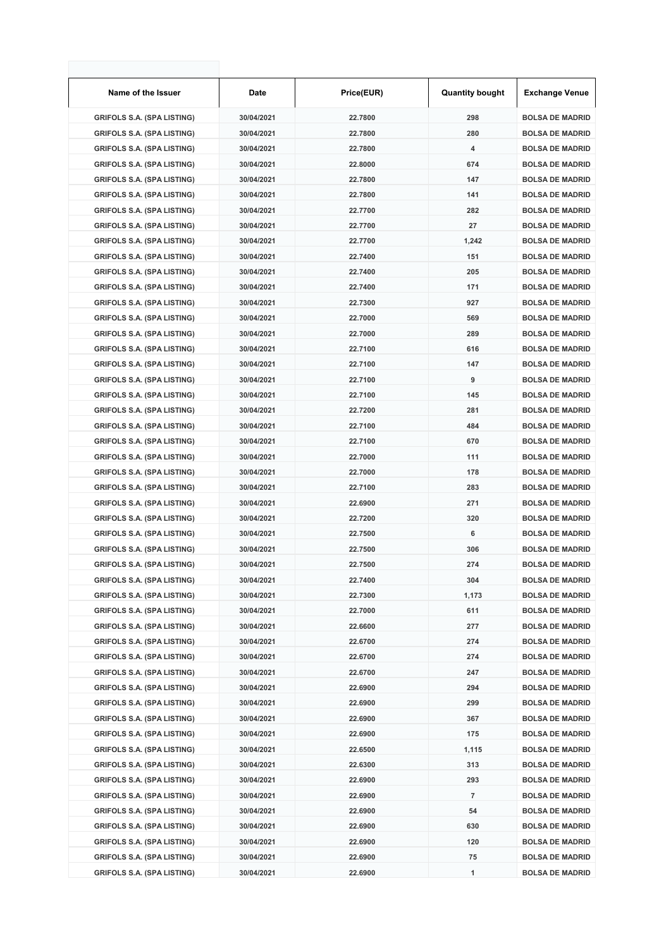| Name of the Issuer                | Date       | Price(EUR) | <b>Quantity bought</b> | <b>Exchange Venue</b>  |
|-----------------------------------|------------|------------|------------------------|------------------------|
| <b>GRIFOLS S.A. (SPA LISTING)</b> | 30/04/2021 | 22.7800    | 298                    | <b>BOLSA DE MADRID</b> |
| <b>GRIFOLS S.A. (SPA LISTING)</b> | 30/04/2021 | 22.7800    | 280                    | <b>BOLSA DE MADRID</b> |
| <b>GRIFOLS S.A. (SPA LISTING)</b> | 30/04/2021 | 22.7800    | 4                      | <b>BOLSA DE MADRID</b> |
| <b>GRIFOLS S.A. (SPA LISTING)</b> | 30/04/2021 | 22.8000    | 674                    | <b>BOLSA DE MADRID</b> |
| <b>GRIFOLS S.A. (SPA LISTING)</b> | 30/04/2021 | 22.7800    | 147                    | <b>BOLSA DE MADRID</b> |
| <b>GRIFOLS S.A. (SPA LISTING)</b> | 30/04/2021 | 22.7800    | 141                    | <b>BOLSA DE MADRID</b> |
| <b>GRIFOLS S.A. (SPA LISTING)</b> | 30/04/2021 | 22.7700    | 282                    | <b>BOLSA DE MADRID</b> |
| <b>GRIFOLS S.A. (SPA LISTING)</b> | 30/04/2021 | 22.7700    | 27                     | <b>BOLSA DE MADRID</b> |
| <b>GRIFOLS S.A. (SPA LISTING)</b> | 30/04/2021 | 22.7700    | 1,242                  | <b>BOLSA DE MADRID</b> |
| <b>GRIFOLS S.A. (SPA LISTING)</b> | 30/04/2021 | 22.7400    | 151                    | <b>BOLSA DE MADRID</b> |
| <b>GRIFOLS S.A. (SPA LISTING)</b> | 30/04/2021 | 22.7400    | 205                    | <b>BOLSA DE MADRID</b> |
| <b>GRIFOLS S.A. (SPA LISTING)</b> | 30/04/2021 | 22.7400    | 171                    | <b>BOLSA DE MADRID</b> |
| <b>GRIFOLS S.A. (SPA LISTING)</b> | 30/04/2021 | 22.7300    | 927                    | <b>BOLSA DE MADRID</b> |
| <b>GRIFOLS S.A. (SPA LISTING)</b> | 30/04/2021 | 22.7000    | 569                    | <b>BOLSA DE MADRID</b> |
| <b>GRIFOLS S.A. (SPA LISTING)</b> | 30/04/2021 | 22.7000    | 289                    | <b>BOLSA DE MADRID</b> |
| <b>GRIFOLS S.A. (SPA LISTING)</b> | 30/04/2021 | 22.7100    | 616                    | <b>BOLSA DE MADRID</b> |
| <b>GRIFOLS S.A. (SPA LISTING)</b> | 30/04/2021 | 22.7100    | 147                    | <b>BOLSA DE MADRID</b> |
| <b>GRIFOLS S.A. (SPA LISTING)</b> | 30/04/2021 | 22.7100    | 9                      | <b>BOLSA DE MADRID</b> |
| <b>GRIFOLS S.A. (SPA LISTING)</b> | 30/04/2021 | 22.7100    | 145                    | <b>BOLSA DE MADRID</b> |
| <b>GRIFOLS S.A. (SPA LISTING)</b> | 30/04/2021 | 22.7200    | 281                    | <b>BOLSA DE MADRID</b> |
| <b>GRIFOLS S.A. (SPA LISTING)</b> | 30/04/2021 | 22.7100    | 484                    | <b>BOLSA DE MADRID</b> |
| <b>GRIFOLS S.A. (SPA LISTING)</b> | 30/04/2021 | 22.7100    | 670                    | <b>BOLSA DE MADRID</b> |
| <b>GRIFOLS S.A. (SPA LISTING)</b> | 30/04/2021 | 22.7000    | 111                    | <b>BOLSA DE MADRID</b> |
| <b>GRIFOLS S.A. (SPA LISTING)</b> | 30/04/2021 | 22.7000    | 178                    | <b>BOLSA DE MADRID</b> |
| <b>GRIFOLS S.A. (SPA LISTING)</b> | 30/04/2021 | 22.7100    | 283                    | <b>BOLSA DE MADRID</b> |
| <b>GRIFOLS S.A. (SPA LISTING)</b> | 30/04/2021 | 22.6900    | 271                    | <b>BOLSA DE MADRID</b> |
| <b>GRIFOLS S.A. (SPA LISTING)</b> | 30/04/2021 | 22.7200    | 320                    | <b>BOLSA DE MADRID</b> |
| <b>GRIFOLS S.A. (SPA LISTING)</b> | 30/04/2021 | 22.7500    | 6                      | <b>BOLSA DE MADRID</b> |
| <b>GRIFOLS S.A. (SPA LISTING)</b> | 30/04/2021 | 22.7500    | 306                    | <b>BOLSA DE MADRID</b> |
| <b>GRIFOLS S.A. (SPA LISTING)</b> | 30/04/2021 | 22.7500    | 274                    | <b>BOLSA DE MADRID</b> |
| <b>GRIFOLS S.A. (SPA LISTING)</b> | 30/04/2021 | 22.7400    | 304                    | <b>BOLSA DE MADRID</b> |
| <b>GRIFOLS S.A. (SPA LISTING)</b> | 30/04/2021 | 22.7300    | 1,173                  | <b>BOLSA DE MADRID</b> |
| <b>GRIFOLS S.A. (SPA LISTING)</b> | 30/04/2021 | 22.7000    | 611                    | <b>BOLSA DE MADRID</b> |
| <b>GRIFOLS S.A. (SPA LISTING)</b> | 30/04/2021 | 22.6600    | 277                    | <b>BOLSA DE MADRID</b> |
| <b>GRIFOLS S.A. (SPA LISTING)</b> | 30/04/2021 | 22.6700    | 274                    | <b>BOLSA DE MADRID</b> |
| <b>GRIFOLS S.A. (SPA LISTING)</b> | 30/04/2021 | 22.6700    | 274                    | <b>BOLSA DE MADRID</b> |
| <b>GRIFOLS S.A. (SPA LISTING)</b> | 30/04/2021 | 22.6700    | 247                    | <b>BOLSA DE MADRID</b> |
| <b>GRIFOLS S.A. (SPA LISTING)</b> | 30/04/2021 | 22.6900    | 294                    | <b>BOLSA DE MADRID</b> |
| <b>GRIFOLS S.A. (SPA LISTING)</b> | 30/04/2021 | 22.6900    | 299                    | <b>BOLSA DE MADRID</b> |
| <b>GRIFOLS S.A. (SPA LISTING)</b> | 30/04/2021 | 22.6900    | 367                    | <b>BOLSA DE MADRID</b> |
| <b>GRIFOLS S.A. (SPA LISTING)</b> | 30/04/2021 | 22.6900    | 175                    | <b>BOLSA DE MADRID</b> |
| <b>GRIFOLS S.A. (SPA LISTING)</b> | 30/04/2021 | 22.6500    | 1,115                  | <b>BOLSA DE MADRID</b> |
| <b>GRIFOLS S.A. (SPA LISTING)</b> | 30/04/2021 | 22.6300    | 313                    | <b>BOLSA DE MADRID</b> |
| <b>GRIFOLS S.A. (SPA LISTING)</b> | 30/04/2021 | 22.6900    | 293                    | <b>BOLSA DE MADRID</b> |
| <b>GRIFOLS S.A. (SPA LISTING)</b> | 30/04/2021 | 22.6900    | $\overline{7}$         | <b>BOLSA DE MADRID</b> |
| <b>GRIFOLS S.A. (SPA LISTING)</b> | 30/04/2021 | 22.6900    | 54                     | <b>BOLSA DE MADRID</b> |
| <b>GRIFOLS S.A. (SPA LISTING)</b> | 30/04/2021 | 22.6900    | 630                    | <b>BOLSA DE MADRID</b> |
| <b>GRIFOLS S.A. (SPA LISTING)</b> | 30/04/2021 | 22.6900    | 120                    | <b>BOLSA DE MADRID</b> |
| <b>GRIFOLS S.A. (SPA LISTING)</b> | 30/04/2021 | 22.6900    | 75                     | <b>BOLSA DE MADRID</b> |
| <b>GRIFOLS S.A. (SPA LISTING)</b> | 30/04/2021 | 22.6900    | 1                      | <b>BOLSA DE MADRID</b> |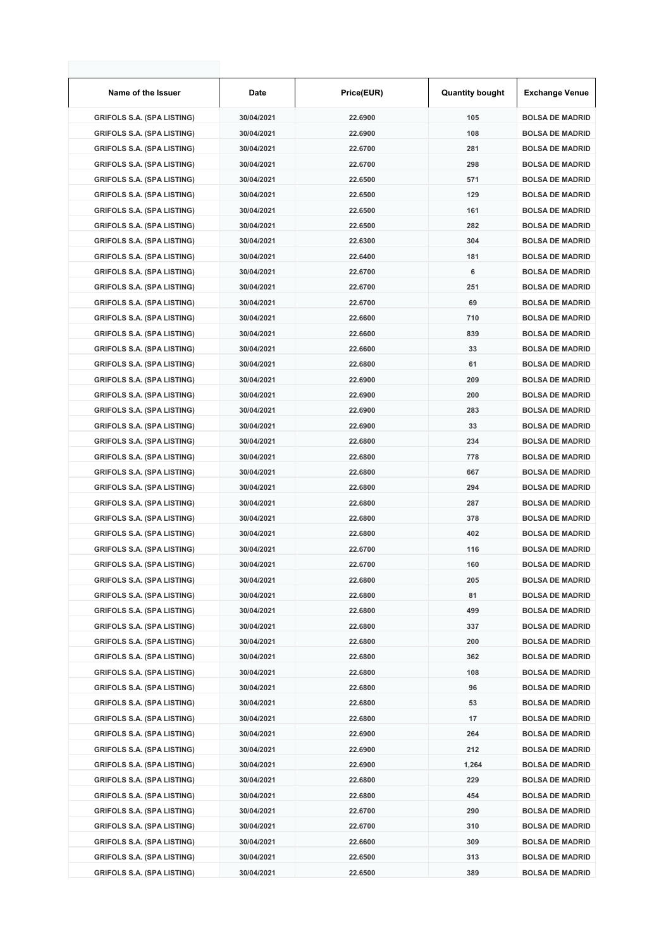| Name of the Issuer                | Date       | Price(EUR) | <b>Quantity bought</b> | <b>Exchange Venue</b>  |
|-----------------------------------|------------|------------|------------------------|------------------------|
| <b>GRIFOLS S.A. (SPA LISTING)</b> | 30/04/2021 | 22.6900    | 105                    | <b>BOLSA DE MADRID</b> |
| <b>GRIFOLS S.A. (SPA LISTING)</b> | 30/04/2021 | 22.6900    | 108                    | <b>BOLSA DE MADRID</b> |
| <b>GRIFOLS S.A. (SPA LISTING)</b> | 30/04/2021 | 22.6700    | 281                    | <b>BOLSA DE MADRID</b> |
| <b>GRIFOLS S.A. (SPA LISTING)</b> | 30/04/2021 | 22.6700    | 298                    | <b>BOLSA DE MADRID</b> |
| <b>GRIFOLS S.A. (SPA LISTING)</b> | 30/04/2021 | 22.6500    | 571                    | <b>BOLSA DE MADRID</b> |
| <b>GRIFOLS S.A. (SPA LISTING)</b> | 30/04/2021 | 22.6500    | 129                    | <b>BOLSA DE MADRID</b> |
| <b>GRIFOLS S.A. (SPA LISTING)</b> | 30/04/2021 | 22.6500    | 161                    | <b>BOLSA DE MADRID</b> |
| <b>GRIFOLS S.A. (SPA LISTING)</b> | 30/04/2021 | 22.6500    | 282                    | <b>BOLSA DE MADRID</b> |
| <b>GRIFOLS S.A. (SPA LISTING)</b> | 30/04/2021 | 22.6300    | 304                    | <b>BOLSA DE MADRID</b> |
| <b>GRIFOLS S.A. (SPA LISTING)</b> | 30/04/2021 | 22.6400    | 181                    | <b>BOLSA DE MADRID</b> |
| <b>GRIFOLS S.A. (SPA LISTING)</b> | 30/04/2021 | 22.6700    | 6                      | <b>BOLSA DE MADRID</b> |
| <b>GRIFOLS S.A. (SPA LISTING)</b> | 30/04/2021 | 22.6700    | 251                    | <b>BOLSA DE MADRID</b> |
| <b>GRIFOLS S.A. (SPA LISTING)</b> | 30/04/2021 | 22.6700    | 69                     | <b>BOLSA DE MADRID</b> |
| <b>GRIFOLS S.A. (SPA LISTING)</b> | 30/04/2021 | 22.6600    | 710                    | <b>BOLSA DE MADRID</b> |
| <b>GRIFOLS S.A. (SPA LISTING)</b> | 30/04/2021 | 22.6600    | 839                    | <b>BOLSA DE MADRID</b> |
| <b>GRIFOLS S.A. (SPA LISTING)</b> | 30/04/2021 | 22.6600    | 33                     | <b>BOLSA DE MADRID</b> |
| <b>GRIFOLS S.A. (SPA LISTING)</b> | 30/04/2021 | 22.6800    | 61                     | <b>BOLSA DE MADRID</b> |
| <b>GRIFOLS S.A. (SPA LISTING)</b> | 30/04/2021 | 22.6900    | 209                    | <b>BOLSA DE MADRID</b> |
| <b>GRIFOLS S.A. (SPA LISTING)</b> | 30/04/2021 | 22.6900    | 200                    | <b>BOLSA DE MADRID</b> |
| <b>GRIFOLS S.A. (SPA LISTING)</b> | 30/04/2021 | 22.6900    | 283                    | <b>BOLSA DE MADRID</b> |
| <b>GRIFOLS S.A. (SPA LISTING)</b> | 30/04/2021 | 22.6900    | 33                     | <b>BOLSA DE MADRID</b> |
| <b>GRIFOLS S.A. (SPA LISTING)</b> | 30/04/2021 | 22.6800    | 234                    | <b>BOLSA DE MADRID</b> |
| <b>GRIFOLS S.A. (SPA LISTING)</b> | 30/04/2021 | 22.6800    | 778                    | <b>BOLSA DE MADRID</b> |
| <b>GRIFOLS S.A. (SPA LISTING)</b> | 30/04/2021 | 22.6800    | 667                    | <b>BOLSA DE MADRID</b> |
| <b>GRIFOLS S.A. (SPA LISTING)</b> | 30/04/2021 | 22.6800    | 294                    | <b>BOLSA DE MADRID</b> |
| <b>GRIFOLS S.A. (SPA LISTING)</b> | 30/04/2021 | 22.6800    | 287                    | <b>BOLSA DE MADRID</b> |
| <b>GRIFOLS S.A. (SPA LISTING)</b> | 30/04/2021 | 22.6800    | 378                    | <b>BOLSA DE MADRID</b> |
| <b>GRIFOLS S.A. (SPA LISTING)</b> | 30/04/2021 | 22.6800    | 402                    | <b>BOLSA DE MADRID</b> |
| <b>GRIFOLS S.A. (SPA LISTING)</b> | 30/04/2021 | 22.6700    | 116                    | <b>BOLSA DE MADRID</b> |
| <b>GRIFOLS S.A. (SPA LISTING)</b> | 30/04/2021 | 22.6700    | 160                    | <b>BOLSA DE MADRID</b> |
| <b>GRIFOLS S.A. (SPA LISTING)</b> | 30/04/2021 | 22.6800    | 205                    | <b>BOLSA DE MADRID</b> |
| <b>GRIFOLS S.A. (SPA LISTING)</b> | 30/04/2021 | 22.6800    | 81                     | <b>BOLSA DE MADRID</b> |
| <b>GRIFOLS S.A. (SPA LISTING)</b> | 30/04/2021 | 22.6800    | 499                    | <b>BOLSA DE MADRID</b> |
| <b>GRIFOLS S.A. (SPA LISTING)</b> | 30/04/2021 | 22.6800    | 337                    | <b>BOLSA DE MADRID</b> |
| <b>GRIFOLS S.A. (SPA LISTING)</b> | 30/04/2021 | 22.6800    | 200                    | <b>BOLSA DE MADRID</b> |
| <b>GRIFOLS S.A. (SPA LISTING)</b> | 30/04/2021 | 22.6800    | 362                    | <b>BOLSA DE MADRID</b> |
| <b>GRIFOLS S.A. (SPA LISTING)</b> | 30/04/2021 | 22.6800    | 108                    | <b>BOLSA DE MADRID</b> |
| <b>GRIFOLS S.A. (SPA LISTING)</b> | 30/04/2021 | 22.6800    | 96                     | <b>BOLSA DE MADRID</b> |
| <b>GRIFOLS S.A. (SPA LISTING)</b> | 30/04/2021 | 22.6800    | 53                     | <b>BOLSA DE MADRID</b> |
| <b>GRIFOLS S.A. (SPA LISTING)</b> | 30/04/2021 | 22.6800    | 17                     | <b>BOLSA DE MADRID</b> |
| <b>GRIFOLS S.A. (SPA LISTING)</b> | 30/04/2021 | 22.6900    | 264                    | <b>BOLSA DE MADRID</b> |
| <b>GRIFOLS S.A. (SPA LISTING)</b> | 30/04/2021 | 22.6900    | 212                    | <b>BOLSA DE MADRID</b> |
| <b>GRIFOLS S.A. (SPA LISTING)</b> | 30/04/2021 | 22.6900    | 1,264                  | <b>BOLSA DE MADRID</b> |
| <b>GRIFOLS S.A. (SPA LISTING)</b> | 30/04/2021 | 22.6800    | 229                    | <b>BOLSA DE MADRID</b> |
| <b>GRIFOLS S.A. (SPA LISTING)</b> | 30/04/2021 | 22.6800    | 454                    | <b>BOLSA DE MADRID</b> |
| <b>GRIFOLS S.A. (SPA LISTING)</b> | 30/04/2021 | 22.6700    | 290                    | <b>BOLSA DE MADRID</b> |
| <b>GRIFOLS S.A. (SPA LISTING)</b> | 30/04/2021 | 22.6700    | 310                    | <b>BOLSA DE MADRID</b> |
| <b>GRIFOLS S.A. (SPA LISTING)</b> | 30/04/2021 | 22.6600    | 309                    | <b>BOLSA DE MADRID</b> |
| <b>GRIFOLS S.A. (SPA LISTING)</b> | 30/04/2021 | 22.6500    | 313                    | <b>BOLSA DE MADRID</b> |
| <b>GRIFOLS S.A. (SPA LISTING)</b> | 30/04/2021 | 22.6500    | 389                    | <b>BOLSA DE MADRID</b> |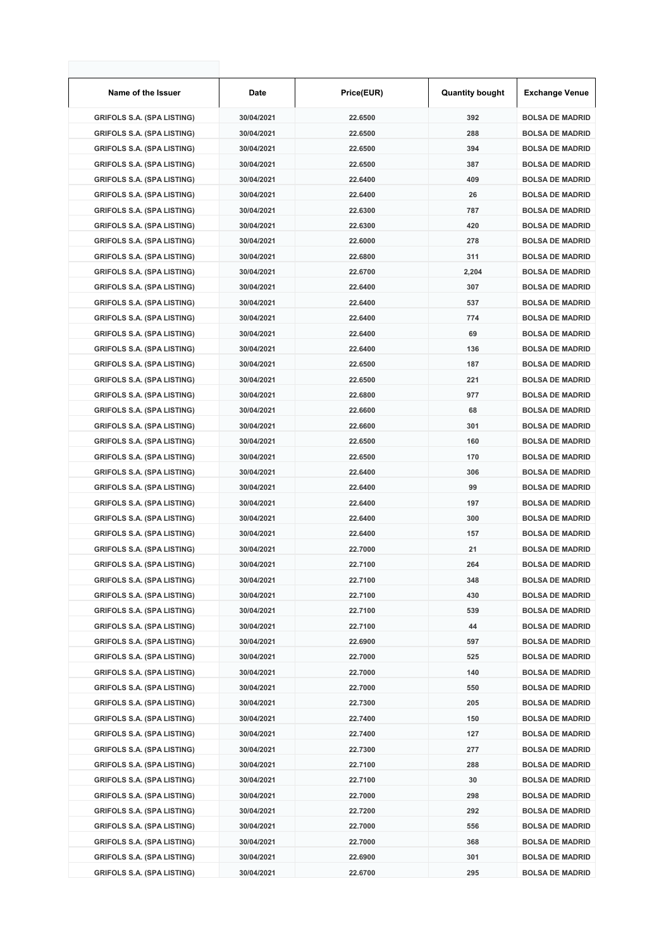| Name of the Issuer                | Date       | Price(EUR) | <b>Quantity bought</b> | <b>Exchange Venue</b>  |
|-----------------------------------|------------|------------|------------------------|------------------------|
| <b>GRIFOLS S.A. (SPA LISTING)</b> | 30/04/2021 | 22.6500    | 392                    | <b>BOLSA DE MADRID</b> |
| <b>GRIFOLS S.A. (SPA LISTING)</b> | 30/04/2021 | 22.6500    | 288                    | <b>BOLSA DE MADRID</b> |
| <b>GRIFOLS S.A. (SPA LISTING)</b> | 30/04/2021 | 22.6500    | 394                    | <b>BOLSA DE MADRID</b> |
| <b>GRIFOLS S.A. (SPA LISTING)</b> | 30/04/2021 | 22.6500    | 387                    | <b>BOLSA DE MADRID</b> |
| <b>GRIFOLS S.A. (SPA LISTING)</b> | 30/04/2021 | 22.6400    | 409                    | <b>BOLSA DE MADRID</b> |
| <b>GRIFOLS S.A. (SPA LISTING)</b> | 30/04/2021 | 22.6400    | 26                     | <b>BOLSA DE MADRID</b> |
| <b>GRIFOLS S.A. (SPA LISTING)</b> | 30/04/2021 | 22.6300    | 787                    | <b>BOLSA DE MADRID</b> |
| <b>GRIFOLS S.A. (SPA LISTING)</b> | 30/04/2021 | 22.6300    | 420                    | <b>BOLSA DE MADRID</b> |
| <b>GRIFOLS S.A. (SPA LISTING)</b> | 30/04/2021 | 22.6000    | 278                    | <b>BOLSA DE MADRID</b> |
| <b>GRIFOLS S.A. (SPA LISTING)</b> | 30/04/2021 | 22.6800    | 311                    | <b>BOLSA DE MADRID</b> |
| <b>GRIFOLS S.A. (SPA LISTING)</b> | 30/04/2021 | 22.6700    | 2,204                  | <b>BOLSA DE MADRID</b> |
| <b>GRIFOLS S.A. (SPA LISTING)</b> | 30/04/2021 | 22.6400    | 307                    | <b>BOLSA DE MADRID</b> |
| <b>GRIFOLS S.A. (SPA LISTING)</b> | 30/04/2021 | 22.6400    | 537                    | <b>BOLSA DE MADRID</b> |
| <b>GRIFOLS S.A. (SPA LISTING)</b> | 30/04/2021 | 22.6400    | 774                    | <b>BOLSA DE MADRID</b> |
| <b>GRIFOLS S.A. (SPA LISTING)</b> | 30/04/2021 | 22.6400    | 69                     | <b>BOLSA DE MADRID</b> |
| <b>GRIFOLS S.A. (SPA LISTING)</b> | 30/04/2021 | 22.6400    | 136                    | <b>BOLSA DE MADRID</b> |
| <b>GRIFOLS S.A. (SPA LISTING)</b> | 30/04/2021 | 22.6500    | 187                    | <b>BOLSA DE MADRID</b> |
| <b>GRIFOLS S.A. (SPA LISTING)</b> | 30/04/2021 | 22.6500    | 221                    | <b>BOLSA DE MADRID</b> |
| <b>GRIFOLS S.A. (SPA LISTING)</b> | 30/04/2021 | 22.6800    | 977                    | <b>BOLSA DE MADRID</b> |
| <b>GRIFOLS S.A. (SPA LISTING)</b> | 30/04/2021 | 22.6600    | 68                     | <b>BOLSA DE MADRID</b> |
| <b>GRIFOLS S.A. (SPA LISTING)</b> | 30/04/2021 | 22.6600    | 301                    | <b>BOLSA DE MADRID</b> |
| <b>GRIFOLS S.A. (SPA LISTING)</b> | 30/04/2021 | 22.6500    | 160                    | <b>BOLSA DE MADRID</b> |
| <b>GRIFOLS S.A. (SPA LISTING)</b> | 30/04/2021 | 22.6500    | 170                    | <b>BOLSA DE MADRID</b> |
| <b>GRIFOLS S.A. (SPA LISTING)</b> | 30/04/2021 | 22.6400    | 306                    | <b>BOLSA DE MADRID</b> |
| <b>GRIFOLS S.A. (SPA LISTING)</b> | 30/04/2021 | 22.6400    | 99                     | <b>BOLSA DE MADRID</b> |
| <b>GRIFOLS S.A. (SPA LISTING)</b> | 30/04/2021 | 22.6400    | 197                    | <b>BOLSA DE MADRID</b> |
| <b>GRIFOLS S.A. (SPA LISTING)</b> | 30/04/2021 | 22.6400    | 300                    | <b>BOLSA DE MADRID</b> |
| <b>GRIFOLS S.A. (SPA LISTING)</b> | 30/04/2021 | 22.6400    | 157                    | <b>BOLSA DE MADRID</b> |
| <b>GRIFOLS S.A. (SPA LISTING)</b> | 30/04/2021 | 22.7000    | 21                     | <b>BOLSA DE MADRID</b> |
| <b>GRIFOLS S.A. (SPA LISTING)</b> | 30/04/2021 | 22.7100    | 264                    | <b>BOLSA DE MADRID</b> |
| <b>GRIFOLS S.A. (SPA LISTING)</b> | 30/04/2021 | 22.7100    | 348                    | <b>BOLSA DE MADRID</b> |
| <b>GRIFOLS S.A. (SPA LISTING)</b> | 30/04/2021 | 22.7100    | 430                    | <b>BOLSA DE MADRID</b> |
| <b>GRIFOLS S.A. (SPA LISTING)</b> | 30/04/2021 | 22.7100    | 539                    | <b>BOLSA DE MADRID</b> |
| <b>GRIFOLS S.A. (SPA LISTING)</b> | 30/04/2021 | 22.7100    | 44                     | <b>BOLSA DE MADRID</b> |
| <b>GRIFOLS S.A. (SPA LISTING)</b> | 30/04/2021 | 22.6900    | 597                    | <b>BOLSA DE MADRID</b> |
| <b>GRIFOLS S.A. (SPA LISTING)</b> | 30/04/2021 | 22.7000    | 525                    | <b>BOLSA DE MADRID</b> |
| <b>GRIFOLS S.A. (SPA LISTING)</b> | 30/04/2021 | 22.7000    | 140                    | <b>BOLSA DE MADRID</b> |
| <b>GRIFOLS S.A. (SPA LISTING)</b> | 30/04/2021 | 22.7000    | 550                    | <b>BOLSA DE MADRID</b> |
| <b>GRIFOLS S.A. (SPA LISTING)</b> | 30/04/2021 | 22.7300    | 205                    | <b>BOLSA DE MADRID</b> |
| <b>GRIFOLS S.A. (SPA LISTING)</b> | 30/04/2021 | 22.7400    | 150                    | <b>BOLSA DE MADRID</b> |
| <b>GRIFOLS S.A. (SPA LISTING)</b> | 30/04/2021 | 22.7400    | 127                    | <b>BOLSA DE MADRID</b> |
| <b>GRIFOLS S.A. (SPA LISTING)</b> | 30/04/2021 | 22.7300    | 277                    | <b>BOLSA DE MADRID</b> |
| <b>GRIFOLS S.A. (SPA LISTING)</b> | 30/04/2021 | 22.7100    | 288                    | <b>BOLSA DE MADRID</b> |
| <b>GRIFOLS S.A. (SPA LISTING)</b> | 30/04/2021 | 22.7100    | 30                     | <b>BOLSA DE MADRID</b> |
| <b>GRIFOLS S.A. (SPA LISTING)</b> | 30/04/2021 | 22.7000    | 298                    | <b>BOLSA DE MADRID</b> |
| <b>GRIFOLS S.A. (SPA LISTING)</b> | 30/04/2021 | 22.7200    | 292                    | <b>BOLSA DE MADRID</b> |
| <b>GRIFOLS S.A. (SPA LISTING)</b> | 30/04/2021 | 22.7000    | 556                    | <b>BOLSA DE MADRID</b> |
| <b>GRIFOLS S.A. (SPA LISTING)</b> | 30/04/2021 | 22.7000    | 368                    | <b>BOLSA DE MADRID</b> |
| <b>GRIFOLS S.A. (SPA LISTING)</b> | 30/04/2021 | 22.6900    | 301                    | <b>BOLSA DE MADRID</b> |
| <b>GRIFOLS S.A. (SPA LISTING)</b> | 30/04/2021 | 22.6700    | 295                    | <b>BOLSA DE MADRID</b> |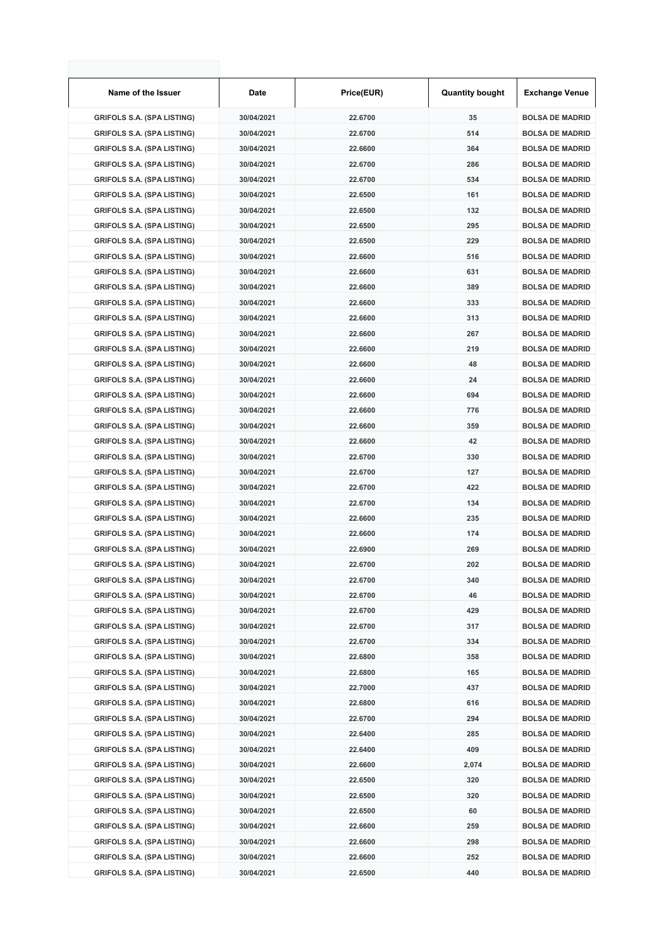| Name of the Issuer                | Date       | Price(EUR) | <b>Quantity bought</b> | <b>Exchange Venue</b>  |
|-----------------------------------|------------|------------|------------------------|------------------------|
| <b>GRIFOLS S.A. (SPA LISTING)</b> | 30/04/2021 | 22.6700    | 35                     | <b>BOLSA DE MADRID</b> |
| <b>GRIFOLS S.A. (SPA LISTING)</b> | 30/04/2021 | 22.6700    | 514                    | <b>BOLSA DE MADRID</b> |
| <b>GRIFOLS S.A. (SPA LISTING)</b> | 30/04/2021 | 22.6600    | 364                    | <b>BOLSA DE MADRID</b> |
| <b>GRIFOLS S.A. (SPA LISTING)</b> | 30/04/2021 | 22.6700    | 286                    | <b>BOLSA DE MADRID</b> |
| <b>GRIFOLS S.A. (SPA LISTING)</b> | 30/04/2021 | 22.6700    | 534                    | <b>BOLSA DE MADRID</b> |
| <b>GRIFOLS S.A. (SPA LISTING)</b> | 30/04/2021 | 22.6500    | 161                    | <b>BOLSA DE MADRID</b> |
| <b>GRIFOLS S.A. (SPA LISTING)</b> | 30/04/2021 | 22.6500    | 132                    | <b>BOLSA DE MADRID</b> |
| <b>GRIFOLS S.A. (SPA LISTING)</b> | 30/04/2021 | 22.6500    | 295                    | <b>BOLSA DE MADRID</b> |
| <b>GRIFOLS S.A. (SPA LISTING)</b> | 30/04/2021 | 22.6500    | 229                    | <b>BOLSA DE MADRID</b> |
| <b>GRIFOLS S.A. (SPA LISTING)</b> | 30/04/2021 | 22.6600    | 516                    | <b>BOLSA DE MADRID</b> |
| <b>GRIFOLS S.A. (SPA LISTING)</b> | 30/04/2021 | 22.6600    | 631                    | <b>BOLSA DE MADRID</b> |
| <b>GRIFOLS S.A. (SPA LISTING)</b> | 30/04/2021 | 22.6600    | 389                    | <b>BOLSA DE MADRID</b> |
| <b>GRIFOLS S.A. (SPA LISTING)</b> | 30/04/2021 | 22.6600    | 333                    | <b>BOLSA DE MADRID</b> |
| <b>GRIFOLS S.A. (SPA LISTING)</b> | 30/04/2021 | 22.6600    | 313                    | <b>BOLSA DE MADRID</b> |
| <b>GRIFOLS S.A. (SPA LISTING)</b> | 30/04/2021 | 22.6600    | 267                    | <b>BOLSA DE MADRID</b> |
| <b>GRIFOLS S.A. (SPA LISTING)</b> | 30/04/2021 | 22.6600    | 219                    | <b>BOLSA DE MADRID</b> |
| <b>GRIFOLS S.A. (SPA LISTING)</b> | 30/04/2021 | 22.6600    | 48                     | <b>BOLSA DE MADRID</b> |
| <b>GRIFOLS S.A. (SPA LISTING)</b> | 30/04/2021 | 22.6600    | 24                     | <b>BOLSA DE MADRID</b> |
| <b>GRIFOLS S.A. (SPA LISTING)</b> | 30/04/2021 | 22.6600    | 694                    | <b>BOLSA DE MADRID</b> |
| <b>GRIFOLS S.A. (SPA LISTING)</b> | 30/04/2021 | 22.6600    | 776                    | <b>BOLSA DE MADRID</b> |
| <b>GRIFOLS S.A. (SPA LISTING)</b> | 30/04/2021 | 22.6600    | 359                    | <b>BOLSA DE MADRID</b> |
| <b>GRIFOLS S.A. (SPA LISTING)</b> | 30/04/2021 | 22.6600    | 42                     | <b>BOLSA DE MADRID</b> |
| <b>GRIFOLS S.A. (SPA LISTING)</b> | 30/04/2021 | 22.6700    | 330                    | <b>BOLSA DE MADRID</b> |
| <b>GRIFOLS S.A. (SPA LISTING)</b> | 30/04/2021 | 22.6700    | 127                    | <b>BOLSA DE MADRID</b> |
| <b>GRIFOLS S.A. (SPA LISTING)</b> | 30/04/2021 | 22.6700    | 422                    | <b>BOLSA DE MADRID</b> |
| <b>GRIFOLS S.A. (SPA LISTING)</b> | 30/04/2021 | 22.6700    | 134                    | <b>BOLSA DE MADRID</b> |
| <b>GRIFOLS S.A. (SPA LISTING)</b> | 30/04/2021 | 22.6600    | 235                    | <b>BOLSA DE MADRID</b> |
| <b>GRIFOLS S.A. (SPA LISTING)</b> | 30/04/2021 | 22.6600    | 174                    | <b>BOLSA DE MADRID</b> |
| <b>GRIFOLS S.A. (SPA LISTING)</b> | 30/04/2021 | 22.6900    | 269                    | <b>BOLSA DE MADRID</b> |
| <b>GRIFOLS S.A. (SPA LISTING)</b> | 30/04/2021 | 22.6700    | 202                    | <b>BOLSA DE MADRID</b> |
| <b>GRIFOLS S.A. (SPA LISTING)</b> | 30/04/2021 | 22.6700    | 340                    | <b>BOLSA DE MADRID</b> |
| <b>GRIFOLS S.A. (SPA LISTING)</b> | 30/04/2021 | 22.6700    | 46                     | <b>BOLSA DE MADRID</b> |
| <b>GRIFOLS S.A. (SPA LISTING)</b> | 30/04/2021 | 22.6700    | 429                    | <b>BOLSA DE MADRID</b> |
| <b>GRIFOLS S.A. (SPA LISTING)</b> | 30/04/2021 | 22.6700    | 317                    | <b>BOLSA DE MADRID</b> |
| <b>GRIFOLS S.A. (SPA LISTING)</b> | 30/04/2021 | 22.6700    | 334                    | <b>BOLSA DE MADRID</b> |
| <b>GRIFOLS S.A. (SPA LISTING)</b> | 30/04/2021 | 22.6800    | 358                    | <b>BOLSA DE MADRID</b> |
| <b>GRIFOLS S.A. (SPA LISTING)</b> | 30/04/2021 | 22.6800    | 165                    | <b>BOLSA DE MADRID</b> |
| <b>GRIFOLS S.A. (SPA LISTING)</b> | 30/04/2021 | 22.7000    | 437                    | <b>BOLSA DE MADRID</b> |
| <b>GRIFOLS S.A. (SPA LISTING)</b> | 30/04/2021 | 22.6800    | 616                    | <b>BOLSA DE MADRID</b> |
| <b>GRIFOLS S.A. (SPA LISTING)</b> | 30/04/2021 | 22.6700    | 294                    | <b>BOLSA DE MADRID</b> |
| <b>GRIFOLS S.A. (SPA LISTING)</b> | 30/04/2021 | 22.6400    | 285                    | <b>BOLSA DE MADRID</b> |
| <b>GRIFOLS S.A. (SPA LISTING)</b> | 30/04/2021 | 22.6400    | 409                    | <b>BOLSA DE MADRID</b> |
| <b>GRIFOLS S.A. (SPA LISTING)</b> | 30/04/2021 | 22.6600    | 2,074                  | <b>BOLSA DE MADRID</b> |
| <b>GRIFOLS S.A. (SPA LISTING)</b> | 30/04/2021 | 22.6500    | 320                    | <b>BOLSA DE MADRID</b> |
| <b>GRIFOLS S.A. (SPA LISTING)</b> | 30/04/2021 | 22.6500    | 320                    | <b>BOLSA DE MADRID</b> |
| <b>GRIFOLS S.A. (SPA LISTING)</b> | 30/04/2021 | 22.6500    | 60                     | <b>BOLSA DE MADRID</b> |
| <b>GRIFOLS S.A. (SPA LISTING)</b> | 30/04/2021 | 22.6600    | 259                    | <b>BOLSA DE MADRID</b> |
| <b>GRIFOLS S.A. (SPA LISTING)</b> | 30/04/2021 | 22.6600    | 298                    | <b>BOLSA DE MADRID</b> |
| <b>GRIFOLS S.A. (SPA LISTING)</b> | 30/04/2021 | 22.6600    | 252                    | <b>BOLSA DE MADRID</b> |
| <b>GRIFOLS S.A. (SPA LISTING)</b> | 30/04/2021 | 22.6500    | 440                    | <b>BOLSA DE MADRID</b> |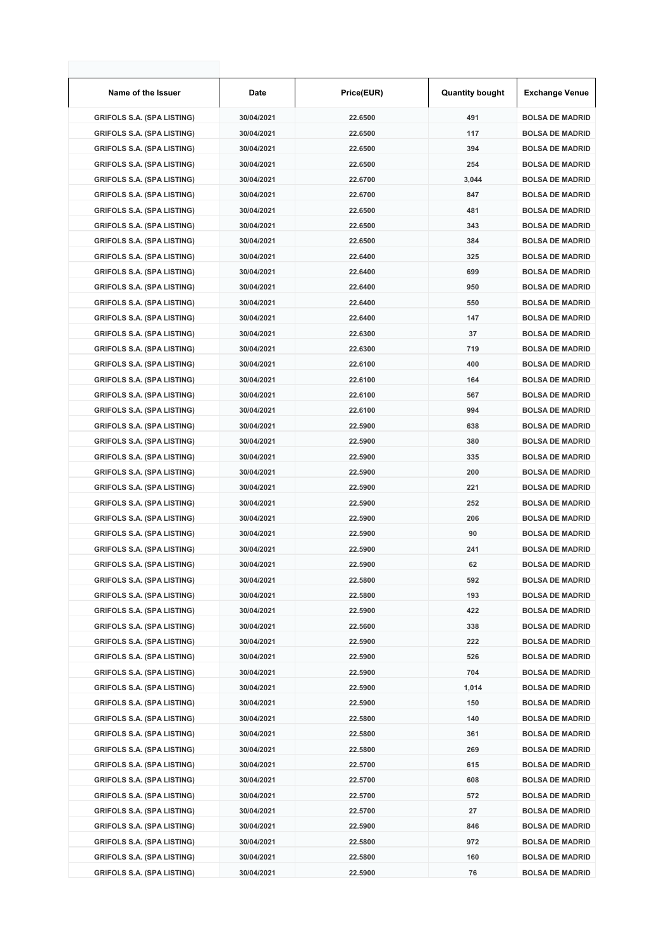| Name of the Issuer                | Date       | Price(EUR) | <b>Quantity bought</b> | <b>Exchange Venue</b>  |
|-----------------------------------|------------|------------|------------------------|------------------------|
| <b>GRIFOLS S.A. (SPA LISTING)</b> | 30/04/2021 | 22.6500    | 491                    | <b>BOLSA DE MADRID</b> |
| <b>GRIFOLS S.A. (SPA LISTING)</b> | 30/04/2021 | 22.6500    | 117                    | <b>BOLSA DE MADRID</b> |
| <b>GRIFOLS S.A. (SPA LISTING)</b> | 30/04/2021 | 22.6500    | 394                    | <b>BOLSA DE MADRID</b> |
| <b>GRIFOLS S.A. (SPA LISTING)</b> | 30/04/2021 | 22.6500    | 254                    | <b>BOLSA DE MADRID</b> |
| <b>GRIFOLS S.A. (SPA LISTING)</b> | 30/04/2021 | 22.6700    | 3,044                  | <b>BOLSA DE MADRID</b> |
| <b>GRIFOLS S.A. (SPA LISTING)</b> | 30/04/2021 | 22.6700    | 847                    | <b>BOLSA DE MADRID</b> |
| <b>GRIFOLS S.A. (SPA LISTING)</b> | 30/04/2021 | 22.6500    | 481                    | <b>BOLSA DE MADRID</b> |
| <b>GRIFOLS S.A. (SPA LISTING)</b> | 30/04/2021 | 22.6500    | 343                    | <b>BOLSA DE MADRID</b> |
| <b>GRIFOLS S.A. (SPA LISTING)</b> | 30/04/2021 | 22.6500    | 384                    | <b>BOLSA DE MADRID</b> |
| <b>GRIFOLS S.A. (SPA LISTING)</b> | 30/04/2021 | 22.6400    | 325                    | <b>BOLSA DE MADRID</b> |
| <b>GRIFOLS S.A. (SPA LISTING)</b> | 30/04/2021 | 22.6400    | 699                    | <b>BOLSA DE MADRID</b> |
| <b>GRIFOLS S.A. (SPA LISTING)</b> | 30/04/2021 | 22.6400    | 950                    | <b>BOLSA DE MADRID</b> |
| <b>GRIFOLS S.A. (SPA LISTING)</b> | 30/04/2021 | 22.6400    | 550                    | <b>BOLSA DE MADRID</b> |
| <b>GRIFOLS S.A. (SPA LISTING)</b> | 30/04/2021 | 22.6400    | 147                    | <b>BOLSA DE MADRID</b> |
| <b>GRIFOLS S.A. (SPA LISTING)</b> | 30/04/2021 | 22.6300    | 37                     | <b>BOLSA DE MADRID</b> |
| <b>GRIFOLS S.A. (SPA LISTING)</b> | 30/04/2021 | 22.6300    | 719                    | <b>BOLSA DE MADRID</b> |
| <b>GRIFOLS S.A. (SPA LISTING)</b> | 30/04/2021 | 22.6100    | 400                    | <b>BOLSA DE MADRID</b> |
| <b>GRIFOLS S.A. (SPA LISTING)</b> | 30/04/2021 | 22.6100    | 164                    | <b>BOLSA DE MADRID</b> |
| <b>GRIFOLS S.A. (SPA LISTING)</b> | 30/04/2021 | 22.6100    | 567                    | <b>BOLSA DE MADRID</b> |
| <b>GRIFOLS S.A. (SPA LISTING)</b> | 30/04/2021 | 22.6100    | 994                    | <b>BOLSA DE MADRID</b> |
| <b>GRIFOLS S.A. (SPA LISTING)</b> | 30/04/2021 | 22.5900    | 638                    | <b>BOLSA DE MADRID</b> |
| <b>GRIFOLS S.A. (SPA LISTING)</b> | 30/04/2021 | 22.5900    | 380                    | <b>BOLSA DE MADRID</b> |
| <b>GRIFOLS S.A. (SPA LISTING)</b> | 30/04/2021 | 22.5900    | 335                    | <b>BOLSA DE MADRID</b> |
| <b>GRIFOLS S.A. (SPA LISTING)</b> | 30/04/2021 | 22.5900    | 200                    | <b>BOLSA DE MADRID</b> |
| <b>GRIFOLS S.A. (SPA LISTING)</b> | 30/04/2021 | 22.5900    | 221                    | <b>BOLSA DE MADRID</b> |
| <b>GRIFOLS S.A. (SPA LISTING)</b> | 30/04/2021 | 22.5900    | 252                    | <b>BOLSA DE MADRID</b> |
| <b>GRIFOLS S.A. (SPA LISTING)</b> | 30/04/2021 | 22.5900    | 206                    | <b>BOLSA DE MADRID</b> |
| <b>GRIFOLS S.A. (SPA LISTING)</b> | 30/04/2021 | 22.5900    | 90                     | <b>BOLSA DE MADRID</b> |
| <b>GRIFOLS S.A. (SPA LISTING)</b> | 30/04/2021 | 22.5900    | 241                    | <b>BOLSA DE MADRID</b> |
| <b>GRIFOLS S.A. (SPA LISTING)</b> | 30/04/2021 | 22.5900    | 62                     | <b>BOLSA DE MADRID</b> |
| <b>GRIFOLS S.A. (SPA LISTING)</b> | 30/04/2021 | 22.5800    | 592                    | <b>BOLSA DE MADRID</b> |
| <b>GRIFOLS S.A. (SPA LISTING)</b> | 30/04/2021 | 22.5800    | 193                    | <b>BOLSA DE MADRID</b> |
| <b>GRIFOLS S.A. (SPA LISTING)</b> | 30/04/2021 | 22.5900    | 422                    | <b>BOLSA DE MADRID</b> |
| <b>GRIFOLS S.A. (SPA LISTING)</b> | 30/04/2021 | 22.5600    | 338                    | <b>BOLSA DE MADRID</b> |
| <b>GRIFOLS S.A. (SPA LISTING)</b> | 30/04/2021 | 22.5900    | 222                    | <b>BOLSA DE MADRID</b> |
| <b>GRIFOLS S.A. (SPA LISTING)</b> | 30/04/2021 | 22.5900    | 526                    | <b>BOLSA DE MADRID</b> |
| <b>GRIFOLS S.A. (SPA LISTING)</b> | 30/04/2021 | 22.5900    | 704                    | <b>BOLSA DE MADRID</b> |
| <b>GRIFOLS S.A. (SPA LISTING)</b> | 30/04/2021 | 22.5900    | 1,014                  | <b>BOLSA DE MADRID</b> |
| <b>GRIFOLS S.A. (SPA LISTING)</b> | 30/04/2021 | 22.5900    | 150                    | <b>BOLSA DE MADRID</b> |
| <b>GRIFOLS S.A. (SPA LISTING)</b> | 30/04/2021 | 22.5800    | 140                    | <b>BOLSA DE MADRID</b> |
| <b>GRIFOLS S.A. (SPA LISTING)</b> | 30/04/2021 | 22.5800    | 361                    | <b>BOLSA DE MADRID</b> |
| <b>GRIFOLS S.A. (SPA LISTING)</b> | 30/04/2021 | 22.5800    | 269                    | <b>BOLSA DE MADRID</b> |
| <b>GRIFOLS S.A. (SPA LISTING)</b> | 30/04/2021 | 22.5700    | 615                    | <b>BOLSA DE MADRID</b> |
| <b>GRIFOLS S.A. (SPA LISTING)</b> | 30/04/2021 | 22.5700    | 608                    | <b>BOLSA DE MADRID</b> |
| <b>GRIFOLS S.A. (SPA LISTING)</b> | 30/04/2021 | 22.5700    | 572                    | <b>BOLSA DE MADRID</b> |
| <b>GRIFOLS S.A. (SPA LISTING)</b> | 30/04/2021 | 22.5700    | 27                     | <b>BOLSA DE MADRID</b> |
| <b>GRIFOLS S.A. (SPA LISTING)</b> | 30/04/2021 | 22.5900    | 846                    | <b>BOLSA DE MADRID</b> |
| <b>GRIFOLS S.A. (SPA LISTING)</b> | 30/04/2021 | 22.5800    | 972                    | <b>BOLSA DE MADRID</b> |
| <b>GRIFOLS S.A. (SPA LISTING)</b> | 30/04/2021 | 22.5800    | 160                    | <b>BOLSA DE MADRID</b> |
| <b>GRIFOLS S.A. (SPA LISTING)</b> | 30/04/2021 | 22.5900    | 76                     | <b>BOLSA DE MADRID</b> |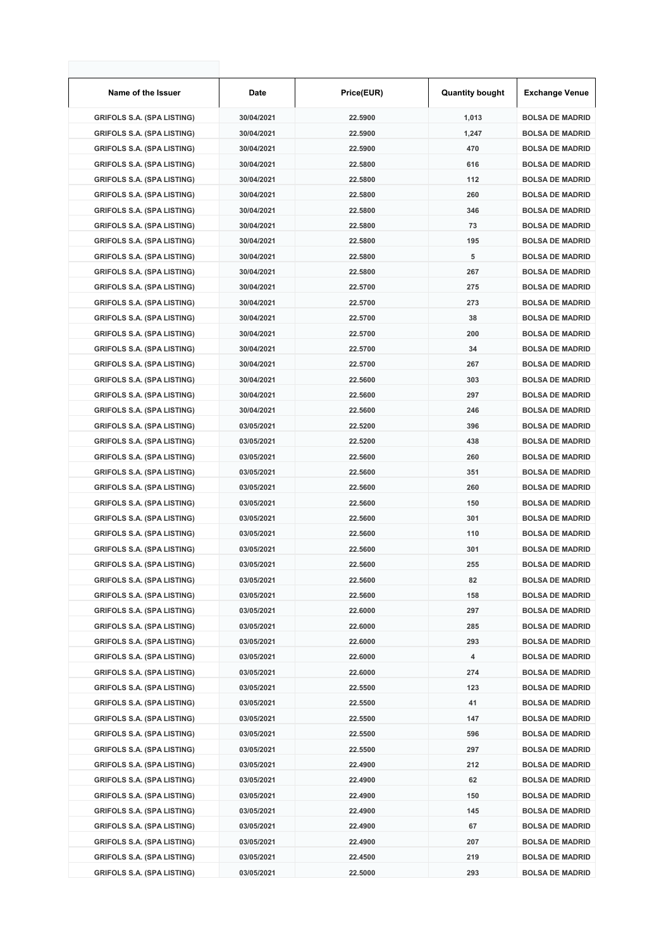| Name of the Issuer                | Date       | Price(EUR) | <b>Quantity bought</b> | <b>Exchange Venue</b>  |
|-----------------------------------|------------|------------|------------------------|------------------------|
| <b>GRIFOLS S.A. (SPA LISTING)</b> | 30/04/2021 | 22.5900    | 1,013                  | <b>BOLSA DE MADRID</b> |
| <b>GRIFOLS S.A. (SPA LISTING)</b> | 30/04/2021 | 22.5900    | 1,247                  | <b>BOLSA DE MADRID</b> |
| <b>GRIFOLS S.A. (SPA LISTING)</b> | 30/04/2021 | 22.5900    | 470                    | <b>BOLSA DE MADRID</b> |
| <b>GRIFOLS S.A. (SPA LISTING)</b> | 30/04/2021 | 22.5800    | 616                    | <b>BOLSA DE MADRID</b> |
| <b>GRIFOLS S.A. (SPA LISTING)</b> | 30/04/2021 | 22.5800    | 112                    | <b>BOLSA DE MADRID</b> |
| <b>GRIFOLS S.A. (SPA LISTING)</b> | 30/04/2021 | 22.5800    | 260                    | <b>BOLSA DE MADRID</b> |
| <b>GRIFOLS S.A. (SPA LISTING)</b> | 30/04/2021 | 22.5800    | 346                    | <b>BOLSA DE MADRID</b> |
| <b>GRIFOLS S.A. (SPA LISTING)</b> | 30/04/2021 | 22.5800    | 73                     | <b>BOLSA DE MADRID</b> |
| <b>GRIFOLS S.A. (SPA LISTING)</b> | 30/04/2021 | 22.5800    | 195                    | <b>BOLSA DE MADRID</b> |
| <b>GRIFOLS S.A. (SPA LISTING)</b> | 30/04/2021 | 22.5800    | 5                      | <b>BOLSA DE MADRID</b> |
| <b>GRIFOLS S.A. (SPA LISTING)</b> | 30/04/2021 | 22.5800    | 267                    | <b>BOLSA DE MADRID</b> |
| <b>GRIFOLS S.A. (SPA LISTING)</b> | 30/04/2021 | 22.5700    | 275                    | <b>BOLSA DE MADRID</b> |
| <b>GRIFOLS S.A. (SPA LISTING)</b> | 30/04/2021 | 22.5700    | 273                    | <b>BOLSA DE MADRID</b> |
| <b>GRIFOLS S.A. (SPA LISTING)</b> | 30/04/2021 | 22.5700    | 38                     | <b>BOLSA DE MADRID</b> |
| <b>GRIFOLS S.A. (SPA LISTING)</b> | 30/04/2021 | 22.5700    | 200                    | <b>BOLSA DE MADRID</b> |
| <b>GRIFOLS S.A. (SPA LISTING)</b> | 30/04/2021 | 22.5700    | 34                     | <b>BOLSA DE MADRID</b> |
| <b>GRIFOLS S.A. (SPA LISTING)</b> | 30/04/2021 | 22.5700    | 267                    | <b>BOLSA DE MADRID</b> |
| <b>GRIFOLS S.A. (SPA LISTING)</b> | 30/04/2021 | 22.5600    | 303                    | <b>BOLSA DE MADRID</b> |
| <b>GRIFOLS S.A. (SPA LISTING)</b> | 30/04/2021 | 22.5600    | 297                    | <b>BOLSA DE MADRID</b> |
| <b>GRIFOLS S.A. (SPA LISTING)</b> | 30/04/2021 | 22.5600    | 246                    | <b>BOLSA DE MADRID</b> |
| <b>GRIFOLS S.A. (SPA LISTING)</b> | 03/05/2021 | 22.5200    | 396                    | <b>BOLSA DE MADRID</b> |
| <b>GRIFOLS S.A. (SPA LISTING)</b> | 03/05/2021 | 22.5200    | 438                    | <b>BOLSA DE MADRID</b> |
| <b>GRIFOLS S.A. (SPA LISTING)</b> | 03/05/2021 | 22.5600    | 260                    | <b>BOLSA DE MADRID</b> |
| <b>GRIFOLS S.A. (SPA LISTING)</b> | 03/05/2021 | 22.5600    | 351                    | <b>BOLSA DE MADRID</b> |
| <b>GRIFOLS S.A. (SPA LISTING)</b> | 03/05/2021 | 22.5600    | 260                    | <b>BOLSA DE MADRID</b> |
| <b>GRIFOLS S.A. (SPA LISTING)</b> | 03/05/2021 | 22.5600    | 150                    | <b>BOLSA DE MADRID</b> |
| <b>GRIFOLS S.A. (SPA LISTING)</b> | 03/05/2021 | 22.5600    | 301                    | <b>BOLSA DE MADRID</b> |
| <b>GRIFOLS S.A. (SPA LISTING)</b> | 03/05/2021 | 22.5600    | 110                    | <b>BOLSA DE MADRID</b> |
| <b>GRIFOLS S.A. (SPA LISTING)</b> | 03/05/2021 | 22.5600    | 301                    | <b>BOLSA DE MADRID</b> |
| <b>GRIFOLS S.A. (SPA LISTING)</b> | 03/05/2021 | 22.5600    | 255                    | <b>BOLSA DE MADRID</b> |
| <b>GRIFOLS S.A. (SPA LISTING)</b> | 03/05/2021 | 22.5600    | 82                     | <b>BOLSA DE MADRID</b> |
| <b>GRIFOLS S.A. (SPA LISTING)</b> | 03/05/2021 | 22.5600    | 158                    | <b>BOLSA DE MADRID</b> |
| <b>GRIFOLS S.A. (SPA LISTING)</b> | 03/05/2021 | 22.6000    | 297                    | <b>BOLSA DE MADRID</b> |
| <b>GRIFOLS S.A. (SPA LISTING)</b> | 03/05/2021 | 22.6000    | 285                    | <b>BOLSA DE MADRID</b> |
| <b>GRIFOLS S.A. (SPA LISTING)</b> | 03/05/2021 | 22.6000    | 293                    | <b>BOLSA DE MADRID</b> |
| <b>GRIFOLS S.A. (SPA LISTING)</b> | 03/05/2021 | 22.6000    | 4                      | <b>BOLSA DE MADRID</b> |
| <b>GRIFOLS S.A. (SPA LISTING)</b> | 03/05/2021 | 22.6000    | 274                    | <b>BOLSA DE MADRID</b> |
| <b>GRIFOLS S.A. (SPA LISTING)</b> | 03/05/2021 | 22.5500    | 123                    | <b>BOLSA DE MADRID</b> |
| <b>GRIFOLS S.A. (SPA LISTING)</b> | 03/05/2021 | 22.5500    | 41                     | <b>BOLSA DE MADRID</b> |
| <b>GRIFOLS S.A. (SPA LISTING)</b> | 03/05/2021 | 22.5500    | 147                    | <b>BOLSA DE MADRID</b> |
| <b>GRIFOLS S.A. (SPA LISTING)</b> | 03/05/2021 | 22.5500    | 596                    | <b>BOLSA DE MADRID</b> |
| <b>GRIFOLS S.A. (SPA LISTING)</b> | 03/05/2021 | 22.5500    | 297                    | <b>BOLSA DE MADRID</b> |
| <b>GRIFOLS S.A. (SPA LISTING)</b> | 03/05/2021 | 22.4900    | 212                    | <b>BOLSA DE MADRID</b> |
| <b>GRIFOLS S.A. (SPA LISTING)</b> | 03/05/2021 | 22.4900    | 62                     | <b>BOLSA DE MADRID</b> |
| <b>GRIFOLS S.A. (SPA LISTING)</b> | 03/05/2021 | 22.4900    | 150                    | <b>BOLSA DE MADRID</b> |
| <b>GRIFOLS S.A. (SPA LISTING)</b> | 03/05/2021 | 22.4900    | 145                    | <b>BOLSA DE MADRID</b> |
| <b>GRIFOLS S.A. (SPA LISTING)</b> | 03/05/2021 | 22.4900    | 67                     | <b>BOLSA DE MADRID</b> |
| <b>GRIFOLS S.A. (SPA LISTING)</b> | 03/05/2021 | 22.4900    | 207                    | <b>BOLSA DE MADRID</b> |
| <b>GRIFOLS S.A. (SPA LISTING)</b> | 03/05/2021 | 22.4500    | 219                    | <b>BOLSA DE MADRID</b> |
| <b>GRIFOLS S.A. (SPA LISTING)</b> | 03/05/2021 | 22.5000    | 293                    | <b>BOLSA DE MADRID</b> |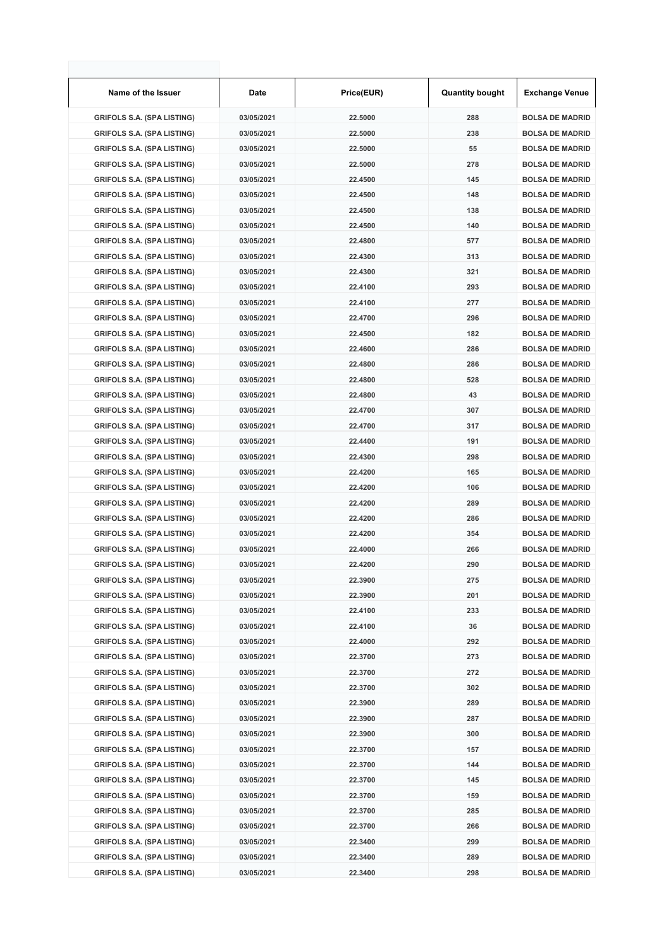| Name of the Issuer                | Date       | Price(EUR) | <b>Quantity bought</b> | <b>Exchange Venue</b>  |
|-----------------------------------|------------|------------|------------------------|------------------------|
| <b>GRIFOLS S.A. (SPA LISTING)</b> | 03/05/2021 | 22.5000    | 288                    | <b>BOLSA DE MADRID</b> |
| <b>GRIFOLS S.A. (SPA LISTING)</b> | 03/05/2021 | 22.5000    | 238                    | <b>BOLSA DE MADRID</b> |
| <b>GRIFOLS S.A. (SPA LISTING)</b> | 03/05/2021 | 22.5000    | 55                     | <b>BOLSA DE MADRID</b> |
| <b>GRIFOLS S.A. (SPA LISTING)</b> | 03/05/2021 | 22.5000    | 278                    | <b>BOLSA DE MADRID</b> |
| <b>GRIFOLS S.A. (SPA LISTING)</b> | 03/05/2021 | 22.4500    | 145                    | <b>BOLSA DE MADRID</b> |
| <b>GRIFOLS S.A. (SPA LISTING)</b> | 03/05/2021 | 22.4500    | 148                    | <b>BOLSA DE MADRID</b> |
| <b>GRIFOLS S.A. (SPA LISTING)</b> | 03/05/2021 | 22.4500    | 138                    | <b>BOLSA DE MADRID</b> |
| <b>GRIFOLS S.A. (SPA LISTING)</b> | 03/05/2021 | 22.4500    | 140                    | <b>BOLSA DE MADRID</b> |
| <b>GRIFOLS S.A. (SPA LISTING)</b> | 03/05/2021 | 22.4800    | 577                    | <b>BOLSA DE MADRID</b> |
| <b>GRIFOLS S.A. (SPA LISTING)</b> | 03/05/2021 | 22.4300    | 313                    | <b>BOLSA DE MADRID</b> |
| <b>GRIFOLS S.A. (SPA LISTING)</b> | 03/05/2021 | 22.4300    | 321                    | <b>BOLSA DE MADRID</b> |
| <b>GRIFOLS S.A. (SPA LISTING)</b> | 03/05/2021 | 22.4100    | 293                    | <b>BOLSA DE MADRID</b> |
| <b>GRIFOLS S.A. (SPA LISTING)</b> | 03/05/2021 | 22.4100    | 277                    | <b>BOLSA DE MADRID</b> |
| <b>GRIFOLS S.A. (SPA LISTING)</b> | 03/05/2021 | 22.4700    | 296                    | <b>BOLSA DE MADRID</b> |
| <b>GRIFOLS S.A. (SPA LISTING)</b> | 03/05/2021 | 22.4500    | 182                    | <b>BOLSA DE MADRID</b> |
| <b>GRIFOLS S.A. (SPA LISTING)</b> | 03/05/2021 | 22.4600    | 286                    | <b>BOLSA DE MADRID</b> |
| <b>GRIFOLS S.A. (SPA LISTING)</b> | 03/05/2021 | 22.4800    | 286                    | <b>BOLSA DE MADRID</b> |
| <b>GRIFOLS S.A. (SPA LISTING)</b> | 03/05/2021 | 22.4800    | 528                    | <b>BOLSA DE MADRID</b> |
| <b>GRIFOLS S.A. (SPA LISTING)</b> | 03/05/2021 | 22.4800    | 43                     | <b>BOLSA DE MADRID</b> |
| <b>GRIFOLS S.A. (SPA LISTING)</b> | 03/05/2021 | 22.4700    | 307                    | <b>BOLSA DE MADRID</b> |
| <b>GRIFOLS S.A. (SPA LISTING)</b> | 03/05/2021 | 22.4700    | 317                    | <b>BOLSA DE MADRID</b> |
| <b>GRIFOLS S.A. (SPA LISTING)</b> | 03/05/2021 | 22.4400    | 191                    | <b>BOLSA DE MADRID</b> |
| <b>GRIFOLS S.A. (SPA LISTING)</b> | 03/05/2021 | 22.4300    | 298                    | <b>BOLSA DE MADRID</b> |
| <b>GRIFOLS S.A. (SPA LISTING)</b> | 03/05/2021 | 22.4200    | 165                    | <b>BOLSA DE MADRID</b> |
| <b>GRIFOLS S.A. (SPA LISTING)</b> | 03/05/2021 | 22.4200    | 106                    | <b>BOLSA DE MADRID</b> |
| <b>GRIFOLS S.A. (SPA LISTING)</b> | 03/05/2021 | 22.4200    | 289                    | <b>BOLSA DE MADRID</b> |
| <b>GRIFOLS S.A. (SPA LISTING)</b> | 03/05/2021 | 22.4200    | 286                    | <b>BOLSA DE MADRID</b> |
| <b>GRIFOLS S.A. (SPA LISTING)</b> | 03/05/2021 | 22.4200    | 354                    | <b>BOLSA DE MADRID</b> |
| <b>GRIFOLS S.A. (SPA LISTING)</b> | 03/05/2021 | 22.4000    | 266                    | <b>BOLSA DE MADRID</b> |
| <b>GRIFOLS S.A. (SPA LISTING)</b> | 03/05/2021 | 22.4200    | 290                    | <b>BOLSA DE MADRID</b> |
| <b>GRIFOLS S.A. (SPA LISTING)</b> | 03/05/2021 | 22.3900    | 275                    | <b>BOLSA DE MADRID</b> |
| <b>GRIFOLS S.A. (SPA LISTING)</b> | 03/05/2021 | 22.3900    | 201                    | <b>BOLSA DE MADRID</b> |
| <b>GRIFOLS S.A. (SPA LISTING)</b> | 03/05/2021 | 22.4100    | 233                    | <b>BOLSA DE MADRID</b> |
| <b>GRIFOLS S.A. (SPA LISTING)</b> | 03/05/2021 | 22.4100    | 36                     | <b>BOLSA DE MADRID</b> |
| <b>GRIFOLS S.A. (SPA LISTING)</b> | 03/05/2021 | 22.4000    | 292                    | <b>BOLSA DE MADRID</b> |
| <b>GRIFOLS S.A. (SPA LISTING)</b> | 03/05/2021 | 22.3700    | 273                    | <b>BOLSA DE MADRID</b> |
| <b>GRIFOLS S.A. (SPA LISTING)</b> | 03/05/2021 | 22.3700    | 272                    | <b>BOLSA DE MADRID</b> |
| <b>GRIFOLS S.A. (SPA LISTING)</b> | 03/05/2021 | 22.3700    | 302                    | <b>BOLSA DE MADRID</b> |
| <b>GRIFOLS S.A. (SPA LISTING)</b> | 03/05/2021 | 22.3900    | 289                    | <b>BOLSA DE MADRID</b> |
| <b>GRIFOLS S.A. (SPA LISTING)</b> | 03/05/2021 | 22.3900    | 287                    | <b>BOLSA DE MADRID</b> |
| <b>GRIFOLS S.A. (SPA LISTING)</b> | 03/05/2021 | 22.3900    | 300                    | <b>BOLSA DE MADRID</b> |
| <b>GRIFOLS S.A. (SPA LISTING)</b> | 03/05/2021 | 22.3700    | 157                    | <b>BOLSA DE MADRID</b> |
| <b>GRIFOLS S.A. (SPA LISTING)</b> | 03/05/2021 | 22.3700    | 144                    | <b>BOLSA DE MADRID</b> |
| <b>GRIFOLS S.A. (SPA LISTING)</b> | 03/05/2021 | 22.3700    | 145                    | <b>BOLSA DE MADRID</b> |
| <b>GRIFOLS S.A. (SPA LISTING)</b> | 03/05/2021 | 22.3700    | 159                    | <b>BOLSA DE MADRID</b> |
| <b>GRIFOLS S.A. (SPA LISTING)</b> | 03/05/2021 | 22.3700    | 285                    | <b>BOLSA DE MADRID</b> |
| <b>GRIFOLS S.A. (SPA LISTING)</b> | 03/05/2021 | 22.3700    | 266                    | <b>BOLSA DE MADRID</b> |
| <b>GRIFOLS S.A. (SPA LISTING)</b> | 03/05/2021 | 22.3400    | 299                    | <b>BOLSA DE MADRID</b> |
| <b>GRIFOLS S.A. (SPA LISTING)</b> | 03/05/2021 | 22.3400    | 289                    | <b>BOLSA DE MADRID</b> |
| <b>GRIFOLS S.A. (SPA LISTING)</b> | 03/05/2021 | 22.3400    | 298                    | <b>BOLSA DE MADRID</b> |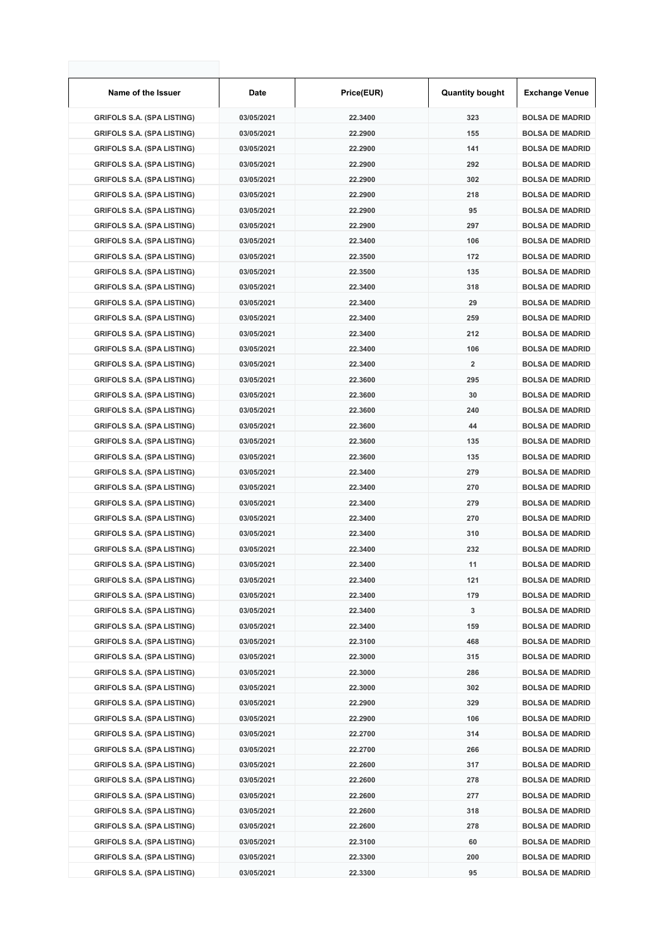| Name of the Issuer                                                     | Date                     | Price(EUR)         | <b>Quantity bought</b>  | <b>Exchange Venue</b>                            |
|------------------------------------------------------------------------|--------------------------|--------------------|-------------------------|--------------------------------------------------|
| <b>GRIFOLS S.A. (SPA LISTING)</b>                                      | 03/05/2021               | 22.3400            | 323                     | <b>BOLSA DE MADRID</b>                           |
| <b>GRIFOLS S.A. (SPA LISTING)</b>                                      | 03/05/2021               | 22.2900            | 155                     | <b>BOLSA DE MADRID</b>                           |
| <b>GRIFOLS S.A. (SPA LISTING)</b>                                      | 03/05/2021               | 22.2900            | 141                     | <b>BOLSA DE MADRID</b>                           |
| <b>GRIFOLS S.A. (SPA LISTING)</b>                                      | 03/05/2021               | 22.2900            | 292                     | <b>BOLSA DE MADRID</b>                           |
| <b>GRIFOLS S.A. (SPA LISTING)</b>                                      | 03/05/2021               | 22.2900            | 302                     | <b>BOLSA DE MADRID</b>                           |
| <b>GRIFOLS S.A. (SPA LISTING)</b>                                      | 03/05/2021               | 22.2900            | 218                     | <b>BOLSA DE MADRID</b>                           |
| <b>GRIFOLS S.A. (SPA LISTING)</b>                                      | 03/05/2021               | 22.2900            | 95                      | <b>BOLSA DE MADRID</b>                           |
| <b>GRIFOLS S.A. (SPA LISTING)</b>                                      | 03/05/2021               | 22.2900            | 297                     | <b>BOLSA DE MADRID</b>                           |
| <b>GRIFOLS S.A. (SPA LISTING)</b>                                      | 03/05/2021               | 22.3400            | 106                     | <b>BOLSA DE MADRID</b>                           |
| <b>GRIFOLS S.A. (SPA LISTING)</b>                                      | 03/05/2021               | 22.3500            | 172                     | <b>BOLSA DE MADRID</b>                           |
| <b>GRIFOLS S.A. (SPA LISTING)</b>                                      | 03/05/2021               | 22.3500            | 135                     | <b>BOLSA DE MADRID</b>                           |
| <b>GRIFOLS S.A. (SPA LISTING)</b>                                      | 03/05/2021               | 22.3400            | 318                     | <b>BOLSA DE MADRID</b>                           |
| <b>GRIFOLS S.A. (SPA LISTING)</b>                                      | 03/05/2021               | 22.3400            | 29                      | <b>BOLSA DE MADRID</b>                           |
| <b>GRIFOLS S.A. (SPA LISTING)</b>                                      | 03/05/2021               | 22.3400            | 259                     | <b>BOLSA DE MADRID</b>                           |
| <b>GRIFOLS S.A. (SPA LISTING)</b>                                      | 03/05/2021               | 22.3400            | 212                     | <b>BOLSA DE MADRID</b>                           |
| <b>GRIFOLS S.A. (SPA LISTING)</b>                                      | 03/05/2021               | 22.3400            | 106                     | <b>BOLSA DE MADRID</b>                           |
| <b>GRIFOLS S.A. (SPA LISTING)</b>                                      | 03/05/2021               | 22.3400            | $\overline{\mathbf{2}}$ | <b>BOLSA DE MADRID</b>                           |
| <b>GRIFOLS S.A. (SPA LISTING)</b>                                      | 03/05/2021               | 22.3600            | 295                     | <b>BOLSA DE MADRID</b>                           |
| <b>GRIFOLS S.A. (SPA LISTING)</b>                                      | 03/05/2021               | 22.3600            | 30                      | <b>BOLSA DE MADRID</b>                           |
| <b>GRIFOLS S.A. (SPA LISTING)</b>                                      | 03/05/2021               | 22.3600            | 240                     | <b>BOLSA DE MADRID</b>                           |
| <b>GRIFOLS S.A. (SPA LISTING)</b>                                      | 03/05/2021               | 22.3600            | 44                      | <b>BOLSA DE MADRID</b>                           |
| <b>GRIFOLS S.A. (SPA LISTING)</b>                                      | 03/05/2021               | 22.3600            | 135                     | <b>BOLSA DE MADRID</b>                           |
| <b>GRIFOLS S.A. (SPA LISTING)</b>                                      | 03/05/2021               | 22.3600            | 135                     | <b>BOLSA DE MADRID</b>                           |
| <b>GRIFOLS S.A. (SPA LISTING)</b>                                      | 03/05/2021               | 22.3400            | 279                     | <b>BOLSA DE MADRID</b>                           |
| <b>GRIFOLS S.A. (SPA LISTING)</b>                                      | 03/05/2021               | 22.3400            | 270                     | <b>BOLSA DE MADRID</b>                           |
| <b>GRIFOLS S.A. (SPA LISTING)</b>                                      | 03/05/2021               | 22.3400            | 279                     | <b>BOLSA DE MADRID</b>                           |
| <b>GRIFOLS S.A. (SPA LISTING)</b>                                      | 03/05/2021               | 22.3400            | 270                     | <b>BOLSA DE MADRID</b>                           |
| <b>GRIFOLS S.A. (SPA LISTING)</b>                                      | 03/05/2021               | 22.3400            | 310                     | <b>BOLSA DE MADRID</b>                           |
| <b>GRIFOLS S.A. (SPA LISTING)</b>                                      | 03/05/2021               | 22.3400            | 232                     | <b>BOLSA DE MADRID</b>                           |
| <b>GRIFOLS S.A. (SPA LISTING)</b>                                      | 03/05/2021               | 22.3400            | 11                      | <b>BOLSA DE MADRID</b>                           |
| <b>GRIFOLS S.A. (SPA LISTING)</b>                                      | 03/05/2021               | 22.3400            | 121                     | <b>BOLSA DE MADRID</b>                           |
| <b>GRIFOLS S.A. (SPA LISTING)</b>                                      | 03/05/2021               | 22.3400            | 179                     | <b>BOLSA DE MADRID</b>                           |
| <b>GRIFOLS S.A. (SPA LISTING)</b>                                      | 03/05/2021               | 22.3400            | 3                       | <b>BOLSA DE MADRID</b>                           |
| <b>GRIFOLS S.A. (SPA LISTING)</b>                                      | 03/05/2021               | 22.3400            | 159                     | <b>BOLSA DE MADRID</b>                           |
| <b>GRIFOLS S.A. (SPA LISTING)</b>                                      | 03/05/2021               | 22.3100            | 468                     | <b>BOLSA DE MADRID</b>                           |
| <b>GRIFOLS S.A. (SPA LISTING)</b>                                      | 03/05/2021               | 22.3000            | 315                     | <b>BOLSA DE MADRID</b>                           |
| <b>GRIFOLS S.A. (SPA LISTING)</b>                                      | 03/05/2021               | 22.3000            | 286                     | <b>BOLSA DE MADRID</b>                           |
| <b>GRIFOLS S.A. (SPA LISTING)</b>                                      | 03/05/2021               | 22.3000            | 302                     | <b>BOLSA DE MADRID</b>                           |
| <b>GRIFOLS S.A. (SPA LISTING)</b>                                      | 03/05/2021               | 22.2900            | 329                     | <b>BOLSA DE MADRID</b>                           |
| <b>GRIFOLS S.A. (SPA LISTING)</b>                                      | 03/05/2021               | 22.2900            | 106                     | <b>BOLSA DE MADRID</b>                           |
| <b>GRIFOLS S.A. (SPA LISTING)</b>                                      | 03/05/2021               | 22.2700            | 314                     | <b>BOLSA DE MADRID</b>                           |
| <b>GRIFOLS S.A. (SPA LISTING)</b>                                      | 03/05/2021               | 22.2700            | 266                     | <b>BOLSA DE MADRID</b>                           |
| <b>GRIFOLS S.A. (SPA LISTING)</b>                                      | 03/05/2021               | 22.2600            | 317                     | <b>BOLSA DE MADRID</b>                           |
| <b>GRIFOLS S.A. (SPA LISTING)</b>                                      | 03/05/2021               | 22.2600            | 278                     | <b>BOLSA DE MADRID</b>                           |
| <b>GRIFOLS S.A. (SPA LISTING)</b>                                      | 03/05/2021               | 22.2600            | 277                     | <b>BOLSA DE MADRID</b>                           |
| <b>GRIFOLS S.A. (SPA LISTING)</b>                                      | 03/05/2021               | 22.2600            | 318                     | <b>BOLSA DE MADRID</b>                           |
| <b>GRIFOLS S.A. (SPA LISTING)</b><br><b>GRIFOLS S.A. (SPA LISTING)</b> | 03/05/2021<br>03/05/2021 | 22.2600<br>22.3100 | 278<br>60               | <b>BOLSA DE MADRID</b><br><b>BOLSA DE MADRID</b> |
| <b>GRIFOLS S.A. (SPA LISTING)</b>                                      | 03/05/2021               | 22.3300            | 200                     | <b>BOLSA DE MADRID</b>                           |
| <b>GRIFOLS S.A. (SPA LISTING)</b>                                      | 03/05/2021               | 22.3300            | 95                      | <b>BOLSA DE MADRID</b>                           |
|                                                                        |                          |                    |                         |                                                  |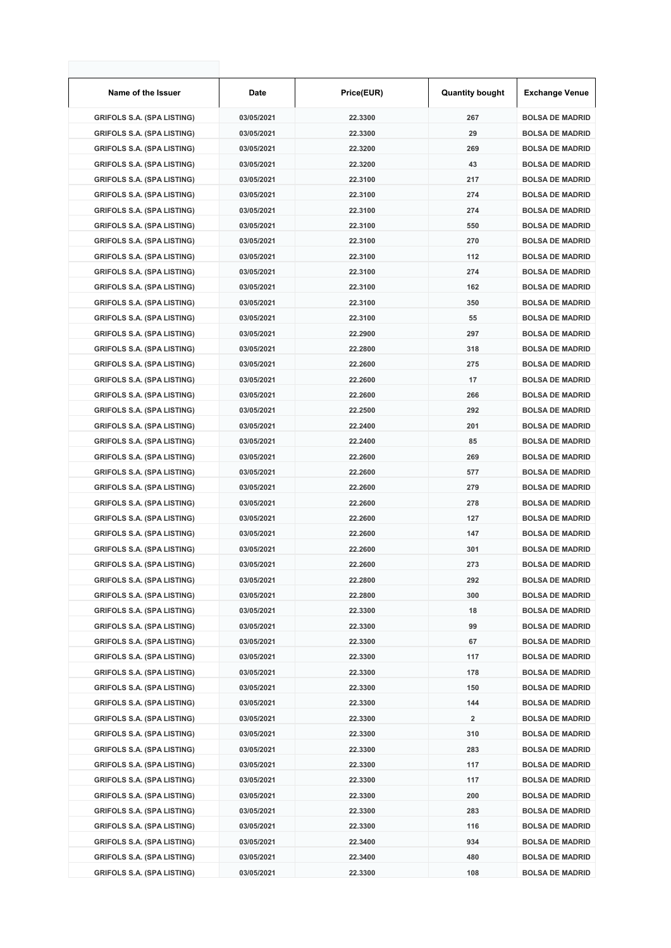| Name of the Issuer                | Date       | Price(EUR) | <b>Quantity bought</b>  | <b>Exchange Venue</b>  |
|-----------------------------------|------------|------------|-------------------------|------------------------|
| <b>GRIFOLS S.A. (SPA LISTING)</b> | 03/05/2021 | 22.3300    | 267                     | <b>BOLSA DE MADRID</b> |
| <b>GRIFOLS S.A. (SPA LISTING)</b> | 03/05/2021 | 22.3300    | 29                      | <b>BOLSA DE MADRID</b> |
| <b>GRIFOLS S.A. (SPA LISTING)</b> | 03/05/2021 | 22.3200    | 269                     | <b>BOLSA DE MADRID</b> |
| <b>GRIFOLS S.A. (SPA LISTING)</b> | 03/05/2021 | 22.3200    | 43                      | <b>BOLSA DE MADRID</b> |
| <b>GRIFOLS S.A. (SPA LISTING)</b> | 03/05/2021 | 22.3100    | 217                     | <b>BOLSA DE MADRID</b> |
| <b>GRIFOLS S.A. (SPA LISTING)</b> | 03/05/2021 | 22.3100    | 274                     | <b>BOLSA DE MADRID</b> |
| <b>GRIFOLS S.A. (SPA LISTING)</b> | 03/05/2021 | 22.3100    | 274                     | <b>BOLSA DE MADRID</b> |
| <b>GRIFOLS S.A. (SPA LISTING)</b> | 03/05/2021 | 22.3100    | 550                     | <b>BOLSA DE MADRID</b> |
| <b>GRIFOLS S.A. (SPA LISTING)</b> | 03/05/2021 | 22.3100    | 270                     | <b>BOLSA DE MADRID</b> |
| <b>GRIFOLS S.A. (SPA LISTING)</b> | 03/05/2021 | 22.3100    | 112                     | <b>BOLSA DE MADRID</b> |
| <b>GRIFOLS S.A. (SPA LISTING)</b> | 03/05/2021 | 22.3100    | 274                     | <b>BOLSA DE MADRID</b> |
| <b>GRIFOLS S.A. (SPA LISTING)</b> | 03/05/2021 | 22.3100    | 162                     | <b>BOLSA DE MADRID</b> |
| <b>GRIFOLS S.A. (SPA LISTING)</b> | 03/05/2021 | 22.3100    | 350                     | <b>BOLSA DE MADRID</b> |
| <b>GRIFOLS S.A. (SPA LISTING)</b> | 03/05/2021 | 22.3100    | 55                      | <b>BOLSA DE MADRID</b> |
| <b>GRIFOLS S.A. (SPA LISTING)</b> | 03/05/2021 | 22.2900    | 297                     | <b>BOLSA DE MADRID</b> |
| <b>GRIFOLS S.A. (SPA LISTING)</b> | 03/05/2021 | 22.2800    | 318                     | <b>BOLSA DE MADRID</b> |
| <b>GRIFOLS S.A. (SPA LISTING)</b> | 03/05/2021 | 22.2600    | 275                     | <b>BOLSA DE MADRID</b> |
| <b>GRIFOLS S.A. (SPA LISTING)</b> | 03/05/2021 | 22.2600    | 17                      | <b>BOLSA DE MADRID</b> |
| <b>GRIFOLS S.A. (SPA LISTING)</b> | 03/05/2021 | 22.2600    | 266                     | <b>BOLSA DE MADRID</b> |
| <b>GRIFOLS S.A. (SPA LISTING)</b> | 03/05/2021 | 22.2500    | 292                     | <b>BOLSA DE MADRID</b> |
| <b>GRIFOLS S.A. (SPA LISTING)</b> | 03/05/2021 | 22.2400    | 201                     | <b>BOLSA DE MADRID</b> |
| <b>GRIFOLS S.A. (SPA LISTING)</b> | 03/05/2021 | 22.2400    | 85                      | <b>BOLSA DE MADRID</b> |
| <b>GRIFOLS S.A. (SPA LISTING)</b> | 03/05/2021 | 22.2600    | 269                     | <b>BOLSA DE MADRID</b> |
| <b>GRIFOLS S.A. (SPA LISTING)</b> | 03/05/2021 | 22.2600    | 577                     | <b>BOLSA DE MADRID</b> |
| <b>GRIFOLS S.A. (SPA LISTING)</b> | 03/05/2021 | 22.2600    | 279                     | <b>BOLSA DE MADRID</b> |
| <b>GRIFOLS S.A. (SPA LISTING)</b> | 03/05/2021 | 22.2600    | 278                     | <b>BOLSA DE MADRID</b> |
| <b>GRIFOLS S.A. (SPA LISTING)</b> | 03/05/2021 | 22.2600    | 127                     | <b>BOLSA DE MADRID</b> |
| <b>GRIFOLS S.A. (SPA LISTING)</b> | 03/05/2021 | 22.2600    | 147                     | <b>BOLSA DE MADRID</b> |
| <b>GRIFOLS S.A. (SPA LISTING)</b> | 03/05/2021 | 22.2600    | 301                     | <b>BOLSA DE MADRID</b> |
| <b>GRIFOLS S.A. (SPA LISTING)</b> | 03/05/2021 | 22.2600    | 273                     | <b>BOLSA DE MADRID</b> |
| <b>GRIFOLS S.A. (SPA LISTING)</b> | 03/05/2021 | 22.2800    | 292                     | <b>BOLSA DE MADRID</b> |
| <b>GRIFOLS S.A. (SPA LISTING)</b> | 03/05/2021 | 22.2800    | 300                     | <b>BOLSA DE MADRID</b> |
| <b>GRIFOLS S.A. (SPA LISTING)</b> | 03/05/2021 | 22.3300    | 18                      | <b>BOLSA DE MADRID</b> |
| <b>GRIFOLS S.A. (SPA LISTING)</b> | 03/05/2021 | 22.3300    | 99                      | <b>BOLSA DE MADRID</b> |
| <b>GRIFOLS S.A. (SPA LISTING)</b> | 03/05/2021 | 22.3300    | 67                      | <b>BOLSA DE MADRID</b> |
| <b>GRIFOLS S.A. (SPA LISTING)</b> | 03/05/2021 | 22.3300    | 117                     | <b>BOLSA DE MADRID</b> |
| <b>GRIFOLS S.A. (SPA LISTING)</b> | 03/05/2021 | 22.3300    | 178                     | <b>BOLSA DE MADRID</b> |
| <b>GRIFOLS S.A. (SPA LISTING)</b> | 03/05/2021 | 22.3300    | 150                     | <b>BOLSA DE MADRID</b> |
| <b>GRIFOLS S.A. (SPA LISTING)</b> | 03/05/2021 | 22.3300    | 144                     | <b>BOLSA DE MADRID</b> |
| <b>GRIFOLS S.A. (SPA LISTING)</b> | 03/05/2021 | 22.3300    | $\overline{\mathbf{2}}$ | <b>BOLSA DE MADRID</b> |
| <b>GRIFOLS S.A. (SPA LISTING)</b> | 03/05/2021 | 22.3300    | 310                     | <b>BOLSA DE MADRID</b> |
| <b>GRIFOLS S.A. (SPA LISTING)</b> | 03/05/2021 | 22.3300    | 283                     | <b>BOLSA DE MADRID</b> |
| <b>GRIFOLS S.A. (SPA LISTING)</b> | 03/05/2021 | 22.3300    | 117                     | <b>BOLSA DE MADRID</b> |
| <b>GRIFOLS S.A. (SPA LISTING)</b> | 03/05/2021 | 22.3300    | 117                     | <b>BOLSA DE MADRID</b> |
| <b>GRIFOLS S.A. (SPA LISTING)</b> | 03/05/2021 | 22.3300    | 200                     | <b>BOLSA DE MADRID</b> |
| <b>GRIFOLS S.A. (SPA LISTING)</b> | 03/05/2021 | 22.3300    | 283                     | <b>BOLSA DE MADRID</b> |
| <b>GRIFOLS S.A. (SPA LISTING)</b> | 03/05/2021 | 22.3300    | 116                     | <b>BOLSA DE MADRID</b> |
| <b>GRIFOLS S.A. (SPA LISTING)</b> | 03/05/2021 | 22.3400    | 934                     | <b>BOLSA DE MADRID</b> |
| <b>GRIFOLS S.A. (SPA LISTING)</b> | 03/05/2021 | 22.3400    | 480                     | <b>BOLSA DE MADRID</b> |
| <b>GRIFOLS S.A. (SPA LISTING)</b> | 03/05/2021 | 22.3300    | 108                     | <b>BOLSA DE MADRID</b> |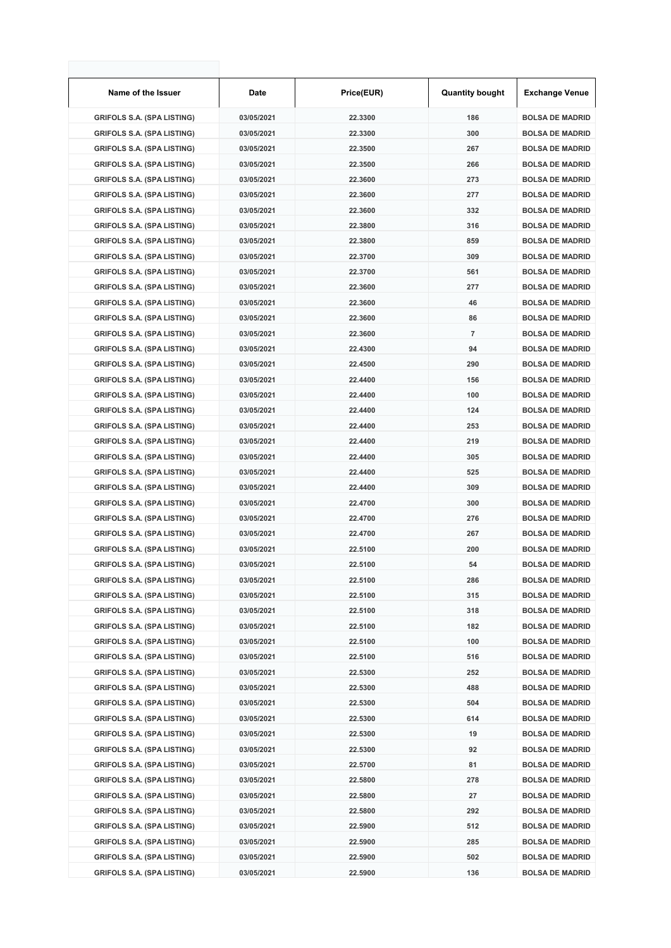| Name of the Issuer                                                     | Date                     | Price(EUR)         | <b>Quantity bought</b> | <b>Exchange Venue</b>                            |
|------------------------------------------------------------------------|--------------------------|--------------------|------------------------|--------------------------------------------------|
| <b>GRIFOLS S.A. (SPA LISTING)</b>                                      | 03/05/2021               | 22.3300            | 186                    | <b>BOLSA DE MADRID</b>                           |
| <b>GRIFOLS S.A. (SPA LISTING)</b>                                      | 03/05/2021               | 22.3300            | 300                    | <b>BOLSA DE MADRID</b>                           |
| <b>GRIFOLS S.A. (SPA LISTING)</b>                                      | 03/05/2021               | 22.3500            | 267                    | <b>BOLSA DE MADRID</b>                           |
| <b>GRIFOLS S.A. (SPA LISTING)</b>                                      | 03/05/2021               | 22.3500            | 266                    | <b>BOLSA DE MADRID</b>                           |
| <b>GRIFOLS S.A. (SPA LISTING)</b>                                      | 03/05/2021               | 22.3600            | 273                    | <b>BOLSA DE MADRID</b>                           |
| <b>GRIFOLS S.A. (SPA LISTING)</b>                                      | 03/05/2021               | 22.3600            | 277                    | <b>BOLSA DE MADRID</b>                           |
| <b>GRIFOLS S.A. (SPA LISTING)</b>                                      | 03/05/2021               | 22.3600            | 332                    | <b>BOLSA DE MADRID</b>                           |
| <b>GRIFOLS S.A. (SPA LISTING)</b>                                      | 03/05/2021               | 22.3800            | 316                    | <b>BOLSA DE MADRID</b>                           |
| <b>GRIFOLS S.A. (SPA LISTING)</b>                                      | 03/05/2021               | 22.3800            | 859                    | <b>BOLSA DE MADRID</b>                           |
| <b>GRIFOLS S.A. (SPA LISTING)</b>                                      | 03/05/2021               | 22.3700            | 309                    | <b>BOLSA DE MADRID</b>                           |
| <b>GRIFOLS S.A. (SPA LISTING)</b>                                      | 03/05/2021               | 22.3700            | 561                    | <b>BOLSA DE MADRID</b>                           |
| <b>GRIFOLS S.A. (SPA LISTING)</b>                                      | 03/05/2021               | 22.3600            | 277                    | <b>BOLSA DE MADRID</b>                           |
| <b>GRIFOLS S.A. (SPA LISTING)</b>                                      | 03/05/2021               | 22.3600            | 46                     | <b>BOLSA DE MADRID</b>                           |
| <b>GRIFOLS S.A. (SPA LISTING)</b>                                      | 03/05/2021               | 22.3600            | 86                     | <b>BOLSA DE MADRID</b>                           |
| <b>GRIFOLS S.A. (SPA LISTING)</b>                                      | 03/05/2021               | 22.3600            | 7                      | <b>BOLSA DE MADRID</b>                           |
| <b>GRIFOLS S.A. (SPA LISTING)</b>                                      | 03/05/2021               | 22.4300            | 94                     | <b>BOLSA DE MADRID</b>                           |
| <b>GRIFOLS S.A. (SPA LISTING)</b>                                      | 03/05/2021               | 22.4500            | 290                    | <b>BOLSA DE MADRID</b>                           |
| <b>GRIFOLS S.A. (SPA LISTING)</b>                                      | 03/05/2021               | 22.4400            | 156                    | <b>BOLSA DE MADRID</b>                           |
| <b>GRIFOLS S.A. (SPA LISTING)</b>                                      | 03/05/2021               | 22.4400            | 100                    | <b>BOLSA DE MADRID</b>                           |
| <b>GRIFOLS S.A. (SPA LISTING)</b>                                      | 03/05/2021               | 22.4400            | 124                    | <b>BOLSA DE MADRID</b>                           |
| <b>GRIFOLS S.A. (SPA LISTING)</b>                                      | 03/05/2021               | 22.4400            | 253                    | <b>BOLSA DE MADRID</b>                           |
| <b>GRIFOLS S.A. (SPA LISTING)</b>                                      | 03/05/2021               | 22.4400            | 219                    | <b>BOLSA DE MADRID</b>                           |
| <b>GRIFOLS S.A. (SPA LISTING)</b>                                      | 03/05/2021               | 22.4400            | 305                    | <b>BOLSA DE MADRID</b>                           |
| <b>GRIFOLS S.A. (SPA LISTING)</b>                                      | 03/05/2021               | 22.4400            | 525                    | <b>BOLSA DE MADRID</b>                           |
| <b>GRIFOLS S.A. (SPA LISTING)</b>                                      | 03/05/2021               | 22.4400            | 309                    | <b>BOLSA DE MADRID</b>                           |
| <b>GRIFOLS S.A. (SPA LISTING)</b>                                      | 03/05/2021               | 22.4700            | 300                    | <b>BOLSA DE MADRID</b>                           |
| <b>GRIFOLS S.A. (SPA LISTING)</b>                                      | 03/05/2021               | 22.4700            | 276                    | <b>BOLSA DE MADRID</b>                           |
| <b>GRIFOLS S.A. (SPA LISTING)</b>                                      | 03/05/2021               | 22.4700            | 267                    | <b>BOLSA DE MADRID</b>                           |
| <b>GRIFOLS S.A. (SPA LISTING)</b>                                      | 03/05/2021               | 22.5100            | 200                    | <b>BOLSA DE MADRID</b>                           |
| <b>GRIFOLS S.A. (SPA LISTING)</b>                                      | 03/05/2021               | 22.5100            | 54                     | <b>BOLSA DE MADRID</b>                           |
| <b>GRIFOLS S.A. (SPA LISTING)</b>                                      | 03/05/2021               | 22.5100            | 286                    | <b>BOLSA DE MADRID</b>                           |
| <b>GRIFOLS S.A. (SPA LISTING)</b>                                      | 03/05/2021               | 22.5100            | 315                    | <b>BOLSA DE MADRID</b>                           |
| <b>GRIFOLS S.A. (SPA LISTING)</b>                                      | 03/05/2021               | 22.5100            | 318                    | <b>BOLSA DE MADRID</b>                           |
| <b>GRIFOLS S.A. (SPA LISTING)</b>                                      | 03/05/2021               | 22.5100            | 182                    | <b>BOLSA DE MADRID</b>                           |
| <b>GRIFOLS S.A. (SPA LISTING)</b>                                      | 03/05/2021               | 22.5100            | 100                    | <b>BOLSA DE MADRID</b>                           |
| <b>GRIFOLS S.A. (SPA LISTING)</b>                                      | 03/05/2021               | 22.5100            | 516                    | <b>BOLSA DE MADRID</b>                           |
| <b>GRIFOLS S.A. (SPA LISTING)</b>                                      | 03/05/2021               | 22.5300            | 252                    | <b>BOLSA DE MADRID</b>                           |
| <b>GRIFOLS S.A. (SPA LISTING)</b>                                      | 03/05/2021               | 22.5300            | 488                    | <b>BOLSA DE MADRID</b>                           |
| <b>GRIFOLS S.A. (SPA LISTING)</b>                                      | 03/05/2021               | 22.5300            | 504                    | <b>BOLSA DE MADRID</b>                           |
| <b>GRIFOLS S.A. (SPA LISTING)</b>                                      | 03/05/2021               | 22.5300            | 614                    | <b>BOLSA DE MADRID</b>                           |
| <b>GRIFOLS S.A. (SPA LISTING)</b>                                      | 03/05/2021               | 22.5300            | 19                     | <b>BOLSA DE MADRID</b>                           |
| <b>GRIFOLS S.A. (SPA LISTING)</b>                                      | 03/05/2021               | 22.5300            | 92                     | <b>BOLSA DE MADRID</b>                           |
| <b>GRIFOLS S.A. (SPA LISTING)</b>                                      | 03/05/2021               | 22.5700            | 81                     | <b>BOLSA DE MADRID</b>                           |
| <b>GRIFOLS S.A. (SPA LISTING)</b>                                      | 03/05/2021               | 22.5800            | 278                    | <b>BOLSA DE MADRID</b>                           |
| <b>GRIFOLS S.A. (SPA LISTING)</b>                                      | 03/05/2021               | 22.5800            | 27                     | <b>BOLSA DE MADRID</b>                           |
| <b>GRIFOLS S.A. (SPA LISTING)</b>                                      | 03/05/2021               | 22.5800            | 292                    | <b>BOLSA DE MADRID</b>                           |
| <b>GRIFOLS S.A. (SPA LISTING)</b><br><b>GRIFOLS S.A. (SPA LISTING)</b> | 03/05/2021<br>03/05/2021 | 22.5900<br>22.5900 | 512<br>285             | <b>BOLSA DE MADRID</b><br><b>BOLSA DE MADRID</b> |
| <b>GRIFOLS S.A. (SPA LISTING)</b>                                      | 03/05/2021               | 22.5900            | 502                    | <b>BOLSA DE MADRID</b>                           |
| <b>GRIFOLS S.A. (SPA LISTING)</b>                                      | 03/05/2021               | 22.5900            | 136                    | <b>BOLSA DE MADRID</b>                           |
|                                                                        |                          |                    |                        |                                                  |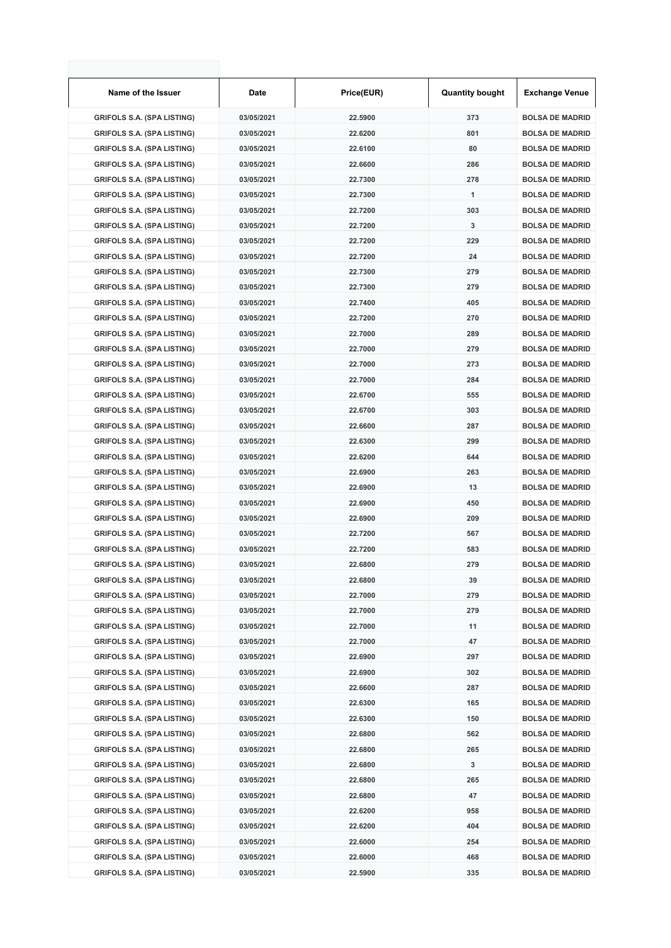| Name of the Issuer                | Date       | Price(EUR) | <b>Quantity bought</b> | <b>Exchange Venue</b>  |
|-----------------------------------|------------|------------|------------------------|------------------------|
| <b>GRIFOLS S.A. (SPA LISTING)</b> | 03/05/2021 | 22.5900    | 373                    | <b>BOLSA DE MADRID</b> |
| <b>GRIFOLS S.A. (SPA LISTING)</b> | 03/05/2021 | 22.6200    | 801                    | <b>BOLSA DE MADRID</b> |
| <b>GRIFOLS S.A. (SPA LISTING)</b> | 03/05/2021 | 22.6100    | 80                     | <b>BOLSA DE MADRID</b> |
| <b>GRIFOLS S.A. (SPA LISTING)</b> | 03/05/2021 | 22.6600    | 286                    | <b>BOLSA DE MADRID</b> |
| <b>GRIFOLS S.A. (SPA LISTING)</b> | 03/05/2021 | 22.7300    | 278                    | <b>BOLSA DE MADRID</b> |
| <b>GRIFOLS S.A. (SPA LISTING)</b> | 03/05/2021 | 22.7300    | 1                      | <b>BOLSA DE MADRID</b> |
| <b>GRIFOLS S.A. (SPA LISTING)</b> | 03/05/2021 | 22.7200    | 303                    | <b>BOLSA DE MADRID</b> |
| <b>GRIFOLS S.A. (SPA LISTING)</b> | 03/05/2021 | 22.7200    | 3                      | <b>BOLSA DE MADRID</b> |
| <b>GRIFOLS S.A. (SPA LISTING)</b> | 03/05/2021 | 22.7200    | 229                    | <b>BOLSA DE MADRID</b> |
| <b>GRIFOLS S.A. (SPA LISTING)</b> | 03/05/2021 | 22.7200    | 24                     | <b>BOLSA DE MADRID</b> |
| <b>GRIFOLS S.A. (SPA LISTING)</b> | 03/05/2021 | 22.7300    | 279                    | <b>BOLSA DE MADRID</b> |
| <b>GRIFOLS S.A. (SPA LISTING)</b> | 03/05/2021 | 22.7300    | 279                    | <b>BOLSA DE MADRID</b> |
| <b>GRIFOLS S.A. (SPA LISTING)</b> | 03/05/2021 | 22.7400    | 405                    | <b>BOLSA DE MADRID</b> |
| <b>GRIFOLS S.A. (SPA LISTING)</b> | 03/05/2021 | 22.7200    | 270                    | <b>BOLSA DE MADRID</b> |
| <b>GRIFOLS S.A. (SPA LISTING)</b> | 03/05/2021 | 22.7000    | 289                    | <b>BOLSA DE MADRID</b> |
| <b>GRIFOLS S.A. (SPA LISTING)</b> | 03/05/2021 | 22.7000    | 279                    | <b>BOLSA DE MADRID</b> |
| <b>GRIFOLS S.A. (SPA LISTING)</b> | 03/05/2021 | 22.7000    | 273                    | <b>BOLSA DE MADRID</b> |
| <b>GRIFOLS S.A. (SPA LISTING)</b> | 03/05/2021 | 22.7000    | 284                    | <b>BOLSA DE MADRID</b> |
| <b>GRIFOLS S.A. (SPA LISTING)</b> | 03/05/2021 | 22.6700    | 555                    | <b>BOLSA DE MADRID</b> |
| <b>GRIFOLS S.A. (SPA LISTING)</b> | 03/05/2021 | 22.6700    | 303                    | <b>BOLSA DE MADRID</b> |
| <b>GRIFOLS S.A. (SPA LISTING)</b> | 03/05/2021 | 22.6600    | 287                    | <b>BOLSA DE MADRID</b> |
| <b>GRIFOLS S.A. (SPA LISTING)</b> | 03/05/2021 | 22.6300    | 299                    | <b>BOLSA DE MADRID</b> |
| <b>GRIFOLS S.A. (SPA LISTING)</b> | 03/05/2021 | 22.6200    | 644                    | <b>BOLSA DE MADRID</b> |
| <b>GRIFOLS S.A. (SPA LISTING)</b> | 03/05/2021 | 22.6900    | 263                    | <b>BOLSA DE MADRID</b> |
| <b>GRIFOLS S.A. (SPA LISTING)</b> | 03/05/2021 | 22.6900    | 13                     | <b>BOLSA DE MADRID</b> |
| <b>GRIFOLS S.A. (SPA LISTING)</b> | 03/05/2021 | 22.6900    | 450                    | <b>BOLSA DE MADRID</b> |
| <b>GRIFOLS S.A. (SPA LISTING)</b> | 03/05/2021 | 22.6900    | 209                    | <b>BOLSA DE MADRID</b> |
| <b>GRIFOLS S.A. (SPA LISTING)</b> | 03/05/2021 | 22.7200    | 567                    | <b>BOLSA DE MADRID</b> |
| <b>GRIFOLS S.A. (SPA LISTING)</b> | 03/05/2021 | 22.7200    | 583                    | <b>BOLSA DE MADRID</b> |
| <b>GRIFOLS S.A. (SPA LISTING)</b> | 03/05/2021 | 22.6800    | 279                    | <b>BOLSA DE MADRID</b> |
| <b>GRIFOLS S.A. (SPA LISTING)</b> | 03/05/2021 | 22.6800    | 39                     | <b>BOLSA DE MADRID</b> |
| <b>GRIFOLS S.A. (SPA LISTING)</b> | 03/05/2021 | 22.7000    | 279                    | <b>BOLSA DE MADRID</b> |
| <b>GRIFOLS S.A. (SPA LISTING)</b> | 03/05/2021 | 22.7000    | 279                    | <b>BOLSA DE MADRID</b> |
| <b>GRIFOLS S.A. (SPA LISTING)</b> | 03/05/2021 | 22.7000    | 11                     | <b>BOLSA DE MADRID</b> |
| <b>GRIFOLS S.A. (SPA LISTING)</b> | 03/05/2021 | 22.7000    | 47                     | <b>BOLSA DE MADRID</b> |
| <b>GRIFOLS S.A. (SPA LISTING)</b> | 03/05/2021 | 22.6900    | 297                    | <b>BOLSA DE MADRID</b> |
| <b>GRIFOLS S.A. (SPA LISTING)</b> | 03/05/2021 | 22.6900    | 302                    | <b>BOLSA DE MADRID</b> |
| <b>GRIFOLS S.A. (SPA LISTING)</b> | 03/05/2021 | 22.6600    | 287                    | <b>BOLSA DE MADRID</b> |
| <b>GRIFOLS S.A. (SPA LISTING)</b> | 03/05/2021 | 22.6300    | 165                    | <b>BOLSA DE MADRID</b> |
| <b>GRIFOLS S.A. (SPA LISTING)</b> | 03/05/2021 | 22.6300    | 150                    | <b>BOLSA DE MADRID</b> |
| <b>GRIFOLS S.A. (SPA LISTING)</b> | 03/05/2021 | 22.6800    | 562                    | <b>BOLSA DE MADRID</b> |
| <b>GRIFOLS S.A. (SPA LISTING)</b> | 03/05/2021 | 22.6800    | 265                    | <b>BOLSA DE MADRID</b> |
| <b>GRIFOLS S.A. (SPA LISTING)</b> | 03/05/2021 | 22.6800    | 3                      | <b>BOLSA DE MADRID</b> |
| <b>GRIFOLS S.A. (SPA LISTING)</b> | 03/05/2021 | 22.6800    | 265                    | <b>BOLSA DE MADRID</b> |
| <b>GRIFOLS S.A. (SPA LISTING)</b> | 03/05/2021 | 22.6800    | 47                     | <b>BOLSA DE MADRID</b> |
| <b>GRIFOLS S.A. (SPA LISTING)</b> | 03/05/2021 | 22.6200    | 958                    | <b>BOLSA DE MADRID</b> |
| <b>GRIFOLS S.A. (SPA LISTING)</b> | 03/05/2021 | 22.6200    | 404                    | <b>BOLSA DE MADRID</b> |
| <b>GRIFOLS S.A. (SPA LISTING)</b> | 03/05/2021 | 22.6000    | 254                    | <b>BOLSA DE MADRID</b> |
| <b>GRIFOLS S.A. (SPA LISTING)</b> | 03/05/2021 | 22.6000    | 468                    | <b>BOLSA DE MADRID</b> |
| <b>GRIFOLS S.A. (SPA LISTING)</b> | 03/05/2021 | 22.5900    | 335                    | <b>BOLSA DE MADRID</b> |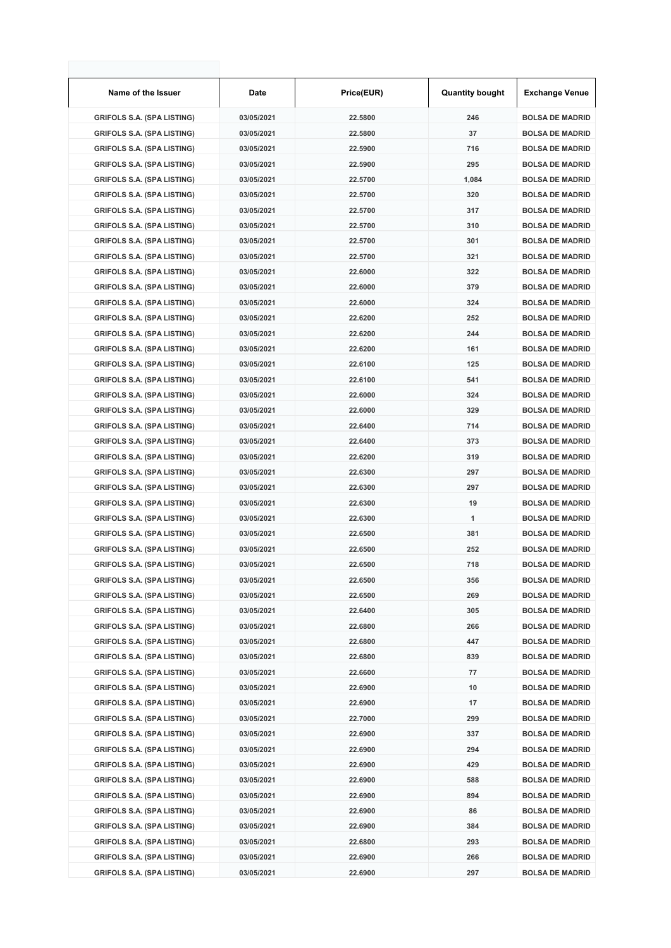| Name of the Issuer                                                     | Date                     | Price(EUR)         | <b>Quantity bought</b> | <b>Exchange Venue</b>                            |
|------------------------------------------------------------------------|--------------------------|--------------------|------------------------|--------------------------------------------------|
| <b>GRIFOLS S.A. (SPA LISTING)</b>                                      | 03/05/2021               | 22.5800            | 246                    | <b>BOLSA DE MADRID</b>                           |
| <b>GRIFOLS S.A. (SPA LISTING)</b>                                      | 03/05/2021               | 22.5800            | 37                     | <b>BOLSA DE MADRID</b>                           |
| <b>GRIFOLS S.A. (SPA LISTING)</b>                                      | 03/05/2021               | 22.5900            | 716                    | <b>BOLSA DE MADRID</b>                           |
| <b>GRIFOLS S.A. (SPA LISTING)</b>                                      | 03/05/2021               | 22.5900            | 295                    | <b>BOLSA DE MADRID</b>                           |
| <b>GRIFOLS S.A. (SPA LISTING)</b>                                      | 03/05/2021               | 22.5700            | 1,084                  | <b>BOLSA DE MADRID</b>                           |
| <b>GRIFOLS S.A. (SPA LISTING)</b>                                      | 03/05/2021               | 22.5700            | 320                    | <b>BOLSA DE MADRID</b>                           |
| <b>GRIFOLS S.A. (SPA LISTING)</b>                                      | 03/05/2021               | 22.5700            | 317                    | <b>BOLSA DE MADRID</b>                           |
| <b>GRIFOLS S.A. (SPA LISTING)</b>                                      | 03/05/2021               | 22.5700            | 310                    | <b>BOLSA DE MADRID</b>                           |
| <b>GRIFOLS S.A. (SPA LISTING)</b>                                      | 03/05/2021               | 22.5700            | 301                    | <b>BOLSA DE MADRID</b>                           |
| <b>GRIFOLS S.A. (SPA LISTING)</b>                                      | 03/05/2021               | 22.5700            | 321                    | <b>BOLSA DE MADRID</b>                           |
| <b>GRIFOLS S.A. (SPA LISTING)</b>                                      | 03/05/2021               | 22.6000            | 322                    | <b>BOLSA DE MADRID</b>                           |
| <b>GRIFOLS S.A. (SPA LISTING)</b>                                      | 03/05/2021               | 22.6000            | 379                    | <b>BOLSA DE MADRID</b>                           |
| <b>GRIFOLS S.A. (SPA LISTING)</b>                                      | 03/05/2021               | 22.6000            | 324                    | <b>BOLSA DE MADRID</b>                           |
| <b>GRIFOLS S.A. (SPA LISTING)</b>                                      | 03/05/2021               | 22.6200            | 252                    | <b>BOLSA DE MADRID</b>                           |
| <b>GRIFOLS S.A. (SPA LISTING)</b>                                      | 03/05/2021               | 22.6200            | 244                    | <b>BOLSA DE MADRID</b>                           |
| <b>GRIFOLS S.A. (SPA LISTING)</b>                                      | 03/05/2021               | 22.6200            | 161                    | <b>BOLSA DE MADRID</b>                           |
| <b>GRIFOLS S.A. (SPA LISTING)</b>                                      | 03/05/2021               | 22.6100            | 125                    | <b>BOLSA DE MADRID</b>                           |
| <b>GRIFOLS S.A. (SPA LISTING)</b>                                      | 03/05/2021               | 22.6100            | 541                    | <b>BOLSA DE MADRID</b>                           |
| <b>GRIFOLS S.A. (SPA LISTING)</b>                                      | 03/05/2021               | 22.6000            | 324                    | <b>BOLSA DE MADRID</b>                           |
| <b>GRIFOLS S.A. (SPA LISTING)</b>                                      | 03/05/2021               | 22.6000            | 329                    | <b>BOLSA DE MADRID</b>                           |
| <b>GRIFOLS S.A. (SPA LISTING)</b>                                      | 03/05/2021               | 22.6400            | 714                    | <b>BOLSA DE MADRID</b>                           |
| <b>GRIFOLS S.A. (SPA LISTING)</b>                                      | 03/05/2021               | 22.6400            | 373                    | <b>BOLSA DE MADRID</b>                           |
| <b>GRIFOLS S.A. (SPA LISTING)</b>                                      | 03/05/2021               | 22.6200            | 319                    | <b>BOLSA DE MADRID</b>                           |
| <b>GRIFOLS S.A. (SPA LISTING)</b>                                      | 03/05/2021               | 22.6300            | 297                    | <b>BOLSA DE MADRID</b>                           |
| <b>GRIFOLS S.A. (SPA LISTING)</b>                                      | 03/05/2021               | 22.6300            | 297                    | <b>BOLSA DE MADRID</b>                           |
| <b>GRIFOLS S.A. (SPA LISTING)</b>                                      | 03/05/2021               | 22.6300            | 19                     | <b>BOLSA DE MADRID</b>                           |
| <b>GRIFOLS S.A. (SPA LISTING)</b>                                      | 03/05/2021               | 22.6300            | 1                      | <b>BOLSA DE MADRID</b>                           |
| <b>GRIFOLS S.A. (SPA LISTING)</b>                                      | 03/05/2021               | 22.6500            | 381                    | <b>BOLSA DE MADRID</b>                           |
| <b>GRIFOLS S.A. (SPA LISTING)</b>                                      | 03/05/2021               | 22.6500            | 252                    | <b>BOLSA DE MADRID</b>                           |
| <b>GRIFOLS S.A. (SPA LISTING)</b>                                      | 03/05/2021               | 22.6500            | 718                    | <b>BOLSA DE MADRID</b>                           |
| <b>GRIFOLS S.A. (SPA LISTING)</b>                                      | 03/05/2021               | 22.6500            | 356                    | <b>BOLSA DE MADRID</b>                           |
| <b>GRIFOLS S.A. (SPA LISTING)</b>                                      | 03/05/2021               | 22.6500            | 269                    | <b>BOLSA DE MADRID</b>                           |
| <b>GRIFOLS S.A. (SPA LISTING)</b>                                      | 03/05/2021               | 22.6400            | 305                    | <b>BOLSA DE MADRID</b>                           |
| <b>GRIFOLS S.A. (SPA LISTING)</b>                                      | 03/05/2021               | 22.6800            | 266                    | <b>BOLSA DE MADRID</b>                           |
| <b>GRIFOLS S.A. (SPA LISTING)</b>                                      | 03/05/2021               | 22.6800            | 447                    | <b>BOLSA DE MADRID</b>                           |
| <b>GRIFOLS S.A. (SPA LISTING)</b>                                      | 03/05/2021               | 22.6800            | 839                    | <b>BOLSA DE MADRID</b>                           |
| <b>GRIFOLS S.A. (SPA LISTING)</b>                                      | 03/05/2021               | 22.6600            | 77                     | <b>BOLSA DE MADRID</b>                           |
| <b>GRIFOLS S.A. (SPA LISTING)</b>                                      | 03/05/2021               | 22.6900            | 10                     | <b>BOLSA DE MADRID</b>                           |
| <b>GRIFOLS S.A. (SPA LISTING)</b>                                      | 03/05/2021               | 22.6900            | 17                     | <b>BOLSA DE MADRID</b>                           |
| <b>GRIFOLS S.A. (SPA LISTING)</b>                                      | 03/05/2021               | 22.7000            | 299                    | <b>BOLSA DE MADRID</b>                           |
| <b>GRIFOLS S.A. (SPA LISTING)</b>                                      | 03/05/2021               | 22.6900            | 337                    | <b>BOLSA DE MADRID</b>                           |
| <b>GRIFOLS S.A. (SPA LISTING)</b>                                      | 03/05/2021               | 22.6900            | 294                    | <b>BOLSA DE MADRID</b>                           |
| <b>GRIFOLS S.A. (SPA LISTING)</b>                                      | 03/05/2021               | 22.6900            | 429                    | <b>BOLSA DE MADRID</b>                           |
| <b>GRIFOLS S.A. (SPA LISTING)</b><br><b>GRIFOLS S.A. (SPA LISTING)</b> | 03/05/2021<br>03/05/2021 | 22.6900<br>22.6900 | 588<br>894             | <b>BOLSA DE MADRID</b><br><b>BOLSA DE MADRID</b> |
| <b>GRIFOLS S.A. (SPA LISTING)</b>                                      | 03/05/2021               | 22.6900            | 86                     | <b>BOLSA DE MADRID</b>                           |
| <b>GRIFOLS S.A. (SPA LISTING)</b>                                      | 03/05/2021               | 22.6900            | 384                    | <b>BOLSA DE MADRID</b>                           |
| <b>GRIFOLS S.A. (SPA LISTING)</b>                                      | 03/05/2021               | 22.6800            | 293                    | <b>BOLSA DE MADRID</b>                           |
| <b>GRIFOLS S.A. (SPA LISTING)</b>                                      | 03/05/2021               | 22.6900            | 266                    | <b>BOLSA DE MADRID</b>                           |
| <b>GRIFOLS S.A. (SPA LISTING)</b>                                      | 03/05/2021               | 22.6900            | 297                    | <b>BOLSA DE MADRID</b>                           |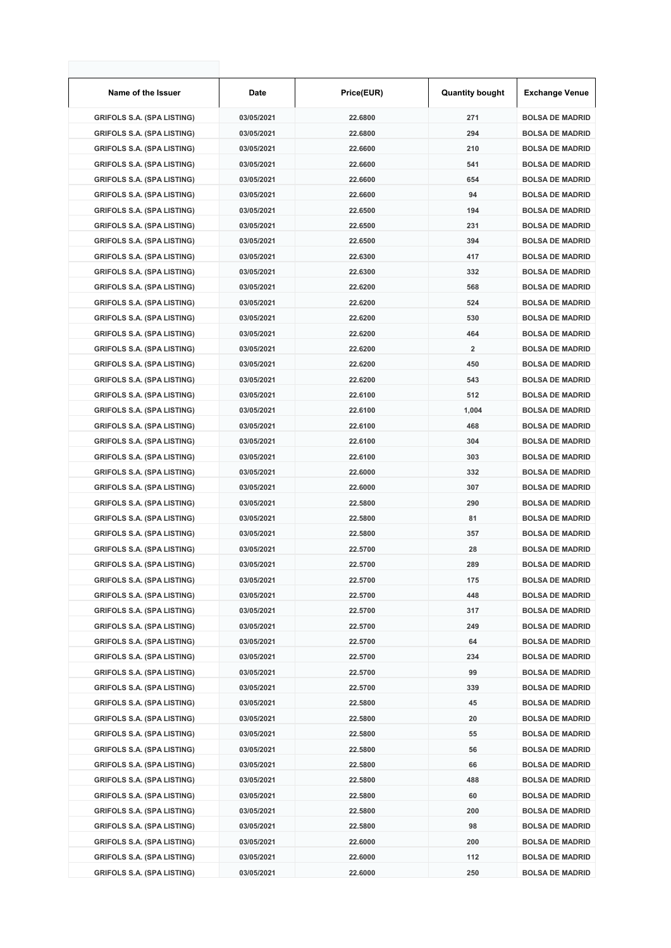| Name of the Issuer                | Date       | Price(EUR) | <b>Quantity bought</b>  | <b>Exchange Venue</b>  |
|-----------------------------------|------------|------------|-------------------------|------------------------|
| <b>GRIFOLS S.A. (SPA LISTING)</b> | 03/05/2021 | 22.6800    | 271                     | <b>BOLSA DE MADRID</b> |
| <b>GRIFOLS S.A. (SPA LISTING)</b> | 03/05/2021 | 22.6800    | 294                     | <b>BOLSA DE MADRID</b> |
| <b>GRIFOLS S.A. (SPA LISTING)</b> | 03/05/2021 | 22.6600    | 210                     | <b>BOLSA DE MADRID</b> |
| <b>GRIFOLS S.A. (SPA LISTING)</b> | 03/05/2021 | 22.6600    | 541                     | <b>BOLSA DE MADRID</b> |
| <b>GRIFOLS S.A. (SPA LISTING)</b> | 03/05/2021 | 22.6600    | 654                     | <b>BOLSA DE MADRID</b> |
| <b>GRIFOLS S.A. (SPA LISTING)</b> | 03/05/2021 | 22.6600    | 94                      | <b>BOLSA DE MADRID</b> |
| <b>GRIFOLS S.A. (SPA LISTING)</b> | 03/05/2021 | 22.6500    | 194                     | <b>BOLSA DE MADRID</b> |
| <b>GRIFOLS S.A. (SPA LISTING)</b> | 03/05/2021 | 22.6500    | 231                     | <b>BOLSA DE MADRID</b> |
| <b>GRIFOLS S.A. (SPA LISTING)</b> | 03/05/2021 | 22.6500    | 394                     | <b>BOLSA DE MADRID</b> |
| <b>GRIFOLS S.A. (SPA LISTING)</b> | 03/05/2021 | 22.6300    | 417                     | <b>BOLSA DE MADRID</b> |
| <b>GRIFOLS S.A. (SPA LISTING)</b> | 03/05/2021 | 22.6300    | 332                     | <b>BOLSA DE MADRID</b> |
| <b>GRIFOLS S.A. (SPA LISTING)</b> | 03/05/2021 | 22.6200    | 568                     | <b>BOLSA DE MADRID</b> |
| <b>GRIFOLS S.A. (SPA LISTING)</b> | 03/05/2021 | 22.6200    | 524                     | <b>BOLSA DE MADRID</b> |
| <b>GRIFOLS S.A. (SPA LISTING)</b> | 03/05/2021 | 22.6200    | 530                     | <b>BOLSA DE MADRID</b> |
| <b>GRIFOLS S.A. (SPA LISTING)</b> | 03/05/2021 | 22.6200    | 464                     | <b>BOLSA DE MADRID</b> |
| <b>GRIFOLS S.A. (SPA LISTING)</b> | 03/05/2021 | 22.6200    | $\overline{\mathbf{2}}$ | <b>BOLSA DE MADRID</b> |
| <b>GRIFOLS S.A. (SPA LISTING)</b> | 03/05/2021 | 22.6200    | 450                     | <b>BOLSA DE MADRID</b> |
| <b>GRIFOLS S.A. (SPA LISTING)</b> | 03/05/2021 | 22.6200    | 543                     | <b>BOLSA DE MADRID</b> |
| <b>GRIFOLS S.A. (SPA LISTING)</b> | 03/05/2021 | 22.6100    | 512                     | <b>BOLSA DE MADRID</b> |
| <b>GRIFOLS S.A. (SPA LISTING)</b> | 03/05/2021 | 22.6100    | 1,004                   | <b>BOLSA DE MADRID</b> |
| <b>GRIFOLS S.A. (SPA LISTING)</b> | 03/05/2021 | 22.6100    | 468                     | <b>BOLSA DE MADRID</b> |
| <b>GRIFOLS S.A. (SPA LISTING)</b> | 03/05/2021 | 22.6100    | 304                     | <b>BOLSA DE MADRID</b> |
| <b>GRIFOLS S.A. (SPA LISTING)</b> | 03/05/2021 | 22.6100    | 303                     | <b>BOLSA DE MADRID</b> |
| <b>GRIFOLS S.A. (SPA LISTING)</b> | 03/05/2021 | 22.6000    | 332                     | <b>BOLSA DE MADRID</b> |
| <b>GRIFOLS S.A. (SPA LISTING)</b> | 03/05/2021 | 22.6000    | 307                     | <b>BOLSA DE MADRID</b> |
| <b>GRIFOLS S.A. (SPA LISTING)</b> | 03/05/2021 | 22.5800    | 290                     | <b>BOLSA DE MADRID</b> |
| <b>GRIFOLS S.A. (SPA LISTING)</b> | 03/05/2021 | 22.5800    | 81                      | <b>BOLSA DE MADRID</b> |
| <b>GRIFOLS S.A. (SPA LISTING)</b> | 03/05/2021 | 22.5800    | 357                     | <b>BOLSA DE MADRID</b> |
| <b>GRIFOLS S.A. (SPA LISTING)</b> | 03/05/2021 | 22.5700    | 28                      | <b>BOLSA DE MADRID</b> |
| <b>GRIFOLS S.A. (SPA LISTING)</b> | 03/05/2021 | 22.5700    | 289                     | <b>BOLSA DE MADRID</b> |
| <b>GRIFOLS S.A. (SPA LISTING)</b> | 03/05/2021 | 22.5700    | 175                     | <b>BOLSA DE MADRID</b> |
| <b>GRIFOLS S.A. (SPA LISTING)</b> | 03/05/2021 | 22.5700    | 448                     | <b>BOLSA DE MADRID</b> |
| <b>GRIFOLS S.A. (SPA LISTING)</b> | 03/05/2021 | 22.5700    | 317                     | <b>BOLSA DE MADRID</b> |
| <b>GRIFOLS S.A. (SPA LISTING)</b> | 03/05/2021 | 22.5700    | 249                     | <b>BOLSA DE MADRID</b> |
| <b>GRIFOLS S.A. (SPA LISTING)</b> | 03/05/2021 | 22.5700    | 64                      | <b>BOLSA DE MADRID</b> |
| <b>GRIFOLS S.A. (SPA LISTING)</b> | 03/05/2021 | 22.5700    | 234                     | <b>BOLSA DE MADRID</b> |
| <b>GRIFOLS S.A. (SPA LISTING)</b> | 03/05/2021 | 22.5700    | 99                      | <b>BOLSA DE MADRID</b> |
| <b>GRIFOLS S.A. (SPA LISTING)</b> | 03/05/2021 | 22.5700    | 339                     | <b>BOLSA DE MADRID</b> |
| <b>GRIFOLS S.A. (SPA LISTING)</b> | 03/05/2021 | 22.5800    | 45                      | <b>BOLSA DE MADRID</b> |
| <b>GRIFOLS S.A. (SPA LISTING)</b> | 03/05/2021 | 22.5800    | 20                      | <b>BOLSA DE MADRID</b> |
| <b>GRIFOLS S.A. (SPA LISTING)</b> | 03/05/2021 | 22.5800    | 55                      | <b>BOLSA DE MADRID</b> |
| <b>GRIFOLS S.A. (SPA LISTING)</b> | 03/05/2021 | 22.5800    | 56                      | <b>BOLSA DE MADRID</b> |
| <b>GRIFOLS S.A. (SPA LISTING)</b> | 03/05/2021 | 22.5800    | 66                      | <b>BOLSA DE MADRID</b> |
| <b>GRIFOLS S.A. (SPA LISTING)</b> | 03/05/2021 | 22.5800    | 488                     | <b>BOLSA DE MADRID</b> |
| <b>GRIFOLS S.A. (SPA LISTING)</b> | 03/05/2021 | 22.5800    | 60                      | <b>BOLSA DE MADRID</b> |
| <b>GRIFOLS S.A. (SPA LISTING)</b> | 03/05/2021 | 22.5800    | 200                     | <b>BOLSA DE MADRID</b> |
| <b>GRIFOLS S.A. (SPA LISTING)</b> | 03/05/2021 | 22.5800    | 98                      | <b>BOLSA DE MADRID</b> |
| <b>GRIFOLS S.A. (SPA LISTING)</b> | 03/05/2021 | 22.6000    | 200                     | <b>BOLSA DE MADRID</b> |
| <b>GRIFOLS S.A. (SPA LISTING)</b> | 03/05/2021 | 22.6000    | 112                     | <b>BOLSA DE MADRID</b> |
| <b>GRIFOLS S.A. (SPA LISTING)</b> | 03/05/2021 | 22.6000    | 250                     | <b>BOLSA DE MADRID</b> |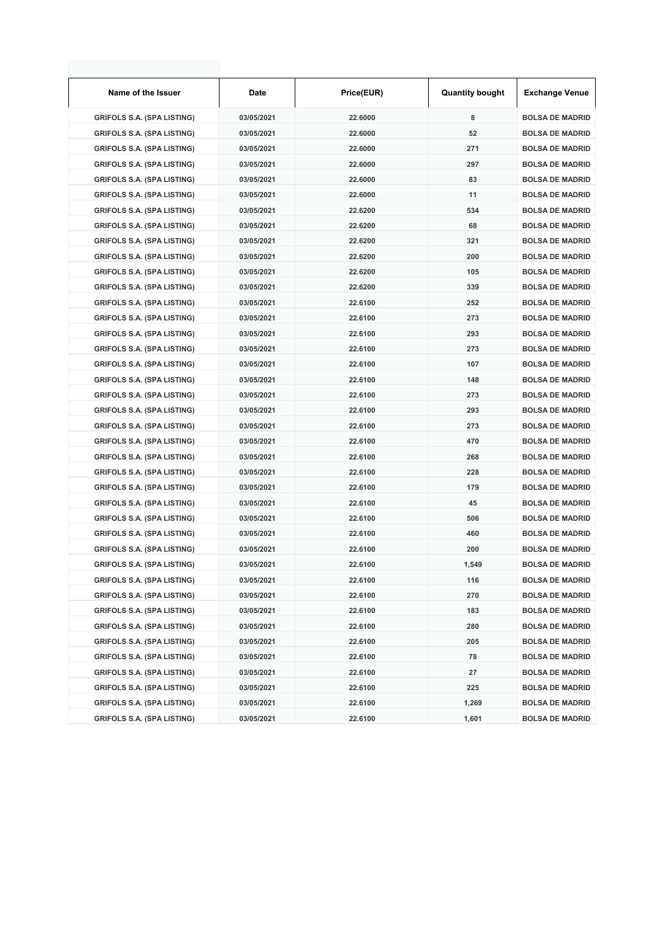| Name of the Issuer                | Date       | Price(EUR) | <b>Quantity bought</b> | <b>Exchange Venue</b>  |
|-----------------------------------|------------|------------|------------------------|------------------------|
| <b>GRIFOLS S.A. (SPA LISTING)</b> | 03/05/2021 | 22.6000    | 8                      | <b>BOLSA DE MADRID</b> |
| <b>GRIFOLS S.A. (SPA LISTING)</b> | 03/05/2021 | 22.6000    | 52                     | <b>BOLSA DE MADRID</b> |
| <b>GRIFOLS S.A. (SPA LISTING)</b> | 03/05/2021 | 22.6000    | 271                    | <b>BOLSA DE MADRID</b> |
| <b>GRIFOLS S.A. (SPA LISTING)</b> | 03/05/2021 | 22.6000    | 297                    | <b>BOLSA DE MADRID</b> |
| <b>GRIFOLS S.A. (SPA LISTING)</b> | 03/05/2021 | 22.6000    | 83                     | <b>BOLSA DE MADRID</b> |
| <b>GRIFOLS S.A. (SPA LISTING)</b> | 03/05/2021 | 22.6000    | 11                     | <b>BOLSA DE MADRID</b> |
| <b>GRIFOLS S.A. (SPA LISTING)</b> | 03/05/2021 | 22.6200    | 534                    | <b>BOLSA DE MADRID</b> |
| <b>GRIFOLS S.A. (SPA LISTING)</b> | 03/05/2021 | 22.6200    | 68                     | <b>BOLSA DE MADRID</b> |
| <b>GRIFOLS S.A. (SPA LISTING)</b> | 03/05/2021 | 22.6200    | 321                    | <b>BOLSA DE MADRID</b> |
| <b>GRIFOLS S.A. (SPA LISTING)</b> | 03/05/2021 | 22.6200    | 200                    | <b>BOLSA DE MADRID</b> |
| <b>GRIFOLS S.A. (SPA LISTING)</b> | 03/05/2021 | 22.6200    | 105                    | <b>BOLSA DE MADRID</b> |
| <b>GRIFOLS S.A. (SPA LISTING)</b> | 03/05/2021 | 22.6200    | 339                    | <b>BOLSA DE MADRID</b> |
| <b>GRIFOLS S.A. (SPA LISTING)</b> | 03/05/2021 | 22.6100    | 252                    | <b>BOLSA DE MADRID</b> |
| <b>GRIFOLS S.A. (SPA LISTING)</b> | 03/05/2021 | 22.6100    | 273                    | <b>BOLSA DE MADRID</b> |
| <b>GRIFOLS S.A. (SPA LISTING)</b> | 03/05/2021 | 22.6100    | 293                    | <b>BOLSA DE MADRID</b> |
| <b>GRIFOLS S.A. (SPA LISTING)</b> | 03/05/2021 | 22.6100    | 273                    | <b>BOLSA DE MADRID</b> |
| <b>GRIFOLS S.A. (SPA LISTING)</b> | 03/05/2021 | 22.6100    | 107                    | <b>BOLSA DE MADRID</b> |
| <b>GRIFOLS S.A. (SPA LISTING)</b> | 03/05/2021 | 22.6100    | 148                    | <b>BOLSA DE MADRID</b> |
| <b>GRIFOLS S.A. (SPA LISTING)</b> | 03/05/2021 | 22.6100    | 273                    | <b>BOLSA DE MADRID</b> |
| <b>GRIFOLS S.A. (SPA LISTING)</b> | 03/05/2021 | 22.6100    | 293                    | <b>BOLSA DE MADRID</b> |
| <b>GRIFOLS S.A. (SPA LISTING)</b> | 03/05/2021 | 22.6100    | 273                    | <b>BOLSA DE MADRID</b> |
| <b>GRIFOLS S.A. (SPA LISTING)</b> | 03/05/2021 | 22.6100    | 470                    | <b>BOLSA DE MADRID</b> |
| <b>GRIFOLS S.A. (SPA LISTING)</b> | 03/05/2021 | 22.6100    | 268                    | <b>BOLSA DE MADRID</b> |
| <b>GRIFOLS S.A. (SPA LISTING)</b> | 03/05/2021 | 22.6100    | 228                    | <b>BOLSA DE MADRID</b> |
| <b>GRIFOLS S.A. (SPA LISTING)</b> | 03/05/2021 | 22.6100    | 179                    | <b>BOLSA DE MADRID</b> |
| <b>GRIFOLS S.A. (SPA LISTING)</b> | 03/05/2021 | 22.6100    | 45                     | <b>BOLSA DE MADRID</b> |
| <b>GRIFOLS S.A. (SPA LISTING)</b> | 03/05/2021 | 22.6100    | 506                    | <b>BOLSA DE MADRID</b> |
| <b>GRIFOLS S.A. (SPA LISTING)</b> | 03/05/2021 | 22.6100    | 460                    | <b>BOLSA DE MADRID</b> |
| <b>GRIFOLS S.A. (SPA LISTING)</b> | 03/05/2021 | 22.6100    | 200                    | <b>BOLSA DE MADRID</b> |
| <b>GRIFOLS S.A. (SPA LISTING)</b> | 03/05/2021 | 22.6100    | 1,549                  | <b>BOLSA DE MADRID</b> |
| <b>GRIFOLS S.A. (SPA LISTING)</b> | 03/05/2021 | 22.6100    | 116                    | <b>BOLSA DE MADRID</b> |
| <b>GRIFOLS S.A. (SPA LISTING)</b> | 03/05/2021 | 22.6100    | 270                    | <b>BOLSA DE MADRID</b> |
| <b>GRIFOLS S.A. (SPA LISTING)</b> | 03/05/2021 | 22.6100    | 183                    | <b>BOLSA DE MADRID</b> |
| <b>GRIFOLS S.A. (SPA LISTING)</b> | 03/05/2021 | 22.6100    | 280                    | <b>BOLSA DE MADRID</b> |
| <b>GRIFOLS S.A. (SPA LISTING)</b> | 03/05/2021 | 22.6100    | 205                    | <b>BOLSA DE MADRID</b> |
| <b>GRIFOLS S.A. (SPA LISTING)</b> | 03/05/2021 | 22.6100    | 78                     | <b>BOLSA DE MADRID</b> |
| <b>GRIFOLS S.A. (SPA LISTING)</b> | 03/05/2021 | 22.6100    | 27                     | <b>BOLSA DE MADRID</b> |
| <b>GRIFOLS S.A. (SPA LISTING)</b> | 03/05/2021 | 22.6100    | 225                    | <b>BOLSA DE MADRID</b> |
| <b>GRIFOLS S.A. (SPA LISTING)</b> | 03/05/2021 | 22.6100    | 1,269                  | <b>BOLSA DE MADRID</b> |
| <b>GRIFOLS S.A. (SPA LISTING)</b> | 03/05/2021 | 22.6100    | 1,601                  | <b>BOLSA DE MADRID</b> |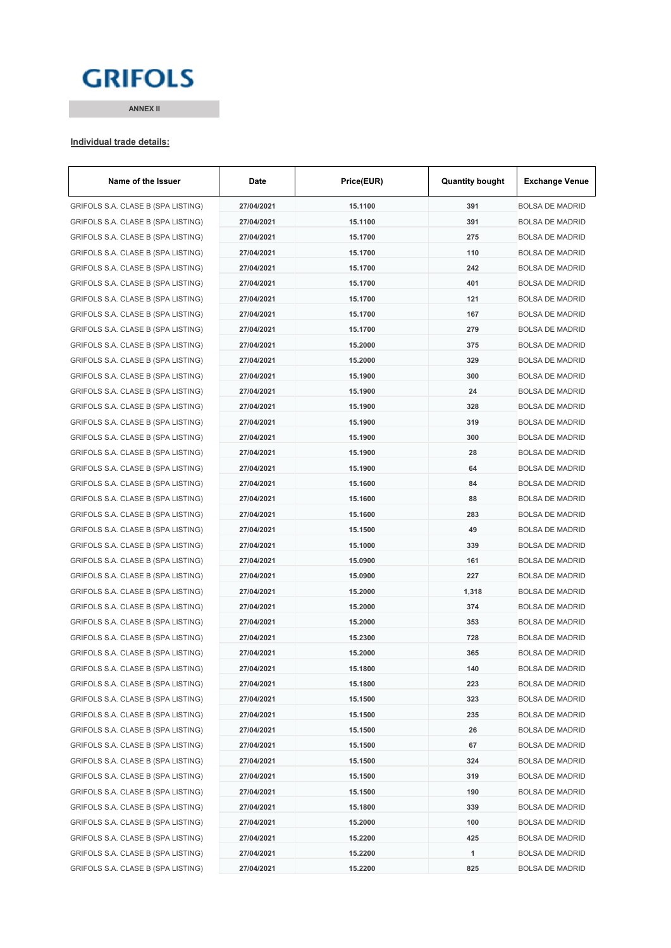# **GRIFOLS**

**ANNEX II**

#### **Individual trade details:**

| Name of the Issuer                 | Date       | Price(EUR) | <b>Quantity bought</b> | <b>Exchange Venue</b>  |
|------------------------------------|------------|------------|------------------------|------------------------|
| GRIFOLS S.A. CLASE B (SPA LISTING) | 27/04/2021 | 15.1100    | 391                    | <b>BOLSA DE MADRID</b> |
| GRIFOLS S.A. CLASE B (SPA LISTING) | 27/04/2021 | 15.1100    | 391                    | <b>BOLSA DE MADRID</b> |
| GRIFOLS S.A. CLASE B (SPA LISTING) | 27/04/2021 | 15.1700    | 275                    | <b>BOLSA DE MADRID</b> |
| GRIFOLS S.A. CLASE B (SPA LISTING) | 27/04/2021 | 15.1700    | 110                    | <b>BOLSA DE MADRID</b> |
| GRIFOLS S.A. CLASE B (SPA LISTING) | 27/04/2021 | 15.1700    | 242                    | <b>BOLSA DE MADRID</b> |
| GRIFOLS S.A. CLASE B (SPA LISTING) | 27/04/2021 | 15.1700    | 401                    | <b>BOLSA DE MADRID</b> |
| GRIFOLS S.A. CLASE B (SPA LISTING) | 27/04/2021 | 15.1700    | 121                    | <b>BOLSA DE MADRID</b> |
| GRIFOLS S.A. CLASE B (SPA LISTING) | 27/04/2021 | 15.1700    | 167                    | <b>BOLSA DE MADRID</b> |
| GRIFOLS S.A. CLASE B (SPA LISTING) | 27/04/2021 | 15.1700    | 279                    | <b>BOLSA DE MADRID</b> |
| GRIFOLS S.A. CLASE B (SPA LISTING) | 27/04/2021 | 15.2000    | 375                    | <b>BOLSA DE MADRID</b> |
| GRIFOLS S.A. CLASE B (SPA LISTING) | 27/04/2021 | 15.2000    | 329                    | <b>BOLSA DE MADRID</b> |
| GRIFOLS S.A. CLASE B (SPA LISTING) | 27/04/2021 | 15.1900    | 300                    | <b>BOLSA DE MADRID</b> |
| GRIFOLS S.A. CLASE B (SPA LISTING) | 27/04/2021 | 15.1900    | 24                     | <b>BOLSA DE MADRID</b> |
| GRIFOLS S.A. CLASE B (SPA LISTING) | 27/04/2021 | 15.1900    | 328                    | <b>BOLSA DE MADRID</b> |
| GRIFOLS S.A. CLASE B (SPA LISTING) | 27/04/2021 | 15.1900    | 319                    | <b>BOLSA DE MADRID</b> |
| GRIFOLS S.A. CLASE B (SPA LISTING) | 27/04/2021 | 15.1900    | 300                    | <b>BOLSA DE MADRID</b> |
| GRIFOLS S.A. CLASE B (SPA LISTING) | 27/04/2021 | 15.1900    | 28                     | <b>BOLSA DE MADRID</b> |
| GRIFOLS S.A. CLASE B (SPA LISTING) | 27/04/2021 | 15.1900    | 64                     | <b>BOLSA DE MADRID</b> |
| GRIFOLS S.A. CLASE B (SPA LISTING) | 27/04/2021 | 15.1600    | 84                     | <b>BOLSA DE MADRID</b> |
| GRIFOLS S.A. CLASE B (SPA LISTING) | 27/04/2021 | 15.1600    | 88                     | <b>BOLSA DE MADRID</b> |
| GRIFOLS S.A. CLASE B (SPA LISTING) | 27/04/2021 | 15.1600    | 283                    | <b>BOLSA DE MADRID</b> |
| GRIFOLS S.A. CLASE B (SPA LISTING) | 27/04/2021 | 15.1500    | 49                     | <b>BOLSA DE MADRID</b> |
| GRIFOLS S.A. CLASE B (SPA LISTING) | 27/04/2021 | 15.1000    | 339                    | <b>BOLSA DE MADRID</b> |
| GRIFOLS S.A. CLASE B (SPA LISTING) | 27/04/2021 | 15.0900    | 161                    | <b>BOLSA DE MADRID</b> |
| GRIFOLS S.A. CLASE B (SPA LISTING) | 27/04/2021 | 15.0900    | 227                    | <b>BOLSA DE MADRID</b> |
| GRIFOLS S.A. CLASE B (SPA LISTING) | 27/04/2021 | 15.2000    | 1,318                  | <b>BOLSA DE MADRID</b> |
| GRIFOLS S.A. CLASE B (SPA LISTING) | 27/04/2021 | 15.2000    | 374                    | <b>BOLSA DE MADRID</b> |
| GRIFOLS S.A. CLASE B (SPA LISTING) | 27/04/2021 | 15.2000    | 353                    | <b>BOLSA DE MADRID</b> |
| GRIFOLS S.A. CLASE B (SPA LISTING) | 27/04/2021 | 15.2300    | 728                    | <b>BOLSA DE MADRID</b> |
| GRIFOLS S.A. CLASE B (SPA LISTING) | 27/04/2021 | 15.2000    | 365                    | <b>BOLSA DE MADRID</b> |
| GRIFOLS S.A. CLASE B (SPA LISTING) | 27/04/2021 | 15.1800    | 140                    | BOLSA DE MADRID        |
| GRIFOLS S.A. CLASE B (SPA LISTING) | 27/04/2021 | 15.1800    | 223                    | <b>BOLSA DE MADRID</b> |
| GRIFOLS S.A. CLASE B (SPA LISTING) | 27/04/2021 | 15.1500    | 323                    | <b>BOLSA DE MADRID</b> |
| GRIFOLS S.A. CLASE B (SPA LISTING) | 27/04/2021 | 15.1500    | 235                    | <b>BOLSA DE MADRID</b> |
| GRIFOLS S.A. CLASE B (SPA LISTING) | 27/04/2021 | 15.1500    | 26                     | <b>BOLSA DE MADRID</b> |
| GRIFOLS S.A. CLASE B (SPA LISTING) | 27/04/2021 | 15.1500    | 67                     | <b>BOLSA DE MADRID</b> |
| GRIFOLS S.A. CLASE B (SPA LISTING) | 27/04/2021 | 15.1500    | 324                    | <b>BOLSA DE MADRID</b> |
| GRIFOLS S.A. CLASE B (SPA LISTING) | 27/04/2021 | 15.1500    | 319                    | <b>BOLSA DE MADRID</b> |
| GRIFOLS S.A. CLASE B (SPA LISTING) | 27/04/2021 | 15.1500    | 190                    | <b>BOLSA DE MADRID</b> |
| GRIFOLS S.A. CLASE B (SPA LISTING) | 27/04/2021 | 15.1800    | 339                    | <b>BOLSA DE MADRID</b> |
| GRIFOLS S.A. CLASE B (SPA LISTING) | 27/04/2021 | 15.2000    | 100                    | <b>BOLSA DE MADRID</b> |
| GRIFOLS S.A. CLASE B (SPA LISTING) | 27/04/2021 | 15.2200    | 425                    | <b>BOLSA DE MADRID</b> |
| GRIFOLS S.A. CLASE B (SPA LISTING) | 27/04/2021 | 15.2200    | 1                      | <b>BOLSA DE MADRID</b> |
| GRIFOLS S.A. CLASE B (SPA LISTING) | 27/04/2021 | 15.2200    | 825                    | <b>BOLSA DE MADRID</b> |
|                                    |            |            |                        |                        |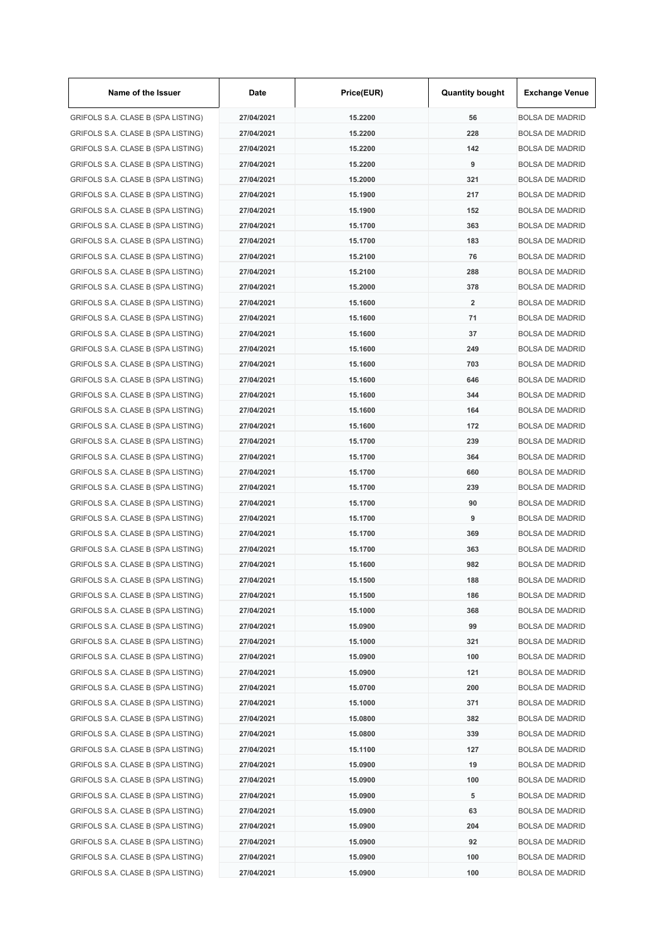| Name of the Issuer                 | Date       | Price(EUR)         | <b>Quantity bought</b>  | <b>Exchange Venue</b>  |
|------------------------------------|------------|--------------------|-------------------------|------------------------|
| GRIFOLS S.A. CLASE B (SPA LISTING) | 27/04/2021 | 15.2200            | 56                      | <b>BOLSA DE MADRID</b> |
| GRIFOLS S.A. CLASE B (SPA LISTING) | 27/04/2021 | 15.2200            | 228                     | <b>BOLSA DE MADRID</b> |
| GRIFOLS S.A. CLASE B (SPA LISTING) | 27/04/2021 | 15.2200            | 142                     | <b>BOLSA DE MADRID</b> |
| GRIFOLS S.A. CLASE B (SPA LISTING) | 27/04/2021 | 15.2200            | 9                       | <b>BOLSA DE MADRID</b> |
| GRIFOLS S.A. CLASE B (SPA LISTING) | 27/04/2021 | 15.2000            | 321                     | <b>BOLSA DE MADRID</b> |
| GRIFOLS S.A. CLASE B (SPA LISTING) | 27/04/2021 | 15.1900            | 217                     | <b>BOLSA DE MADRID</b> |
| GRIFOLS S.A. CLASE B (SPA LISTING) | 27/04/2021 | 15.1900            | 152                     | <b>BOLSA DE MADRID</b> |
| GRIFOLS S.A. CLASE B (SPA LISTING) | 27/04/2021 | 15.1700            | 363                     | <b>BOLSA DE MADRID</b> |
| GRIFOLS S.A. CLASE B (SPA LISTING) | 27/04/2021 | 15.1700            | 183                     | <b>BOLSA DE MADRID</b> |
| GRIFOLS S.A. CLASE B (SPA LISTING) | 27/04/2021 | 15.2100            | 76                      | <b>BOLSA DE MADRID</b> |
| GRIFOLS S.A. CLASE B (SPA LISTING) | 27/04/2021 | 15.2100            | 288                     | <b>BOLSA DE MADRID</b> |
| GRIFOLS S.A. CLASE B (SPA LISTING) | 27/04/2021 | 15.2000            | 378                     | <b>BOLSA DE MADRID</b> |
| GRIFOLS S.A. CLASE B (SPA LISTING) | 27/04/2021 | 15.1600            | $\overline{\mathbf{2}}$ | <b>BOLSA DE MADRID</b> |
| GRIFOLS S.A. CLASE B (SPA LISTING) | 27/04/2021 | 15.1600            | 71                      | <b>BOLSA DE MADRID</b> |
| GRIFOLS S.A. CLASE B (SPA LISTING) | 27/04/2021 | 15.1600            | 37                      | <b>BOLSA DE MADRID</b> |
| GRIFOLS S.A. CLASE B (SPA LISTING) | 27/04/2021 | 15.1600            | 249                     | <b>BOLSA DE MADRID</b> |
| GRIFOLS S.A. CLASE B (SPA LISTING) | 27/04/2021 | 15.1600            | 703                     | <b>BOLSA DE MADRID</b> |
| GRIFOLS S.A. CLASE B (SPA LISTING) | 27/04/2021 | 15.1600            | 646                     | <b>BOLSA DE MADRID</b> |
| GRIFOLS S.A. CLASE B (SPA LISTING) | 27/04/2021 | 15.1600            | 344                     | <b>BOLSA DE MADRID</b> |
| GRIFOLS S.A. CLASE B (SPA LISTING) | 27/04/2021 | 15.1600            | 164                     | <b>BOLSA DE MADRID</b> |
| GRIFOLS S.A. CLASE B (SPA LISTING) | 27/04/2021 | 15.1600            | 172                     | <b>BOLSA DE MADRID</b> |
| GRIFOLS S.A. CLASE B (SPA LISTING) | 27/04/2021 | 15.1700            | 239                     | <b>BOLSA DE MADRID</b> |
| GRIFOLS S.A. CLASE B (SPA LISTING) | 27/04/2021 | 15.1700            | 364                     | <b>BOLSA DE MADRID</b> |
| GRIFOLS S.A. CLASE B (SPA LISTING) | 27/04/2021 | 15.1700            | 660                     | <b>BOLSA DE MADRID</b> |
| GRIFOLS S.A. CLASE B (SPA LISTING) | 27/04/2021 |                    | 239                     | <b>BOLSA DE MADRID</b> |
|                                    | 27/04/2021 | 15.1700<br>15.1700 | 90                      |                        |
| GRIFOLS S.A. CLASE B (SPA LISTING) |            |                    |                         | <b>BOLSA DE MADRID</b> |
| GRIFOLS S.A. CLASE B (SPA LISTING) | 27/04/2021 | 15.1700            | 9                       | <b>BOLSA DE MADRID</b> |
| GRIFOLS S.A. CLASE B (SPA LISTING) | 27/04/2021 | 15.1700            | 369                     | <b>BOLSA DE MADRID</b> |
| GRIFOLS S.A. CLASE B (SPA LISTING) | 27/04/2021 | 15.1700            | 363                     | <b>BOLSA DE MADRID</b> |
| GRIFOLS S.A. CLASE B (SPA LISTING) | 27/04/2021 | 15.1600            | 982                     | <b>BOLSA DE MADRID</b> |
| GRIFOLS S.A. CLASE B (SPA LISTING) | 27/04/2021 | 15.1500            | 188                     | <b>BOLSA DE MADRID</b> |
| GRIFOLS S.A. CLASE B (SPA LISTING) | 27/04/2021 | 15.1500            | 186                     | <b>BOLSA DE MADRID</b> |
| GRIFOLS S.A. CLASE B (SPA LISTING) | 27/04/2021 | 15.1000            | 368                     | <b>BOLSA DE MADRID</b> |
| GRIFOLS S.A. CLASE B (SPA LISTING) | 27/04/2021 | 15.0900            | 99                      | <b>BOLSA DE MADRID</b> |
| GRIFOLS S.A. CLASE B (SPA LISTING) | 27/04/2021 | 15.1000            | 321                     | <b>BOLSA DE MADRID</b> |
| GRIFOLS S.A. CLASE B (SPA LISTING) | 27/04/2021 | 15.0900            | 100                     | <b>BOLSA DE MADRID</b> |
| GRIFOLS S.A. CLASE B (SPA LISTING) | 27/04/2021 | 15.0900            | 121                     | <b>BOLSA DE MADRID</b> |
| GRIFOLS S.A. CLASE B (SPA LISTING) | 27/04/2021 | 15.0700            | 200                     | <b>BOLSA DE MADRID</b> |
| GRIFOLS S.A. CLASE B (SPA LISTING) | 27/04/2021 | 15.1000            | 371                     | <b>BOLSA DE MADRID</b> |
| GRIFOLS S.A. CLASE B (SPA LISTING) | 27/04/2021 | 15.0800            | 382                     | <b>BOLSA DE MADRID</b> |
| GRIFOLS S.A. CLASE B (SPA LISTING) | 27/04/2021 | 15.0800            | 339                     | <b>BOLSA DE MADRID</b> |
| GRIFOLS S.A. CLASE B (SPA LISTING) | 27/04/2021 | 15.1100            | 127                     | <b>BOLSA DE MADRID</b> |
| GRIFOLS S.A. CLASE B (SPA LISTING) | 27/04/2021 | 15.0900            | 19                      | <b>BOLSA DE MADRID</b> |
| GRIFOLS S.A. CLASE B (SPA LISTING) | 27/04/2021 | 15.0900            | 100                     | <b>BOLSA DE MADRID</b> |
| GRIFOLS S.A. CLASE B (SPA LISTING) | 27/04/2021 | 15.0900            | 5                       | <b>BOLSA DE MADRID</b> |
| GRIFOLS S.A. CLASE B (SPA LISTING) | 27/04/2021 | 15.0900            | 63                      | <b>BOLSA DE MADRID</b> |
| GRIFOLS S.A. CLASE B (SPA LISTING) | 27/04/2021 | 15.0900            | 204                     | <b>BOLSA DE MADRID</b> |
| GRIFOLS S.A. CLASE B (SPA LISTING) | 27/04/2021 | 15.0900            | 92                      | <b>BOLSA DE MADRID</b> |
| GRIFOLS S.A. CLASE B (SPA LISTING) | 27/04/2021 | 15.0900            | 100                     | <b>BOLSA DE MADRID</b> |
| GRIFOLS S.A. CLASE B (SPA LISTING) | 27/04/2021 | 15.0900            | 100                     | <b>BOLSA DE MADRID</b> |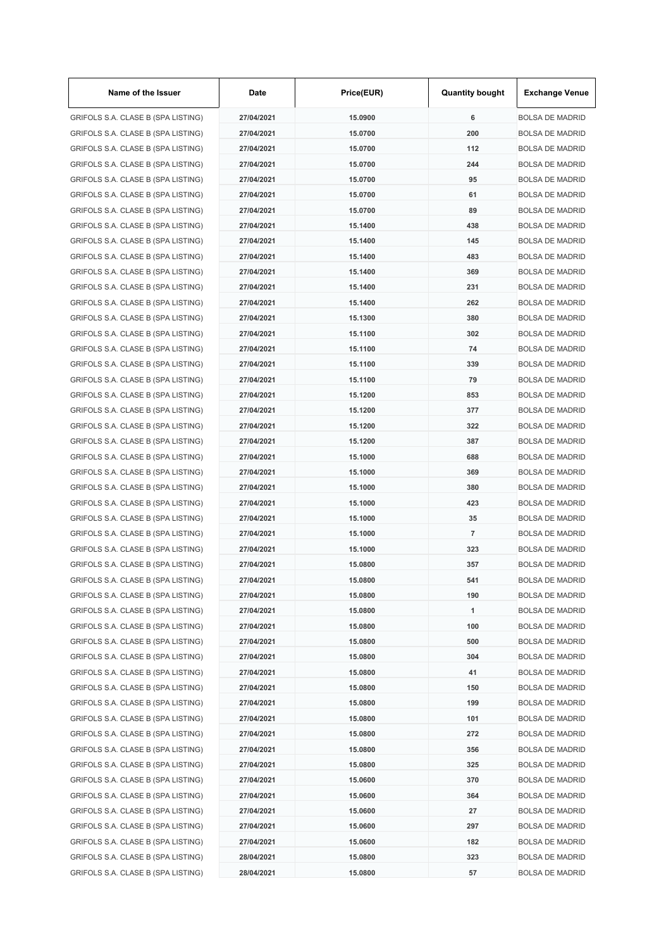| Name of the Issuer                 | Date       | Price(EUR)         | <b>Quantity bought</b> | <b>Exchange Venue</b>  |
|------------------------------------|------------|--------------------|------------------------|------------------------|
| GRIFOLS S.A. CLASE B (SPA LISTING) | 27/04/2021 | 15.0900            | 6                      | <b>BOLSA DE MADRID</b> |
| GRIFOLS S.A. CLASE B (SPA LISTING) | 27/04/2021 | 15.0700            | 200                    | <b>BOLSA DE MADRID</b> |
| GRIFOLS S.A. CLASE B (SPA LISTING) | 27/04/2021 | 15.0700            | 112                    | <b>BOLSA DE MADRID</b> |
| GRIFOLS S.A. CLASE B (SPA LISTING) | 27/04/2021 | 15.0700            | 244                    | <b>BOLSA DE MADRID</b> |
| GRIFOLS S.A. CLASE B (SPA LISTING) | 27/04/2021 | 15.0700            | 95                     | <b>BOLSA DE MADRID</b> |
| GRIFOLS S.A. CLASE B (SPA LISTING) | 27/04/2021 | 15.0700            | 61                     | <b>BOLSA DE MADRID</b> |
| GRIFOLS S.A. CLASE B (SPA LISTING) | 27/04/2021 | 15.0700            | 89                     | <b>BOLSA DE MADRID</b> |
| GRIFOLS S.A. CLASE B (SPA LISTING) | 27/04/2021 | 15.1400            | 438                    | <b>BOLSA DE MADRID</b> |
| GRIFOLS S.A. CLASE B (SPA LISTING) | 27/04/2021 | 15.1400            | 145                    | <b>BOLSA DE MADRID</b> |
| GRIFOLS S.A. CLASE B (SPA LISTING) | 27/04/2021 | 15.1400            | 483                    | <b>BOLSA DE MADRID</b> |
| GRIFOLS S.A. CLASE B (SPA LISTING) | 27/04/2021 | 15.1400            | 369                    | <b>BOLSA DE MADRID</b> |
| GRIFOLS S.A. CLASE B (SPA LISTING) | 27/04/2021 | 15.1400            | 231                    | <b>BOLSA DE MADRID</b> |
| GRIFOLS S.A. CLASE B (SPA LISTING) | 27/04/2021 | 15.1400            | 262                    | <b>BOLSA DE MADRID</b> |
| GRIFOLS S.A. CLASE B (SPA LISTING) | 27/04/2021 | 15.1300            | 380                    | <b>BOLSA DE MADRID</b> |
| GRIFOLS S.A. CLASE B (SPA LISTING) | 27/04/2021 | 15.1100            | 302                    | <b>BOLSA DE MADRID</b> |
| GRIFOLS S.A. CLASE B (SPA LISTING) | 27/04/2021 | 15.1100            | 74                     | <b>BOLSA DE MADRID</b> |
| GRIFOLS S.A. CLASE B (SPA LISTING) | 27/04/2021 | 15.1100            | 339                    | <b>BOLSA DE MADRID</b> |
| GRIFOLS S.A. CLASE B (SPA LISTING) | 27/04/2021 | 15.1100            | 79                     | <b>BOLSA DE MADRID</b> |
| GRIFOLS S.A. CLASE B (SPA LISTING) | 27/04/2021 | 15.1200            | 853                    | <b>BOLSA DE MADRID</b> |
| GRIFOLS S.A. CLASE B (SPA LISTING) | 27/04/2021 | 15.1200            | 377                    | <b>BOLSA DE MADRID</b> |
| GRIFOLS S.A. CLASE B (SPA LISTING) | 27/04/2021 | 15.1200            | 322                    | <b>BOLSA DE MADRID</b> |
| GRIFOLS S.A. CLASE B (SPA LISTING) | 27/04/2021 | 15.1200            | 387                    | <b>BOLSA DE MADRID</b> |
| GRIFOLS S.A. CLASE B (SPA LISTING) | 27/04/2021 | 15.1000            | 688                    | <b>BOLSA DE MADRID</b> |
| GRIFOLS S.A. CLASE B (SPA LISTING) | 27/04/2021 | 15.1000            | 369                    | <b>BOLSA DE MADRID</b> |
| GRIFOLS S.A. CLASE B (SPA LISTING) | 27/04/2021 | 15.1000            | 380                    | <b>BOLSA DE MADRID</b> |
| GRIFOLS S.A. CLASE B (SPA LISTING) | 27/04/2021 | 15.1000            | 423                    | <b>BOLSA DE MADRID</b> |
| GRIFOLS S.A. CLASE B (SPA LISTING) |            |                    |                        |                        |
|                                    | 27/04/2021 | 15.1000<br>15.1000 | 35<br>$\overline{7}$   | <b>BOLSA DE MADRID</b> |
| GRIFOLS S.A. CLASE B (SPA LISTING) | 27/04/2021 |                    |                        | <b>BOLSA DE MADRID</b> |
| GRIFOLS S.A. CLASE B (SPA LISTING) | 27/04/2021 | 15.1000            | 323                    | <b>BOLSA DE MADRID</b> |
| GRIFOLS S.A. CLASE B (SPA LISTING) | 27/04/2021 | 15.0800            | 357                    | <b>BOLSA DE MADRID</b> |
| GRIFOLS S.A. CLASE B (SPA LISTING) | 27/04/2021 | 15.0800            | 541                    | <b>BOLSA DE MADRID</b> |
| GRIFOLS S.A. CLASE B (SPA LISTING) | 27/04/2021 | 15.0800            | 190                    | <b>BOLSA DE MADRID</b> |
| GRIFOLS S.A. CLASE B (SPA LISTING) | 27/04/2021 | 15.0800            | 1                      | <b>BOLSA DE MADRID</b> |
| GRIFOLS S.A. CLASE B (SPA LISTING) | 27/04/2021 | 15.0800            | 100                    | <b>BOLSA DE MADRID</b> |
| GRIFOLS S.A. CLASE B (SPA LISTING) | 27/04/2021 | 15.0800            | 500                    | <b>BOLSA DE MADRID</b> |
| GRIFOLS S.A. CLASE B (SPA LISTING) | 27/04/2021 | 15.0800            | 304                    | <b>BOLSA DE MADRID</b> |
| GRIFOLS S.A. CLASE B (SPA LISTING) | 27/04/2021 | 15.0800            | 41                     | <b>BOLSA DE MADRID</b> |
| GRIFOLS S.A. CLASE B (SPA LISTING) | 27/04/2021 | 15.0800            | 150                    | <b>BOLSA DE MADRID</b> |
| GRIFOLS S.A. CLASE B (SPA LISTING) | 27/04/2021 | 15.0800            | 199                    | <b>BOLSA DE MADRID</b> |
| GRIFOLS S.A. CLASE B (SPA LISTING) | 27/04/2021 | 15.0800            | 101                    | <b>BOLSA DE MADRID</b> |
| GRIFOLS S.A. CLASE B (SPA LISTING) | 27/04/2021 | 15.0800            | 272                    | <b>BOLSA DE MADRID</b> |
| GRIFOLS S.A. CLASE B (SPA LISTING) | 27/04/2021 | 15.0800            | 356                    | <b>BOLSA DE MADRID</b> |
| GRIFOLS S.A. CLASE B (SPA LISTING) | 27/04/2021 | 15.0800            | 325                    | <b>BOLSA DE MADRID</b> |
| GRIFOLS S.A. CLASE B (SPA LISTING) | 27/04/2021 | 15.0600            | 370                    | <b>BOLSA DE MADRID</b> |
| GRIFOLS S.A. CLASE B (SPA LISTING) | 27/04/2021 | 15.0600            | 364                    | <b>BOLSA DE MADRID</b> |
| GRIFOLS S.A. CLASE B (SPA LISTING) | 27/04/2021 | 15.0600            | 27                     | <b>BOLSA DE MADRID</b> |
| GRIFOLS S.A. CLASE B (SPA LISTING) | 27/04/2021 | 15.0600            | 297                    | <b>BOLSA DE MADRID</b> |
| GRIFOLS S.A. CLASE B (SPA LISTING) | 27/04/2021 | 15.0600            | 182                    | <b>BOLSA DE MADRID</b> |
| GRIFOLS S.A. CLASE B (SPA LISTING) | 28/04/2021 | 15.0800            | 323                    | <b>BOLSA DE MADRID</b> |
| GRIFOLS S.A. CLASE B (SPA LISTING) | 28/04/2021 | 15.0800            | 57                     | <b>BOLSA DE MADRID</b> |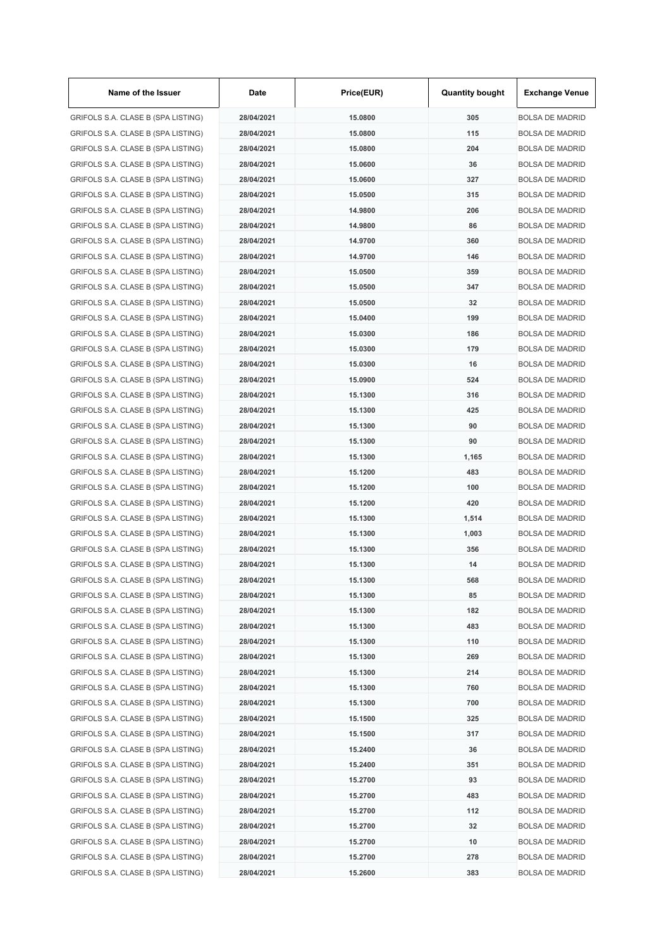| Name of the Issuer                 | Date       | Price(EUR) | <b>Quantity bought</b> | <b>Exchange Venue</b>  |
|------------------------------------|------------|------------|------------------------|------------------------|
| GRIFOLS S.A. CLASE B (SPA LISTING) | 28/04/2021 | 15.0800    | 305                    | <b>BOLSA DE MADRID</b> |
| GRIFOLS S.A. CLASE B (SPA LISTING) | 28/04/2021 | 15.0800    | 115                    | <b>BOLSA DE MADRID</b> |
| GRIFOLS S.A. CLASE B (SPA LISTING) | 28/04/2021 | 15.0800    | 204                    | <b>BOLSA DE MADRID</b> |
| GRIFOLS S.A. CLASE B (SPA LISTING) | 28/04/2021 | 15.0600    | 36                     | <b>BOLSA DE MADRID</b> |
| GRIFOLS S.A. CLASE B (SPA LISTING) | 28/04/2021 | 15.0600    | 327                    | <b>BOLSA DE MADRID</b> |
| GRIFOLS S.A. CLASE B (SPA LISTING) | 28/04/2021 | 15.0500    | 315                    | <b>BOLSA DE MADRID</b> |
| GRIFOLS S.A. CLASE B (SPA LISTING) | 28/04/2021 | 14.9800    | 206                    | <b>BOLSA DE MADRID</b> |
| GRIFOLS S.A. CLASE B (SPA LISTING) | 28/04/2021 | 14.9800    | 86                     | <b>BOLSA DE MADRID</b> |
| GRIFOLS S.A. CLASE B (SPA LISTING) | 28/04/2021 | 14.9700    | 360                    | <b>BOLSA DE MADRID</b> |
| GRIFOLS S.A. CLASE B (SPA LISTING) | 28/04/2021 | 14.9700    | 146                    | <b>BOLSA DE MADRID</b> |
| GRIFOLS S.A. CLASE B (SPA LISTING) | 28/04/2021 | 15.0500    | 359                    | <b>BOLSA DE MADRID</b> |
| GRIFOLS S.A. CLASE B (SPA LISTING) | 28/04/2021 | 15.0500    | 347                    | <b>BOLSA DE MADRID</b> |
| GRIFOLS S.A. CLASE B (SPA LISTING) | 28/04/2021 | 15.0500    | 32                     | <b>BOLSA DE MADRID</b> |
| GRIFOLS S.A. CLASE B (SPA LISTING) | 28/04/2021 | 15.0400    | 199                    | <b>BOLSA DE MADRID</b> |
| GRIFOLS S.A. CLASE B (SPA LISTING) | 28/04/2021 | 15.0300    | 186                    | <b>BOLSA DE MADRID</b> |
| GRIFOLS S.A. CLASE B (SPA LISTING) | 28/04/2021 | 15.0300    | 179                    | <b>BOLSA DE MADRID</b> |
| GRIFOLS S.A. CLASE B (SPA LISTING) | 28/04/2021 | 15.0300    | 16                     | <b>BOLSA DE MADRID</b> |
| GRIFOLS S.A. CLASE B (SPA LISTING) | 28/04/2021 | 15.0900    | 524                    | <b>BOLSA DE MADRID</b> |
| GRIFOLS S.A. CLASE B (SPA LISTING) | 28/04/2021 | 15.1300    | 316                    | <b>BOLSA DE MADRID</b> |
| GRIFOLS S.A. CLASE B (SPA LISTING) | 28/04/2021 | 15.1300    | 425                    | <b>BOLSA DE MADRID</b> |
| GRIFOLS S.A. CLASE B (SPA LISTING) | 28/04/2021 | 15.1300    | 90                     | <b>BOLSA DE MADRID</b> |
| GRIFOLS S.A. CLASE B (SPA LISTING) | 28/04/2021 | 15.1300    | 90                     | <b>BOLSA DE MADRID</b> |
| GRIFOLS S.A. CLASE B (SPA LISTING) | 28/04/2021 | 15.1300    | 1,165                  | <b>BOLSA DE MADRID</b> |
| GRIFOLS S.A. CLASE B (SPA LISTING) | 28/04/2021 | 15.1200    | 483                    | <b>BOLSA DE MADRID</b> |
| GRIFOLS S.A. CLASE B (SPA LISTING) | 28/04/2021 | 15.1200    | 100                    | <b>BOLSA DE MADRID</b> |
|                                    | 28/04/2021 | 15.1200    | 420                    |                        |
| GRIFOLS S.A. CLASE B (SPA LISTING) |            |            |                        | <b>BOLSA DE MADRID</b> |
| GRIFOLS S.A. CLASE B (SPA LISTING) | 28/04/2021 | 15.1300    | 1,514                  | <b>BOLSA DE MADRID</b> |
| GRIFOLS S.A. CLASE B (SPA LISTING) | 28/04/2021 | 15.1300    | 1,003                  | <b>BOLSA DE MADRID</b> |
| GRIFOLS S.A. CLASE B (SPA LISTING) | 28/04/2021 | 15.1300    | 356                    | <b>BOLSA DE MADRID</b> |
| GRIFOLS S.A. CLASE B (SPA LISTING) | 28/04/2021 | 15.1300    | 14                     | <b>BOLSA DE MADRID</b> |
| GRIFOLS S.A. CLASE B (SPA LISTING) | 28/04/2021 | 15.1300    | 568                    | <b>BOLSA DE MADRID</b> |
| GRIFOLS S.A. CLASE B (SPA LISTING) | 28/04/2021 | 15.1300    | 85                     | <b>BOLSA DE MADRID</b> |
| GRIFOLS S.A. CLASE B (SPA LISTING) | 28/04/2021 | 15.1300    | 182                    | <b>BOLSA DE MADRID</b> |
| GRIFOLS S.A. CLASE B (SPA LISTING) | 28/04/2021 | 15.1300    | 483                    | <b>BOLSA DE MADRID</b> |
| GRIFOLS S.A. CLASE B (SPA LISTING) | 28/04/2021 | 15.1300    | 110                    | <b>BOLSA DE MADRID</b> |
| GRIFOLS S.A. CLASE B (SPA LISTING) | 28/04/2021 | 15.1300    | 269                    | <b>BOLSA DE MADRID</b> |
| GRIFOLS S.A. CLASE B (SPA LISTING) | 28/04/2021 | 15.1300    | 214                    | <b>BOLSA DE MADRID</b> |
| GRIFOLS S.A. CLASE B (SPA LISTING) | 28/04/2021 | 15.1300    | 760                    | <b>BOLSA DE MADRID</b> |
| GRIFOLS S.A. CLASE B (SPA LISTING) | 28/04/2021 | 15.1300    | 700                    | <b>BOLSA DE MADRID</b> |
| GRIFOLS S.A. CLASE B (SPA LISTING) | 28/04/2021 | 15.1500    | 325                    | <b>BOLSA DE MADRID</b> |
| GRIFOLS S.A. CLASE B (SPA LISTING) | 28/04/2021 | 15.1500    | 317                    | <b>BOLSA DE MADRID</b> |
| GRIFOLS S.A. CLASE B (SPA LISTING) | 28/04/2021 | 15.2400    | 36                     | <b>BOLSA DE MADRID</b> |
| GRIFOLS S.A. CLASE B (SPA LISTING) | 28/04/2021 | 15.2400    | 351                    | <b>BOLSA DE MADRID</b> |
| GRIFOLS S.A. CLASE B (SPA LISTING) | 28/04/2021 | 15.2700    | 93                     | <b>BOLSA DE MADRID</b> |
| GRIFOLS S.A. CLASE B (SPA LISTING) | 28/04/2021 | 15.2700    | 483                    | <b>BOLSA DE MADRID</b> |
| GRIFOLS S.A. CLASE B (SPA LISTING) | 28/04/2021 | 15.2700    | 112                    | <b>BOLSA DE MADRID</b> |
| GRIFOLS S.A. CLASE B (SPA LISTING) | 28/04/2021 | 15.2700    | 32                     | <b>BOLSA DE MADRID</b> |
| GRIFOLS S.A. CLASE B (SPA LISTING) | 28/04/2021 | 15.2700    | 10                     | <b>BOLSA DE MADRID</b> |
| GRIFOLS S.A. CLASE B (SPA LISTING) | 28/04/2021 | 15.2700    | 278                    | <b>BOLSA DE MADRID</b> |
| GRIFOLS S.A. CLASE B (SPA LISTING) | 28/04/2021 | 15.2600    | 383                    | <b>BOLSA DE MADRID</b> |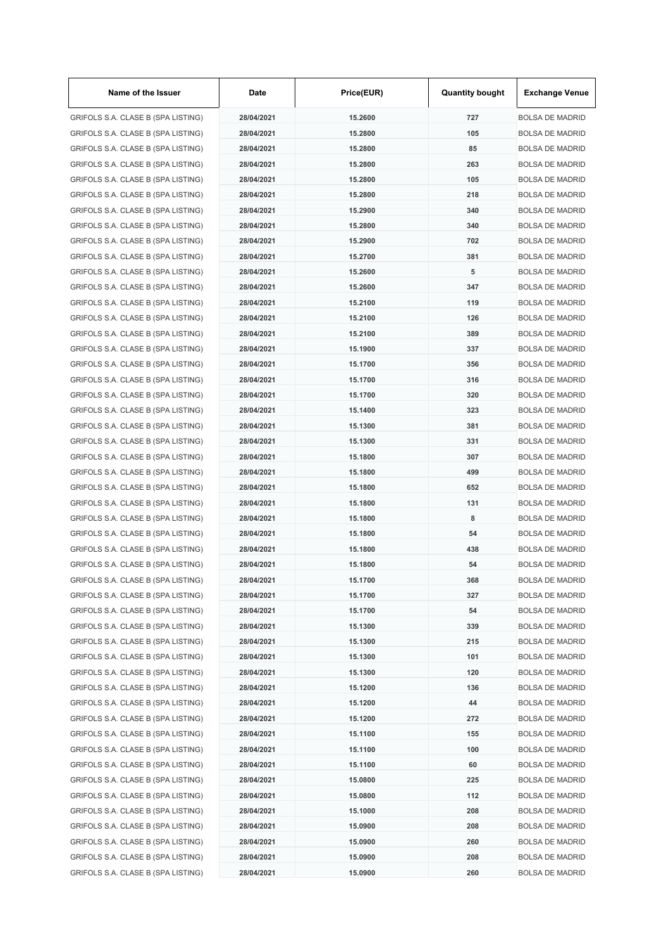| Name of the Issuer                 | Date       | Price(EUR) | <b>Quantity bought</b> | <b>Exchange Venue</b>  |
|------------------------------------|------------|------------|------------------------|------------------------|
| GRIFOLS S.A. CLASE B (SPA LISTING) | 28/04/2021 | 15.2600    | 727                    | <b>BOLSA DE MADRID</b> |
| GRIFOLS S.A. CLASE B (SPA LISTING) | 28/04/2021 | 15.2800    | 105                    | <b>BOLSA DE MADRID</b> |
| GRIFOLS S.A. CLASE B (SPA LISTING) | 28/04/2021 | 15.2800    | 85                     | <b>BOLSA DE MADRID</b> |
| GRIFOLS S.A. CLASE B (SPA LISTING) | 28/04/2021 | 15.2800    | 263                    | <b>BOLSA DE MADRID</b> |
| GRIFOLS S.A. CLASE B (SPA LISTING) | 28/04/2021 | 15.2800    | 105                    | <b>BOLSA DE MADRID</b> |
| GRIFOLS S.A. CLASE B (SPA LISTING) | 28/04/2021 | 15.2800    | 218                    | <b>BOLSA DE MADRID</b> |
| GRIFOLS S.A. CLASE B (SPA LISTING) | 28/04/2021 | 15.2900    | 340                    | <b>BOLSA DE MADRID</b> |
| GRIFOLS S.A. CLASE B (SPA LISTING) | 28/04/2021 | 15.2800    | 340                    | <b>BOLSA DE MADRID</b> |
| GRIFOLS S.A. CLASE B (SPA LISTING) | 28/04/2021 | 15.2900    | 702                    | <b>BOLSA DE MADRID</b> |
| GRIFOLS S.A. CLASE B (SPA LISTING) | 28/04/2021 | 15.2700    | 381                    | <b>BOLSA DE MADRID</b> |
| GRIFOLS S.A. CLASE B (SPA LISTING) | 28/04/2021 | 15.2600    | 5                      | <b>BOLSA DE MADRID</b> |
| GRIFOLS S.A. CLASE B (SPA LISTING) | 28/04/2021 | 15.2600    | 347                    | <b>BOLSA DE MADRID</b> |
| GRIFOLS S.A. CLASE B (SPA LISTING) | 28/04/2021 | 15.2100    | 119                    | <b>BOLSA DE MADRID</b> |
| GRIFOLS S.A. CLASE B (SPA LISTING) | 28/04/2021 | 15.2100    | 126                    | <b>BOLSA DE MADRID</b> |
| GRIFOLS S.A. CLASE B (SPA LISTING) | 28/04/2021 | 15.2100    | 389                    | <b>BOLSA DE MADRID</b> |
| GRIFOLS S.A. CLASE B (SPA LISTING) | 28/04/2021 | 15.1900    | 337                    | <b>BOLSA DE MADRID</b> |
| GRIFOLS S.A. CLASE B (SPA LISTING) | 28/04/2021 | 15.1700    | 356                    | <b>BOLSA DE MADRID</b> |
| GRIFOLS S.A. CLASE B (SPA LISTING) | 28/04/2021 | 15.1700    | 316                    | <b>BOLSA DE MADRID</b> |
| GRIFOLS S.A. CLASE B (SPA LISTING) | 28/04/2021 | 15.1700    | 320                    | <b>BOLSA DE MADRID</b> |
| GRIFOLS S.A. CLASE B (SPA LISTING) | 28/04/2021 | 15.1400    | 323                    | <b>BOLSA DE MADRID</b> |
| GRIFOLS S.A. CLASE B (SPA LISTING) | 28/04/2021 | 15.1300    | 381                    | <b>BOLSA DE MADRID</b> |
| GRIFOLS S.A. CLASE B (SPA LISTING) | 28/04/2021 | 15.1300    | 331                    | <b>BOLSA DE MADRID</b> |
| GRIFOLS S.A. CLASE B (SPA LISTING) | 28/04/2021 | 15.1800    | 307                    | <b>BOLSA DE MADRID</b> |
| GRIFOLS S.A. CLASE B (SPA LISTING) | 28/04/2021 | 15.1800    | 499                    | <b>BOLSA DE MADRID</b> |
| GRIFOLS S.A. CLASE B (SPA LISTING) | 28/04/2021 | 15.1800    | 652                    | <b>BOLSA DE MADRID</b> |
|                                    | 28/04/2021 | 15.1800    | 131                    |                        |
| GRIFOLS S.A. CLASE B (SPA LISTING) |            |            |                        | <b>BOLSA DE MADRID</b> |
| GRIFOLS S.A. CLASE B (SPA LISTING) | 28/04/2021 | 15.1800    | 8                      | <b>BOLSA DE MADRID</b> |
| GRIFOLS S.A. CLASE B (SPA LISTING) | 28/04/2021 | 15.1800    | 54                     | <b>BOLSA DE MADRID</b> |
| GRIFOLS S.A. CLASE B (SPA LISTING) | 28/04/2021 | 15.1800    | 438                    | <b>BOLSA DE MADRID</b> |
| GRIFOLS S.A. CLASE B (SPA LISTING) | 28/04/2021 | 15.1800    | 54                     | <b>BOLSA DE MADRID</b> |
| GRIFOLS S.A. CLASE B (SPA LISTING) | 28/04/2021 | 15.1700    | 368                    | <b>BOLSA DE MADRID</b> |
| GRIFOLS S.A. CLASE B (SPA LISTING) | 28/04/2021 | 15.1700    | 327                    | <b>BOLSA DE MADRID</b> |
| GRIFOLS S.A. CLASE B (SPA LISTING) | 28/04/2021 | 15.1700    | 54                     | <b>BOLSA DE MADRID</b> |
| GRIFOLS S.A. CLASE B (SPA LISTING) | 28/04/2021 | 15.1300    | 339                    | <b>BOLSA DE MADRID</b> |
| GRIFOLS S.A. CLASE B (SPA LISTING) | 28/04/2021 | 15.1300    | 215                    | <b>BOLSA DE MADRID</b> |
| GRIFOLS S.A. CLASE B (SPA LISTING) | 28/04/2021 | 15.1300    | 101                    | <b>BOLSA DE MADRID</b> |
| GRIFOLS S.A. CLASE B (SPA LISTING) | 28/04/2021 | 15.1300    | 120                    | <b>BOLSA DE MADRID</b> |
| GRIFOLS S.A. CLASE B (SPA LISTING) | 28/04/2021 | 15.1200    | 136                    | <b>BOLSA DE MADRID</b> |
| GRIFOLS S.A. CLASE B (SPA LISTING) | 28/04/2021 | 15.1200    | 44                     | <b>BOLSA DE MADRID</b> |
| GRIFOLS S.A. CLASE B (SPA LISTING) | 28/04/2021 | 15.1200    | 272                    | <b>BOLSA DE MADRID</b> |
| GRIFOLS S.A. CLASE B (SPA LISTING) | 28/04/2021 | 15.1100    | 155                    | <b>BOLSA DE MADRID</b> |
| GRIFOLS S.A. CLASE B (SPA LISTING) | 28/04/2021 | 15.1100    | 100                    | <b>BOLSA DE MADRID</b> |
| GRIFOLS S.A. CLASE B (SPA LISTING) | 28/04/2021 | 15.1100    | 60                     | <b>BOLSA DE MADRID</b> |
| GRIFOLS S.A. CLASE B (SPA LISTING) | 28/04/2021 | 15.0800    | 225                    | <b>BOLSA DE MADRID</b> |
| GRIFOLS S.A. CLASE B (SPA LISTING) | 28/04/2021 | 15.0800    | 112                    | <b>BOLSA DE MADRID</b> |
| GRIFOLS S.A. CLASE B (SPA LISTING) | 28/04/2021 | 15.1000    | 208                    | <b>BOLSA DE MADRID</b> |
| GRIFOLS S.A. CLASE B (SPA LISTING) | 28/04/2021 | 15.0900    | 208                    | <b>BOLSA DE MADRID</b> |
| GRIFOLS S.A. CLASE B (SPA LISTING) | 28/04/2021 | 15.0900    | 260                    | <b>BOLSA DE MADRID</b> |
| GRIFOLS S.A. CLASE B (SPA LISTING) | 28/04/2021 | 15.0900    | 208                    | <b>BOLSA DE MADRID</b> |
| GRIFOLS S.A. CLASE B (SPA LISTING) | 28/04/2021 | 15.0900    | 260                    | <b>BOLSA DE MADRID</b> |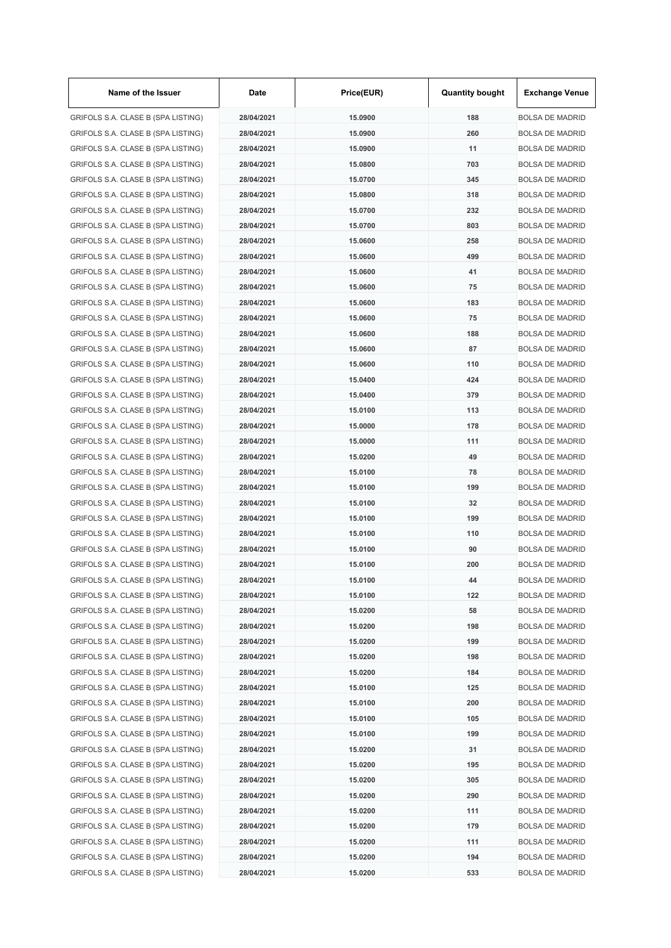| Name of the Issuer                 | Date       | Price(EUR)         | <b>Quantity bought</b> | <b>Exchange Venue</b>  |
|------------------------------------|------------|--------------------|------------------------|------------------------|
| GRIFOLS S.A. CLASE B (SPA LISTING) | 28/04/2021 | 15.0900            | 188                    | <b>BOLSA DE MADRID</b> |
| GRIFOLS S.A. CLASE B (SPA LISTING) | 28/04/2021 | 15.0900            | 260                    | <b>BOLSA DE MADRID</b> |
| GRIFOLS S.A. CLASE B (SPA LISTING) | 28/04/2021 | 15.0900            | 11                     | <b>BOLSA DE MADRID</b> |
| GRIFOLS S.A. CLASE B (SPA LISTING) | 28/04/2021 | 15.0800            | 703                    | <b>BOLSA DE MADRID</b> |
| GRIFOLS S.A. CLASE B (SPA LISTING) | 28/04/2021 | 15.0700            | 345                    | <b>BOLSA DE MADRID</b> |
| GRIFOLS S.A. CLASE B (SPA LISTING) | 28/04/2021 | 15.0800            | 318                    | <b>BOLSA DE MADRID</b> |
| GRIFOLS S.A. CLASE B (SPA LISTING) | 28/04/2021 | 15.0700            | 232                    | <b>BOLSA DE MADRID</b> |
| GRIFOLS S.A. CLASE B (SPA LISTING) | 28/04/2021 | 15.0700            | 803                    | <b>BOLSA DE MADRID</b> |
| GRIFOLS S.A. CLASE B (SPA LISTING) | 28/04/2021 | 15.0600            | 258                    | <b>BOLSA DE MADRID</b> |
| GRIFOLS S.A. CLASE B (SPA LISTING) | 28/04/2021 | 15.0600            | 499                    | <b>BOLSA DE MADRID</b> |
| GRIFOLS S.A. CLASE B (SPA LISTING) | 28/04/2021 | 15.0600            | 41                     | <b>BOLSA DE MADRID</b> |
| GRIFOLS S.A. CLASE B (SPA LISTING) | 28/04/2021 | 15.0600            | 75                     | <b>BOLSA DE MADRID</b> |
| GRIFOLS S.A. CLASE B (SPA LISTING) | 28/04/2021 | 15.0600            | 183                    | <b>BOLSA DE MADRID</b> |
| GRIFOLS S.A. CLASE B (SPA LISTING) | 28/04/2021 | 15.0600            | 75                     | <b>BOLSA DE MADRID</b> |
| GRIFOLS S.A. CLASE B (SPA LISTING) | 28/04/2021 | 15.0600            | 188                    | <b>BOLSA DE MADRID</b> |
| GRIFOLS S.A. CLASE B (SPA LISTING) | 28/04/2021 | 15.0600            | 87                     | <b>BOLSA DE MADRID</b> |
| GRIFOLS S.A. CLASE B (SPA LISTING) | 28/04/2021 | 15.0600            | 110                    | <b>BOLSA DE MADRID</b> |
| GRIFOLS S.A. CLASE B (SPA LISTING) | 28/04/2021 | 15.0400            | 424                    | <b>BOLSA DE MADRID</b> |
| GRIFOLS S.A. CLASE B (SPA LISTING) | 28/04/2021 | 15.0400            | 379                    | <b>BOLSA DE MADRID</b> |
| GRIFOLS S.A. CLASE B (SPA LISTING) | 28/04/2021 | 15.0100            | 113                    | <b>BOLSA DE MADRID</b> |
| GRIFOLS S.A. CLASE B (SPA LISTING) | 28/04/2021 | 15.0000            | 178                    | <b>BOLSA DE MADRID</b> |
| GRIFOLS S.A. CLASE B (SPA LISTING) | 28/04/2021 | 15.0000            | 111                    | <b>BOLSA DE MADRID</b> |
| GRIFOLS S.A. CLASE B (SPA LISTING) | 28/04/2021 | 15.0200            | 49                     | <b>BOLSA DE MADRID</b> |
| GRIFOLS S.A. CLASE B (SPA LISTING) | 28/04/2021 | 15.0100            | 78                     | <b>BOLSA DE MADRID</b> |
| GRIFOLS S.A. CLASE B (SPA LISTING) | 28/04/2021 | 15.0100            | 199                    | <b>BOLSA DE MADRID</b> |
| GRIFOLS S.A. CLASE B (SPA LISTING) | 28/04/2021 | 15.0100            | 32                     | <b>BOLSA DE MADRID</b> |
| GRIFOLS S.A. CLASE B (SPA LISTING) | 28/04/2021 |                    | 199                    |                        |
|                                    |            | 15.0100<br>15.0100 |                        | <b>BOLSA DE MADRID</b> |
| GRIFOLS S.A. CLASE B (SPA LISTING) | 28/04/2021 |                    | 110                    | <b>BOLSA DE MADRID</b> |
| GRIFOLS S.A. CLASE B (SPA LISTING) | 28/04/2021 | 15.0100            | 90                     | <b>BOLSA DE MADRID</b> |
| GRIFOLS S.A. CLASE B (SPA LISTING) | 28/04/2021 | 15.0100            | 200                    | <b>BOLSA DE MADRID</b> |
| GRIFOLS S.A. CLASE B (SPA LISTING) | 28/04/2021 | 15.0100            | 44                     | <b>BOLSA DE MADRID</b> |
| GRIFOLS S.A. CLASE B (SPA LISTING) | 28/04/2021 | 15.0100            | 122                    | <b>BOLSA DE MADRID</b> |
| GRIFOLS S.A. CLASE B (SPA LISTING) | 28/04/2021 | 15.0200            | 58                     | <b>BOLSA DE MADRID</b> |
| GRIFOLS S.A. CLASE B (SPA LISTING) | 28/04/2021 | 15.0200            | 198                    | <b>BOLSA DE MADRID</b> |
| GRIFOLS S.A. CLASE B (SPA LISTING) | 28/04/2021 | 15.0200            | 199                    | <b>BOLSA DE MADRID</b> |
| GRIFOLS S.A. CLASE B (SPA LISTING) | 28/04/2021 | 15.0200            | 198                    | <b>BOLSA DE MADRID</b> |
| GRIFOLS S.A. CLASE B (SPA LISTING) | 28/04/2021 | 15.0200            | 184                    | <b>BOLSA DE MADRID</b> |
| GRIFOLS S.A. CLASE B (SPA LISTING) | 28/04/2021 | 15.0100            | 125                    | <b>BOLSA DE MADRID</b> |
| GRIFOLS S.A. CLASE B (SPA LISTING) | 28/04/2021 | 15.0100            | 200                    | <b>BOLSA DE MADRID</b> |
| GRIFOLS S.A. CLASE B (SPA LISTING) | 28/04/2021 | 15.0100            | 105                    | <b>BOLSA DE MADRID</b> |
| GRIFOLS S.A. CLASE B (SPA LISTING) | 28/04/2021 | 15.0100            | 199                    | <b>BOLSA DE MADRID</b> |
| GRIFOLS S.A. CLASE B (SPA LISTING) | 28/04/2021 | 15.0200            | 31                     | <b>BOLSA DE MADRID</b> |
| GRIFOLS S.A. CLASE B (SPA LISTING) | 28/04/2021 | 15.0200            | 195                    | <b>BOLSA DE MADRID</b> |
| GRIFOLS S.A. CLASE B (SPA LISTING) | 28/04/2021 | 15.0200            | 305                    | <b>BOLSA DE MADRID</b> |
| GRIFOLS S.A. CLASE B (SPA LISTING) | 28/04/2021 | 15.0200            | 290                    | <b>BOLSA DE MADRID</b> |
| GRIFOLS S.A. CLASE B (SPA LISTING) | 28/04/2021 | 15.0200            | 111                    | <b>BOLSA DE MADRID</b> |
| GRIFOLS S.A. CLASE B (SPA LISTING) | 28/04/2021 | 15.0200            | 179                    | <b>BOLSA DE MADRID</b> |
| GRIFOLS S.A. CLASE B (SPA LISTING) | 28/04/2021 | 15.0200            | 111                    | <b>BOLSA DE MADRID</b> |
| GRIFOLS S.A. CLASE B (SPA LISTING) | 28/04/2021 | 15.0200            | 194                    | <b>BOLSA DE MADRID</b> |
| GRIFOLS S.A. CLASE B (SPA LISTING) | 28/04/2021 | 15.0200            | 533                    | <b>BOLSA DE MADRID</b> |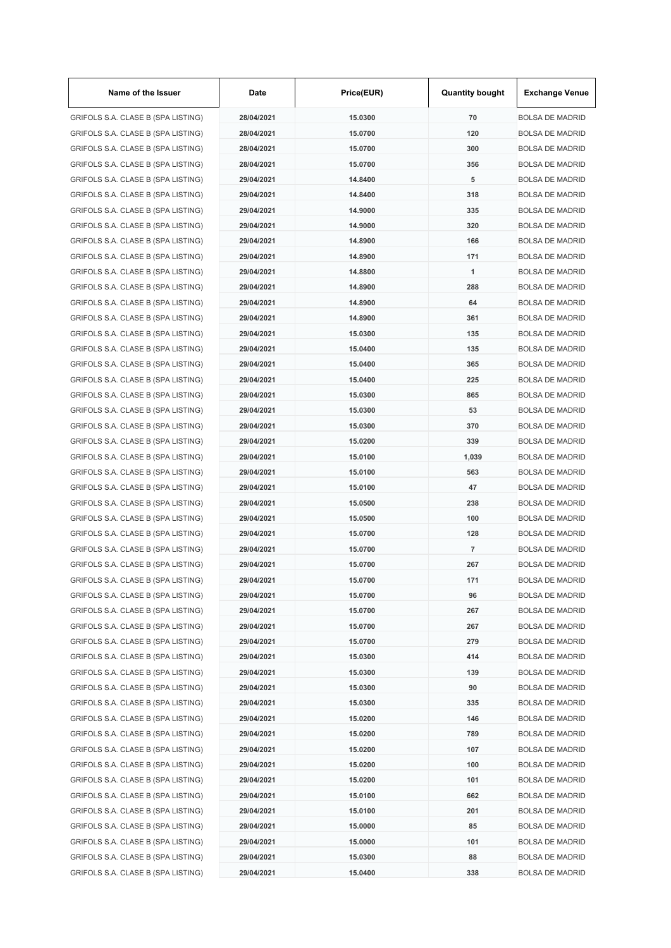| Name of the Issuer                 | Date       | Price(EUR)         | <b>Quantity bought</b> | <b>Exchange Venue</b>  |
|------------------------------------|------------|--------------------|------------------------|------------------------|
| GRIFOLS S.A. CLASE B (SPA LISTING) | 28/04/2021 | 15.0300            | 70                     | <b>BOLSA DE MADRID</b> |
| GRIFOLS S.A. CLASE B (SPA LISTING) | 28/04/2021 | 15.0700            | 120                    | <b>BOLSA DE MADRID</b> |
| GRIFOLS S.A. CLASE B (SPA LISTING) | 28/04/2021 | 15.0700            | 300                    | <b>BOLSA DE MADRID</b> |
| GRIFOLS S.A. CLASE B (SPA LISTING) | 28/04/2021 | 15.0700            | 356                    | <b>BOLSA DE MADRID</b> |
| GRIFOLS S.A. CLASE B (SPA LISTING) | 29/04/2021 | 14.8400            | 5                      | <b>BOLSA DE MADRID</b> |
| GRIFOLS S.A. CLASE B (SPA LISTING) | 29/04/2021 | 14.8400            | 318                    | <b>BOLSA DE MADRID</b> |
| GRIFOLS S.A. CLASE B (SPA LISTING) | 29/04/2021 | 14.9000            | 335                    | <b>BOLSA DE MADRID</b> |
| GRIFOLS S.A. CLASE B (SPA LISTING) | 29/04/2021 | 14.9000            | 320                    | <b>BOLSA DE MADRID</b> |
| GRIFOLS S.A. CLASE B (SPA LISTING) | 29/04/2021 | 14.8900            | 166                    | <b>BOLSA DE MADRID</b> |
| GRIFOLS S.A. CLASE B (SPA LISTING) | 29/04/2021 | 14.8900            | 171                    | <b>BOLSA DE MADRID</b> |
| GRIFOLS S.A. CLASE B (SPA LISTING) | 29/04/2021 | 14.8800            | 1                      | <b>BOLSA DE MADRID</b> |
| GRIFOLS S.A. CLASE B (SPA LISTING) | 29/04/2021 | 14.8900            | 288                    | <b>BOLSA DE MADRID</b> |
| GRIFOLS S.A. CLASE B (SPA LISTING) | 29/04/2021 | 14.8900            | 64                     | <b>BOLSA DE MADRID</b> |
| GRIFOLS S.A. CLASE B (SPA LISTING) | 29/04/2021 | 14.8900            | 361                    | <b>BOLSA DE MADRID</b> |
| GRIFOLS S.A. CLASE B (SPA LISTING) | 29/04/2021 | 15.0300            | 135                    | <b>BOLSA DE MADRID</b> |
| GRIFOLS S.A. CLASE B (SPA LISTING) | 29/04/2021 | 15.0400            | 135                    | <b>BOLSA DE MADRID</b> |
| GRIFOLS S.A. CLASE B (SPA LISTING) | 29/04/2021 | 15.0400            | 365                    | <b>BOLSA DE MADRID</b> |
| GRIFOLS S.A. CLASE B (SPA LISTING) | 29/04/2021 | 15.0400            | 225                    | <b>BOLSA DE MADRID</b> |
| GRIFOLS S.A. CLASE B (SPA LISTING) | 29/04/2021 | 15.0300            | 865                    | <b>BOLSA DE MADRID</b> |
| GRIFOLS S.A. CLASE B (SPA LISTING) | 29/04/2021 | 15.0300            | 53                     | <b>BOLSA DE MADRID</b> |
| GRIFOLS S.A. CLASE B (SPA LISTING) | 29/04/2021 | 15.0300            | 370                    | <b>BOLSA DE MADRID</b> |
| GRIFOLS S.A. CLASE B (SPA LISTING) | 29/04/2021 | 15.0200            | 339                    | <b>BOLSA DE MADRID</b> |
| GRIFOLS S.A. CLASE B (SPA LISTING) | 29/04/2021 | 15.0100            | 1,039                  | <b>BOLSA DE MADRID</b> |
| GRIFOLS S.A. CLASE B (SPA LISTING) | 29/04/2021 | 15.0100            | 563                    | <b>BOLSA DE MADRID</b> |
| GRIFOLS S.A. CLASE B (SPA LISTING) | 29/04/2021 | 15.0100            | 47                     | <b>BOLSA DE MADRID</b> |
| GRIFOLS S.A. CLASE B (SPA LISTING) | 29/04/2021 | 15.0500            | 238                    | <b>BOLSA DE MADRID</b> |
| GRIFOLS S.A. CLASE B (SPA LISTING) | 29/04/2021 | 15.0500            | 100                    | <b>BOLSA DE MADRID</b> |
|                                    | 29/04/2021 | 15.0700            | 128                    | <b>BOLSA DE MADRID</b> |
| GRIFOLS S.A. CLASE B (SPA LISTING) |            |                    |                        |                        |
| GRIFOLS S.A. CLASE B (SPA LISTING) | 29/04/2021 | 15.0700<br>15,0700 | 7<br>267               | <b>BOLSA DE MADRID</b> |
| GRIFOLS S.A. CLASE B (SPA LISTING) | 29/04/2021 |                    |                        | <b>BOLSA DE MADRID</b> |
| GRIFOLS S.A. CLASE B (SPA LISTING) | 29/04/2021 | 15.0700            | 171                    | <b>BOLSA DE MADRID</b> |
| GRIFOLS S.A. CLASE B (SPA LISTING) | 29/04/2021 | 15.0700            | 96                     | <b>BOLSA DE MADRID</b> |
| GRIFOLS S.A. CLASE B (SPA LISTING) | 29/04/2021 | 15.0700            | 267                    | <b>BOLSA DE MADRID</b> |
| GRIFOLS S.A. CLASE B (SPA LISTING) | 29/04/2021 | 15.0700            | 267                    | <b>BOLSA DE MADRID</b> |
| GRIFOLS S.A. CLASE B (SPA LISTING) | 29/04/2021 | 15.0700            | 279                    | <b>BOLSA DE MADRID</b> |
| GRIFOLS S.A. CLASE B (SPA LISTING) | 29/04/2021 | 15.0300            | 414                    | <b>BOLSA DE MADRID</b> |
| GRIFOLS S.A. CLASE B (SPA LISTING) | 29/04/2021 | 15.0300            | 139                    | <b>BOLSA DE MADRID</b> |
| GRIFOLS S.A. CLASE B (SPA LISTING) | 29/04/2021 | 15.0300            | 90                     | <b>BOLSA DE MADRID</b> |
| GRIFOLS S.A. CLASE B (SPA LISTING) | 29/04/2021 | 15.0300            | 335                    | <b>BOLSA DE MADRID</b> |
| GRIFOLS S.A. CLASE B (SPA LISTING) | 29/04/2021 | 15.0200            | 146                    | <b>BOLSA DE MADRID</b> |
| GRIFOLS S.A. CLASE B (SPA LISTING) | 29/04/2021 | 15.0200            | 789                    | <b>BOLSA DE MADRID</b> |
| GRIFOLS S.A. CLASE B (SPA LISTING) | 29/04/2021 | 15.0200            | 107                    | <b>BOLSA DE MADRID</b> |
| GRIFOLS S.A. CLASE B (SPA LISTING) | 29/04/2021 | 15.0200            | 100                    | <b>BOLSA DE MADRID</b> |
| GRIFOLS S.A. CLASE B (SPA LISTING) | 29/04/2021 | 15.0200            | 101                    | <b>BOLSA DE MADRID</b> |
| GRIFOLS S.A. CLASE B (SPA LISTING) | 29/04/2021 | 15.0100            | 662                    | <b>BOLSA DE MADRID</b> |
| GRIFOLS S.A. CLASE B (SPA LISTING) | 29/04/2021 | 15.0100            | 201                    | <b>BOLSA DE MADRID</b> |
| GRIFOLS S.A. CLASE B (SPA LISTING) | 29/04/2021 | 15.0000            | 85                     | <b>BOLSA DE MADRID</b> |
| GRIFOLS S.A. CLASE B (SPA LISTING) | 29/04/2021 | 15.0000            | 101                    | <b>BOLSA DE MADRID</b> |
| GRIFOLS S.A. CLASE B (SPA LISTING) | 29/04/2021 | 15.0300            | 88                     | <b>BOLSA DE MADRID</b> |
| GRIFOLS S.A. CLASE B (SPA LISTING) | 29/04/2021 | 15.0400            | 338                    | <b>BOLSA DE MADRID</b> |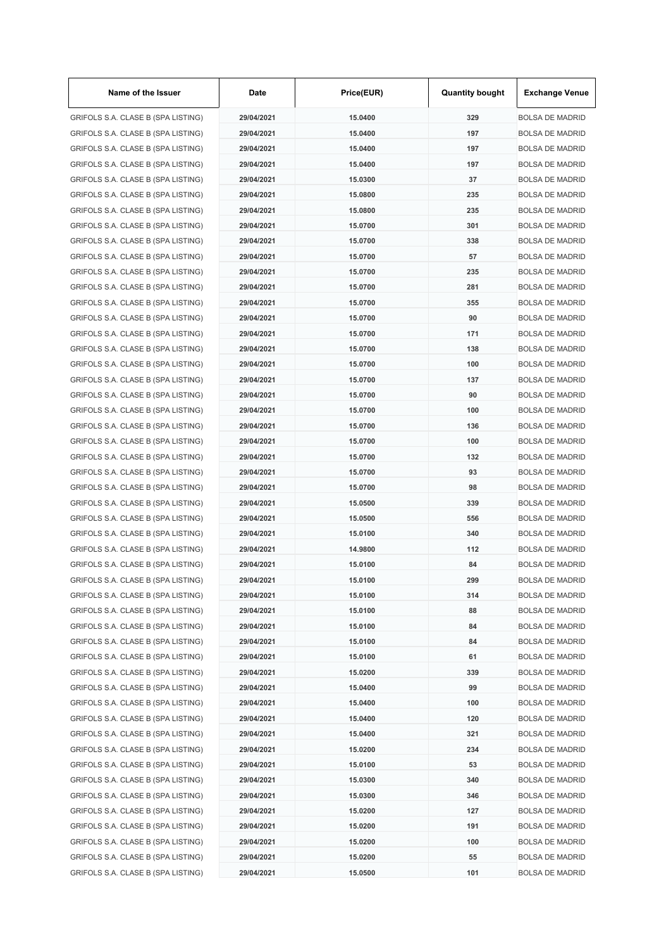| Name of the Issuer                 | Date       | Price(EUR) | <b>Quantity bought</b> | <b>Exchange Venue</b>                            |
|------------------------------------|------------|------------|------------------------|--------------------------------------------------|
| GRIFOLS S.A. CLASE B (SPA LISTING) | 29/04/2021 | 15.0400    | 329                    | <b>BOLSA DE MADRID</b>                           |
| GRIFOLS S.A. CLASE B (SPA LISTING) | 29/04/2021 | 15.0400    | 197                    | <b>BOLSA DE MADRID</b>                           |
| GRIFOLS S.A. CLASE B (SPA LISTING) | 29/04/2021 | 15.0400    | 197                    | <b>BOLSA DE MADRID</b>                           |
| GRIFOLS S.A. CLASE B (SPA LISTING) | 29/04/2021 | 15.0400    | 197                    | <b>BOLSA DE MADRID</b>                           |
| GRIFOLS S.A. CLASE B (SPA LISTING) | 29/04/2021 | 15.0300    | 37                     | <b>BOLSA DE MADRID</b>                           |
| GRIFOLS S.A. CLASE B (SPA LISTING) | 29/04/2021 | 15.0800    | 235                    | <b>BOLSA DE MADRID</b>                           |
| GRIFOLS S.A. CLASE B (SPA LISTING) | 29/04/2021 | 15.0800    | 235                    | <b>BOLSA DE MADRID</b>                           |
| GRIFOLS S.A. CLASE B (SPA LISTING) | 29/04/2021 | 15.0700    | 301                    | <b>BOLSA DE MADRID</b>                           |
| GRIFOLS S.A. CLASE B (SPA LISTING) | 29/04/2021 | 15.0700    | 338                    | <b>BOLSA DE MADRID</b>                           |
| GRIFOLS S.A. CLASE B (SPA LISTING) | 29/04/2021 | 15.0700    | 57                     | <b>BOLSA DE MADRID</b>                           |
| GRIFOLS S.A. CLASE B (SPA LISTING) | 29/04/2021 | 15.0700    | 235                    | <b>BOLSA DE MADRID</b>                           |
| GRIFOLS S.A. CLASE B (SPA LISTING) | 29/04/2021 | 15.0700    | 281                    | <b>BOLSA DE MADRID</b>                           |
| GRIFOLS S.A. CLASE B (SPA LISTING) | 29/04/2021 | 15.0700    | 355                    | <b>BOLSA DE MADRID</b>                           |
| GRIFOLS S.A. CLASE B (SPA LISTING) | 29/04/2021 | 15.0700    | 90                     | <b>BOLSA DE MADRID</b>                           |
| GRIFOLS S.A. CLASE B (SPA LISTING) | 29/04/2021 | 15.0700    | 171                    | <b>BOLSA DE MADRID</b>                           |
| GRIFOLS S.A. CLASE B (SPA LISTING) | 29/04/2021 | 15.0700    | 138                    | <b>BOLSA DE MADRID</b>                           |
| GRIFOLS S.A. CLASE B (SPA LISTING) | 29/04/2021 | 15.0700    | 100                    | <b>BOLSA DE MADRID</b>                           |
| GRIFOLS S.A. CLASE B (SPA LISTING) | 29/04/2021 | 15.0700    | 137                    | <b>BOLSA DE MADRID</b>                           |
| GRIFOLS S.A. CLASE B (SPA LISTING) | 29/04/2021 | 15,0700    | 90                     | <b>BOLSA DE MADRID</b>                           |
| GRIFOLS S.A. CLASE B (SPA LISTING) | 29/04/2021 | 15.0700    | 100                    | <b>BOLSA DE MADRID</b>                           |
| GRIFOLS S.A. CLASE B (SPA LISTING) | 29/04/2021 | 15.0700    | 136                    | <b>BOLSA DE MADRID</b>                           |
| GRIFOLS S.A. CLASE B (SPA LISTING) | 29/04/2021 | 15.0700    | 100                    | <b>BOLSA DE MADRID</b>                           |
| GRIFOLS S.A. CLASE B (SPA LISTING) | 29/04/2021 | 15.0700    | 132                    | <b>BOLSA DE MADRID</b>                           |
| GRIFOLS S.A. CLASE B (SPA LISTING) | 29/04/2021 | 15.0700    | 93                     | <b>BOLSA DE MADRID</b>                           |
| GRIFOLS S.A. CLASE B (SPA LISTING) | 29/04/2021 | 15.0700    | 98                     | <b>BOLSA DE MADRID</b>                           |
|                                    | 29/04/2021 | 15.0500    | 339                    |                                                  |
| GRIFOLS S.A. CLASE B (SPA LISTING) |            |            |                        | <b>BOLSA DE MADRID</b><br><b>BOLSA DE MADRID</b> |
| GRIFOLS S.A. CLASE B (SPA LISTING) | 29/04/2021 | 15.0500    | 556                    |                                                  |
| GRIFOLS S.A. CLASE B (SPA LISTING) | 29/04/2021 | 15.0100    | 340                    | <b>BOLSA DE MADRID</b>                           |
| GRIFOLS S.A. CLASE B (SPA LISTING) | 29/04/2021 | 14.9800    | 112                    | <b>BOLSA DE MADRID</b>                           |
| GRIFOLS S.A. CLASE B (SPA LISTING) | 29/04/2021 | 15.0100    | 84                     | <b>BOLSA DE MADRID</b>                           |
| GRIFOLS S.A. CLASE B (SPA LISTING) | 29/04/2021 | 15.0100    | 299                    | <b>BOLSA DE MADRID</b>                           |
| GRIFOLS S.A. CLASE B (SPA LISTING) | 29/04/2021 | 15.0100    | 314                    | <b>BOLSA DE MADRID</b>                           |
| GRIFOLS S.A. CLASE B (SPA LISTING) | 29/04/2021 | 15.0100    | 88                     | <b>BOLSA DE MADRID</b>                           |
| GRIFOLS S.A. CLASE B (SPA LISTING) | 29/04/2021 | 15.0100    | 84                     | <b>BOLSA DE MADRID</b>                           |
| GRIFOLS S.A. CLASE B (SPA LISTING) | 29/04/2021 | 15.0100    | 84                     | <b>BOLSA DE MADRID</b>                           |
| GRIFOLS S.A. CLASE B (SPA LISTING) | 29/04/2021 | 15.0100    | 61                     | <b>BOLSA DE MADRID</b>                           |
| GRIFOLS S.A. CLASE B (SPA LISTING) | 29/04/2021 | 15.0200    | 339                    | <b>BOLSA DE MADRID</b>                           |
| GRIFOLS S.A. CLASE B (SPA LISTING) | 29/04/2021 | 15.0400    | 99                     | <b>BOLSA DE MADRID</b>                           |
| GRIFOLS S.A. CLASE B (SPA LISTING) | 29/04/2021 | 15.0400    | 100                    | <b>BOLSA DE MADRID</b>                           |
| GRIFOLS S.A. CLASE B (SPA LISTING) | 29/04/2021 | 15.0400    | 120                    | <b>BOLSA DE MADRID</b>                           |
| GRIFOLS S.A. CLASE B (SPA LISTING) | 29/04/2021 | 15.0400    | 321                    | <b>BOLSA DE MADRID</b>                           |
| GRIFOLS S.A. CLASE B (SPA LISTING) | 29/04/2021 | 15.0200    | 234                    | <b>BOLSA DE MADRID</b>                           |
| GRIFOLS S.A. CLASE B (SPA LISTING) | 29/04/2021 | 15.0100    | 53                     | <b>BOLSA DE MADRID</b>                           |
| GRIFOLS S.A. CLASE B (SPA LISTING) | 29/04/2021 | 15.0300    | 340                    | <b>BOLSA DE MADRID</b>                           |
| GRIFOLS S.A. CLASE B (SPA LISTING) | 29/04/2021 | 15.0300    | 346                    | <b>BOLSA DE MADRID</b>                           |
| GRIFOLS S.A. CLASE B (SPA LISTING) | 29/04/2021 | 15.0200    | 127                    | <b>BOLSA DE MADRID</b>                           |
| GRIFOLS S.A. CLASE B (SPA LISTING) | 29/04/2021 | 15.0200    | 191                    | <b>BOLSA DE MADRID</b>                           |
| GRIFOLS S.A. CLASE B (SPA LISTING) | 29/04/2021 | 15.0200    | 100                    | <b>BOLSA DE MADRID</b>                           |
| GRIFOLS S.A. CLASE B (SPA LISTING) | 29/04/2021 | 15.0200    | 55                     | <b>BOLSA DE MADRID</b>                           |
| GRIFOLS S.A. CLASE B (SPA LISTING) | 29/04/2021 | 15.0500    | 101                    | <b>BOLSA DE MADRID</b>                           |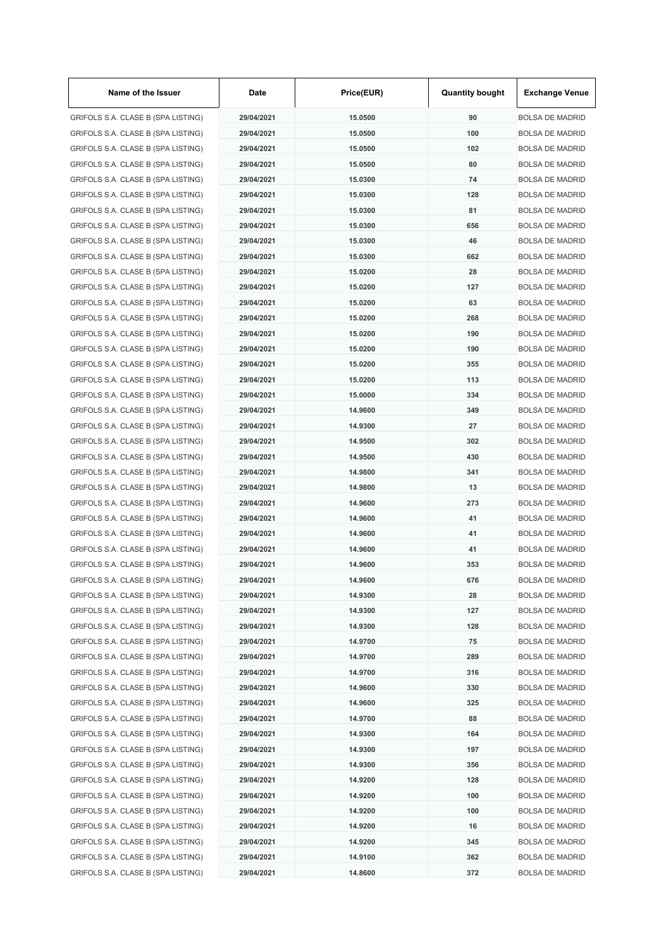| Name of the Issuer                                                       | Date                     | Price(EUR)         | <b>Quantity bought</b> | <b>Exchange Venue</b>  |
|--------------------------------------------------------------------------|--------------------------|--------------------|------------------------|------------------------|
| GRIFOLS S.A. CLASE B (SPA LISTING)                                       | 29/04/2021               | 15.0500            | 90                     | <b>BOLSA DE MADRID</b> |
| GRIFOLS S.A. CLASE B (SPA LISTING)                                       | 29/04/2021               | 15.0500            | 100                    | <b>BOLSA DE MADRID</b> |
| GRIFOLS S.A. CLASE B (SPA LISTING)                                       | 29/04/2021               | 15.0500            | 102                    | <b>BOLSA DE MADRID</b> |
| GRIFOLS S.A. CLASE B (SPA LISTING)                                       | 29/04/2021               | 15.0500            | 80                     | <b>BOLSA DE MADRID</b> |
| GRIFOLS S.A. CLASE B (SPA LISTING)                                       | 29/04/2021               | 15.0300            | 74                     | <b>BOLSA DE MADRID</b> |
| GRIFOLS S.A. CLASE B (SPA LISTING)                                       | 29/04/2021               | 15.0300            | 128                    | <b>BOLSA DE MADRID</b> |
| GRIFOLS S.A. CLASE B (SPA LISTING)                                       | 29/04/2021               | 15.0300            | 81                     | <b>BOLSA DE MADRID</b> |
| GRIFOLS S.A. CLASE B (SPA LISTING)                                       | 29/04/2021               | 15.0300            | 656                    | <b>BOLSA DE MADRID</b> |
| GRIFOLS S.A. CLASE B (SPA LISTING)                                       | 29/04/2021               | 15.0300            | 46                     | <b>BOLSA DE MADRID</b> |
| GRIFOLS S.A. CLASE B (SPA LISTING)                                       | 29/04/2021               | 15.0300            | 662                    | <b>BOLSA DE MADRID</b> |
| GRIFOLS S.A. CLASE B (SPA LISTING)                                       | 29/04/2021               | 15.0200            | 28                     | <b>BOLSA DE MADRID</b> |
| GRIFOLS S.A. CLASE B (SPA LISTING)                                       | 29/04/2021               | 15.0200            | 127                    | <b>BOLSA DE MADRID</b> |
| GRIFOLS S.A. CLASE B (SPA LISTING)                                       | 29/04/2021               | 15.0200            | 63                     | <b>BOLSA DE MADRID</b> |
| GRIFOLS S.A. CLASE B (SPA LISTING)                                       | 29/04/2021               | 15.0200            | 268                    | <b>BOLSA DE MADRID</b> |
| GRIFOLS S.A. CLASE B (SPA LISTING)                                       | 29/04/2021               | 15.0200            | 190                    | <b>BOLSA DE MADRID</b> |
| GRIFOLS S.A. CLASE B (SPA LISTING)                                       | 29/04/2021               | 15.0200            | 190                    | <b>BOLSA DE MADRID</b> |
| GRIFOLS S.A. CLASE B (SPA LISTING)                                       | 29/04/2021               | 15.0200            | 355                    | <b>BOLSA DE MADRID</b> |
| GRIFOLS S.A. CLASE B (SPA LISTING)                                       | 29/04/2021               | 15.0200            | 113                    | <b>BOLSA DE MADRID</b> |
| GRIFOLS S.A. CLASE B (SPA LISTING)                                       | 29/04/2021               | 15.0000            | 334                    | <b>BOLSA DE MADRID</b> |
| GRIFOLS S.A. CLASE B (SPA LISTING)                                       | 29/04/2021               | 14.9600            | 349                    | <b>BOLSA DE MADRID</b> |
| GRIFOLS S.A. CLASE B (SPA LISTING)                                       | 29/04/2021               | 14.9300            | 27                     | <b>BOLSA DE MADRID</b> |
| GRIFOLS S.A. CLASE B (SPA LISTING)                                       | 29/04/2021               | 14.9500            | 302                    | <b>BOLSA DE MADRID</b> |
| GRIFOLS S.A. CLASE B (SPA LISTING)                                       | 29/04/2021               | 14.9500            | 430                    | <b>BOLSA DE MADRID</b> |
| GRIFOLS S.A. CLASE B (SPA LISTING)                                       | 29/04/2021               | 14.9800            | 341                    | <b>BOLSA DE MADRID</b> |
| GRIFOLS S.A. CLASE B (SPA LISTING)                                       | 29/04/2021               | 14.9800            | 13                     | <b>BOLSA DE MADRID</b> |
| GRIFOLS S.A. CLASE B (SPA LISTING)                                       | 29/04/2021               | 14.9600            | 273                    | <b>BOLSA DE MADRID</b> |
| GRIFOLS S.A. CLASE B (SPA LISTING)                                       | 29/04/2021               | 14.9600            | 41                     | <b>BOLSA DE MADRID</b> |
| GRIFOLS S.A. CLASE B (SPA LISTING)                                       | 29/04/2021               | 14.9600            | 41                     | <b>BOLSA DE MADRID</b> |
| GRIFOLS S.A. CLASE B (SPA LISTING)                                       | 29/04/2021               | 14.9600            | 41                     | <b>BOLSA DE MADRID</b> |
| GRIFOLS S.A. CLASE B (SPA LISTING)                                       | 29/04/2021               | 14.9600            | 353                    | <b>BOLSA DE MADRID</b> |
| GRIFOLS S.A. CLASE B (SPA LISTING)                                       | 29/04/2021               | 14.9600            | 676                    | <b>BOLSA DE MADRID</b> |
| GRIFOLS S.A. CLASE B (SPA LISTING)                                       | 29/04/2021               | 14.9300            | 28                     | <b>BOLSA DE MADRID</b> |
| GRIFOLS S.A. CLASE B (SPA LISTING)                                       |                          |                    |                        |                        |
|                                                                          | 29/04/2021               | 14.9300            | 127<br>128             | <b>BOLSA DE MADRID</b> |
| GRIFOLS S.A. CLASE B (SPA LISTING)                                       | 29/04/2021               | 14.9300            |                        | <b>BOLSA DE MADRID</b> |
| GRIFOLS S.A. CLASE B (SPA LISTING)                                       | 29/04/2021<br>29/04/2021 | 14.9700<br>14.9700 | 75<br>289              | <b>BOLSA DE MADRID</b> |
| GRIFOLS S.A. CLASE B (SPA LISTING)                                       |                          |                    |                        | <b>BOLSA DE MADRID</b> |
| GRIFOLS S.A. CLASE B (SPA LISTING)<br>GRIFOLS S.A. CLASE B (SPA LISTING) | 29/04/2021               | 14.9700            | 316                    | <b>BOLSA DE MADRID</b> |
|                                                                          | 29/04/2021               | 14.9600            | 330                    | <b>BOLSA DE MADRID</b> |
| GRIFOLS S.A. CLASE B (SPA LISTING)                                       | 29/04/2021               | 14.9600            | 325                    | <b>BOLSA DE MADRID</b> |
| GRIFOLS S.A. CLASE B (SPA LISTING)                                       | 29/04/2021               | 14.9700            | 88                     | <b>BOLSA DE MADRID</b> |
| GRIFOLS S.A. CLASE B (SPA LISTING)                                       | 29/04/2021               | 14.9300            | 164                    | <b>BOLSA DE MADRID</b> |
| GRIFOLS S.A. CLASE B (SPA LISTING)                                       | 29/04/2021               | 14.9300            | 197                    | <b>BOLSA DE MADRID</b> |
| GRIFOLS S.A. CLASE B (SPA LISTING)                                       | 29/04/2021               | 14.9300            | 356                    | <b>BOLSA DE MADRID</b> |
| GRIFOLS S.A. CLASE B (SPA LISTING)                                       | 29/04/2021               | 14.9200            | 128                    | <b>BOLSA DE MADRID</b> |
| GRIFOLS S.A. CLASE B (SPA LISTING)                                       | 29/04/2021               | 14.9200            | 100                    | <b>BOLSA DE MADRID</b> |
| GRIFOLS S.A. CLASE B (SPA LISTING)                                       | 29/04/2021               | 14.9200            | 100                    | <b>BOLSA DE MADRID</b> |
| GRIFOLS S.A. CLASE B (SPA LISTING)                                       | 29/04/2021               | 14.9200            | 16                     | <b>BOLSA DE MADRID</b> |
| GRIFOLS S.A. CLASE B (SPA LISTING)                                       | 29/04/2021               | 14.9200            | 345                    | <b>BOLSA DE MADRID</b> |
| GRIFOLS S.A. CLASE B (SPA LISTING)                                       | 29/04/2021               | 14.9100            | 362                    | <b>BOLSA DE MADRID</b> |
| GRIFOLS S.A. CLASE B (SPA LISTING)                                       | 29/04/2021               | 14.8600            | 372                    | <b>BOLSA DE MADRID</b> |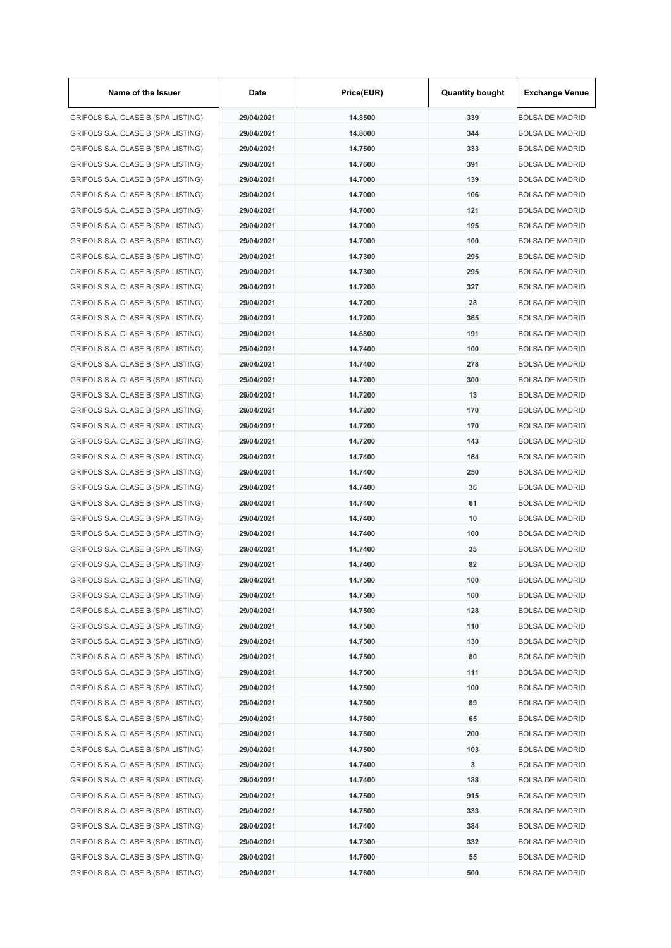| Name of the Issuer                 | Date       | Price(EUR) | <b>Quantity bought</b> | <b>Exchange Venue</b>  |
|------------------------------------|------------|------------|------------------------|------------------------|
| GRIFOLS S.A. CLASE B (SPA LISTING) | 29/04/2021 | 14.8500    | 339                    | <b>BOLSA DE MADRID</b> |
| GRIFOLS S.A. CLASE B (SPA LISTING) | 29/04/2021 | 14.8000    | 344                    | <b>BOLSA DE MADRID</b> |
| GRIFOLS S.A. CLASE B (SPA LISTING) | 29/04/2021 | 14.7500    | 333                    | <b>BOLSA DE MADRID</b> |
| GRIFOLS S.A. CLASE B (SPA LISTING) | 29/04/2021 | 14.7600    | 391                    | <b>BOLSA DE MADRID</b> |
| GRIFOLS S.A. CLASE B (SPA LISTING) | 29/04/2021 | 14.7000    | 139                    | <b>BOLSA DE MADRID</b> |
| GRIFOLS S.A. CLASE B (SPA LISTING) | 29/04/2021 | 14.7000    | 106                    | <b>BOLSA DE MADRID</b> |
| GRIFOLS S.A. CLASE B (SPA LISTING) | 29/04/2021 | 14.7000    | 121                    | <b>BOLSA DE MADRID</b> |
| GRIFOLS S.A. CLASE B (SPA LISTING) | 29/04/2021 | 14.7000    | 195                    | <b>BOLSA DE MADRID</b> |
| GRIFOLS S.A. CLASE B (SPA LISTING) | 29/04/2021 | 14.7000    | 100                    | <b>BOLSA DE MADRID</b> |
| GRIFOLS S.A. CLASE B (SPA LISTING) | 29/04/2021 | 14.7300    | 295                    | <b>BOLSA DE MADRID</b> |
| GRIFOLS S.A. CLASE B (SPA LISTING) | 29/04/2021 | 14.7300    | 295                    | <b>BOLSA DE MADRID</b> |
| GRIFOLS S.A. CLASE B (SPA LISTING) | 29/04/2021 | 14.7200    | 327                    | <b>BOLSA DE MADRID</b> |
| GRIFOLS S.A. CLASE B (SPA LISTING) | 29/04/2021 | 14.7200    | 28                     | <b>BOLSA DE MADRID</b> |
| GRIFOLS S.A. CLASE B (SPA LISTING) | 29/04/2021 | 14.7200    | 365                    | <b>BOLSA DE MADRID</b> |
| GRIFOLS S.A. CLASE B (SPA LISTING) | 29/04/2021 | 14.6800    | 191                    | <b>BOLSA DE MADRID</b> |
| GRIFOLS S.A. CLASE B (SPA LISTING) | 29/04/2021 | 14.7400    | 100                    | <b>BOLSA DE MADRID</b> |
| GRIFOLS S.A. CLASE B (SPA LISTING) | 29/04/2021 | 14.7400    | 278                    | <b>BOLSA DE MADRID</b> |
| GRIFOLS S.A. CLASE B (SPA LISTING) | 29/04/2021 | 14.7200    | 300                    | <b>BOLSA DE MADRID</b> |
| GRIFOLS S.A. CLASE B (SPA LISTING) | 29/04/2021 | 14.7200    | 13                     | <b>BOLSA DE MADRID</b> |
| GRIFOLS S.A. CLASE B (SPA LISTING) | 29/04/2021 | 14.7200    | 170                    | <b>BOLSA DE MADRID</b> |
|                                    |            | 14.7200    | 170                    | <b>BOLSA DE MADRID</b> |
| GRIFOLS S.A. CLASE B (SPA LISTING) | 29/04/2021 | 14.7200    | 143                    |                        |
| GRIFOLS S.A. CLASE B (SPA LISTING) | 29/04/2021 |            |                        | <b>BOLSA DE MADRID</b> |
| GRIFOLS S.A. CLASE B (SPA LISTING) | 29/04/2021 | 14.7400    | 164                    | <b>BOLSA DE MADRID</b> |
| GRIFOLS S.A. CLASE B (SPA LISTING) | 29/04/2021 | 14.7400    | 250                    | <b>BOLSA DE MADRID</b> |
| GRIFOLS S.A. CLASE B (SPA LISTING) | 29/04/2021 | 14.7400    | 36                     | <b>BOLSA DE MADRID</b> |
| GRIFOLS S.A. CLASE B (SPA LISTING) | 29/04/2021 | 14.7400    | 61                     | <b>BOLSA DE MADRID</b> |
| GRIFOLS S.A. CLASE B (SPA LISTING) | 29/04/2021 | 14.7400    | 10                     | <b>BOLSA DE MADRID</b> |
| GRIFOLS S.A. CLASE B (SPA LISTING) | 29/04/2021 | 14.7400    | 100                    | <b>BOLSA DE MADRID</b> |
| GRIFOLS S.A. CLASE B (SPA LISTING) | 29/04/2021 | 14.7400    | 35                     | <b>BOLSA DE MADRID</b> |
| GRIFOLS S.A. CLASE B (SPA LISTING) | 29/04/2021 | 14.7400    | 82                     | <b>BOLSA DE MADRID</b> |
| GRIFOLS S.A. CLASE B (SPA LISTING) | 29/04/2021 | 14.7500    | 100                    | <b>BOLSA DE MADRID</b> |
| GRIFOLS S.A. CLASE B (SPA LISTING) | 29/04/2021 | 14.7500    | 100                    | <b>BOLSA DE MADRID</b> |
| GRIFOLS S.A. CLASE B (SPA LISTING) | 29/04/2021 | 14.7500    | 128                    | <b>BOLSA DE MADRID</b> |
| GRIFOLS S.A. CLASE B (SPA LISTING) | 29/04/2021 | 14.7500    | 110                    | <b>BOLSA DE MADRID</b> |
| GRIFOLS S.A. CLASE B (SPA LISTING) | 29/04/2021 | 14.7500    | 130                    | <b>BOLSA DE MADRID</b> |
| GRIFOLS S.A. CLASE B (SPA LISTING) | 29/04/2021 | 14.7500    | 80                     | <b>BOLSA DE MADRID</b> |
| GRIFOLS S.A. CLASE B (SPA LISTING) | 29/04/2021 | 14.7500    | 111                    | <b>BOLSA DE MADRID</b> |
| GRIFOLS S.A. CLASE B (SPA LISTING) | 29/04/2021 | 14.7500    | 100                    | <b>BOLSA DE MADRID</b> |
| GRIFOLS S.A. CLASE B (SPA LISTING) | 29/04/2021 | 14.7500    | 89                     | <b>BOLSA DE MADRID</b> |
| GRIFOLS S.A. CLASE B (SPA LISTING) | 29/04/2021 | 14.7500    | 65                     | <b>BOLSA DE MADRID</b> |
| GRIFOLS S.A. CLASE B (SPA LISTING) | 29/04/2021 | 14.7500    | 200                    | <b>BOLSA DE MADRID</b> |
| GRIFOLS S.A. CLASE B (SPA LISTING) | 29/04/2021 | 14.7500    | 103                    | <b>BOLSA DE MADRID</b> |
| GRIFOLS S.A. CLASE B (SPA LISTING) | 29/04/2021 | 14.7400    | 3                      | <b>BOLSA DE MADRID</b> |
| GRIFOLS S.A. CLASE B (SPA LISTING) | 29/04/2021 | 14.7400    | 188                    | <b>BOLSA DE MADRID</b> |
| GRIFOLS S.A. CLASE B (SPA LISTING) | 29/04/2021 | 14.7500    | 915                    | <b>BOLSA DE MADRID</b> |
| GRIFOLS S.A. CLASE B (SPA LISTING) | 29/04/2021 | 14.7500    | 333                    | <b>BOLSA DE MADRID</b> |
| GRIFOLS S.A. CLASE B (SPA LISTING) | 29/04/2021 | 14.7400    | 384                    | <b>BOLSA DE MADRID</b> |
| GRIFOLS S.A. CLASE B (SPA LISTING) | 29/04/2021 | 14.7300    | 332                    | <b>BOLSA DE MADRID</b> |
| GRIFOLS S.A. CLASE B (SPA LISTING) | 29/04/2021 | 14.7600    | 55                     | <b>BOLSA DE MADRID</b> |
| GRIFOLS S.A. CLASE B (SPA LISTING) | 29/04/2021 | 14.7600    | 500                    | <b>BOLSA DE MADRID</b> |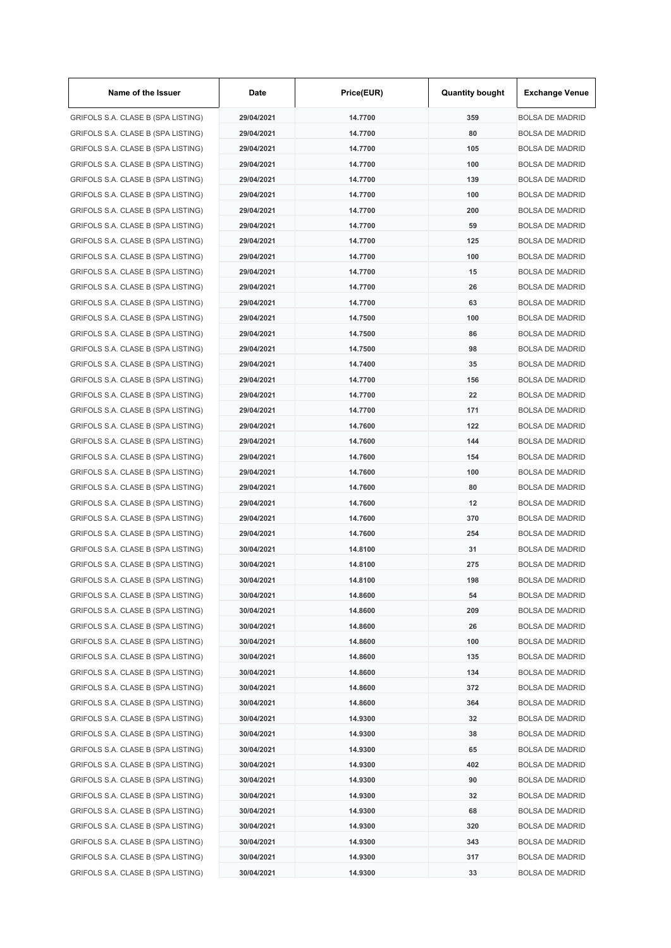| Name of the Issuer                 | Date       | Price(EUR) | <b>Quantity bought</b> | <b>Exchange Venue</b>  |
|------------------------------------|------------|------------|------------------------|------------------------|
| GRIFOLS S.A. CLASE B (SPA LISTING) | 29/04/2021 | 14.7700    | 359                    | <b>BOLSA DE MADRID</b> |
| GRIFOLS S.A. CLASE B (SPA LISTING) | 29/04/2021 | 14.7700    | 80                     | <b>BOLSA DE MADRID</b> |
| GRIFOLS S.A. CLASE B (SPA LISTING) | 29/04/2021 | 14.7700    | 105                    | <b>BOLSA DE MADRID</b> |
| GRIFOLS S.A. CLASE B (SPA LISTING) | 29/04/2021 | 14.7700    | 100                    | <b>BOLSA DE MADRID</b> |
| GRIFOLS S.A. CLASE B (SPA LISTING) | 29/04/2021 | 14.7700    | 139                    | <b>BOLSA DE MADRID</b> |
| GRIFOLS S.A. CLASE B (SPA LISTING) | 29/04/2021 | 14.7700    | 100                    | <b>BOLSA DE MADRID</b> |
| GRIFOLS S.A. CLASE B (SPA LISTING) | 29/04/2021 | 14.7700    | 200                    | <b>BOLSA DE MADRID</b> |
| GRIFOLS S.A. CLASE B (SPA LISTING) | 29/04/2021 | 14.7700    | 59                     | <b>BOLSA DE MADRID</b> |
| GRIFOLS S.A. CLASE B (SPA LISTING) | 29/04/2021 | 14.7700    | 125                    | <b>BOLSA DE MADRID</b> |
| GRIFOLS S.A. CLASE B (SPA LISTING) | 29/04/2021 | 14.7700    | 100                    | <b>BOLSA DE MADRID</b> |
| GRIFOLS S.A. CLASE B (SPA LISTING) | 29/04/2021 | 14.7700    | 15                     | <b>BOLSA DE MADRID</b> |
| GRIFOLS S.A. CLASE B (SPA LISTING) | 29/04/2021 | 14.7700    | 26                     | <b>BOLSA DE MADRID</b> |
| GRIFOLS S.A. CLASE B (SPA LISTING) | 29/04/2021 | 14.7700    | 63                     | <b>BOLSA DE MADRID</b> |
| GRIFOLS S.A. CLASE B (SPA LISTING) | 29/04/2021 | 14.7500    | 100                    | <b>BOLSA DE MADRID</b> |
| GRIFOLS S.A. CLASE B (SPA LISTING) | 29/04/2021 | 14.7500    | 86                     | <b>BOLSA DE MADRID</b> |
| GRIFOLS S.A. CLASE B (SPA LISTING) | 29/04/2021 | 14.7500    | 98                     | <b>BOLSA DE MADRID</b> |
| GRIFOLS S.A. CLASE B (SPA LISTING) | 29/04/2021 | 14.7400    | 35                     | <b>BOLSA DE MADRID</b> |
| GRIFOLS S.A. CLASE B (SPA LISTING) | 29/04/2021 | 14.7700    | 156                    | <b>BOLSA DE MADRID</b> |
| GRIFOLS S.A. CLASE B (SPA LISTING) | 29/04/2021 | 14.7700    | 22                     | <b>BOLSA DE MADRID</b> |
| GRIFOLS S.A. CLASE B (SPA LISTING) | 29/04/2021 | 14.7700    | 171                    | <b>BOLSA DE MADRID</b> |
| GRIFOLS S.A. CLASE B (SPA LISTING) | 29/04/2021 | 14.7600    | 122                    | <b>BOLSA DE MADRID</b> |
| GRIFOLS S.A. CLASE B (SPA LISTING) | 29/04/2021 | 14.7600    | 144                    | <b>BOLSA DE MADRID</b> |
| GRIFOLS S.A. CLASE B (SPA LISTING) | 29/04/2021 | 14.7600    | 154                    | <b>BOLSA DE MADRID</b> |
| GRIFOLS S.A. CLASE B (SPA LISTING) | 29/04/2021 | 14.7600    | 100                    | <b>BOLSA DE MADRID</b> |
| GRIFOLS S.A. CLASE B (SPA LISTING) | 29/04/2021 | 14.7600    | 80                     | <b>BOLSA DE MADRID</b> |
| GRIFOLS S.A. CLASE B (SPA LISTING) | 29/04/2021 | 14.7600    | 12                     | <b>BOLSA DE MADRID</b> |
|                                    |            |            | 370                    |                        |
| GRIFOLS S.A. CLASE B (SPA LISTING) | 29/04/2021 | 14.7600    |                        | <b>BOLSA DE MADRID</b> |
| GRIFOLS S.A. CLASE B (SPA LISTING) | 29/04/2021 | 14.7600    | 254                    | <b>BOLSA DE MADRID</b> |
| GRIFOLS S.A. CLASE B (SPA LISTING) | 30/04/2021 | 14.8100    | 31                     | <b>BOLSA DE MADRID</b> |
| GRIFOLS S.A. CLASE B (SPA LISTING) | 30/04/2021 | 14.8100    | 275                    | <b>BOLSA DE MADRID</b> |
| GRIFOLS S.A. CLASE B (SPA LISTING) | 30/04/2021 | 14.8100    | 198                    | <b>BOLSA DE MADRID</b> |
| GRIFOLS S.A. CLASE B (SPA LISTING) | 30/04/2021 | 14.8600    | 54                     | <b>BOLSA DE MADRID</b> |
| GRIFOLS S.A. CLASE B (SPA LISTING) | 30/04/2021 | 14.8600    | 209                    | <b>BOLSA DE MADRID</b> |
| GRIFOLS S.A. CLASE B (SPA LISTING) | 30/04/2021 | 14.8600    | 26                     | <b>BOLSA DE MADRID</b> |
| GRIFOLS S.A. CLASE B (SPA LISTING) | 30/04/2021 | 14.8600    | 100                    | <b>BOLSA DE MADRID</b> |
| GRIFOLS S.A. CLASE B (SPA LISTING) | 30/04/2021 | 14.8600    | 135                    | <b>BOLSA DE MADRID</b> |
| GRIFOLS S.A. CLASE B (SPA LISTING) | 30/04/2021 | 14.8600    | 134                    | <b>BOLSA DE MADRID</b> |
| GRIFOLS S.A. CLASE B (SPA LISTING) | 30/04/2021 | 14.8600    | 372                    | <b>BOLSA DE MADRID</b> |
| GRIFOLS S.A. CLASE B (SPA LISTING) | 30/04/2021 | 14.8600    | 364                    | <b>BOLSA DE MADRID</b> |
| GRIFOLS S.A. CLASE B (SPA LISTING) | 30/04/2021 | 14.9300    | 32                     | <b>BOLSA DE MADRID</b> |
| GRIFOLS S.A. CLASE B (SPA LISTING) | 30/04/2021 | 14.9300    | 38                     | <b>BOLSA DE MADRID</b> |
| GRIFOLS S.A. CLASE B (SPA LISTING) | 30/04/2021 | 14.9300    | 65                     | <b>BOLSA DE MADRID</b> |
| GRIFOLS S.A. CLASE B (SPA LISTING) | 30/04/2021 | 14.9300    | 402                    | <b>BOLSA DE MADRID</b> |
| GRIFOLS S.A. CLASE B (SPA LISTING) | 30/04/2021 | 14.9300    | 90                     | <b>BOLSA DE MADRID</b> |
| GRIFOLS S.A. CLASE B (SPA LISTING) | 30/04/2021 | 14.9300    | 32                     | <b>BOLSA DE MADRID</b> |
| GRIFOLS S.A. CLASE B (SPA LISTING) | 30/04/2021 | 14.9300    | 68                     | <b>BOLSA DE MADRID</b> |
| GRIFOLS S.A. CLASE B (SPA LISTING) | 30/04/2021 | 14.9300    | 320                    | <b>BOLSA DE MADRID</b> |
| GRIFOLS S.A. CLASE B (SPA LISTING) | 30/04/2021 | 14.9300    | 343                    | <b>BOLSA DE MADRID</b> |
| GRIFOLS S.A. CLASE B (SPA LISTING) | 30/04/2021 | 14.9300    | 317                    | <b>BOLSA DE MADRID</b> |
| GRIFOLS S.A. CLASE B (SPA LISTING) | 30/04/2021 | 14.9300    | 33                     | <b>BOLSA DE MADRID</b> |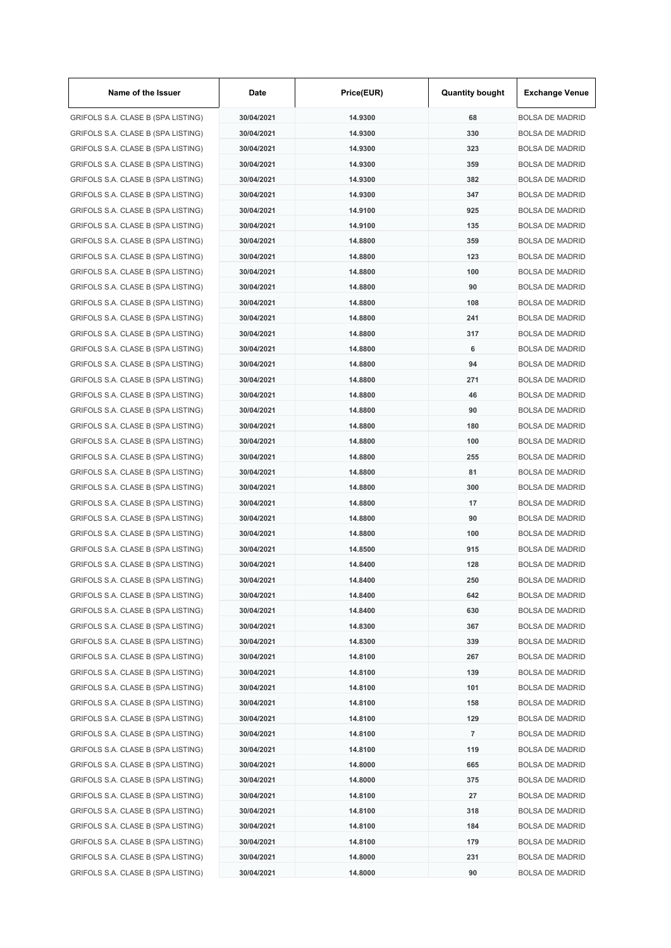| Name of the Issuer                 | Date       | Price(EUR) | <b>Quantity bought</b> | <b>Exchange Venue</b>  |
|------------------------------------|------------|------------|------------------------|------------------------|
| GRIFOLS S.A. CLASE B (SPA LISTING) | 30/04/2021 | 14.9300    | 68                     | <b>BOLSA DE MADRID</b> |
| GRIFOLS S.A. CLASE B (SPA LISTING) | 30/04/2021 | 14.9300    | 330                    | <b>BOLSA DE MADRID</b> |
| GRIFOLS S.A. CLASE B (SPA LISTING) | 30/04/2021 | 14.9300    | 323                    | <b>BOLSA DE MADRID</b> |
| GRIFOLS S.A. CLASE B (SPA LISTING) | 30/04/2021 | 14.9300    | 359                    | <b>BOLSA DE MADRID</b> |
| GRIFOLS S.A. CLASE B (SPA LISTING) | 30/04/2021 | 14.9300    | 382                    | <b>BOLSA DE MADRID</b> |
| GRIFOLS S.A. CLASE B (SPA LISTING) | 30/04/2021 | 14.9300    | 347                    | <b>BOLSA DE MADRID</b> |
| GRIFOLS S.A. CLASE B (SPA LISTING) | 30/04/2021 | 14.9100    | 925                    | <b>BOLSA DE MADRID</b> |
| GRIFOLS S.A. CLASE B (SPA LISTING) | 30/04/2021 | 14.9100    | 135                    | <b>BOLSA DE MADRID</b> |
| GRIFOLS S.A. CLASE B (SPA LISTING) | 30/04/2021 | 14.8800    | 359                    | <b>BOLSA DE MADRID</b> |
| GRIFOLS S.A. CLASE B (SPA LISTING) | 30/04/2021 | 14.8800    | 123                    | <b>BOLSA DE MADRID</b> |
| GRIFOLS S.A. CLASE B (SPA LISTING) | 30/04/2021 | 14.8800    | 100                    | <b>BOLSA DE MADRID</b> |
| GRIFOLS S.A. CLASE B (SPA LISTING) | 30/04/2021 | 14.8800    | 90                     | <b>BOLSA DE MADRID</b> |
| GRIFOLS S.A. CLASE B (SPA LISTING) | 30/04/2021 | 14.8800    | 108                    | <b>BOLSA DE MADRID</b> |
| GRIFOLS S.A. CLASE B (SPA LISTING) | 30/04/2021 | 14.8800    | 241                    | <b>BOLSA DE MADRID</b> |
| GRIFOLS S.A. CLASE B (SPA LISTING) | 30/04/2021 | 14.8800    | 317                    | <b>BOLSA DE MADRID</b> |
| GRIFOLS S.A. CLASE B (SPA LISTING) | 30/04/2021 | 14.8800    | 6                      | <b>BOLSA DE MADRID</b> |
| GRIFOLS S.A. CLASE B (SPA LISTING) | 30/04/2021 | 14.8800    | 94                     | <b>BOLSA DE MADRID</b> |
| GRIFOLS S.A. CLASE B (SPA LISTING) | 30/04/2021 | 14.8800    | 271                    | <b>BOLSA DE MADRID</b> |
| GRIFOLS S.A. CLASE B (SPA LISTING) | 30/04/2021 | 14.8800    | 46                     | <b>BOLSA DE MADRID</b> |
| GRIFOLS S.A. CLASE B (SPA LISTING) | 30/04/2021 | 14.8800    | 90                     | <b>BOLSA DE MADRID</b> |
| GRIFOLS S.A. CLASE B (SPA LISTING) | 30/04/2021 | 14.8800    | 180                    | <b>BOLSA DE MADRID</b> |
| GRIFOLS S.A. CLASE B (SPA LISTING) | 30/04/2021 | 14.8800    | 100                    | <b>BOLSA DE MADRID</b> |
| GRIFOLS S.A. CLASE B (SPA LISTING) | 30/04/2021 | 14.8800    | 255                    | <b>BOLSA DE MADRID</b> |
| GRIFOLS S.A. CLASE B (SPA LISTING) | 30/04/2021 | 14.8800    | 81                     | <b>BOLSA DE MADRID</b> |
| GRIFOLS S.A. CLASE B (SPA LISTING) | 30/04/2021 | 14.8800    | 300                    | <b>BOLSA DE MADRID</b> |
| GRIFOLS S.A. CLASE B (SPA LISTING) | 30/04/2021 | 14.8800    | 17                     | <b>BOLSA DE MADRID</b> |
|                                    | 30/04/2021 | 14.8800    | 90                     | <b>BOLSA DE MADRID</b> |
| GRIFOLS S.A. CLASE B (SPA LISTING) | 30/04/2021 | 14.8800    | 100                    | <b>BOLSA DE MADRID</b> |
| GRIFOLS S.A. CLASE B (SPA LISTING) |            |            |                        | <b>BOLSA DE MADRID</b> |
| GRIFOLS S.A. CLASE B (SPA LISTING) | 30/04/2021 | 14.8500    | 915                    |                        |
| GRIFOLS S.A. CLASE B (SPA LISTING) | 30/04/2021 | 14.8400    | 128                    | <b>BOLSA DE MADRID</b> |
| GRIFOLS S.A. CLASE B (SPA LISTING) | 30/04/2021 | 14.8400    | 250                    | <b>BOLSA DE MADRID</b> |
| GRIFOLS S.A. CLASE B (SPA LISTING) | 30/04/2021 | 14.8400    | 642                    | <b>BOLSA DE MADRID</b> |
| GRIFOLS S.A. CLASE B (SPA LISTING) | 30/04/2021 | 14.8400    | 630                    | <b>BOLSA DE MADRID</b> |
| GRIFOLS S.A. CLASE B (SPA LISTING) | 30/04/2021 | 14.8300    | 367                    | <b>BOLSA DE MADRID</b> |
| GRIFOLS S.A. CLASE B (SPA LISTING) | 30/04/2021 | 14.8300    | 339                    | <b>BOLSA DE MADRID</b> |
| GRIFOLS S.A. CLASE B (SPA LISTING) | 30/04/2021 | 14.8100    | 267                    | <b>BOLSA DE MADRID</b> |
| GRIFOLS S.A. CLASE B (SPA LISTING) | 30/04/2021 | 14.8100    | 139                    | <b>BOLSA DE MADRID</b> |
| GRIFOLS S.A. CLASE B (SPA LISTING) | 30/04/2021 | 14.8100    | 101                    | <b>BOLSA DE MADRID</b> |
| GRIFOLS S.A. CLASE B (SPA LISTING) | 30/04/2021 | 14.8100    | 158                    | <b>BOLSA DE MADRID</b> |
| GRIFOLS S.A. CLASE B (SPA LISTING) | 30/04/2021 | 14.8100    | 129                    | <b>BOLSA DE MADRID</b> |
| GRIFOLS S.A. CLASE B (SPA LISTING) | 30/04/2021 | 14.8100    | $\overline{7}$         | <b>BOLSA DE MADRID</b> |
| GRIFOLS S.A. CLASE B (SPA LISTING) | 30/04/2021 | 14.8100    | 119                    | <b>BOLSA DE MADRID</b> |
| GRIFOLS S.A. CLASE B (SPA LISTING) | 30/04/2021 | 14.8000    | 665                    | <b>BOLSA DE MADRID</b> |
| GRIFOLS S.A. CLASE B (SPA LISTING) | 30/04/2021 | 14.8000    | 375                    | <b>BOLSA DE MADRID</b> |
| GRIFOLS S.A. CLASE B (SPA LISTING) | 30/04/2021 | 14.8100    | 27                     | <b>BOLSA DE MADRID</b> |
| GRIFOLS S.A. CLASE B (SPA LISTING) | 30/04/2021 | 14.8100    | 318                    | <b>BOLSA DE MADRID</b> |
| GRIFOLS S.A. CLASE B (SPA LISTING) | 30/04/2021 | 14.8100    | 184                    | <b>BOLSA DE MADRID</b> |
| GRIFOLS S.A. CLASE B (SPA LISTING) | 30/04/2021 | 14.8100    | 179                    | <b>BOLSA DE MADRID</b> |
| GRIFOLS S.A. CLASE B (SPA LISTING) | 30/04/2021 | 14.8000    | 231                    | <b>BOLSA DE MADRID</b> |
| GRIFOLS S.A. CLASE B (SPA LISTING) | 30/04/2021 | 14.8000    | 90                     | <b>BOLSA DE MADRID</b> |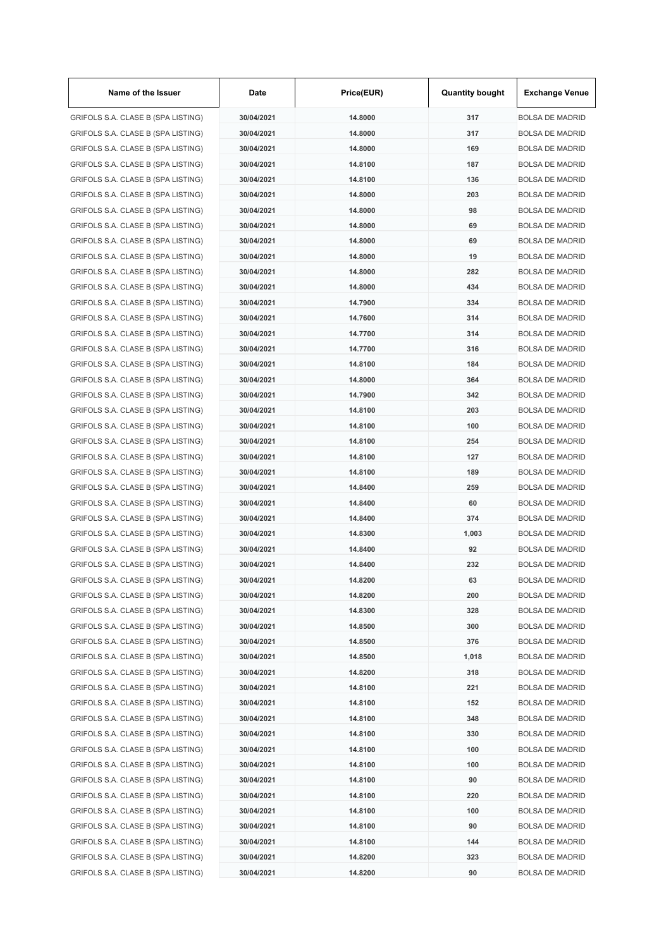| Name of the Issuer                 | Date                     | Price(EUR) | <b>Quantity bought</b> | <b>Exchange Venue</b>                            |
|------------------------------------|--------------------------|------------|------------------------|--------------------------------------------------|
| GRIFOLS S.A. CLASE B (SPA LISTING) | 30/04/2021               | 14.8000    | 317                    | <b>BOLSA DE MADRID</b>                           |
| GRIFOLS S.A. CLASE B (SPA LISTING) | 30/04/2021               | 14.8000    | 317                    | <b>BOLSA DE MADRID</b>                           |
| GRIFOLS S.A. CLASE B (SPA LISTING) | 30/04/2021               | 14.8000    | 169                    | <b>BOLSA DE MADRID</b>                           |
| GRIFOLS S.A. CLASE B (SPA LISTING) | 30/04/2021               | 14.8100    | 187                    | <b>BOLSA DE MADRID</b>                           |
| GRIFOLS S.A. CLASE B (SPA LISTING) | 30/04/2021               | 14.8100    | 136                    | <b>BOLSA DE MADRID</b>                           |
| GRIFOLS S.A. CLASE B (SPA LISTING) | 30/04/2021               | 14.8000    | 203                    | <b>BOLSA DE MADRID</b>                           |
| GRIFOLS S.A. CLASE B (SPA LISTING) | 30/04/2021               | 14.8000    | 98                     | <b>BOLSA DE MADRID</b>                           |
| GRIFOLS S.A. CLASE B (SPA LISTING) | 30/04/2021               | 14.8000    | 69                     | <b>BOLSA DE MADRID</b>                           |
| GRIFOLS S.A. CLASE B (SPA LISTING) | 30/04/2021               | 14.8000    | 69                     | <b>BOLSA DE MADRID</b>                           |
| GRIFOLS S.A. CLASE B (SPA LISTING) | 30/04/2021               | 14.8000    | 19                     | <b>BOLSA DE MADRID</b>                           |
| GRIFOLS S.A. CLASE B (SPA LISTING) | 30/04/2021               | 14.8000    | 282                    | <b>BOLSA DE MADRID</b>                           |
| GRIFOLS S.A. CLASE B (SPA LISTING) | 30/04/2021               | 14.8000    | 434                    | <b>BOLSA DE MADRID</b>                           |
| GRIFOLS S.A. CLASE B (SPA LISTING) | 30/04/2021               | 14.7900    | 334                    | <b>BOLSA DE MADRID</b>                           |
| GRIFOLS S.A. CLASE B (SPA LISTING) | 30/04/2021               | 14.7600    | 314                    | <b>BOLSA DE MADRID</b>                           |
| GRIFOLS S.A. CLASE B (SPA LISTING) | 30/04/2021               | 14.7700    | 314                    | <b>BOLSA DE MADRID</b>                           |
| GRIFOLS S.A. CLASE B (SPA LISTING) | 30/04/2021               | 14.7700    | 316                    | <b>BOLSA DE MADRID</b>                           |
| GRIFOLS S.A. CLASE B (SPA LISTING) | 30/04/2021               | 14.8100    | 184                    | <b>BOLSA DE MADRID</b>                           |
| GRIFOLS S.A. CLASE B (SPA LISTING) | 30/04/2021               | 14.8000    | 364                    | <b>BOLSA DE MADRID</b>                           |
| GRIFOLS S.A. CLASE B (SPA LISTING) | 30/04/2021               | 14.7900    | 342                    | <b>BOLSA DE MADRID</b>                           |
| GRIFOLS S.A. CLASE B (SPA LISTING) | 30/04/2021               | 14.8100    | 203                    | <b>BOLSA DE MADRID</b>                           |
| GRIFOLS S.A. CLASE B (SPA LISTING) | 30/04/2021               | 14.8100    | 100                    | <b>BOLSA DE MADRID</b>                           |
| GRIFOLS S.A. CLASE B (SPA LISTING) | 30/04/2021               | 14.8100    | 254                    | <b>BOLSA DE MADRID</b>                           |
| GRIFOLS S.A. CLASE B (SPA LISTING) | 30/04/2021               | 14.8100    | 127                    | <b>BOLSA DE MADRID</b>                           |
| GRIFOLS S.A. CLASE B (SPA LISTING) | 30/04/2021               | 14.8100    | 189                    | <b>BOLSA DE MADRID</b>                           |
| GRIFOLS S.A. CLASE B (SPA LISTING) | 30/04/2021               | 14.8400    | 259                    | <b>BOLSA DE MADRID</b>                           |
| GRIFOLS S.A. CLASE B (SPA LISTING) | 30/04/2021               | 14.8400    | 60                     | <b>BOLSA DE MADRID</b>                           |
| GRIFOLS S.A. CLASE B (SPA LISTING) | 30/04/2021               | 14.8400    | 374                    | <b>BOLSA DE MADRID</b>                           |
| GRIFOLS S.A. CLASE B (SPA LISTING) | 30/04/2021               | 14.8300    | 1,003                  | <b>BOLSA DE MADRID</b>                           |
| GRIFOLS S.A. CLASE B (SPA LISTING) | 30/04/2021               | 14.8400    | 92                     | <b>BOLSA DE MADRID</b>                           |
| GRIFOLS S.A. CLASE B (SPA LISTING) | 30/04/2021               | 14.8400    | 232                    | <b>BOLSA DE MADRID</b>                           |
| GRIFOLS S.A. CLASE B (SPA LISTING) | 30/04/2021               | 14.8200    | 63                     | <b>BOLSA DE MADRID</b>                           |
| GRIFOLS S.A. CLASE B (SPA LISTING) | 30/04/2021               | 14.8200    | 200                    | <b>BOLSA DE MADRID</b>                           |
| GRIFOLS S.A. CLASE B (SPA LISTING) |                          |            |                        |                                                  |
|                                    | 30/04/2021<br>30/04/2021 | 14.8300    | 328<br>300             | <b>BOLSA DE MADRID</b>                           |
| GRIFOLS S.A. CLASE B (SPA LISTING) |                          | 14.8500    |                        | <b>BOLSA DE MADRID</b><br><b>BOLSA DE MADRID</b> |
| GRIFOLS S.A. CLASE B (SPA LISTING) | 30/04/2021               | 14.8500    | 376                    |                                                  |
| GRIFOLS S.A. CLASE B (SPA LISTING) | 30/04/2021               | 14.8500    | 1,018                  | <b>BOLSA DE MADRID</b>                           |
| GRIFOLS S.A. CLASE B (SPA LISTING) | 30/04/2021               | 14.8200    | 318                    | <b>BOLSA DE MADRID</b>                           |
| GRIFOLS S.A. CLASE B (SPA LISTING) | 30/04/2021               | 14.8100    | 221                    | <b>BOLSA DE MADRID</b>                           |
| GRIFOLS S.A. CLASE B (SPA LISTING) | 30/04/2021               | 14.8100    | 152                    | <b>BOLSA DE MADRID</b>                           |
| GRIFOLS S.A. CLASE B (SPA LISTING) | 30/04/2021               | 14.8100    | 348                    | <b>BOLSA DE MADRID</b>                           |
| GRIFOLS S.A. CLASE B (SPA LISTING) | 30/04/2021               | 14.8100    | 330                    | <b>BOLSA DE MADRID</b>                           |
| GRIFOLS S.A. CLASE B (SPA LISTING) | 30/04/2021               | 14.8100    | 100                    | <b>BOLSA DE MADRID</b>                           |
| GRIFOLS S.A. CLASE B (SPA LISTING) | 30/04/2021               | 14.8100    | 100                    | <b>BOLSA DE MADRID</b>                           |
| GRIFOLS S.A. CLASE B (SPA LISTING) | 30/04/2021               | 14.8100    | 90                     | <b>BOLSA DE MADRID</b>                           |
| GRIFOLS S.A. CLASE B (SPA LISTING) | 30/04/2021               | 14.8100    | 220                    | <b>BOLSA DE MADRID</b>                           |
| GRIFOLS S.A. CLASE B (SPA LISTING) | 30/04/2021               | 14.8100    | 100                    | <b>BOLSA DE MADRID</b>                           |
| GRIFOLS S.A. CLASE B (SPA LISTING) | 30/04/2021               | 14.8100    | 90                     | <b>BOLSA DE MADRID</b>                           |
| GRIFOLS S.A. CLASE B (SPA LISTING) | 30/04/2021               | 14.8100    | 144                    | <b>BOLSA DE MADRID</b>                           |
| GRIFOLS S.A. CLASE B (SPA LISTING) | 30/04/2021               | 14.8200    | 323                    | <b>BOLSA DE MADRID</b>                           |
| GRIFOLS S.A. CLASE B (SPA LISTING) | 30/04/2021               | 14.8200    | 90                     | <b>BOLSA DE MADRID</b>                           |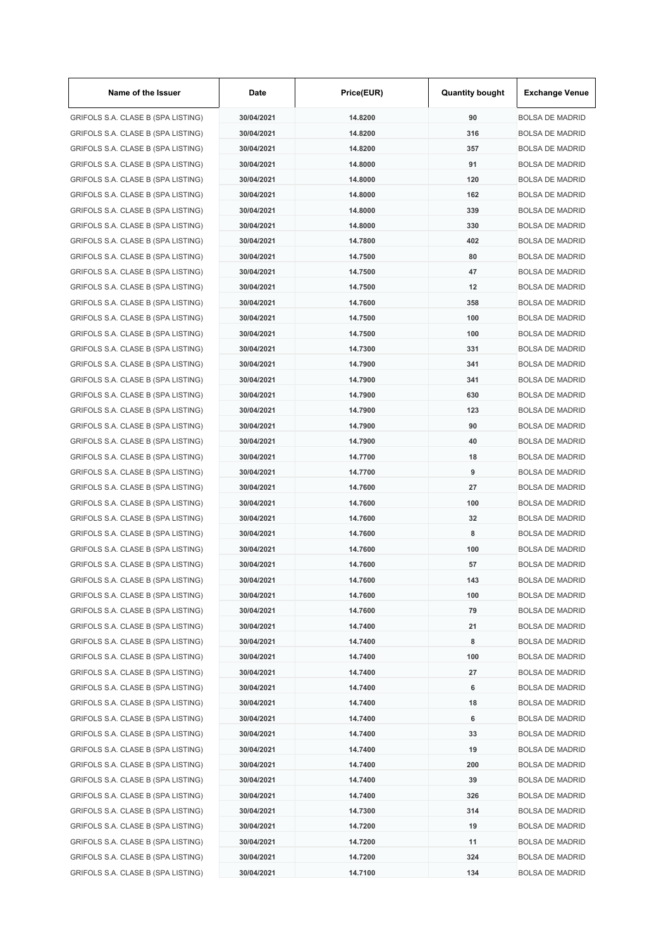| Name of the Issuer                 | Date       | Price(EUR) | <b>Quantity bought</b> | <b>Exchange Venue</b>  |
|------------------------------------|------------|------------|------------------------|------------------------|
| GRIFOLS S.A. CLASE B (SPA LISTING) | 30/04/2021 | 14.8200    | 90                     | <b>BOLSA DE MADRID</b> |
| GRIFOLS S.A. CLASE B (SPA LISTING) | 30/04/2021 | 14.8200    | 316                    | <b>BOLSA DE MADRID</b> |
| GRIFOLS S.A. CLASE B (SPA LISTING) | 30/04/2021 | 14.8200    | 357                    | <b>BOLSA DE MADRID</b> |
| GRIFOLS S.A. CLASE B (SPA LISTING) | 30/04/2021 | 14.8000    | 91                     | <b>BOLSA DE MADRID</b> |
| GRIFOLS S.A. CLASE B (SPA LISTING) | 30/04/2021 | 14.8000    | 120                    | <b>BOLSA DE MADRID</b> |
| GRIFOLS S.A. CLASE B (SPA LISTING) | 30/04/2021 | 14.8000    | 162                    | <b>BOLSA DE MADRID</b> |
| GRIFOLS S.A. CLASE B (SPA LISTING) | 30/04/2021 | 14.8000    | 339                    | <b>BOLSA DE MADRID</b> |
| GRIFOLS S.A. CLASE B (SPA LISTING) | 30/04/2021 | 14.8000    | 330                    | <b>BOLSA DE MADRID</b> |
| GRIFOLS S.A. CLASE B (SPA LISTING) | 30/04/2021 | 14.7800    | 402                    | <b>BOLSA DE MADRID</b> |
| GRIFOLS S.A. CLASE B (SPA LISTING) | 30/04/2021 | 14.7500    | 80                     | <b>BOLSA DE MADRID</b> |
| GRIFOLS S.A. CLASE B (SPA LISTING) | 30/04/2021 | 14.7500    | 47                     | <b>BOLSA DE MADRID</b> |
| GRIFOLS S.A. CLASE B (SPA LISTING) | 30/04/2021 | 14.7500    | 12                     | <b>BOLSA DE MADRID</b> |
| GRIFOLS S.A. CLASE B (SPA LISTING) | 30/04/2021 | 14.7600    | 358                    | <b>BOLSA DE MADRID</b> |
| GRIFOLS S.A. CLASE B (SPA LISTING) | 30/04/2021 | 14.7500    | 100                    | <b>BOLSA DE MADRID</b> |
| GRIFOLS S.A. CLASE B (SPA LISTING) | 30/04/2021 | 14.7500    | 100                    | <b>BOLSA DE MADRID</b> |
| GRIFOLS S.A. CLASE B (SPA LISTING) | 30/04/2021 | 14.7300    | 331                    | <b>BOLSA DE MADRID</b> |
| GRIFOLS S.A. CLASE B (SPA LISTING) | 30/04/2021 | 14.7900    | 341                    | <b>BOLSA DE MADRID</b> |
| GRIFOLS S.A. CLASE B (SPA LISTING) | 30/04/2021 | 14.7900    | 341                    | <b>BOLSA DE MADRID</b> |
| GRIFOLS S.A. CLASE B (SPA LISTING) | 30/04/2021 | 14.7900    | 630                    | <b>BOLSA DE MADRID</b> |
| GRIFOLS S.A. CLASE B (SPA LISTING) | 30/04/2021 | 14.7900    | 123                    | <b>BOLSA DE MADRID</b> |
| GRIFOLS S.A. CLASE B (SPA LISTING) | 30/04/2021 | 14.7900    | 90                     | <b>BOLSA DE MADRID</b> |
| GRIFOLS S.A. CLASE B (SPA LISTING) | 30/04/2021 | 14.7900    | 40                     | <b>BOLSA DE MADRID</b> |
|                                    |            |            |                        |                        |
| GRIFOLS S.A. CLASE B (SPA LISTING) | 30/04/2021 | 14.7700    | 18                     | <b>BOLSA DE MADRID</b> |
| GRIFOLS S.A. CLASE B (SPA LISTING) | 30/04/2021 | 14.7700    | 9                      | <b>BOLSA DE MADRID</b> |
| GRIFOLS S.A. CLASE B (SPA LISTING) | 30/04/2021 | 14.7600    | 27                     | <b>BOLSA DE MADRID</b> |
| GRIFOLS S.A. CLASE B (SPA LISTING) | 30/04/2021 | 14.7600    | 100                    | <b>BOLSA DE MADRID</b> |
| GRIFOLS S.A. CLASE B (SPA LISTING) | 30/04/2021 | 14.7600    | 32                     | <b>BOLSA DE MADRID</b> |
| GRIFOLS S.A. CLASE B (SPA LISTING) | 30/04/2021 | 14.7600    | 8                      | <b>BOLSA DE MADRID</b> |
| GRIFOLS S.A. CLASE B (SPA LISTING) | 30/04/2021 | 14.7600    | 100                    | <b>BOLSA DE MADRID</b> |
| GRIFOLS S.A. CLASE B (SPA LISTING) | 30/04/2021 | 14.7600    | 57                     | <b>BOLSA DE MADRID</b> |
| GRIFOLS S.A. CLASE B (SPA LISTING) | 30/04/2021 | 14.7600    | 143                    | <b>BOLSA DE MADRID</b> |
| GRIFOLS S.A. CLASE B (SPA LISTING) | 30/04/2021 | 14.7600    | 100                    | <b>BOLSA DE MADRID</b> |
| GRIFOLS S.A. CLASE B (SPA LISTING) | 30/04/2021 | 14.7600    | 79                     | <b>BOLSA DE MADRID</b> |
| GRIFOLS S.A. CLASE B (SPA LISTING) | 30/04/2021 | 14.7400    | 21                     | <b>BOLSA DE MADRID</b> |
| GRIFOLS S.A. CLASE B (SPA LISTING) | 30/04/2021 | 14.7400    | 8                      | <b>BOLSA DE MADRID</b> |
| GRIFOLS S.A. CLASE B (SPA LISTING) | 30/04/2021 | 14.7400    | 100                    | <b>BOLSA DE MADRID</b> |
| GRIFOLS S.A. CLASE B (SPA LISTING) | 30/04/2021 | 14.7400    | 27                     | <b>BOLSA DE MADRID</b> |
| GRIFOLS S.A. CLASE B (SPA LISTING) | 30/04/2021 | 14.7400    | 6                      | <b>BOLSA DE MADRID</b> |
| GRIFOLS S.A. CLASE B (SPA LISTING) | 30/04/2021 | 14.7400    | 18                     | <b>BOLSA DE MADRID</b> |
| GRIFOLS S.A. CLASE B (SPA LISTING) | 30/04/2021 | 14.7400    | 6                      | <b>BOLSA DE MADRID</b> |
| GRIFOLS S.A. CLASE B (SPA LISTING) | 30/04/2021 | 14.7400    | 33                     | <b>BOLSA DE MADRID</b> |
| GRIFOLS S.A. CLASE B (SPA LISTING) | 30/04/2021 | 14.7400    | 19                     | <b>BOLSA DE MADRID</b> |
| GRIFOLS S.A. CLASE B (SPA LISTING) | 30/04/2021 | 14.7400    | 200                    | <b>BOLSA DE MADRID</b> |
| GRIFOLS S.A. CLASE B (SPA LISTING) | 30/04/2021 | 14.7400    | 39                     | <b>BOLSA DE MADRID</b> |
| GRIFOLS S.A. CLASE B (SPA LISTING) | 30/04/2021 | 14.7400    | 326                    | <b>BOLSA DE MADRID</b> |
| GRIFOLS S.A. CLASE B (SPA LISTING) | 30/04/2021 | 14.7300    | 314                    | <b>BOLSA DE MADRID</b> |
| GRIFOLS S.A. CLASE B (SPA LISTING) | 30/04/2021 | 14.7200    | 19                     | <b>BOLSA DE MADRID</b> |
| GRIFOLS S.A. CLASE B (SPA LISTING) | 30/04/2021 | 14.7200    | 11                     | <b>BOLSA DE MADRID</b> |
| GRIFOLS S.A. CLASE B (SPA LISTING) | 30/04/2021 | 14.7200    | 324                    | <b>BOLSA DE MADRID</b> |
| GRIFOLS S.A. CLASE B (SPA LISTING) | 30/04/2021 | 14.7100    | 134                    | <b>BOLSA DE MADRID</b> |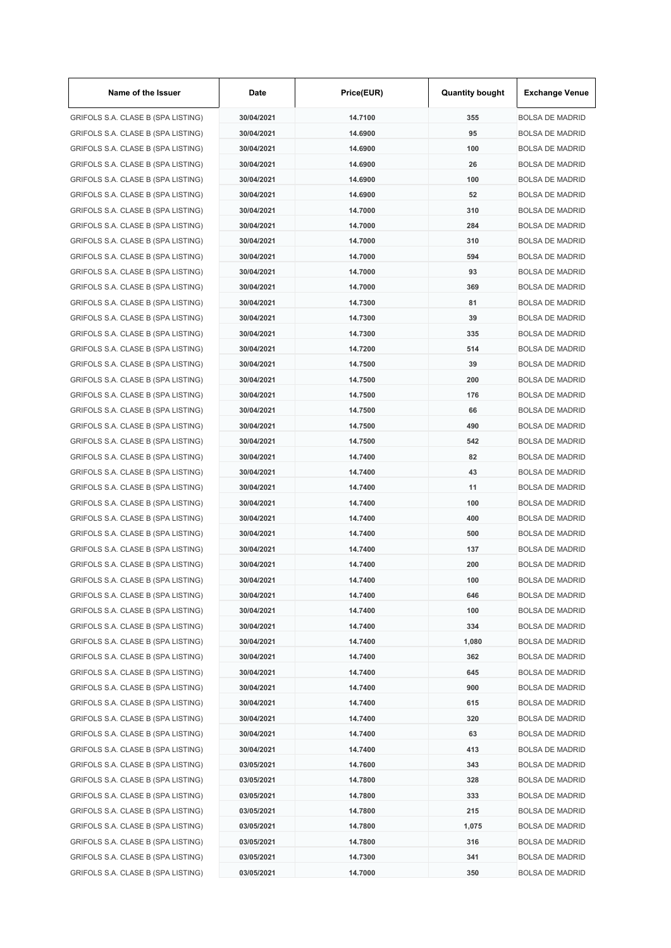| Name of the Issuer                 | Date       | Price(EUR) | <b>Quantity bought</b> | <b>Exchange Venue</b>  |
|------------------------------------|------------|------------|------------------------|------------------------|
| GRIFOLS S.A. CLASE B (SPA LISTING) | 30/04/2021 | 14.7100    | 355                    | <b>BOLSA DE MADRID</b> |
| GRIFOLS S.A. CLASE B (SPA LISTING) | 30/04/2021 | 14.6900    | 95                     | <b>BOLSA DE MADRID</b> |
| GRIFOLS S.A. CLASE B (SPA LISTING) | 30/04/2021 | 14.6900    | 100                    | <b>BOLSA DE MADRID</b> |
| GRIFOLS S.A. CLASE B (SPA LISTING) | 30/04/2021 | 14.6900    | 26                     | <b>BOLSA DE MADRID</b> |
| GRIFOLS S.A. CLASE B (SPA LISTING) | 30/04/2021 | 14.6900    | 100                    | <b>BOLSA DE MADRID</b> |
| GRIFOLS S.A. CLASE B (SPA LISTING) | 30/04/2021 | 14.6900    | 52                     | <b>BOLSA DE MADRID</b> |
| GRIFOLS S.A. CLASE B (SPA LISTING) | 30/04/2021 | 14.7000    | 310                    | <b>BOLSA DE MADRID</b> |
| GRIFOLS S.A. CLASE B (SPA LISTING) | 30/04/2021 | 14.7000    | 284                    | <b>BOLSA DE MADRID</b> |
| GRIFOLS S.A. CLASE B (SPA LISTING) | 30/04/2021 | 14.7000    | 310                    | <b>BOLSA DE MADRID</b> |
| GRIFOLS S.A. CLASE B (SPA LISTING) | 30/04/2021 | 14.7000    | 594                    | <b>BOLSA DE MADRID</b> |
| GRIFOLS S.A. CLASE B (SPA LISTING) | 30/04/2021 | 14.7000    | 93                     | <b>BOLSA DE MADRID</b> |
| GRIFOLS S.A. CLASE B (SPA LISTING) | 30/04/2021 | 14.7000    | 369                    | <b>BOLSA DE MADRID</b> |
| GRIFOLS S.A. CLASE B (SPA LISTING) | 30/04/2021 | 14.7300    | 81                     | <b>BOLSA DE MADRID</b> |
| GRIFOLS S.A. CLASE B (SPA LISTING) | 30/04/2021 | 14.7300    | 39                     | <b>BOLSA DE MADRID</b> |
| GRIFOLS S.A. CLASE B (SPA LISTING) | 30/04/2021 | 14.7300    | 335                    | <b>BOLSA DE MADRID</b> |
| GRIFOLS S.A. CLASE B (SPA LISTING) | 30/04/2021 | 14.7200    | 514                    | <b>BOLSA DE MADRID</b> |
| GRIFOLS S.A. CLASE B (SPA LISTING) | 30/04/2021 | 14.7500    | 39                     | <b>BOLSA DE MADRID</b> |
| GRIFOLS S.A. CLASE B (SPA LISTING) | 30/04/2021 | 14.7500    | 200                    | <b>BOLSA DE MADRID</b> |
| GRIFOLS S.A. CLASE B (SPA LISTING) | 30/04/2021 | 14.7500    | 176                    | <b>BOLSA DE MADRID</b> |
| GRIFOLS S.A. CLASE B (SPA LISTING) | 30/04/2021 | 14.7500    | 66                     | <b>BOLSA DE MADRID</b> |
| GRIFOLS S.A. CLASE B (SPA LISTING) | 30/04/2021 | 14.7500    | 490                    | <b>BOLSA DE MADRID</b> |
| GRIFOLS S.A. CLASE B (SPA LISTING) | 30/04/2021 | 14.7500    | 542                    | <b>BOLSA DE MADRID</b> |
|                                    |            |            | 82                     |                        |
| GRIFOLS S.A. CLASE B (SPA LISTING) | 30/04/2021 | 14.7400    |                        | <b>BOLSA DE MADRID</b> |
| GRIFOLS S.A. CLASE B (SPA LISTING) | 30/04/2021 | 14.7400    | 43                     | <b>BOLSA DE MADRID</b> |
| GRIFOLS S.A. CLASE B (SPA LISTING) | 30/04/2021 | 14.7400    | 11                     | <b>BOLSA DE MADRID</b> |
| GRIFOLS S.A. CLASE B (SPA LISTING) | 30/04/2021 | 14.7400    | 100                    | <b>BOLSA DE MADRID</b> |
| GRIFOLS S.A. CLASE B (SPA LISTING) | 30/04/2021 | 14.7400    | 400                    | <b>BOLSA DE MADRID</b> |
| GRIFOLS S.A. CLASE B (SPA LISTING) | 30/04/2021 | 14.7400    | 500                    | <b>BOLSA DE MADRID</b> |
| GRIFOLS S.A. CLASE B (SPA LISTING) | 30/04/2021 | 14.7400    | 137                    | <b>BOLSA DE MADRID</b> |
| GRIFOLS S.A. CLASE B (SPA LISTING) | 30/04/2021 | 14.7400    | 200                    | <b>BOLSA DE MADRID</b> |
| GRIFOLS S.A. CLASE B (SPA LISTING) | 30/04/2021 | 14.7400    | 100                    | <b>BOLSA DE MADRID</b> |
| GRIFOLS S.A. CLASE B (SPA LISTING) | 30/04/2021 | 14.7400    | 646                    | <b>BOLSA DE MADRID</b> |
| GRIFOLS S.A. CLASE B (SPA LISTING) | 30/04/2021 | 14.7400    | 100                    | <b>BOLSA DE MADRID</b> |
| GRIFOLS S.A. CLASE B (SPA LISTING) | 30/04/2021 | 14.7400    | 334                    | <b>BOLSA DE MADRID</b> |
| GRIFOLS S.A. CLASE B (SPA LISTING) | 30/04/2021 | 14.7400    | 1,080                  | <b>BOLSA DE MADRID</b> |
| GRIFOLS S.A. CLASE B (SPA LISTING) | 30/04/2021 | 14.7400    | 362                    | <b>BOLSA DE MADRID</b> |
| GRIFOLS S.A. CLASE B (SPA LISTING) | 30/04/2021 | 14.7400    | 645                    | <b>BOLSA DE MADRID</b> |
| GRIFOLS S.A. CLASE B (SPA LISTING) | 30/04/2021 | 14.7400    | 900                    | <b>BOLSA DE MADRID</b> |
| GRIFOLS S.A. CLASE B (SPA LISTING) | 30/04/2021 | 14.7400    | 615                    | <b>BOLSA DE MADRID</b> |
| GRIFOLS S.A. CLASE B (SPA LISTING) | 30/04/2021 | 14.7400    | 320                    | <b>BOLSA DE MADRID</b> |
| GRIFOLS S.A. CLASE B (SPA LISTING) | 30/04/2021 | 14.7400    | 63                     | <b>BOLSA DE MADRID</b> |
| GRIFOLS S.A. CLASE B (SPA LISTING) | 30/04/2021 | 14.7400    | 413                    | <b>BOLSA DE MADRID</b> |
| GRIFOLS S.A. CLASE B (SPA LISTING) | 03/05/2021 | 14.7600    | 343                    | <b>BOLSA DE MADRID</b> |
| GRIFOLS S.A. CLASE B (SPA LISTING) | 03/05/2021 | 14.7800    | 328                    | <b>BOLSA DE MADRID</b> |
| GRIFOLS S.A. CLASE B (SPA LISTING) | 03/05/2021 | 14.7800    | 333                    | <b>BOLSA DE MADRID</b> |
| GRIFOLS S.A. CLASE B (SPA LISTING) | 03/05/2021 | 14.7800    | 215                    | <b>BOLSA DE MADRID</b> |
| GRIFOLS S.A. CLASE B (SPA LISTING) | 03/05/2021 | 14.7800    | 1,075                  | <b>BOLSA DE MADRID</b> |
| GRIFOLS S.A. CLASE B (SPA LISTING) | 03/05/2021 | 14.7800    | 316                    | <b>BOLSA DE MADRID</b> |
| GRIFOLS S.A. CLASE B (SPA LISTING) | 03/05/2021 | 14.7300    | 341                    | <b>BOLSA DE MADRID</b> |
| GRIFOLS S.A. CLASE B (SPA LISTING) | 03/05/2021 | 14.7000    | 350                    | <b>BOLSA DE MADRID</b> |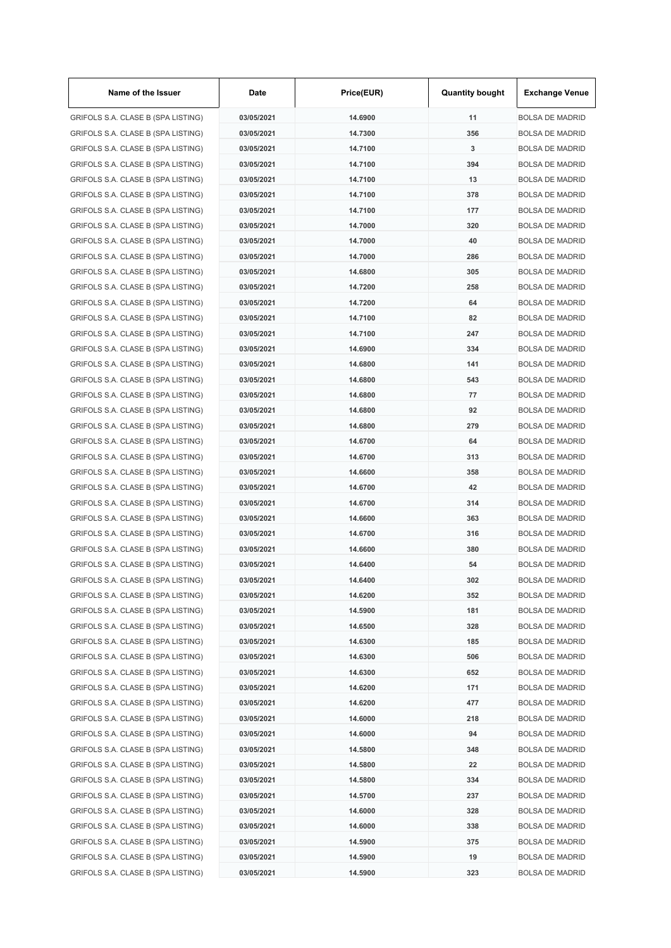| Name of the Issuer                 | Date       | Price(EUR) | <b>Quantity bought</b> | <b>Exchange Venue</b>  |
|------------------------------------|------------|------------|------------------------|------------------------|
| GRIFOLS S.A. CLASE B (SPA LISTING) | 03/05/2021 | 14.6900    | 11                     | <b>BOLSA DE MADRID</b> |
| GRIFOLS S.A. CLASE B (SPA LISTING) | 03/05/2021 | 14.7300    | 356                    | <b>BOLSA DE MADRID</b> |
| GRIFOLS S.A. CLASE B (SPA LISTING) | 03/05/2021 | 14.7100    | 3                      | <b>BOLSA DE MADRID</b> |
| GRIFOLS S.A. CLASE B (SPA LISTING) | 03/05/2021 | 14.7100    | 394                    | <b>BOLSA DE MADRID</b> |
| GRIFOLS S.A. CLASE B (SPA LISTING) | 03/05/2021 | 14.7100    | 13                     | <b>BOLSA DE MADRID</b> |
| GRIFOLS S.A. CLASE B (SPA LISTING) | 03/05/2021 | 14.7100    | 378                    | <b>BOLSA DE MADRID</b> |
| GRIFOLS S.A. CLASE B (SPA LISTING) | 03/05/2021 | 14.7100    | 177                    | <b>BOLSA DE MADRID</b> |
| GRIFOLS S.A. CLASE B (SPA LISTING) | 03/05/2021 | 14.7000    | 320                    | <b>BOLSA DE MADRID</b> |
| GRIFOLS S.A. CLASE B (SPA LISTING) | 03/05/2021 | 14.7000    | 40                     | <b>BOLSA DE MADRID</b> |
| GRIFOLS S.A. CLASE B (SPA LISTING) | 03/05/2021 | 14.7000    | 286                    | <b>BOLSA DE MADRID</b> |
| GRIFOLS S.A. CLASE B (SPA LISTING) | 03/05/2021 | 14.6800    | 305                    | <b>BOLSA DE MADRID</b> |
| GRIFOLS S.A. CLASE B (SPA LISTING) | 03/05/2021 | 14.7200    | 258                    | <b>BOLSA DE MADRID</b> |
| GRIFOLS S.A. CLASE B (SPA LISTING) | 03/05/2021 | 14.7200    | 64                     | <b>BOLSA DE MADRID</b> |
| GRIFOLS S.A. CLASE B (SPA LISTING) | 03/05/2021 | 14.7100    | 82                     | <b>BOLSA DE MADRID</b> |
| GRIFOLS S.A. CLASE B (SPA LISTING) | 03/05/2021 | 14.7100    | 247                    | <b>BOLSA DE MADRID</b> |
| GRIFOLS S.A. CLASE B (SPA LISTING) | 03/05/2021 | 14.6900    | 334                    | <b>BOLSA DE MADRID</b> |
| GRIFOLS S.A. CLASE B (SPA LISTING) | 03/05/2021 | 14.6800    | 141                    | <b>BOLSA DE MADRID</b> |
| GRIFOLS S.A. CLASE B (SPA LISTING) | 03/05/2021 | 14.6800    | 543                    | <b>BOLSA DE MADRID</b> |
| GRIFOLS S.A. CLASE B (SPA LISTING) | 03/05/2021 | 14.6800    | 77                     | <b>BOLSA DE MADRID</b> |
| GRIFOLS S.A. CLASE B (SPA LISTING) | 03/05/2021 | 14.6800    | 92                     | <b>BOLSA DE MADRID</b> |
| GRIFOLS S.A. CLASE B (SPA LISTING) | 03/05/2021 | 14.6800    | 279                    | <b>BOLSA DE MADRID</b> |
| GRIFOLS S.A. CLASE B (SPA LISTING) | 03/05/2021 | 14.6700    | 64                     | <b>BOLSA DE MADRID</b> |
| GRIFOLS S.A. CLASE B (SPA LISTING) | 03/05/2021 | 14.6700    | 313                    | <b>BOLSA DE MADRID</b> |
| GRIFOLS S.A. CLASE B (SPA LISTING) | 03/05/2021 | 14.6600    | 358                    | <b>BOLSA DE MADRID</b> |
| GRIFOLS S.A. CLASE B (SPA LISTING) | 03/05/2021 | 14.6700    | 42                     | <b>BOLSA DE MADRID</b> |
| GRIFOLS S.A. CLASE B (SPA LISTING) | 03/05/2021 | 14.6700    | 314                    | <b>BOLSA DE MADRID</b> |
| GRIFOLS S.A. CLASE B (SPA LISTING) | 03/05/2021 | 14.6600    | 363                    | <b>BOLSA DE MADRID</b> |
|                                    | 03/05/2021 | 14.6700    | 316                    | <b>BOLSA DE MADRID</b> |
| GRIFOLS S.A. CLASE B (SPA LISTING) |            |            |                        | <b>BOLSA DE MADRID</b> |
| GRIFOLS S.A. CLASE B (SPA LISTING) | 03/05/2021 | 14.6600    | 380<br>54              |                        |
| GRIFOLS S.A. CLASE B (SPA LISTING) | 03/05/2021 | 14.6400    |                        | <b>BOLSA DE MADRID</b> |
| GRIFOLS S.A. CLASE B (SPA LISTING) | 03/05/2021 | 14.6400    | 302                    | <b>BOLSA DE MADRID</b> |
| GRIFOLS S.A. CLASE B (SPA LISTING) | 03/05/2021 | 14.6200    | 352                    | <b>BOLSA DE MADRID</b> |
| GRIFOLS S.A. CLASE B (SPA LISTING) | 03/05/2021 | 14.5900    | 181                    | <b>BOLSA DE MADRID</b> |
| GRIFOLS S.A. CLASE B (SPA LISTING) | 03/05/2021 | 14.6500    | 328                    | <b>BOLSA DE MADRID</b> |
| GRIFOLS S.A. CLASE B (SPA LISTING) | 03/05/2021 | 14.6300    | 185                    | <b>BOLSA DE MADRID</b> |
| GRIFOLS S.A. CLASE B (SPA LISTING) | 03/05/2021 | 14.6300    | 506                    | <b>BOLSA DE MADRID</b> |
| GRIFOLS S.A. CLASE B (SPA LISTING) | 03/05/2021 | 14.6300    | 652                    | <b>BOLSA DE MADRID</b> |
| GRIFOLS S.A. CLASE B (SPA LISTING) | 03/05/2021 | 14.6200    | 171                    | <b>BOLSA DE MADRID</b> |
| GRIFOLS S.A. CLASE B (SPA LISTING) | 03/05/2021 | 14.6200    | 477                    | <b>BOLSA DE MADRID</b> |
| GRIFOLS S.A. CLASE B (SPA LISTING) | 03/05/2021 | 14.6000    | 218                    | <b>BOLSA DE MADRID</b> |
| GRIFOLS S.A. CLASE B (SPA LISTING) | 03/05/2021 | 14.6000    | 94                     | <b>BOLSA DE MADRID</b> |
| GRIFOLS S.A. CLASE B (SPA LISTING) | 03/05/2021 | 14.5800    | 348                    | <b>BOLSA DE MADRID</b> |
| GRIFOLS S.A. CLASE B (SPA LISTING) | 03/05/2021 | 14.5800    | 22                     | <b>BOLSA DE MADRID</b> |
| GRIFOLS S.A. CLASE B (SPA LISTING) | 03/05/2021 | 14.5800    | 334                    | <b>BOLSA DE MADRID</b> |
| GRIFOLS S.A. CLASE B (SPA LISTING) | 03/05/2021 | 14.5700    | 237                    | <b>BOLSA DE MADRID</b> |
| GRIFOLS S.A. CLASE B (SPA LISTING) | 03/05/2021 | 14.6000    | 328                    | <b>BOLSA DE MADRID</b> |
| GRIFOLS S.A. CLASE B (SPA LISTING) | 03/05/2021 | 14.6000    | 338                    | <b>BOLSA DE MADRID</b> |
| GRIFOLS S.A. CLASE B (SPA LISTING) | 03/05/2021 | 14.5900    | 375                    | <b>BOLSA DE MADRID</b> |
| GRIFOLS S.A. CLASE B (SPA LISTING) | 03/05/2021 | 14.5900    | 19                     | <b>BOLSA DE MADRID</b> |
| GRIFOLS S.A. CLASE B (SPA LISTING) | 03/05/2021 | 14.5900    | 323                    | <b>BOLSA DE MADRID</b> |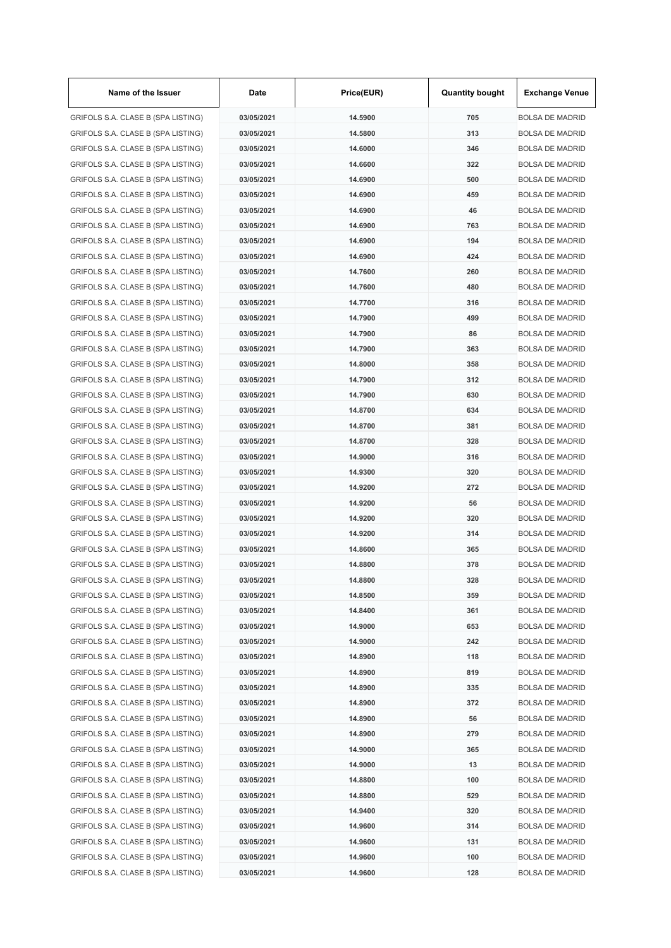| Name of the Issuer                 | Date       | Price(EUR) | <b>Quantity bought</b> | <b>Exchange Venue</b>  |
|------------------------------------|------------|------------|------------------------|------------------------|
| GRIFOLS S.A. CLASE B (SPA LISTING) | 03/05/2021 | 14.5900    | 705                    | <b>BOLSA DE MADRID</b> |
| GRIFOLS S.A. CLASE B (SPA LISTING) | 03/05/2021 | 14.5800    | 313                    | <b>BOLSA DE MADRID</b> |
| GRIFOLS S.A. CLASE B (SPA LISTING) | 03/05/2021 | 14.6000    | 346                    | <b>BOLSA DE MADRID</b> |
| GRIFOLS S.A. CLASE B (SPA LISTING) | 03/05/2021 | 14.6600    | 322                    | <b>BOLSA DE MADRID</b> |
| GRIFOLS S.A. CLASE B (SPA LISTING) | 03/05/2021 | 14.6900    | 500                    | <b>BOLSA DE MADRID</b> |
| GRIFOLS S.A. CLASE B (SPA LISTING) | 03/05/2021 | 14.6900    | 459                    | <b>BOLSA DE MADRID</b> |
| GRIFOLS S.A. CLASE B (SPA LISTING) | 03/05/2021 | 14.6900    | 46                     | <b>BOLSA DE MADRID</b> |
| GRIFOLS S.A. CLASE B (SPA LISTING) | 03/05/2021 | 14.6900    | 763                    | <b>BOLSA DE MADRID</b> |
| GRIFOLS S.A. CLASE B (SPA LISTING) | 03/05/2021 | 14.6900    | 194                    | <b>BOLSA DE MADRID</b> |
| GRIFOLS S.A. CLASE B (SPA LISTING) | 03/05/2021 | 14.6900    | 424                    | <b>BOLSA DE MADRID</b> |
| GRIFOLS S.A. CLASE B (SPA LISTING) | 03/05/2021 | 14.7600    | 260                    | <b>BOLSA DE MADRID</b> |
| GRIFOLS S.A. CLASE B (SPA LISTING) | 03/05/2021 | 14.7600    | 480                    | <b>BOLSA DE MADRID</b> |
| GRIFOLS S.A. CLASE B (SPA LISTING) | 03/05/2021 | 14.7700    | 316                    | <b>BOLSA DE MADRID</b> |
| GRIFOLS S.A. CLASE B (SPA LISTING) | 03/05/2021 | 14.7900    | 499                    | <b>BOLSA DE MADRID</b> |
| GRIFOLS S.A. CLASE B (SPA LISTING) | 03/05/2021 | 14.7900    | 86                     | <b>BOLSA DE MADRID</b> |
| GRIFOLS S.A. CLASE B (SPA LISTING) | 03/05/2021 | 14.7900    | 363                    | <b>BOLSA DE MADRID</b> |
| GRIFOLS S.A. CLASE B (SPA LISTING) | 03/05/2021 | 14.8000    | 358                    | <b>BOLSA DE MADRID</b> |
| GRIFOLS S.A. CLASE B (SPA LISTING) | 03/05/2021 | 14.7900    | 312                    | <b>BOLSA DE MADRID</b> |
| GRIFOLS S.A. CLASE B (SPA LISTING) | 03/05/2021 | 14.7900    | 630                    | <b>BOLSA DE MADRID</b> |
| GRIFOLS S.A. CLASE B (SPA LISTING) | 03/05/2021 | 14.8700    | 634                    | <b>BOLSA DE MADRID</b> |
| GRIFOLS S.A. CLASE B (SPA LISTING) | 03/05/2021 | 14.8700    | 381                    | <b>BOLSA DE MADRID</b> |
| GRIFOLS S.A. CLASE B (SPA LISTING) | 03/05/2021 | 14.8700    | 328                    | <b>BOLSA DE MADRID</b> |
| GRIFOLS S.A. CLASE B (SPA LISTING) | 03/05/2021 | 14.9000    | 316                    | <b>BOLSA DE MADRID</b> |
| GRIFOLS S.A. CLASE B (SPA LISTING) | 03/05/2021 | 14.9300    | 320                    | <b>BOLSA DE MADRID</b> |
| GRIFOLS S.A. CLASE B (SPA LISTING) | 03/05/2021 | 14.9200    | 272                    | <b>BOLSA DE MADRID</b> |
| GRIFOLS S.A. CLASE B (SPA LISTING) | 03/05/2021 | 14.9200    | 56                     | <b>BOLSA DE MADRID</b> |
| GRIFOLS S.A. CLASE B (SPA LISTING) | 03/05/2021 | 14.9200    | 320                    | <b>BOLSA DE MADRID</b> |
| GRIFOLS S.A. CLASE B (SPA LISTING) | 03/05/2021 | 14.9200    | 314                    | <b>BOLSA DE MADRID</b> |
| GRIFOLS S.A. CLASE B (SPA LISTING) | 03/05/2021 | 14.8600    | 365                    | <b>BOLSA DE MADRID</b> |
|                                    | 03/05/2021 | 14.8800    | 378                    | <b>BOLSA DE MADRID</b> |
| GRIFOLS S.A. CLASE B (SPA LISTING) |            |            |                        |                        |
| GRIFOLS S.A. CLASE B (SPA LISTING) | 03/05/2021 | 14.8800    | 328                    | <b>BOLSA DE MADRID</b> |
| GRIFOLS S.A. CLASE B (SPA LISTING) | 03/05/2021 | 14.8500    | 359                    | <b>BOLSA DE MADRID</b> |
| GRIFOLS S.A. CLASE B (SPA LISTING) | 03/05/2021 | 14.8400    | 361                    | <b>BOLSA DE MADRID</b> |
| GRIFOLS S.A. CLASE B (SPA LISTING) | 03/05/2021 | 14.9000    | 653                    | <b>BOLSA DE MADRID</b> |
| GRIFOLS S.A. CLASE B (SPA LISTING) | 03/05/2021 | 14.9000    | 242                    | <b>BOLSA DE MADRID</b> |
| GRIFOLS S.A. CLASE B (SPA LISTING) | 03/05/2021 | 14.8900    | 118                    | <b>BOLSA DE MADRID</b> |
| GRIFOLS S.A. CLASE B (SPA LISTING) | 03/05/2021 | 14.8900    | 819                    | <b>BOLSA DE MADRID</b> |
| GRIFOLS S.A. CLASE B (SPA LISTING) | 03/05/2021 | 14.8900    | 335                    | <b>BOLSA DE MADRID</b> |
| GRIFOLS S.A. CLASE B (SPA LISTING) | 03/05/2021 | 14.8900    | 372                    | <b>BOLSA DE MADRID</b> |
| GRIFOLS S.A. CLASE B (SPA LISTING) | 03/05/2021 | 14.8900    | 56                     | <b>BOLSA DE MADRID</b> |
| GRIFOLS S.A. CLASE B (SPA LISTING) | 03/05/2021 | 14.8900    | 279                    | <b>BOLSA DE MADRID</b> |
| GRIFOLS S.A. CLASE B (SPA LISTING) | 03/05/2021 | 14.9000    | 365                    | <b>BOLSA DE MADRID</b> |
| GRIFOLS S.A. CLASE B (SPA LISTING) | 03/05/2021 | 14.9000    | 13                     | <b>BOLSA DE MADRID</b> |
| GRIFOLS S.A. CLASE B (SPA LISTING) | 03/05/2021 | 14.8800    | 100                    | <b>BOLSA DE MADRID</b> |
| GRIFOLS S.A. CLASE B (SPA LISTING) | 03/05/2021 | 14.8800    | 529                    | <b>BOLSA DE MADRID</b> |
| GRIFOLS S.A. CLASE B (SPA LISTING) | 03/05/2021 | 14.9400    | 320                    | <b>BOLSA DE MADRID</b> |
| GRIFOLS S.A. CLASE B (SPA LISTING) | 03/05/2021 | 14.9600    | 314                    | <b>BOLSA DE MADRID</b> |
| GRIFOLS S.A. CLASE B (SPA LISTING) | 03/05/2021 | 14.9600    | 131                    | <b>BOLSA DE MADRID</b> |
| GRIFOLS S.A. CLASE B (SPA LISTING) | 03/05/2021 | 14.9600    | 100                    | <b>BOLSA DE MADRID</b> |
| GRIFOLS S.A. CLASE B (SPA LISTING) | 03/05/2021 | 14.9600    | 128                    | <b>BOLSA DE MADRID</b> |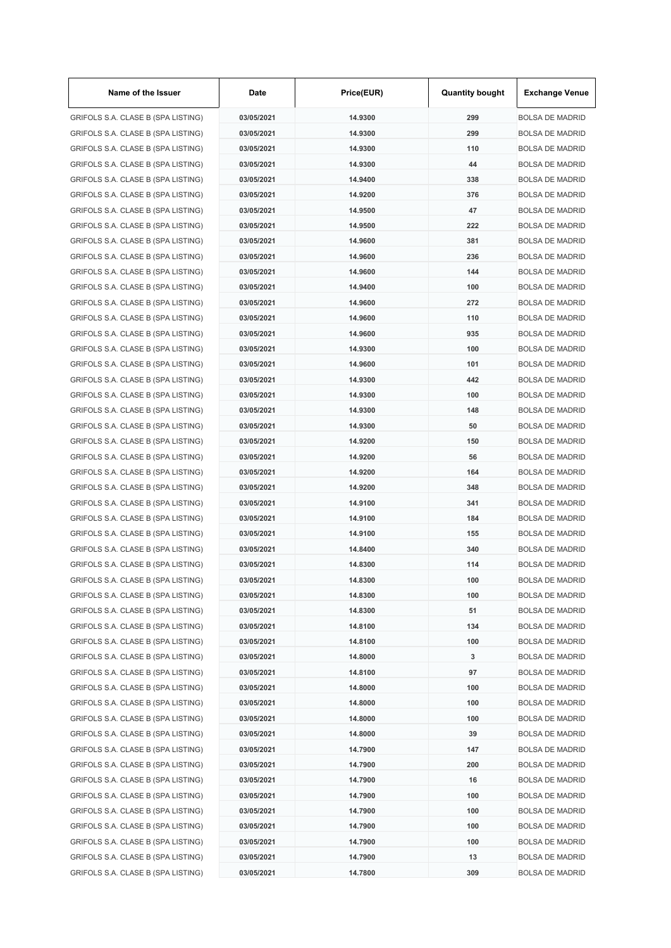| Name of the Issuer                 | Date       | Price(EUR) | <b>Quantity bought</b> | <b>Exchange Venue</b>  |
|------------------------------------|------------|------------|------------------------|------------------------|
| GRIFOLS S.A. CLASE B (SPA LISTING) | 03/05/2021 | 14.9300    | 299                    | <b>BOLSA DE MADRID</b> |
| GRIFOLS S.A. CLASE B (SPA LISTING) | 03/05/2021 | 14.9300    | 299                    | <b>BOLSA DE MADRID</b> |
| GRIFOLS S.A. CLASE B (SPA LISTING) | 03/05/2021 | 14.9300    | 110                    | <b>BOLSA DE MADRID</b> |
| GRIFOLS S.A. CLASE B (SPA LISTING) | 03/05/2021 | 14.9300    | 44                     | <b>BOLSA DE MADRID</b> |
| GRIFOLS S.A. CLASE B (SPA LISTING) | 03/05/2021 | 14.9400    | 338                    | <b>BOLSA DE MADRID</b> |
| GRIFOLS S.A. CLASE B (SPA LISTING) | 03/05/2021 | 14.9200    | 376                    | <b>BOLSA DE MADRID</b> |
| GRIFOLS S.A. CLASE B (SPA LISTING) | 03/05/2021 | 14.9500    | 47                     | <b>BOLSA DE MADRID</b> |
| GRIFOLS S.A. CLASE B (SPA LISTING) | 03/05/2021 | 14.9500    | 222                    | <b>BOLSA DE MADRID</b> |
| GRIFOLS S.A. CLASE B (SPA LISTING) | 03/05/2021 | 14.9600    | 381                    | <b>BOLSA DE MADRID</b> |
| GRIFOLS S.A. CLASE B (SPA LISTING) | 03/05/2021 | 14.9600    | 236                    | <b>BOLSA DE MADRID</b> |
| GRIFOLS S.A. CLASE B (SPA LISTING) | 03/05/2021 | 14.9600    | 144                    | <b>BOLSA DE MADRID</b> |
| GRIFOLS S.A. CLASE B (SPA LISTING) | 03/05/2021 | 14.9400    | 100                    | <b>BOLSA DE MADRID</b> |
| GRIFOLS S.A. CLASE B (SPA LISTING) | 03/05/2021 | 14.9600    | 272                    | <b>BOLSA DE MADRID</b> |
| GRIFOLS S.A. CLASE B (SPA LISTING) | 03/05/2021 | 14.9600    | 110                    | <b>BOLSA DE MADRID</b> |
| GRIFOLS S.A. CLASE B (SPA LISTING) | 03/05/2021 | 14.9600    | 935                    | <b>BOLSA DE MADRID</b> |
| GRIFOLS S.A. CLASE B (SPA LISTING) | 03/05/2021 | 14.9300    | 100                    | <b>BOLSA DE MADRID</b> |
| GRIFOLS S.A. CLASE B (SPA LISTING) | 03/05/2021 | 14.9600    | 101                    | <b>BOLSA DE MADRID</b> |
| GRIFOLS S.A. CLASE B (SPA LISTING) | 03/05/2021 | 14.9300    | 442                    | <b>BOLSA DE MADRID</b> |
| GRIFOLS S.A. CLASE B (SPA LISTING) | 03/05/2021 | 14.9300    | 100                    | <b>BOLSA DE MADRID</b> |
| GRIFOLS S.A. CLASE B (SPA LISTING) | 03/05/2021 | 14.9300    | 148                    | <b>BOLSA DE MADRID</b> |
| GRIFOLS S.A. CLASE B (SPA LISTING) | 03/05/2021 | 14.9300    | 50                     | <b>BOLSA DE MADRID</b> |
| GRIFOLS S.A. CLASE B (SPA LISTING) | 03/05/2021 | 14.9200    | 150                    | <b>BOLSA DE MADRID</b> |
|                                    | 03/05/2021 | 14.9200    | 56                     | <b>BOLSA DE MADRID</b> |
| GRIFOLS S.A. CLASE B (SPA LISTING) |            |            |                        |                        |
| GRIFOLS S.A. CLASE B (SPA LISTING) | 03/05/2021 | 14.9200    | 164                    | <b>BOLSA DE MADRID</b> |
| GRIFOLS S.A. CLASE B (SPA LISTING) | 03/05/2021 | 14.9200    | 348                    | <b>BOLSA DE MADRID</b> |
| GRIFOLS S.A. CLASE B (SPA LISTING) | 03/05/2021 | 14.9100    | 341                    | <b>BOLSA DE MADRID</b> |
| GRIFOLS S.A. CLASE B (SPA LISTING) | 03/05/2021 | 14.9100    | 184                    | <b>BOLSA DE MADRID</b> |
| GRIFOLS S.A. CLASE B (SPA LISTING) | 03/05/2021 | 14.9100    | 155                    | <b>BOLSA DE MADRID</b> |
| GRIFOLS S.A. CLASE B (SPA LISTING) | 03/05/2021 | 14.8400    | 340                    | <b>BOLSA DE MADRID</b> |
| GRIFOLS S.A. CLASE B (SPA LISTING) | 03/05/2021 | 14.8300    | 114                    | <b>BOLSA DE MADRID</b> |
| GRIFOLS S.A. CLASE B (SPA LISTING) | 03/05/2021 | 14.8300    | 100                    | <b>BOLSA DE MADRID</b> |
| GRIFOLS S.A. CLASE B (SPA LISTING) | 03/05/2021 | 14.8300    | 100                    | <b>BOLSA DE MADRID</b> |
| GRIFOLS S.A. CLASE B (SPA LISTING) | 03/05/2021 | 14.8300    | 51                     | <b>BOLSA DE MADRID</b> |
| GRIFOLS S.A. CLASE B (SPA LISTING) | 03/05/2021 | 14.8100    | 134                    | <b>BOLSA DE MADRID</b> |
| GRIFOLS S.A. CLASE B (SPA LISTING) | 03/05/2021 | 14.8100    | 100                    | <b>BOLSA DE MADRID</b> |
| GRIFOLS S.A. CLASE B (SPA LISTING) | 03/05/2021 | 14.8000    | 3                      | <b>BOLSA DE MADRID</b> |
| GRIFOLS S.A. CLASE B (SPA LISTING) | 03/05/2021 | 14.8100    | 97                     | <b>BOLSA DE MADRID</b> |
| GRIFOLS S.A. CLASE B (SPA LISTING) | 03/05/2021 | 14.8000    | 100                    | <b>BOLSA DE MADRID</b> |
| GRIFOLS S.A. CLASE B (SPA LISTING) | 03/05/2021 | 14.8000    | 100                    | <b>BOLSA DE MADRID</b> |
| GRIFOLS S.A. CLASE B (SPA LISTING) | 03/05/2021 | 14.8000    | 100                    | <b>BOLSA DE MADRID</b> |
| GRIFOLS S.A. CLASE B (SPA LISTING) | 03/05/2021 | 14.8000    | 39                     | <b>BOLSA DE MADRID</b> |
| GRIFOLS S.A. CLASE B (SPA LISTING) | 03/05/2021 | 14.7900    | 147                    | <b>BOLSA DE MADRID</b> |
| GRIFOLS S.A. CLASE B (SPA LISTING) | 03/05/2021 | 14.7900    | 200                    | <b>BOLSA DE MADRID</b> |
| GRIFOLS S.A. CLASE B (SPA LISTING) | 03/05/2021 | 14.7900    | 16                     | <b>BOLSA DE MADRID</b> |
| GRIFOLS S.A. CLASE B (SPA LISTING) | 03/05/2021 | 14.7900    | 100                    | <b>BOLSA DE MADRID</b> |
| GRIFOLS S.A. CLASE B (SPA LISTING) | 03/05/2021 | 14.7900    | 100                    | <b>BOLSA DE MADRID</b> |
| GRIFOLS S.A. CLASE B (SPA LISTING) | 03/05/2021 | 14.7900    | 100                    | <b>BOLSA DE MADRID</b> |
| GRIFOLS S.A. CLASE B (SPA LISTING) | 03/05/2021 | 14.7900    | 100                    | <b>BOLSA DE MADRID</b> |
| GRIFOLS S.A. CLASE B (SPA LISTING) | 03/05/2021 | 14.7900    | 13                     | <b>BOLSA DE MADRID</b> |
| GRIFOLS S.A. CLASE B (SPA LISTING) | 03/05/2021 | 14.7800    | 309                    | <b>BOLSA DE MADRID</b> |